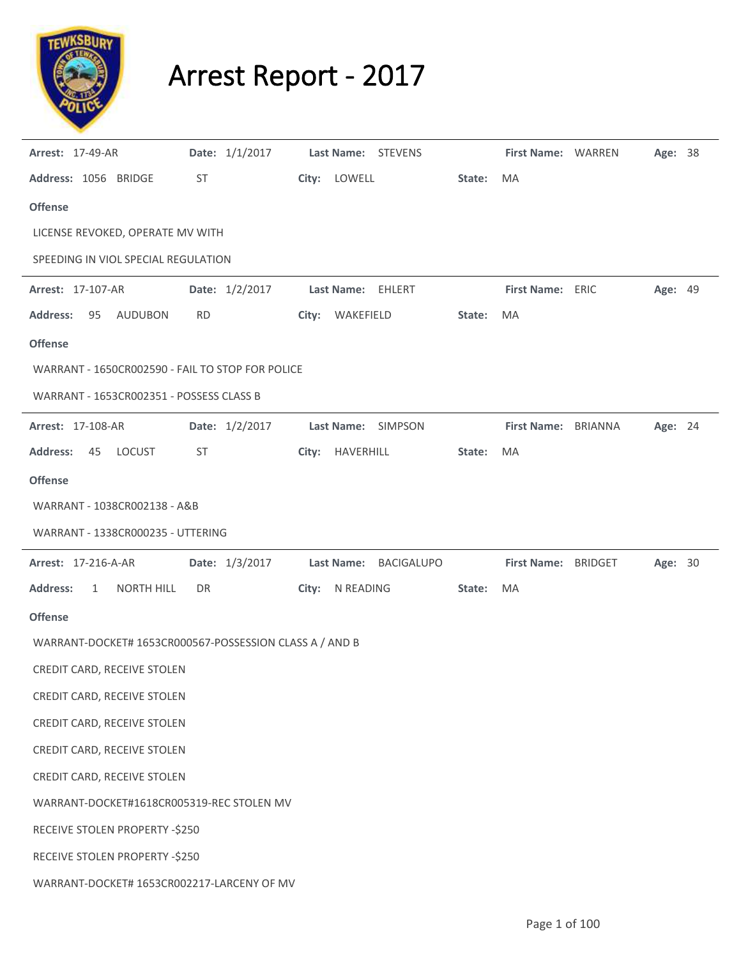

## Arrest Report - 2017

| <b>Arrest: 17-49-AR</b>                                 |           | Date: 1/1/2017 |                 | Last Name: STEVENS        |        | First Name: WARREN  | Age: 38 |  |
|---------------------------------------------------------|-----------|----------------|-----------------|---------------------------|--------|---------------------|---------|--|
| Address: 1056 BRIDGE                                    | ST        |                | City: LOWELL    |                           | State: | MA                  |         |  |
| <b>Offense</b>                                          |           |                |                 |                           |        |                     |         |  |
| LICENSE REVOKED, OPERATE MV WITH                        |           |                |                 |                           |        |                     |         |  |
| SPEEDING IN VIOL SPECIAL REGULATION                     |           |                |                 |                           |        |                     |         |  |
| Arrest: 17-107-AR                                       |           | Date: 1/2/2017 |                 | Last Name: EHLERT         |        | First Name: ERIC    | Age: 49 |  |
| <b>Address:</b><br>95<br>AUDUBON                        | <b>RD</b> |                | City: WAKEFIELD |                           | State: | MA                  |         |  |
| <b>Offense</b>                                          |           |                |                 |                           |        |                     |         |  |
| WARRANT - 1650CR002590 - FAIL TO STOP FOR POLICE        |           |                |                 |                           |        |                     |         |  |
| WARRANT - 1653CR002351 - POSSESS CLASS B                |           |                |                 |                           |        |                     |         |  |
| <b>Arrest: 17-108-AR</b>                                |           | Date: 1/2/2017 |                 | <b>Last Name: SIMPSON</b> |        | First Name: BRIANNA | Age: 24 |  |
| <b>Address:</b><br>45<br>LOCUST                         | ST        |                | City: HAVERHILL |                           | State: | MA                  |         |  |
| <b>Offense</b>                                          |           |                |                 |                           |        |                     |         |  |
| WARRANT - 1038CR002138 - A&B                            |           |                |                 |                           |        |                     |         |  |
| WARRANT - 1338CR000235 - UTTERING                       |           |                |                 |                           |        |                     |         |  |
| <b>Arrest: 17-216-A-AR</b>                              |           | Date: 1/3/2017 |                 | Last Name: BACIGALUPO     |        | First Name: BRIDGET | Age: 30 |  |
| <b>Address:</b><br><b>NORTH HILL</b><br>$\mathbf{1}$    | DR        |                | City: N READING |                           | State: | MA                  |         |  |
| <b>Offense</b>                                          |           |                |                 |                           |        |                     |         |  |
| WARRANT-DOCKET# 1653CR000567-POSSESSION CLASS A / AND B |           |                |                 |                           |        |                     |         |  |
| CREDIT CARD, RECEIVE STOLEN                             |           |                |                 |                           |        |                     |         |  |
| CREDIT CARD, RECEIVE STOLEN                             |           |                |                 |                           |        |                     |         |  |
| CREDIT CARD, RECEIVE STOLEN                             |           |                |                 |                           |        |                     |         |  |
| CREDIT CARD, RECEIVE STOLEN                             |           |                |                 |                           |        |                     |         |  |
| CREDIT CARD, RECEIVE STOLEN                             |           |                |                 |                           |        |                     |         |  |
| WARRANT-DOCKET#1618CR005319-REC STOLEN MV               |           |                |                 |                           |        |                     |         |  |
| RECEIVE STOLEN PROPERTY -\$250                          |           |                |                 |                           |        |                     |         |  |
| RECEIVE STOLEN PROPERTY -\$250                          |           |                |                 |                           |        |                     |         |  |
| WARRANT-DOCKET# 1653CR002217-LARCENY OF MV              |           |                |                 |                           |        |                     |         |  |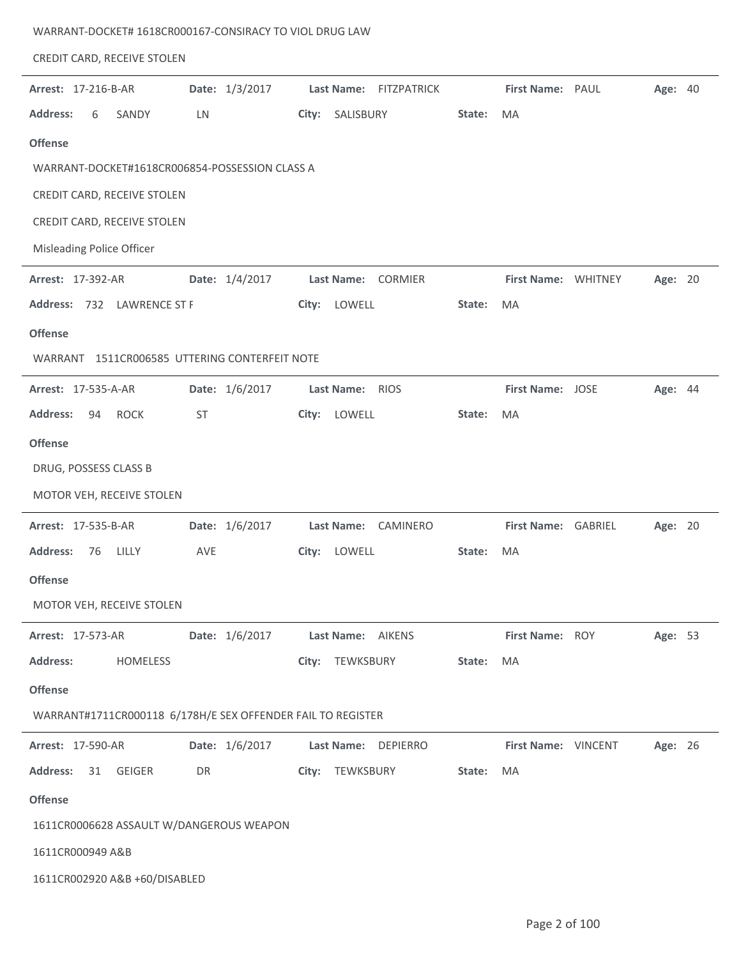|  | WARRANT-DOCKET# 1618CR000167-CONSIRACY TO VIOL DRUG LAW |  |
|--|---------------------------------------------------------|--|
|--|---------------------------------------------------------|--|

| CREDIT CARD, RECEIVE STOLEN                                 |                |                               |        |                     |         |  |
|-------------------------------------------------------------|----------------|-------------------------------|--------|---------------------|---------|--|
| Arrest: 17-216-B-AR                                         | Date: 1/3/2017 | Last Name: FITZPATRICK        |        | First Name: PAUL    | Age: 40 |  |
| <b>Address:</b><br>6<br>SANDY                               | LN             | SALISBURY<br>City:            | State: | MA                  |         |  |
| <b>Offense</b>                                              |                |                               |        |                     |         |  |
| WARRANT-DOCKET#1618CR006854-POSSESSION CLASS A              |                |                               |        |                     |         |  |
| CREDIT CARD, RECEIVE STOLEN                                 |                |                               |        |                     |         |  |
| CREDIT CARD, RECEIVE STOLEN                                 |                |                               |        |                     |         |  |
| Misleading Police Officer                                   |                |                               |        |                     |         |  |
| <b>Arrest: 17-392-AR</b>                                    | Date: 1/4/2017 | Last Name: CORMIER            |        | First Name: WHITNEY | Age: 20 |  |
| Address: 732 LAWRENCE ST F                                  |                | LOWELL<br>City:               | State: | MA                  |         |  |
| <b>Offense</b>                                              |                |                               |        |                     |         |  |
| WARRANT 1511CR006585 UTTERING CONTERFEIT NOTE               |                |                               |        |                     |         |  |
| <b>Arrest: 17-535-A-AR</b>                                  | Date: 1/6/2017 | Last Name: RIOS               |        | First Name: JOSE    | Age: 44 |  |
| <b>ROCK</b><br><b>Address:</b><br>94                        | <b>ST</b>      | LOWELL<br>City:               | State: | MA                  |         |  |
| <b>Offense</b>                                              |                |                               |        |                     |         |  |
| DRUG, POSSESS CLASS B                                       |                |                               |        |                     |         |  |
| MOTOR VEH, RECEIVE STOLEN                                   |                |                               |        |                     |         |  |
| <b>Arrest: 17-535-B-AR</b>                                  | Date: 1/6/2017 | <b>Last Name:</b><br>CAMINERO |        | First Name: GABRIEL | Age: 20 |  |
| <b>Address:</b><br>LILLY<br>76                              | AVE            | LOWELL<br>City:               | State: | MA                  |         |  |
| <b>Offense</b>                                              |                |                               |        |                     |         |  |
| MOTOR VEH, RECEIVE STOLEN                                   |                |                               |        |                     |         |  |
| <b>Arrest: 17-573-AR</b>                                    | Date: 1/6/2017 | Last Name: AIKENS             |        | First Name: ROY     | Age: 53 |  |
| <b>Address:</b><br>HOMELESS                                 |                | City: TEWKSBURY               | State: | MA                  |         |  |
| <b>Offense</b>                                              |                |                               |        |                     |         |  |
| WARRANT#1711CR000118 6/178H/E SEX OFFENDER FAIL TO REGISTER |                |                               |        |                     |         |  |
| Arrest: 17-590-AR                                           | Date: 1/6/2017 | Last Name: DEPIERRO           |        | First Name: VINCENT | Age: 26 |  |
| <b>Address:</b><br>31<br><b>GEIGER</b>                      | DR             | City: TEWKSBURY               | State: | MA                  |         |  |
| <b>Offense</b>                                              |                |                               |        |                     |         |  |
| 1611CR0006628 ASSAULT W/DANGEROUS WEAPON                    |                |                               |        |                     |         |  |
| 1611CR000949 A&B                                            |                |                               |        |                     |         |  |
| 1611CR002920 A&B +60/DISABLED                               |                |                               |        |                     |         |  |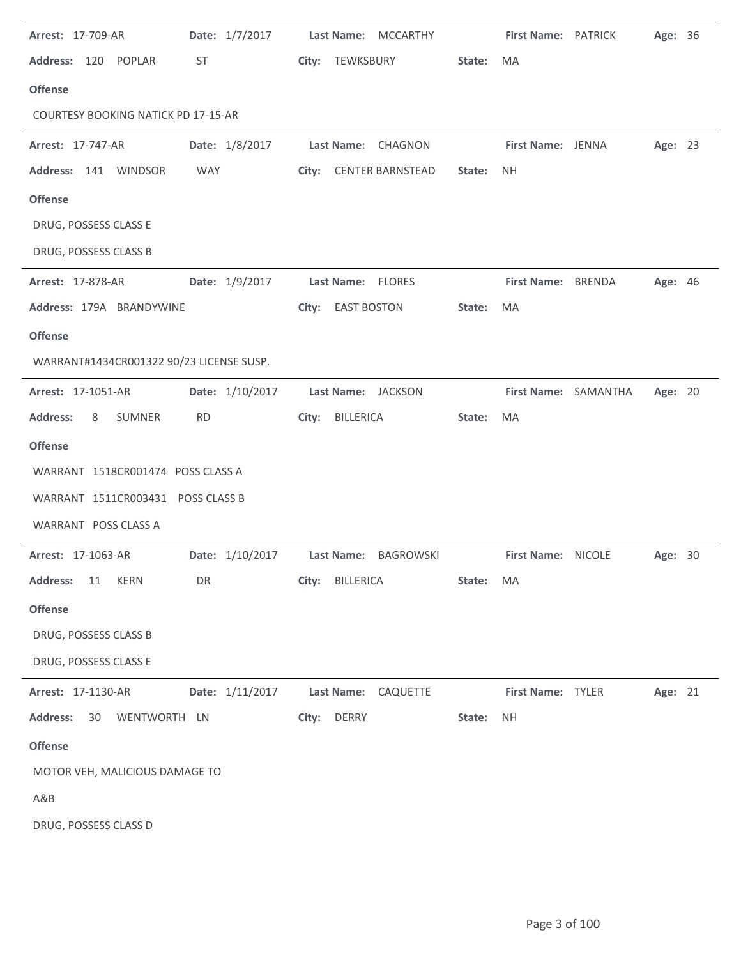| <b>Arrest: 17-709-AR</b>                   | Date: 1/7/2017  | Last Name: MCCARTHY    |           | First Name: PATRICK |                      | Age: 36        |  |
|--------------------------------------------|-----------------|------------------------|-----------|---------------------|----------------------|----------------|--|
| Address: 120 POPLAR                        | ST              | City: TEWKSBURY        | State:    | MA                  |                      |                |  |
| <b>Offense</b>                             |                 |                        |           |                     |                      |                |  |
| <b>COURTESY BOOKING NATICK PD 17-15-AR</b> |                 |                        |           |                     |                      |                |  |
| <b>Arrest: 17-747-AR</b>                   | Date: 1/8/2017  | Last Name: CHAGNON     |           | First Name: JENNA   |                      | Age: 23        |  |
| Address: 141 WINDSOR                       | <b>WAY</b>      | City: CENTER BARNSTEAD | State:    | <b>NH</b>           |                      |                |  |
| <b>Offense</b>                             |                 |                        |           |                     |                      |                |  |
| DRUG, POSSESS CLASS E                      |                 |                        |           |                     |                      |                |  |
| DRUG, POSSESS CLASS B                      |                 |                        |           |                     |                      |                |  |
| <b>Arrest: 17-878-AR</b>                   | Date: 1/9/2017  | Last Name: FLORES      |           | First Name: BRENDA  |                      | <b>Age: 46</b> |  |
| Address: 179A BRANDYWINE                   |                 | City: EAST BOSTON      | State:    | MA                  |                      |                |  |
| <b>Offense</b>                             |                 |                        |           |                     |                      |                |  |
| WARRANT#1434CR001322 90/23 LICENSE SUSP.   |                 |                        |           |                     |                      |                |  |
| Arrest: 17-1051-AR                         | Date: 1/10/2017 | Last Name: JACKSON     |           |                     | First Name: SAMANTHA | Age: 20        |  |
| <b>Address:</b><br>SUMNER<br>8             | <b>RD</b>       | BILLERICA<br>City:     | State:    | MA                  |                      |                |  |
| <b>Offense</b>                             |                 |                        |           |                     |                      |                |  |
| WARRANT 1518CR001474 POSS CLASS A          |                 |                        |           |                     |                      |                |  |
| WARRANT 1511CR003431 POSS CLASS B          |                 |                        |           |                     |                      |                |  |
| WARRANT POSS CLASS A                       |                 |                        |           |                     |                      |                |  |
| <b>Arrest: 17-1063-AR</b>                  | Date: 1/10/2017 | Last Name: BAGROWSKI   |           | First Name: NICOLE  |                      | Age: 30        |  |
| <b>Address:</b><br><b>KERN</b><br>11       | DR              | City: BILLERICA        | State: MA |                     |                      |                |  |
| <b>Offense</b>                             |                 |                        |           |                     |                      |                |  |
| DRUG, POSSESS CLASS B                      |                 |                        |           |                     |                      |                |  |
| DRUG, POSSESS CLASS E                      |                 |                        |           |                     |                      |                |  |
| Arrest: 17-1130-AR                         | Date: 1/11/2017 | Last Name: CAQUETTE    |           | First Name: TYLER   |                      | Age: 21        |  |
| <b>Address:</b><br>WENTWORTH LN<br>30      |                 | DERRY<br>City:         | State:    | <b>NH</b>           |                      |                |  |
| <b>Offense</b>                             |                 |                        |           |                     |                      |                |  |
| MOTOR VEH, MALICIOUS DAMAGE TO             |                 |                        |           |                     |                      |                |  |
| A&B                                        |                 |                        |           |                     |                      |                |  |
| DRUG, POSSESS CLASS D                      |                 |                        |           |                     |                      |                |  |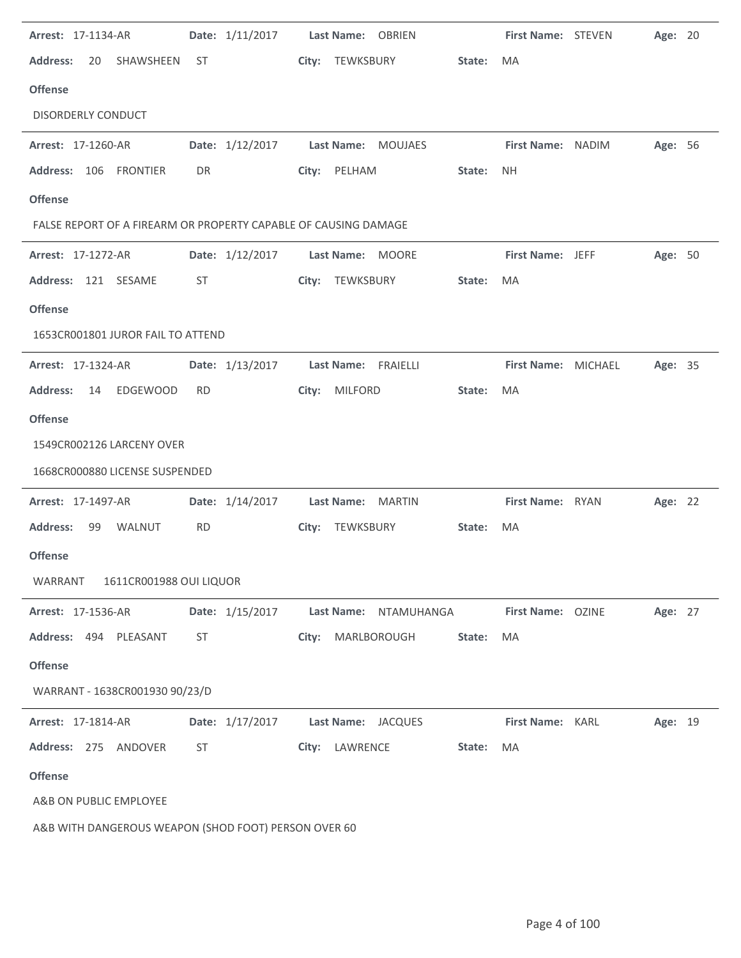| Arrest: 17-1134-AR                                              |           | Date: 1/11/2017                     |       | Last Name: OBRIEN |                       |        | <b>First Name: STEVEN</b> | Age: 20 |  |
|-----------------------------------------------------------------|-----------|-------------------------------------|-------|-------------------|-----------------------|--------|---------------------------|---------|--|
| <b>Address:</b><br>SHAWSHEEN<br>20                              | - ST      |                                     |       | City: TEWKSBURY   |                       | State: | MA                        |         |  |
| <b>Offense</b>                                                  |           |                                     |       |                   |                       |        |                           |         |  |
| <b>DISORDERLY CONDUCT</b>                                       |           |                                     |       |                   |                       |        |                           |         |  |
| Arrest: 17-1260-AR                                              |           | Date: 1/12/2017                     |       |                   | Last Name: MOUJAES    |        | First Name: NADIM         | Age: 56 |  |
| Address: 106 FRONTIER                                           | DR        |                                     |       | City: PELHAM      |                       | State: | <b>NH</b>                 |         |  |
| <b>Offense</b>                                                  |           |                                     |       |                   |                       |        |                           |         |  |
| FALSE REPORT OF A FIREARM OR PROPERTY CAPABLE OF CAUSING DAMAGE |           |                                     |       |                   |                       |        |                           |         |  |
| <b>Arrest: 17-1272-AR</b>                                       |           | Date: 1/12/2017                     |       | Last Name: MOORE  |                       |        | First Name: JEFF          | Age: 50 |  |
| Address: 121 SESAME                                             | ST        |                                     |       | City: TEWKSBURY   |                       | State: | MA                        |         |  |
| <b>Offense</b>                                                  |           |                                     |       |                   |                       |        |                           |         |  |
| 1653CR001801 JUROR FAIL TO ATTEND                               |           |                                     |       |                   |                       |        |                           |         |  |
| Arrest: 17-1324-AR                                              |           | Date: 1/13/2017 Last Name: FRAIELLI |       |                   |                       |        | First Name: MICHAEL       | Age: 35 |  |
| EDGEWOOD<br><b>Address:</b><br>14                               | <b>RD</b> |                                     | City: | MILFORD           |                       | State: | MA                        |         |  |
| <b>Offense</b>                                                  |           |                                     |       |                   |                       |        |                           |         |  |
| 1549CR002126 LARCENY OVER                                       |           |                                     |       |                   |                       |        |                           |         |  |
| 1668CR000880 LICENSE SUSPENDED                                  |           |                                     |       |                   |                       |        |                           |         |  |
| Arrest: 17-1497-AR                                              |           | Date: 1/14/2017                     |       |                   | Last Name: MARTIN     |        | First Name: RYAN          | Age: 22 |  |
| <b>Address:</b><br>99 WALNUT                                    | <b>RD</b> |                                     |       | City: TEWKSBURY   |                       | State: | MA                        |         |  |
| <b>Offense</b>                                                  |           |                                     |       |                   |                       |        |                           |         |  |
| 1611CR001988 OUI LIQUOR<br>WARRANT                              |           |                                     |       |                   |                       |        |                           |         |  |
| Arrest: 17-1536-AR                                              |           | Date: 1/15/2017                     |       |                   | Last Name: NTAMUHANGA |        | First Name: OZINE         | Age: 27 |  |
| Address: 494 PLEASANT                                           | ST        |                                     | City: |                   | MARLBOROUGH           | State: | MA                        |         |  |
| <b>Offense</b>                                                  |           |                                     |       |                   |                       |        |                           |         |  |
| WARRANT - 1638CR001930 90/23/D                                  |           |                                     |       |                   |                       |        |                           |         |  |
| Arrest: 17-1814-AR                                              |           | Date: 1/17/2017                     |       |                   | Last Name: JACQUES    |        | First Name: KARL          | Age: 19 |  |
| Address: 275 ANDOVER                                            | ST        |                                     | City: | LAWRENCE          |                       | State: | MA                        |         |  |
| <b>Offense</b>                                                  |           |                                     |       |                   |                       |        |                           |         |  |
| A&B ON PUBLIC EMPLOYEE                                          |           |                                     |       |                   |                       |        |                           |         |  |
| A&B WITH DANGEROUS WEAPON (SHOD FOOT) PERSON OVER 60            |           |                                     |       |                   |                       |        |                           |         |  |

J.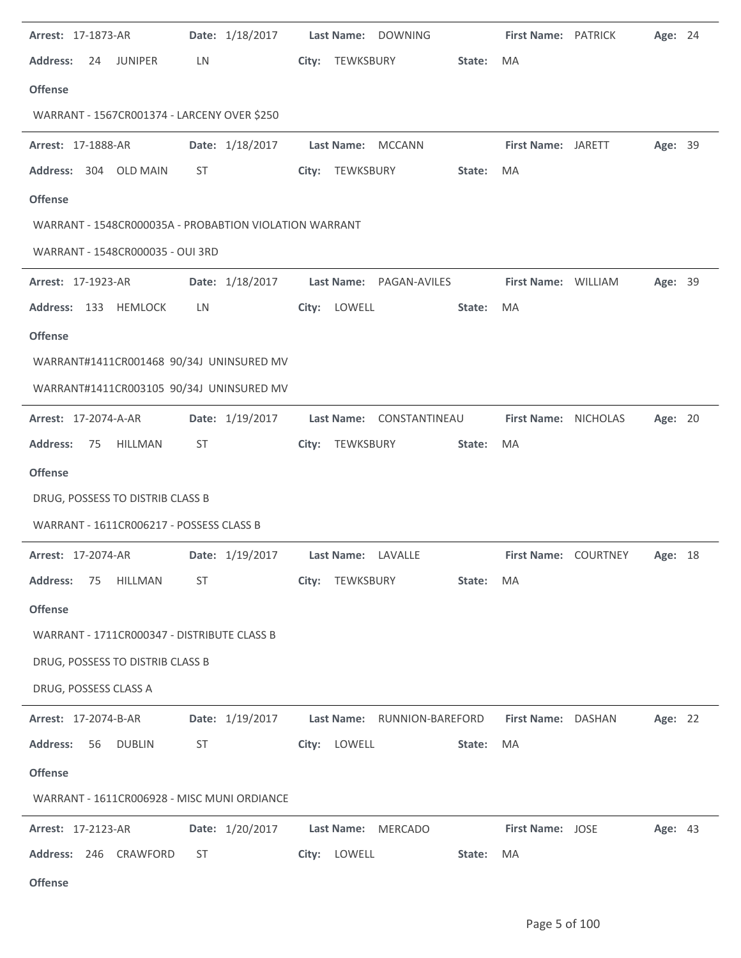| Arrest: 17-1873-AR                                     |           | Date: 1/18/2017 | Last Name: DOWNING       |                                             | <b>First Name: PATRICK</b> | Age: 24 |  |
|--------------------------------------------------------|-----------|-----------------|--------------------------|---------------------------------------------|----------------------------|---------|--|
| <b>Address:</b><br>24<br><b>JUNIPER</b>                | LN        |                 | City: TEWKSBURY          | State:                                      | MA                         |         |  |
| <b>Offense</b>                                         |           |                 |                          |                                             |                            |         |  |
| WARRANT - 1567CR001374 - LARCENY OVER \$250            |           |                 |                          |                                             |                            |         |  |
| Arrest: 17-1888-AR                                     |           | Date: 1/18/2017 | Last Name: MCCANN        |                                             | First Name: JARETT         | Age: 39 |  |
| Address: 304 OLD MAIN                                  | ST        |                 | City: TEWKSBURY          | State:                                      | MA                         |         |  |
| <b>Offense</b>                                         |           |                 |                          |                                             |                            |         |  |
| WARRANT - 1548CR000035A - PROBABTION VIOLATION WARRANT |           |                 |                          |                                             |                            |         |  |
| WARRANT - 1548CR000035 - OUI 3RD                       |           |                 |                          |                                             |                            |         |  |
| Arrest: 17-1923-AR                                     |           | Date: 1/18/2017 | Last Name: PAGAN-AVILES  |                                             | First Name: WILLIAM        | Age: 39 |  |
| Address: 133 HEMLOCK                                   | LN        |                 | City: LOWELL             | State:                                      | MA                         |         |  |
| <b>Offense</b>                                         |           |                 |                          |                                             |                            |         |  |
| WARRANT#1411CR001468 90/34J UNINSURED MV               |           |                 |                          |                                             |                            |         |  |
| WARRANT#1411CR003105 90/34J UNINSURED MV               |           |                 |                          |                                             |                            |         |  |
| <b>Arrest: 17-2074-A-AR</b>                            |           | Date: 1/19/2017 | Last Name: CONSTANTINEAU |                                             | First Name: NICHOLAS       | Age: 20 |  |
| <b>Address:</b><br>75<br>HILLMAN                       | <b>ST</b> |                 | City: TEWKSBURY          | State:                                      | MA                         |         |  |
| <b>Offense</b>                                         |           |                 |                          |                                             |                            |         |  |
| DRUG, POSSESS TO DISTRIB CLASS B                       |           |                 |                          |                                             |                            |         |  |
| WARRANT - 1611CR006217 - POSSESS CLASS B               |           |                 |                          |                                             |                            |         |  |
| <b>Arrest: 17-2074-AR</b>                              |           | Date: 1/19/2017 | Last Name: LAVALLE       |                                             | First Name: COURTNEY       | Age: 18 |  |
| <b>Address:</b><br>HILLMAN<br>75                       | ST        |                 | City: TEWKSBURY          | State: MA                                   |                            |         |  |
| <b>Offense</b>                                         |           |                 |                          |                                             |                            |         |  |
| WARRANT - 1711CR000347 - DISTRIBUTE CLASS B            |           |                 |                          |                                             |                            |         |  |
| DRUG, POSSESS TO DISTRIB CLASS B                       |           |                 |                          |                                             |                            |         |  |
|                                                        |           |                 |                          |                                             |                            |         |  |
| DRUG, POSSESS CLASS A                                  |           |                 |                          |                                             |                            |         |  |
| <b>Arrest: 17-2074-B-AR</b>                            |           |                 |                          | Date: 1/19/2017 Last Name: RUNNION-BAREFORD | First Name: DASHAN         | Age: 22 |  |
| <b>Address:</b><br>56<br><b>DUBLIN</b>                 | ST        |                 | City: LOWELL             | State:                                      | MA                         |         |  |
| <b>Offense</b>                                         |           |                 |                          |                                             |                            |         |  |
| WARRANT - 1611CR006928 - MISC MUNI ORDIANCE            |           |                 |                          |                                             |                            |         |  |
| Arrest: 17-2123-AR                                     |           | Date: 1/20/2017 | Last Name: MERCADO       |                                             | <b>First Name: JOSE</b>    | Age: 43 |  |
| Address: 246 CRAWFORD                                  | ST        |                 | City: LOWELL             | State:                                      | MA                         |         |  |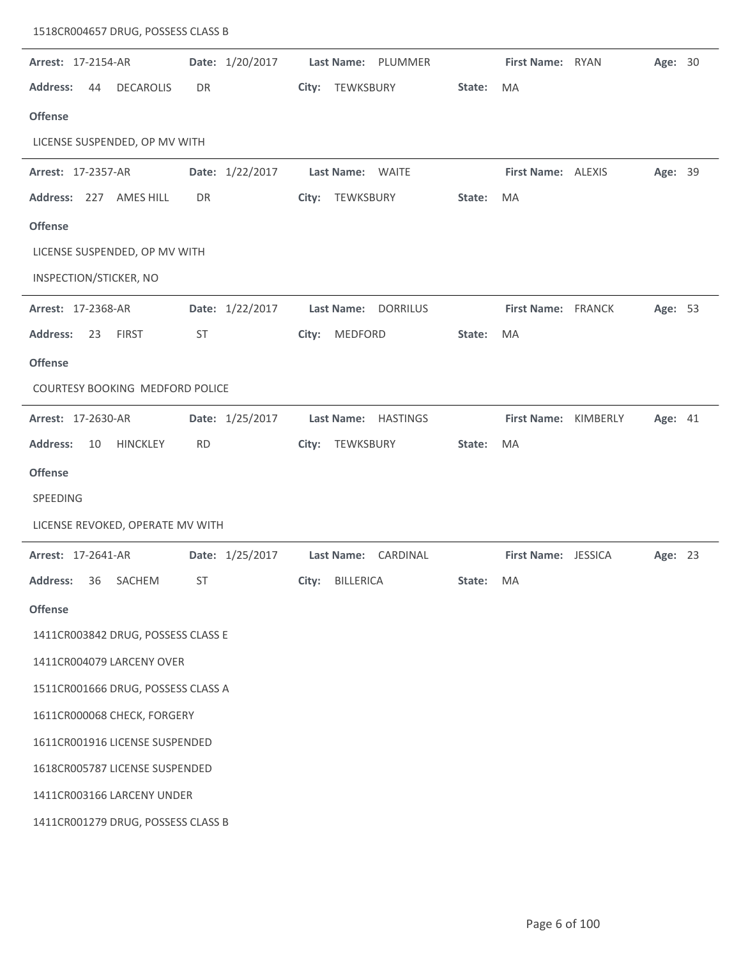| Arrest: 17-2154-AR                        | Date: 1/20/2017 | Last Name: PLUMMER  |                  | First Name: RYAN          | Age: 30 |  |
|-------------------------------------------|-----------------|---------------------|------------------|---------------------------|---------|--|
| <b>Address:</b><br><b>DECAROLIS</b><br>44 | DR              | City: TEWKSBURY     | State:           | MA                        |         |  |
| <b>Offense</b>                            |                 |                     |                  |                           |         |  |
| LICENSE SUSPENDED, OP MV WITH             |                 |                     |                  |                           |         |  |
| Arrest: 17-2357-AR                        | Date: 1/22/2017 | Last Name: WAITE    |                  | First Name: ALEXIS        | Age: 39 |  |
| Address: 227 AMES HILL                    | DR              | City: TEWKSBURY     | State:           | MA                        |         |  |
| <b>Offense</b>                            |                 |                     |                  |                           |         |  |
| LICENSE SUSPENDED, OP MV WITH             |                 |                     |                  |                           |         |  |
| INSPECTION/STICKER, NO                    |                 |                     |                  |                           |         |  |
| Arrest: 17-2368-AR                        | Date: 1/22/2017 | Last Name: DORRILUS |                  | <b>First Name: FRANCK</b> | Age: 53 |  |
| <b>Address:</b><br><b>FIRST</b><br>23     | ST              | MEDFORD<br>City:    | State:           | MA                        |         |  |
| <b>Offense</b>                            |                 |                     |                  |                           |         |  |
| COURTESY BOOKING MEDFORD POLICE           |                 |                     |                  |                           |         |  |
| Arrest: 17-2630-AR                        | Date: 1/25/2017 | Last Name: HASTINGS |                  | First Name: KIMBERLY      | Age: 41 |  |
| <b>Address:</b><br>10<br><b>HINCKLEY</b>  | <b>RD</b>       | City: TEWKSBURY     | State:           | MA                        |         |  |
| <b>Offense</b>                            |                 |                     |                  |                           |         |  |
| SPEEDING                                  |                 |                     |                  |                           |         |  |
| LICENSE REVOKED, OPERATE MV WITH          |                 |                     |                  |                           |         |  |
| <b>Arrest: 17-2641-AR</b>                 | Date: 1/25/2017 | Last Name: CARDINAL |                  | First Name: JESSICA       | Age: 23 |  |
| Address: 36 SACHEM                        | <b>ST</b>       | City: BILLERICA     | <b>State:</b> MA |                           |         |  |
| <b>Offense</b>                            |                 |                     |                  |                           |         |  |
| 1411CR003842 DRUG, POSSESS CLASS E        |                 |                     |                  |                           |         |  |
| 1411CR004079 LARCENY OVER                 |                 |                     |                  |                           |         |  |
| 1511CR001666 DRUG, POSSESS CLASS A        |                 |                     |                  |                           |         |  |
| 1611CR000068 CHECK, FORGERY               |                 |                     |                  |                           |         |  |
| 1611CR001916 LICENSE SUSPENDED            |                 |                     |                  |                           |         |  |
| 1618CR005787 LICENSE SUSPENDED            |                 |                     |                  |                           |         |  |
| 1411CR003166 LARCENY UNDER                |                 |                     |                  |                           |         |  |
| 1411CR001279 DRUG, POSSESS CLASS B        |                 |                     |                  |                           |         |  |
|                                           |                 |                     |                  |                           |         |  |

1518CR004657 DRUG, POSSESS CLASS B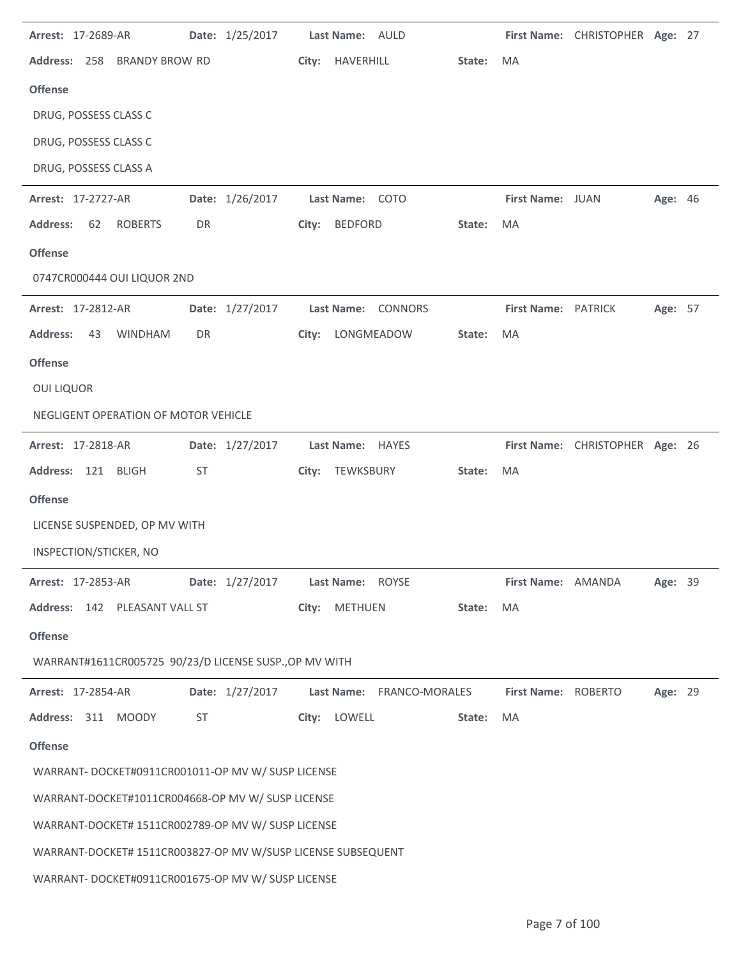| Arrest: 17-2689-AR                                           |                       | Date: 1/25/2017 | Last Name: AULD           |        |                     | First Name: CHRISTOPHER Age: 27 |         |  |
|--------------------------------------------------------------|-----------------------|-----------------|---------------------------|--------|---------------------|---------------------------------|---------|--|
| Address: 258                                                 | <b>BRANDY BROW RD</b> | City:           | HAVERHILL                 | State: | <b>MA</b>           |                                 |         |  |
| <b>Offense</b>                                               |                       |                 |                           |        |                     |                                 |         |  |
| DRUG, POSSESS CLASS C                                        |                       |                 |                           |        |                     |                                 |         |  |
| DRUG, POSSESS CLASS C                                        |                       |                 |                           |        |                     |                                 |         |  |
| DRUG, POSSESS CLASS A                                        |                       |                 |                           |        |                     |                                 |         |  |
| Arrest: 17-2727-AR                                           |                       | Date: 1/26/2017 | Last Name: COTO           |        | First Name: JUAN    |                                 | Age: 46 |  |
| <b>Address:</b><br>62<br><b>ROBERTS</b>                      | DR                    |                 | City: BEDFORD             | State: | MA                  |                                 |         |  |
| <b>Offense</b>                                               |                       |                 |                           |        |                     |                                 |         |  |
| 0747CR000444 OUI LIQUOR 2ND                                  |                       |                 |                           |        |                     |                                 |         |  |
| Arrest: 17-2812-AR                                           |                       | Date: 1/27/2017 | Last Name: CONNORS        |        | First Name: PATRICK |                                 | Age: 57 |  |
| <b>Address:</b><br><b>WINDHAM</b><br>43                      | DR                    | City:           | LONGMEADOW                | State: | MA                  |                                 |         |  |
| <b>Offense</b>                                               |                       |                 |                           |        |                     |                                 |         |  |
| <b>OUI LIQUOR</b>                                            |                       |                 |                           |        |                     |                                 |         |  |
| NEGLIGENT OPERATION OF MOTOR VEHICLE                         |                       |                 |                           |        |                     |                                 |         |  |
| Arrest: 17-2818-AR                                           |                       | Date: 1/27/2017 | Last Name: HAYES          |        |                     | First Name: CHRISTOPHER Age: 26 |         |  |
|                                                              |                       |                 |                           |        |                     |                                 |         |  |
| Address: 121 BLIGH                                           | <b>ST</b>             |                 | City: TEWKSBURY           | State: | MA                  |                                 |         |  |
| <b>Offense</b>                                               |                       |                 |                           |        |                     |                                 |         |  |
| LICENSE SUSPENDED, OP MV WITH                                |                       |                 |                           |        |                     |                                 |         |  |
| INSPECTION/STICKER, NO                                       |                       |                 |                           |        |                     |                                 |         |  |
| Arrest: 17-2853-AR                                           |                       | Date: 1/27/2017 | Last Name: ROYSE          |        | First Name: AMANDA  |                                 | Age: 39 |  |
| Address: 142 PLEASANT VALL ST                                |                       |                 | City: METHUEN             | State: | MA                  |                                 |         |  |
| <b>Offense</b>                                               |                       |                 |                           |        |                     |                                 |         |  |
| WARRANT#1611CR005725 90/23/D LICENSE SUSP., OP MV WITH       |                       |                 |                           |        |                     |                                 |         |  |
| <b>Arrest: 17-2854-AR</b>                                    |                       | Date: 1/27/2017 | Last Name: FRANCO-MORALES |        | First Name: ROBERTO |                                 | Age: 29 |  |
| Address: 311 MOODY                                           | ST                    |                 | City: LOWELL              | State: | MA                  |                                 |         |  |
| <b>Offense</b>                                               |                       |                 |                           |        |                     |                                 |         |  |
| WARRANT- DOCKET#0911CR001011-OP MV W/ SUSP LICENSE           |                       |                 |                           |        |                     |                                 |         |  |
| WARRANT-DOCKET#1011CR004668-OP MV W/ SUSP LICENSE            |                       |                 |                           |        |                     |                                 |         |  |
| WARRANT-DOCKET# 1511CR002789-OP MV W/ SUSP LICENSE           |                       |                 |                           |        |                     |                                 |         |  |
| WARRANT-DOCKET# 1511CR003827-OP MV W/SUSP LICENSE SUBSEQUENT |                       |                 |                           |        |                     |                                 |         |  |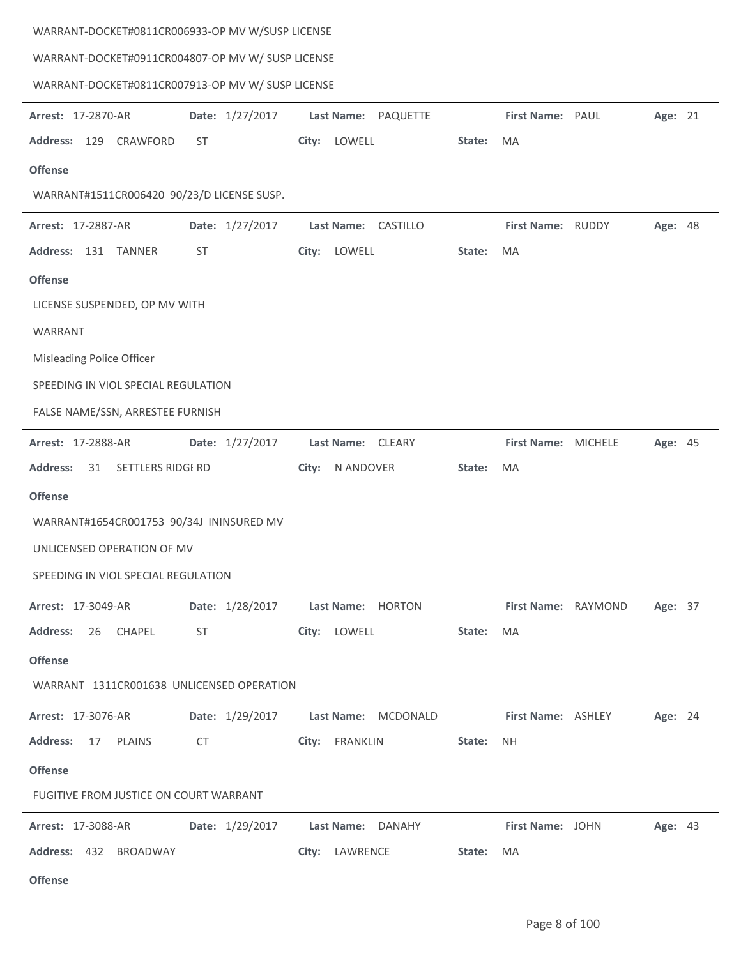| WARRANT-DOCKET#0811CR006933-OP MV W/SUSP LICENSE  |                     |                                |  |  |  |  |  |  |
|---------------------------------------------------|---------------------|--------------------------------|--|--|--|--|--|--|
| WARRANT-DOCKET#0911CR004807-OP MV W/ SUSP LICENSE |                     |                                |  |  |  |  |  |  |
| WARRANT-DOCKET#0811CR007913-OP MV W/ SUSP LICENSE |                     |                                |  |  |  |  |  |  |
| Date: 1/27/2017<br>Arrest: 17-2870-AR             | Last Name: PAQUETTE | Age: 21<br>First Name: PAUL    |  |  |  |  |  |  |
| Address: 129 CRAWFORD<br>ST                       | City: LOWELL        | State:<br>MA                   |  |  |  |  |  |  |
| <b>Offense</b>                                    |                     |                                |  |  |  |  |  |  |
| WARRANT#1511CR006420 90/23/D LICENSE SUSP.        |                     |                                |  |  |  |  |  |  |
| Date: 1/27/2017<br><b>Arrest: 17-2887-AR</b>      | Last Name: CASTILLO | First Name: RUDDY<br>Age: 48   |  |  |  |  |  |  |
| Address: 131 TANNER<br><b>ST</b>                  | City: LOWELL        | State:<br>MA                   |  |  |  |  |  |  |
| <b>Offense</b>                                    |                     |                                |  |  |  |  |  |  |
| LICENSE SUSPENDED, OP MV WITH                     |                     |                                |  |  |  |  |  |  |
| WARRANT                                           |                     |                                |  |  |  |  |  |  |
| Misleading Police Officer                         |                     |                                |  |  |  |  |  |  |
| SPEEDING IN VIOL SPECIAL REGULATION               |                     |                                |  |  |  |  |  |  |
| FALSE NAME/SSN, ARRESTEE FURNISH                  |                     |                                |  |  |  |  |  |  |
| Date: 1/27/2017<br>Arrest: 17-2888-AR             | Last Name: CLEARY   | First Name: MICHELE<br>Age: 45 |  |  |  |  |  |  |
| <b>Address:</b><br>31 SETTLERS RIDGI RD           | City:<br>N ANDOVER  | State:<br>MA                   |  |  |  |  |  |  |
| <b>Offense</b>                                    |                     |                                |  |  |  |  |  |  |
| WARRANT#1654CR001753 90/34J ININSURED MV          |                     |                                |  |  |  |  |  |  |
| UNLICENSED OPERATION OF MV                        |                     |                                |  |  |  |  |  |  |
| SPEEDING IN VIOL SPECIAL REGULATION               |                     |                                |  |  |  |  |  |  |
| Date: 1/28/2017<br><b>Arrest: 17-3049-AR</b>      | Last Name: HORTON   | First Name: RAYMOND<br>Age: 37 |  |  |  |  |  |  |
| <b>Address:</b><br>26 CHAPEL<br>ST                | City: LOWELL        | State:<br>MA                   |  |  |  |  |  |  |
| <b>Offense</b>                                    |                     |                                |  |  |  |  |  |  |
| WARRANT 1311CR001638 UNLICENSED OPERATION         |                     |                                |  |  |  |  |  |  |
| Date: 1/29/2017<br>Arrest: 17-3076-AR             | Last Name: MCDONALD | First Name: ASHLEY<br>Age: 24  |  |  |  |  |  |  |
| <b>Address:</b><br>17 PLAINS<br>CT                | City: FRANKLIN      | State:<br>NH.                  |  |  |  |  |  |  |
| <b>Offense</b>                                    |                     |                                |  |  |  |  |  |  |
| FUGITIVE FROM JUSTICE ON COURT WARRANT            |                     |                                |  |  |  |  |  |  |
| Date: 1/29/2017<br><b>Arrest: 17-3088-AR</b>      | Last Name: DANAHY   | First Name: JOHN<br>Age: 43    |  |  |  |  |  |  |
| Address: 432 BROADWAY                             | City: LAWRENCE      | State:<br>MA                   |  |  |  |  |  |  |
|                                                   |                     |                                |  |  |  |  |  |  |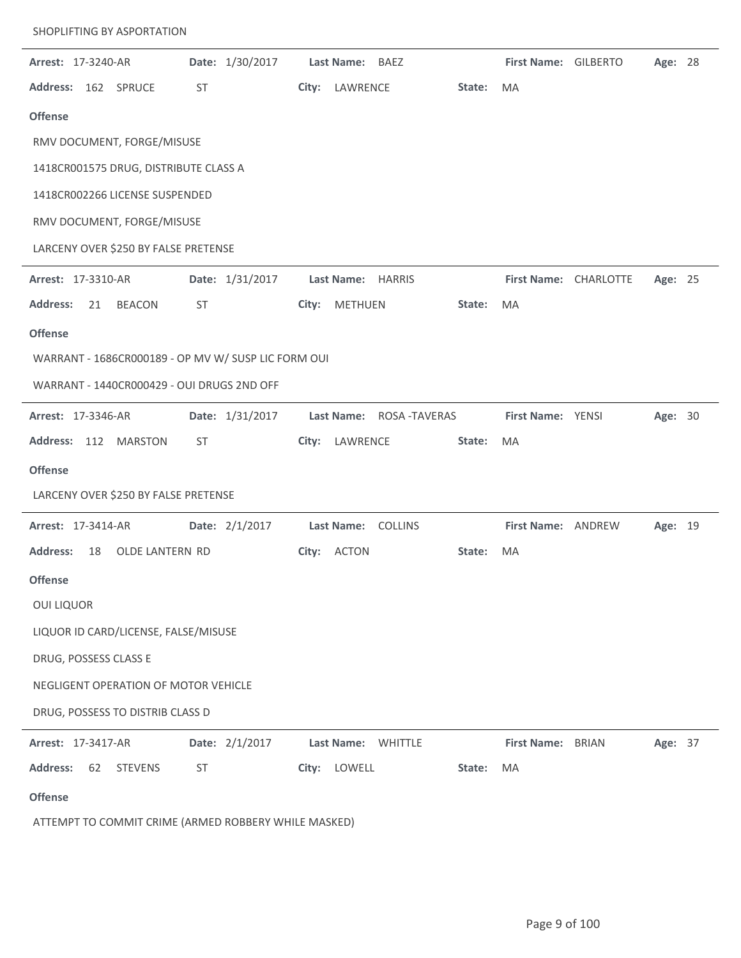| Arrest: 17-3240-AR |    |                                                     |    | Date: 1/30/2017 |       | Last Name:         | BAEZ         |        | First Name: GILBERTO  |              | Age: 28 |  |
|--------------------|----|-----------------------------------------------------|----|-----------------|-------|--------------------|--------------|--------|-----------------------|--------------|---------|--|
|                    |    | Address: 162 SPRUCE                                 | ST |                 |       | City: LAWRENCE     |              | State: | MA                    |              |         |  |
| <b>Offense</b>     |    |                                                     |    |                 |       |                    |              |        |                       |              |         |  |
|                    |    | RMV DOCUMENT, FORGE/MISUSE                          |    |                 |       |                    |              |        |                       |              |         |  |
|                    |    | 1418CR001575 DRUG, DISTRIBUTE CLASS A               |    |                 |       |                    |              |        |                       |              |         |  |
|                    |    | 1418CR002266 LICENSE SUSPENDED                      |    |                 |       |                    |              |        |                       |              |         |  |
|                    |    | RMV DOCUMENT, FORGE/MISUSE                          |    |                 |       |                    |              |        |                       |              |         |  |
|                    |    | LARCENY OVER \$250 BY FALSE PRETENSE                |    |                 |       |                    |              |        |                       |              |         |  |
| Arrest: 17-3310-AR |    |                                                     |    | Date: 1/31/2017 |       | Last Name: HARRIS  |              |        | First Name: CHARLOTTE |              | Age: 25 |  |
| <b>Address:</b>    | 21 | <b>BEACON</b>                                       | ST |                 | City: | METHUEN            |              | State: | MA                    |              |         |  |
| <b>Offense</b>     |    |                                                     |    |                 |       |                    |              |        |                       |              |         |  |
|                    |    | WARRANT - 1686CR000189 - OP MV W/ SUSP LIC FORM OUI |    |                 |       |                    |              |        |                       |              |         |  |
|                    |    | WARRANT - 1440CR000429 - OUI DRUGS 2ND OFF          |    |                 |       |                    |              |        |                       |              |         |  |
| Arrest: 17-3346-AR |    |                                                     |    | Date: 1/31/2017 |       | <b>Last Name:</b>  | ROSA-TAVERAS |        | First Name: YENSI     |              | Age: 30 |  |
|                    |    | Address: 112 MARSTON                                | ST |                 |       | City: LAWRENCE     |              | State: | MA                    |              |         |  |
| <b>Offense</b>     |    |                                                     |    |                 |       |                    |              |        |                       |              |         |  |
|                    |    | LARCENY OVER \$250 BY FALSE PRETENSE                |    |                 |       |                    |              |        |                       |              |         |  |
| Arrest: 17-3414-AR |    |                                                     |    | Date: 2/1/2017  |       | Last Name: COLLINS |              |        | First Name: ANDREW    |              | Age: 19 |  |
| <b>Address:</b>    | 18 | OLDE LANTERN RD                                     |    |                 |       | City: ACTON        |              | State: | MA                    |              |         |  |
| <b>Offense</b>     |    |                                                     |    |                 |       |                    |              |        |                       |              |         |  |
| <b>OUI LIQUOR</b>  |    |                                                     |    |                 |       |                    |              |        |                       |              |         |  |
|                    |    | LIQUOR ID CARD/LICENSE, FALSE/MISUSE                |    |                 |       |                    |              |        |                       |              |         |  |
|                    |    | DRUG, POSSESS CLASS E                               |    |                 |       |                    |              |        |                       |              |         |  |
|                    |    | NEGLIGENT OPERATION OF MOTOR VEHICLE                |    |                 |       |                    |              |        |                       |              |         |  |
|                    |    | DRUG, POSSESS TO DISTRIB CLASS D                    |    |                 |       |                    |              |        |                       |              |         |  |
| Arrest: 17-3417-AR |    |                                                     |    | Date: 2/1/2017  |       | <b>Last Name:</b>  | WHITTLE      |        | <b>First Name:</b>    | <b>BRIAN</b> | Age: 37 |  |
| <b>Address:</b>    | 62 | <b>STEVENS</b>                                      | ST |                 |       | City: LOWELL       |              | State: | MA                    |              |         |  |
| <b>Offense</b>     |    |                                                     |    |                 |       |                    |              |        |                       |              |         |  |

ATTEMPT TO COMMIT CRIME (ARMED ROBBERY WHILE MASKED)

SHOPLIFTING BY ASPORTATION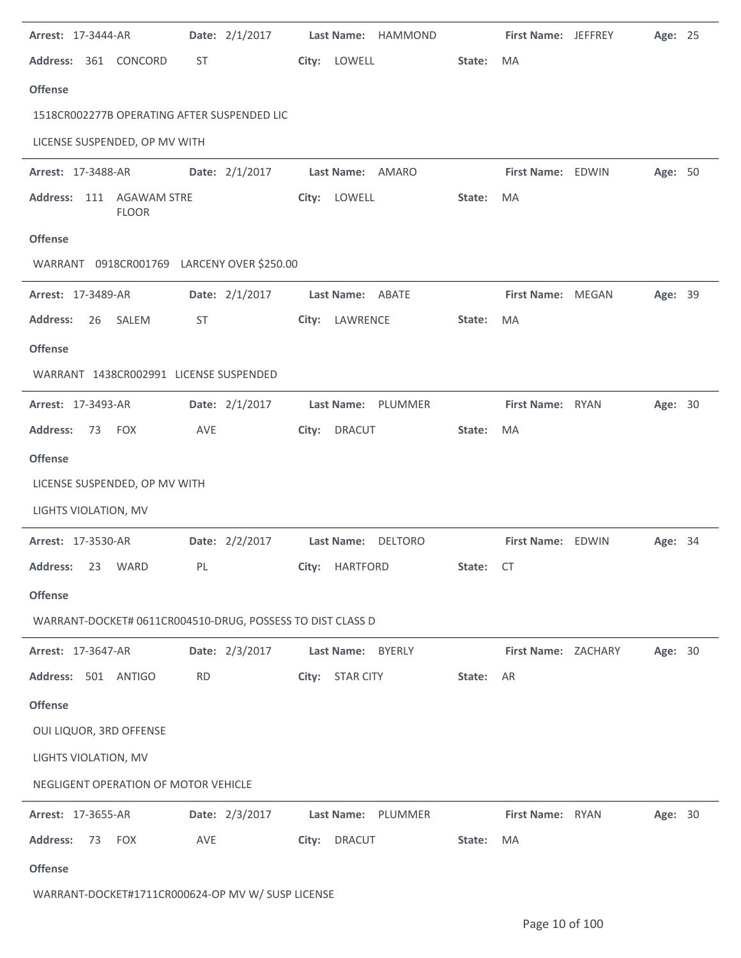| <b>Arrest: 17-3444-AR</b>                                  | Date: 2/1/2017 | Last Name: HAMMOND     |        | <b>First Name: JEFFREY</b> | Age: 25        |  |
|------------------------------------------------------------|----------------|------------------------|--------|----------------------------|----------------|--|
| Address: 361 CONCORD                                       | ST             | City: LOWELL           | State: | <b>MA</b>                  |                |  |
| <b>Offense</b>                                             |                |                        |        |                            |                |  |
| 1518CR002277B OPERATING AFTER SUSPENDED LIC                |                |                        |        |                            |                |  |
| LICENSE SUSPENDED, OP MV WITH                              |                |                        |        |                            |                |  |
| Arrest: 17-3488-AR                                         | Date: 2/1/2017 | Last Name: AMARO       |        | First Name: EDWIN          | Age: 50        |  |
| Address: 111 AGAWAM STRE<br><b>FLOOR</b>                   |                | City: LOWELL           | State: | MA                         |                |  |
| <b>Offense</b>                                             |                |                        |        |                            |                |  |
| WARRANT 0918CR001769 LARCENY OVER \$250.00                 |                |                        |        |                            |                |  |
| Arrest: 17-3489-AR                                         | Date: 2/1/2017 | Last Name: ABATE       |        | First Name: MEGAN          | Age: 39        |  |
| SALEM<br><b>Address:</b><br>26                             | ST             | City: LAWRENCE         | State: | MA                         |                |  |
| <b>Offense</b>                                             |                |                        |        |                            |                |  |
| WARRANT 1438CR002991 LICENSE SUSPENDED                     |                |                        |        |                            |                |  |
| Arrest: 17-3493-AR                                         | Date: 2/1/2017 | Last Name: PLUMMER     |        | First Name: RYAN           | Age: 30        |  |
| <b>Address:</b><br>73 FOX                                  | AVE            | <b>DRACUT</b><br>City: | State: | MA                         |                |  |
| <b>Offense</b>                                             |                |                        |        |                            |                |  |
| LICENSE SUSPENDED, OP MV WITH                              |                |                        |        |                            |                |  |
| LIGHTS VIOLATION, MV                                       |                |                        |        |                            |                |  |
| <b>Arrest: 17-3530-AR</b>                                  | Date: 2/2/2017 | Last Name: DELTORO     |        | First Name: EDWIN          | <b>Age: 34</b> |  |
| Address: 23 WARD                                           | PL             | City: HARTFORD         | State: | CT —                       |                |  |
| <b>Offense</b>                                             |                |                        |        |                            |                |  |
| WARRANT-DOCKET# 0611CR004510-DRUG, POSSESS TO DIST CLASS D |                |                        |        |                            |                |  |
| Arrest: 17-3647-AR                                         | Date: 2/3/2017 | Last Name: BYERLY      |        | First Name: ZACHARY        | Age: 30        |  |
| Address: 501 ANTIGO                                        | <b>RD</b>      | City: STAR CITY        | State: | AR                         |                |  |
| <b>Offense</b>                                             |                |                        |        |                            |                |  |
| OUI LIQUOR, 3RD OFFENSE                                    |                |                        |        |                            |                |  |
| LIGHTS VIOLATION, MV                                       |                |                        |        |                            |                |  |
| NEGLIGENT OPERATION OF MOTOR VEHICLE                       |                |                        |        |                            |                |  |
| <b>Arrest: 17-3655-AR</b>                                  | Date: 2/3/2017 | Last Name: PLUMMER     |        | First Name: RYAN           | Age: 30        |  |
| <b>Address:</b><br>73 FOX                                  | AVE            | City: DRACUT           | State: | MA                         |                |  |
| <b>Offense</b>                                             |                |                        |        |                            |                |  |
| WARRANT-DOCKET#1711CR000624-OP MV W/ SUSP LICENSE          |                |                        |        |                            |                |  |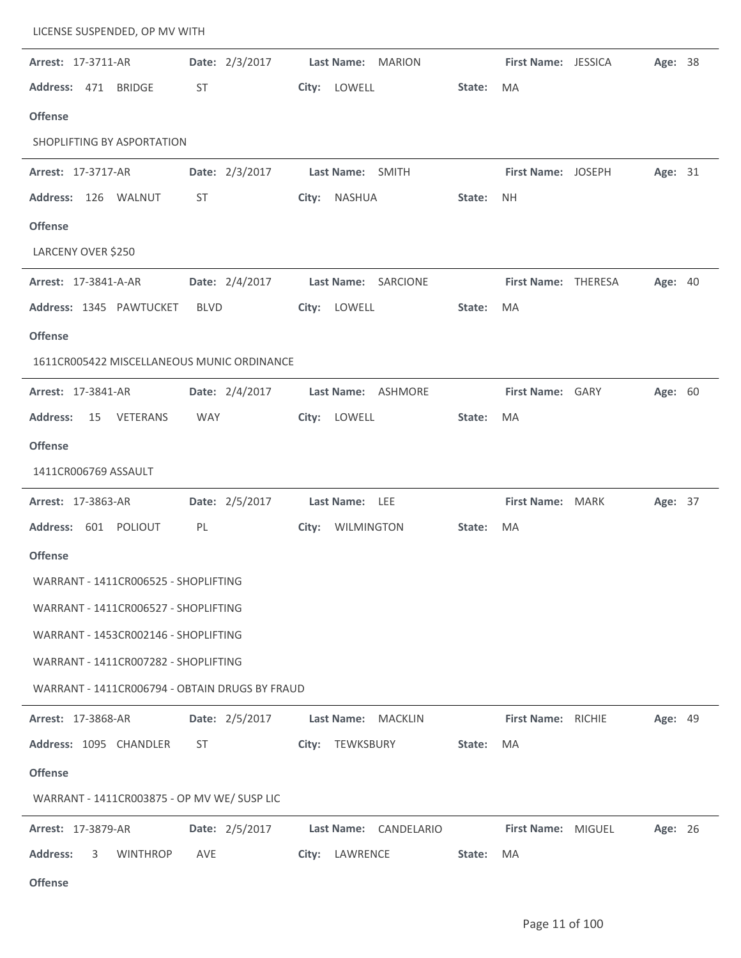| Arrest: 17-3711-AR                             | Date: 2/3/2017 | Last Name: MARION     |        | First Name: JESSICA | Age: 38 |  |
|------------------------------------------------|----------------|-----------------------|--------|---------------------|---------|--|
| Address: 471 BRIDGE                            | ST             | City: LOWELL          | State: | MA                  |         |  |
| <b>Offense</b>                                 |                |                       |        |                     |         |  |
| SHOPLIFTING BY ASPORTATION                     |                |                       |        |                     |         |  |
| Arrest: 17-3717-AR                             | Date: 2/3/2017 | Last Name: SMITH      |        | First Name: JOSEPH  | Age: 31 |  |
| Address: 126 WALNUT                            | ST             | City: NASHUA          | State: | NH.                 |         |  |
| <b>Offense</b>                                 |                |                       |        |                     |         |  |
| LARCENY OVER \$250                             |                |                       |        |                     |         |  |
| Arrest: 17-3841-A-AR                           | Date: 2/4/2017 | Last Name: SARCIONE   |        | First Name: THERESA | Age: 40 |  |
| Address: 1345 PAWTUCKET                        | <b>BLVD</b>    | City: LOWELL          | State: | MA                  |         |  |
| <b>Offense</b>                                 |                |                       |        |                     |         |  |
| 1611CR005422 MISCELLANEOUS MUNIC ORDINANCE     |                |                       |        |                     |         |  |
| Arrest: 17-3841-AR                             | Date: 2/4/2017 | Last Name: ASHMORE    |        | First Name: GARY    | Age: 60 |  |
| <b>Address:</b><br>15 VETERANS                 | WAY            | City: LOWELL          | State: | MA                  |         |  |
| <b>Offense</b>                                 |                |                       |        |                     |         |  |
| 1411CR006769 ASSAULT                           |                |                       |        |                     |         |  |
| Arrest: 17-3863-AR                             | Date: 2/5/2017 | Last Name: LEE        |        | First Name: MARK    | Age: 37 |  |
| Address: 601 POLIOUT                           | PL             | City: WILMINGTON      | State: | MA                  |         |  |
| <b>Offense</b>                                 |                |                       |        |                     |         |  |
| WARRANT - 1411CR006525 - SHOPLIFTING           |                |                       |        |                     |         |  |
| WARRANT - 1411CR006527 - SHOPLIFTING           |                |                       |        |                     |         |  |
| WARRANT - 1453CR002146 - SHOPLIFTING           |                |                       |        |                     |         |  |
| WARRANT - 1411CR007282 - SHOPLIFTING           |                |                       |        |                     |         |  |
| WARRANT - 1411CR006794 - OBTAIN DRUGS BY FRAUD |                |                       |        |                     |         |  |
| <b>Arrest: 17-3868-AR</b>                      | Date: 2/5/2017 | Last Name: MACKLIN    |        | First Name: RICHIE  | Age: 49 |  |
| Address: 1095 CHANDLER                         | ST             | City: TEWKSBURY       | State: | MA                  |         |  |
| <b>Offense</b>                                 |                |                       |        |                     |         |  |
| WARRANT - 1411CR003875 - OP MV WE/ SUSP LIC    |                |                       |        |                     |         |  |
| <b>Arrest: 17-3879-AR</b>                      | Date: 2/5/2017 | Last Name: CANDELARIO |        | First Name: MIGUEL  | Age: 26 |  |
| <b>Address:</b><br><b>WINTHROP</b><br>3        | AVE            | City: LAWRENCE        | State: | MA                  |         |  |
| <b>Offense</b>                                 |                |                       |        |                     |         |  |

LICENSE SUSPENDED, OP MV WITH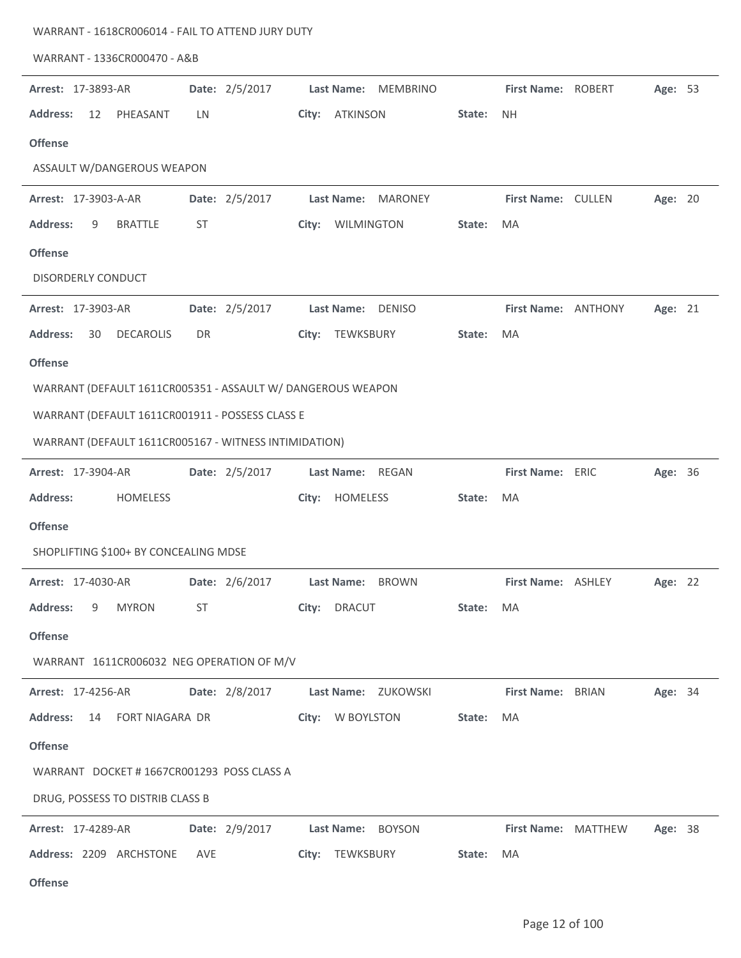| WARRANT - 1336CR000470 - A&B                                |                |                                    |                     |                                |
|-------------------------------------------------------------|----------------|------------------------------------|---------------------|--------------------------------|
| <b>Arrest: 17-3893-AR</b>                                   | Date: 2/5/2017 | Last Name: MEMBRINO                | First Name: ROBERT  | Age: 53                        |
| <b>Address:</b><br>12<br>PHEASANT                           | LN             | <b>ATKINSON</b><br>City:           | State:<br><b>NH</b> |                                |
| <b>Offense</b>                                              |                |                                    |                     |                                |
| ASSAULT W/DANGEROUS WEAPON                                  |                |                                    |                     |                                |
| Arrest: 17-3903-A-AR                                        | Date: 2/5/2017 | Last Name: MARONEY                 | First Name: CULLEN  | Age: 20                        |
| <b>Address:</b><br><b>BRATTLE</b><br>9                      | ST             | City: WILMINGTON                   | <b>MA</b><br>State: |                                |
| <b>Offense</b>                                              |                |                                    |                     |                                |
| DISORDERLY CONDUCT                                          |                |                                    |                     |                                |
| Arrest: 17-3903-AR                                          | Date: 2/5/2017 | Last Name: DENISO                  | First Name: ANTHONY | Age: 21                        |
| <b>Address:</b><br><b>DECAROLIS</b><br>30                   | DR.            | TEWKSBURY<br>City:                 | State:<br><b>MA</b> |                                |
| <b>Offense</b>                                              |                |                                    |                     |                                |
| WARRANT (DEFAULT 1611CR005351 - ASSAULT W/ DANGEROUS WEAPON |                |                                    |                     |                                |
| WARRANT (DEFAULT 1611CR001911 - POSSESS CLASS E             |                |                                    |                     |                                |
| WARRANT (DEFAULT 1611CR005167 - WITNESS INTIMIDATION)       |                |                                    |                     |                                |
| <b>Arrest: 17-3904-AR</b>                                   | Date: 2/5/2017 | Last Name: REGAN                   | First Name: ERIC    | Age: 36                        |
| <b>Address:</b><br><b>HOMELESS</b>                          |                | City: HOMELESS                     | MA<br>State:        |                                |
| <b>Offense</b>                                              |                |                                    |                     |                                |
| SHOPLIFTING \$100+ BY CONCEALING MDSE                       |                |                                    |                     |                                |
| Arrest: 17-4030-AR                                          |                | Date: 2/6/2017 Last Name: BROWN    |                     | First Name: ASHLEY Age: 22     |
| <b>Address:</b><br><b>MYRON</b><br>9                        | ST             | City: DRACUT                       | State: MA           |                                |
| <b>Offense</b>                                              |                |                                    |                     |                                |
| WARRANT 1611CR006032 NEG OPERATION OF M/V                   |                |                                    |                     |                                |
| <b>Arrest: 17-4256-AR</b>                                   |                | Date: 2/8/2017 Last Name: ZUKOWSKI | First Name: BRIAN   | Age: 34                        |
| 14 FORT NIAGARA DR<br><b>Address:</b>                       |                | City: W BOYLSTON                   | State:<br>MA        |                                |
| <b>Offense</b>                                              |                |                                    |                     |                                |
| WARRANT DOCKET #1667CR001293 POSS CLASS A                   |                |                                    |                     |                                |
| DRUG, POSSESS TO DISTRIB CLASS B                            |                |                                    |                     |                                |
| <b>Arrest: 17-4289-AR</b>                                   |                | Date: 2/9/2017 Last Name: BOYSON   |                     | First Name: MATTHEW<br>Age: 38 |
| Address: 2209 ARCHSTONE                                     | AVE            | City: TEWKSBURY                    | State:<br>MA        |                                |
| <b>Offense</b>                                              |                |                                    |                     |                                |

WARRANT - 1618CR006014 - FAIL TO ATTEND JURY DUTY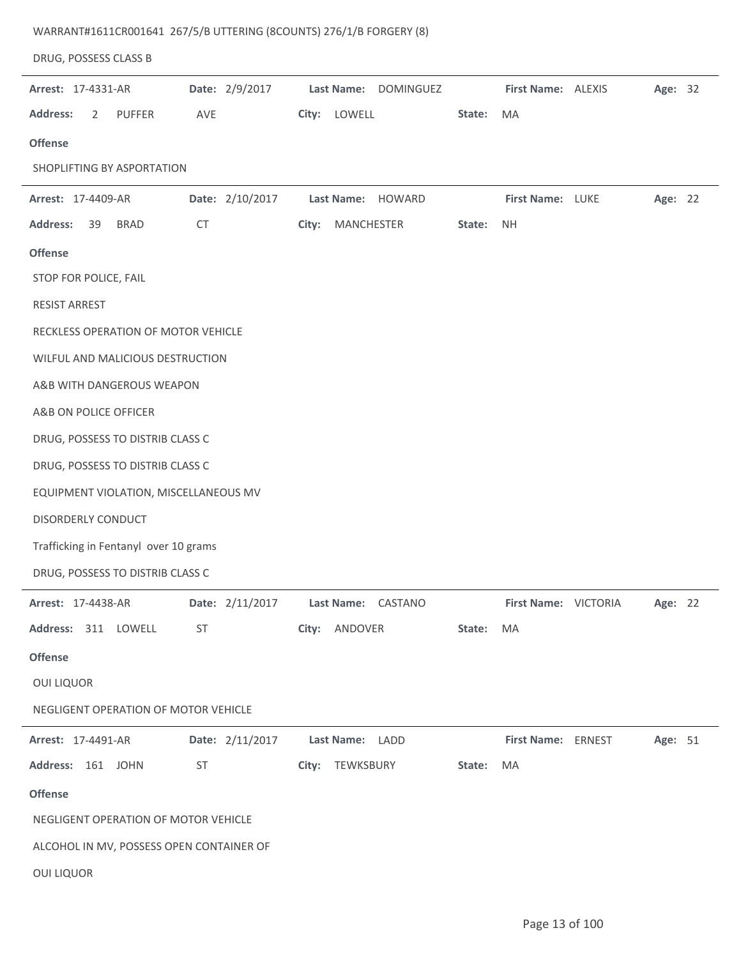| DRUG, POSSESS CLASS B                    |                 |                                    |        |                      |         |  |
|------------------------------------------|-----------------|------------------------------------|--------|----------------------|---------|--|
| Arrest: 17-4331-AR                       | Date: 2/9/2017  | Last Name: DOMINGUEZ               |        | First Name: ALEXIS   | Age: 32 |  |
| <b>Address:</b><br>2<br><b>PUFFER</b>    | AVE             | City: LOWELL                       | State: | MA                   |         |  |
| <b>Offense</b>                           |                 |                                    |        |                      |         |  |
| SHOPLIFTING BY ASPORTATION               |                 |                                    |        |                      |         |  |
| Arrest: 17-4409-AR                       | Date: 2/10/2017 | Last Name: HOWARD                  |        | First Name: LUKE     | Age: 22 |  |
| <b>Address:</b><br><b>BRAD</b><br>39     | <b>CT</b>       | MANCHESTER<br>City:                | State: | <b>NH</b>            |         |  |
| <b>Offense</b>                           |                 |                                    |        |                      |         |  |
| STOP FOR POLICE, FAIL                    |                 |                                    |        |                      |         |  |
| <b>RESIST ARREST</b>                     |                 |                                    |        |                      |         |  |
| RECKLESS OPERATION OF MOTOR VEHICLE      |                 |                                    |        |                      |         |  |
| WILFUL AND MALICIOUS DESTRUCTION         |                 |                                    |        |                      |         |  |
| A&B WITH DANGEROUS WEAPON                |                 |                                    |        |                      |         |  |
| A&B ON POLICE OFFICER                    |                 |                                    |        |                      |         |  |
| DRUG, POSSESS TO DISTRIB CLASS C         |                 |                                    |        |                      |         |  |
| DRUG, POSSESS TO DISTRIB CLASS C         |                 |                                    |        |                      |         |  |
| EQUIPMENT VIOLATION, MISCELLANEOUS MV    |                 |                                    |        |                      |         |  |
| DISORDERLY CONDUCT                       |                 |                                    |        |                      |         |  |
| Trafficking in Fentanyl over 10 grams    |                 |                                    |        |                      |         |  |
| DRUG, POSSESS TO DISTRIB CLASS C         |                 |                                    |        |                      |         |  |
| Arrest: 17-4438-AR                       |                 | Date: 2/11/2017 Last Name: CASTANO |        | First Name: VICTORIA | Age: 22 |  |
| Address: 311 LOWELL                      | ST              | City: ANDOVER                      | State: | MA                   |         |  |
| <b>Offense</b>                           |                 |                                    |        |                      |         |  |
| <b>OUI LIQUOR</b>                        |                 |                                    |        |                      |         |  |
| NEGLIGENT OPERATION OF MOTOR VEHICLE     |                 |                                    |        |                      |         |  |
| <b>Arrest: 17-4491-AR</b>                | Date: 2/11/2017 | Last Name: LADD                    |        | First Name: ERNEST   | Age: 51 |  |
| Address: 161 JOHN                        | ST              | City: TEWKSBURY                    | State: | MA                   |         |  |
| <b>Offense</b>                           |                 |                                    |        |                      |         |  |
| NEGLIGENT OPERATION OF MOTOR VEHICLE     |                 |                                    |        |                      |         |  |
| ALCOHOL IN MV, POSSESS OPEN CONTAINER OF |                 |                                    |        |                      |         |  |
| <b>OUI LIQUOR</b>                        |                 |                                    |        |                      |         |  |

WARRANT#1611CR001641 267/5/B UTTERING (8COUNTS) 276/1/B FORGERY (8)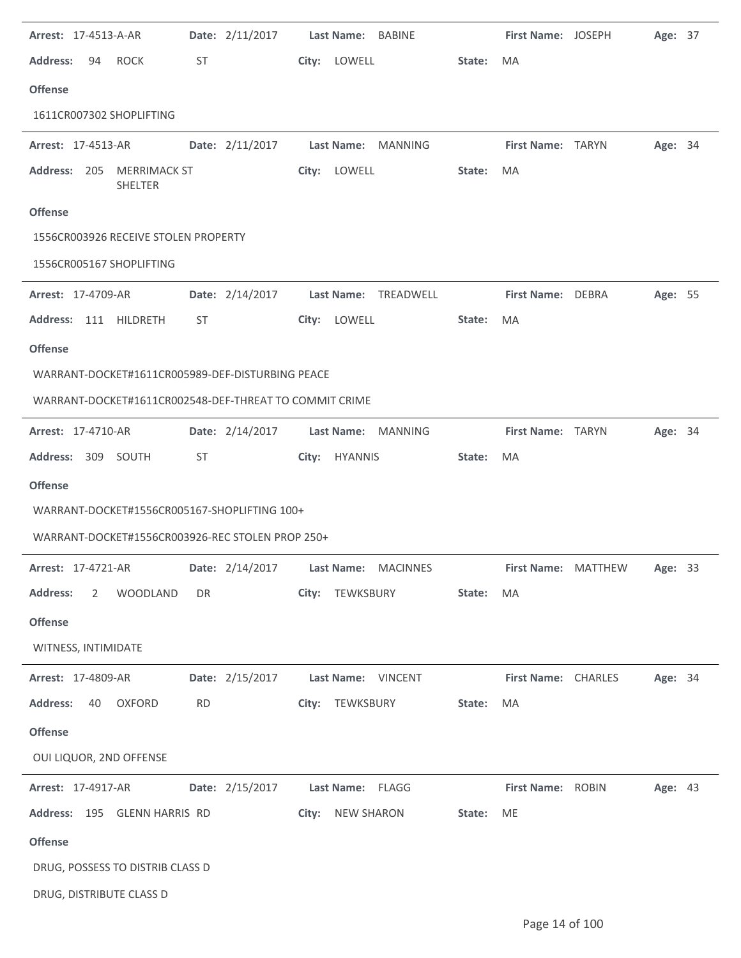| Arrest: 17-4513-A-AR                         |                   | Date: 2/11/2017                                        | Last Name: BABINE                      |        | First Name: JOSEPH  | Age: 37 |  |
|----------------------------------------------|-------------------|--------------------------------------------------------|----------------------------------------|--------|---------------------|---------|--|
| <b>Address:</b><br>94                        | <b>ROCK</b><br>ST |                                                        | City: LOWELL                           | State: | MA                  |         |  |
| <b>Offense</b>                               |                   |                                                        |                                        |        |                     |         |  |
| 1611CR007302 SHOPLIFTING                     |                   |                                                        |                                        |        |                     |         |  |
| Arrest: 17-4513-AR                           |                   | Date: 2/11/2017                                        | Last Name: MANNING                     |        | First Name: TARYN   | Age: 34 |  |
| Address: 205 MERRIMACK ST                    | SHELTER           | City:                                                  | LOWELL                                 | State: | MA                  |         |  |
| <b>Offense</b>                               |                   |                                                        |                                        |        |                     |         |  |
| 1556CR003926 RECEIVE STOLEN PROPERTY         |                   |                                                        |                                        |        |                     |         |  |
| 1556CR005167 SHOPLIFTING                     |                   |                                                        |                                        |        |                     |         |  |
| Arrest: 17-4709-AR                           |                   | Date: 2/14/2017                                        | <b>Last Name:</b><br>TREADWELL         |        | First Name: DEBRA   | Age: 55 |  |
| Address: 111 HILDRETH                        | ST                | City:                                                  | LOWELL                                 | State: | MA                  |         |  |
| <b>Offense</b>                               |                   |                                                        |                                        |        |                     |         |  |
|                                              |                   | WARRANT-DOCKET#1611CR005989-DEF-DISTURBING PEACE       |                                        |        |                     |         |  |
|                                              |                   | WARRANT-DOCKET#1611CR002548-DEF-THREAT TO COMMIT CRIME |                                        |        |                     |         |  |
| Arrest: 17-4710-AR                           |                   | Date: 2/14/2017                                        | Last Name: MANNING                     |        | First Name: TARYN   | Age: 34 |  |
| Address: 309 SOUTH                           | <b>ST</b>         |                                                        | City: HYANNIS                          | State: | MA                  |         |  |
| <b>Offense</b>                               |                   |                                                        |                                        |        |                     |         |  |
| WARRANT-DOCKET#1556CR005167-SHOPLIFTING 100+ |                   |                                                        |                                        |        |                     |         |  |
|                                              |                   | WARRANT-DOCKET#1556CR003926-REC STOLEN PROP 250+       |                                        |        |                     |         |  |
| <b>Arrest: 17-4721-AR</b>                    |                   |                                                        | Date: 2/14/2017    Last Name: MACINNES |        | First Name: MATTHEW | Age: 33 |  |
| <b>Address:</b>                              | 2 WOODLAND<br>DR  |                                                        | City: TEWKSBURY                        | State: | MA                  |         |  |
| <b>Offense</b>                               |                   |                                                        |                                        |        |                     |         |  |
| WITNESS, INTIMIDATE                          |                   |                                                        |                                        |        |                     |         |  |
| <b>Arrest: 17-4809-AR</b>                    |                   |                                                        | Date: 2/15/2017 Last Name: VINCENT     |        | First Name: CHARLES | Age: 34 |  |
| Address: 40 OXFORD                           | <b>RD</b>         |                                                        | City: TEWKSBURY                        | State: | MA                  |         |  |
| <b>Offense</b>                               |                   |                                                        |                                        |        |                     |         |  |
| OUI LIQUOR, 2ND OFFENSE                      |                   |                                                        |                                        |        |                     |         |  |
| <b>Arrest: 17-4917-AR</b>                    |                   | Date: 2/15/2017    Last Name: FLAGG                    |                                        |        | First Name: ROBIN   | Age: 43 |  |
| Address: 195 GLENN HARRIS RD                 |                   |                                                        | City: NEW SHARON                       | State: | <b>ME</b>           |         |  |
| <b>Offense</b>                               |                   |                                                        |                                        |        |                     |         |  |
| DRUG, POSSESS TO DISTRIB CLASS D             |                   |                                                        |                                        |        |                     |         |  |
| DRUG, DISTRIBUTE CLASS D                     |                   |                                                        |                                        |        |                     |         |  |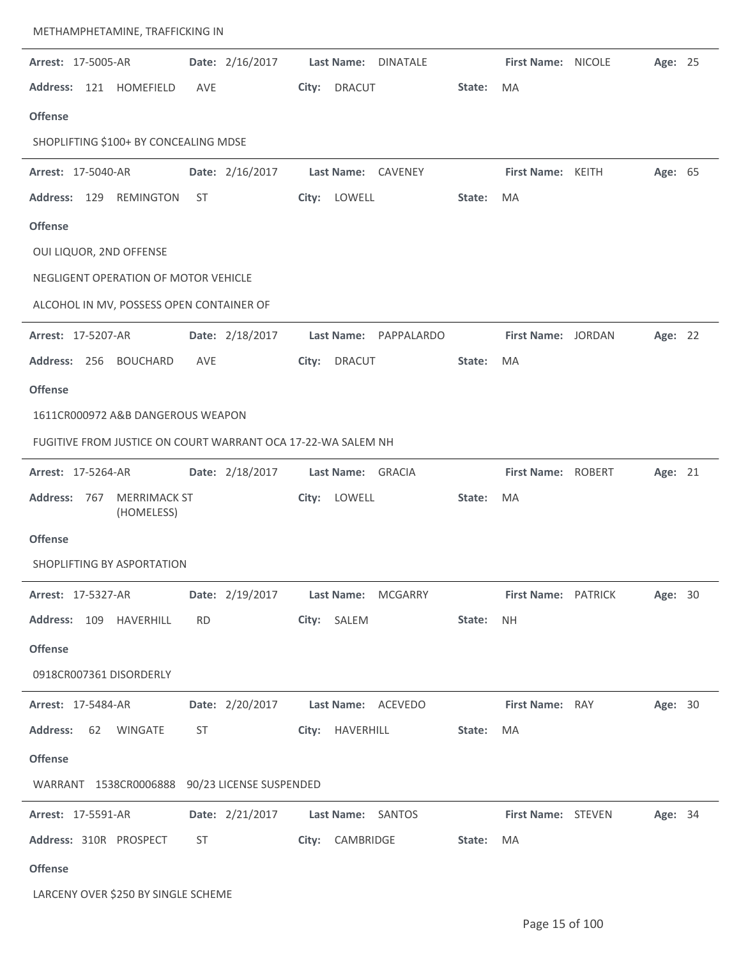| Arrest: 17-5005-AR                                           | Date: 2/16/2017                                                                                                                                                                                                                | Last Name: DINATALE                |        | First Name: NICOLE     |                            | Age: 25 |  |
|--------------------------------------------------------------|--------------------------------------------------------------------------------------------------------------------------------------------------------------------------------------------------------------------------------|------------------------------------|--------|------------------------|----------------------------|---------|--|
| Address: 121 HOMEFIELD                                       | AVE                                                                                                                                                                                                                            | City:<br>DRACUT                    | State: | <b>MA</b>              |                            |         |  |
| <b>Offense</b>                                               |                                                                                                                                                                                                                                |                                    |        |                        |                            |         |  |
| SHOPLIFTING \$100+ BY CONCEALING MDSE                        |                                                                                                                                                                                                                                |                                    |        |                        |                            |         |  |
| Arrest: 17-5040-AR                                           | Date: 2/16/2017                                                                                                                                                                                                                | Last Name: CAVENEY                 |        | First Name: KEITH      |                            | Age: 65 |  |
| Address: 129 REMINGTON                                       | ST                                                                                                                                                                                                                             | City: LOWELL                       | State: | MA                     |                            |         |  |
| <b>Offense</b>                                               |                                                                                                                                                                                                                                |                                    |        |                        |                            |         |  |
| OUI LIQUOR, 2ND OFFENSE                                      |                                                                                                                                                                                                                                |                                    |        |                        |                            |         |  |
| NEGLIGENT OPERATION OF MOTOR VEHICLE                         |                                                                                                                                                                                                                                |                                    |        |                        |                            |         |  |
| ALCOHOL IN MV, POSSESS OPEN CONTAINER OF                     |                                                                                                                                                                                                                                |                                    |        |                        |                            |         |  |
| Arrest: 17-5207-AR                                           | Date: 2/18/2017                                                                                                                                                                                                                | Last Name: PAPPALARDO              |        | First Name: JORDAN     |                            | Age: 22 |  |
| <b>Address:</b><br>256 BOUCHARD                              | <b>AVE</b>                                                                                                                                                                                                                     | <b>DRACUT</b><br>City:             | State: | MA                     |                            |         |  |
| <b>Offense</b>                                               |                                                                                                                                                                                                                                |                                    |        |                        |                            |         |  |
| 1611CR000972 A&B DANGEROUS WEAPON                            |                                                                                                                                                                                                                                |                                    |        |                        |                            |         |  |
| FUGITIVE FROM JUSTICE ON COURT WARRANT OCA 17-22-WA SALEM NH |                                                                                                                                                                                                                                |                                    |        |                        |                            |         |  |
| Arrest: 17-5264-AR                                           | Date: 2/18/2017                                                                                                                                                                                                                | Last Name: GRACIA                  |        | First Name: ROBERT     |                            | Age: 21 |  |
| <b>MERRIMACK ST</b><br><b>Address:</b><br>767<br>(HOMELESS)  |                                                                                                                                                                                                                                | City: LOWELL                       | State: | MA                     |                            |         |  |
| <b>Offense</b>                                               |                                                                                                                                                                                                                                |                                    |        |                        |                            |         |  |
| SHOPLIFTING BY ASPORTATION                                   |                                                                                                                                                                                                                                |                                    |        |                        |                            |         |  |
| <b>Arrest: 17-5327-AR</b>                                    |                                                                                                                                                                                                                                | Date: 2/19/2017 Last Name: MCGARRY |        |                        | <b>First Name: PATRICK</b> | Age: 30 |  |
| Address: 109 HAVERHILL RD                                    |                                                                                                                                                                                                                                | City: SALEM                        | State: | <b>NH</b>              |                            |         |  |
| <b>Offense</b>                                               |                                                                                                                                                                                                                                |                                    |        |                        |                            |         |  |
| 0918CR007361 DISORDERLY                                      |                                                                                                                                                                                                                                |                                    |        |                        |                            |         |  |
| <b>Arrest: 17-5484-AR</b>                                    |                                                                                                                                                                                                                                | Date: 2/20/2017 Last Name: ACEVEDO |        | <b>First Name: RAY</b> |                            | Age: 30 |  |
| Address: 62 WINGATE                                          | ST and the state of the state of the state of the state of the state of the state of the state of the state of the state of the state of the state of the state of the state of the state of the state of the state of the sta | City: HAVERHILL                    | State: | MA                     |                            |         |  |
| <b>Offense</b>                                               |                                                                                                                                                                                                                                |                                    |        |                        |                            |         |  |
| WARRANT 1538CR0006888 90/23 LICENSE SUSPENDED                |                                                                                                                                                                                                                                |                                    |        |                        |                            |         |  |
| <b>Arrest: 17-5591-AR</b>                                    |                                                                                                                                                                                                                                | Date: 2/21/2017 Last Name: SANTOS  |        |                        | First Name: STEVEN         | Age: 34 |  |
| Address: 310R PROSPECT                                       | ST and the state of the state of the state of the state of the state of the state of the state of the state of the state of the state of the state of the state of the state of the state of the state of the state of the sta | City: CAMBRIDGE                    | State: | MA                     |                            |         |  |
| <b>Offense</b>                                               |                                                                                                                                                                                                                                |                                    |        |                        |                            |         |  |
|                                                              |                                                                                                                                                                                                                                |                                    |        |                        |                            |         |  |

LARCENY OVER \$250 BY SINGLE SCHEME

METHAMPHETAMINE, TRAFFICKING IN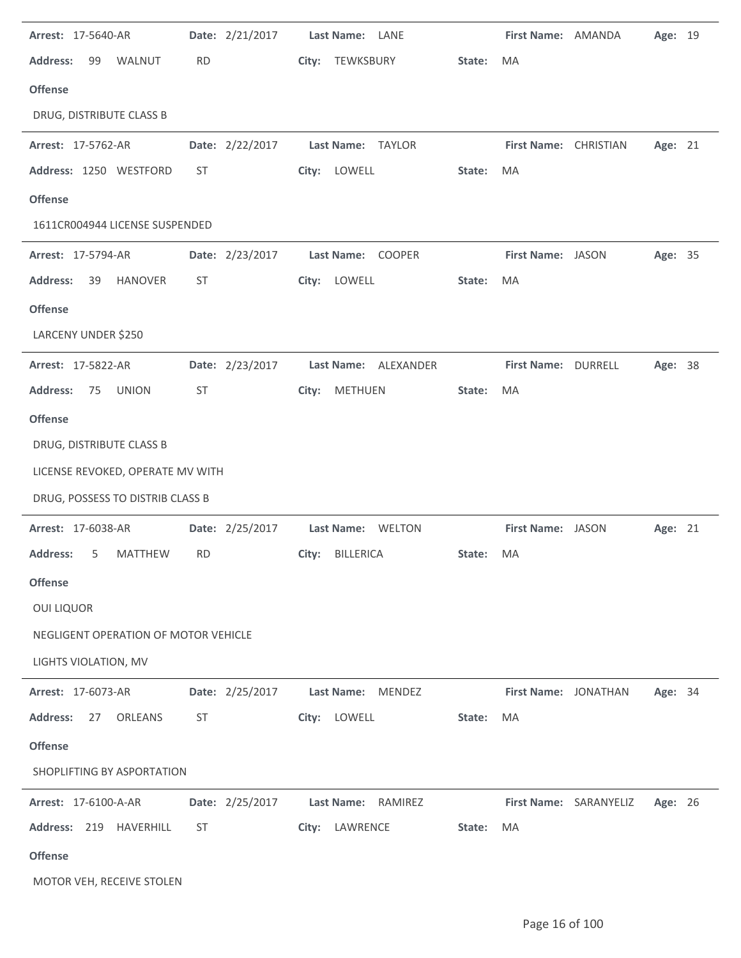| Arrest: 17-5640-AR                      | Date: 2/21/2017 | Last Name: LANE              |        | First Name: AMANDA    |                        | Age: 19 |  |
|-----------------------------------------|-----------------|------------------------------|--------|-----------------------|------------------------|---------|--|
| <b>Address:</b><br>99<br>WALNUT         | <b>RD</b>       | City: TEWKSBURY              | State: | <b>MA</b>             |                        |         |  |
| <b>Offense</b>                          |                 |                              |        |                       |                        |         |  |
| DRUG, DISTRIBUTE CLASS B                |                 |                              |        |                       |                        |         |  |
| Arrest: 17-5762-AR                      | Date: 2/22/2017 | Last Name: TAYLOR            |        | First Name: CHRISTIAN |                        | Age: 21 |  |
| Address: 1250 WESTFORD                  | ST              | City: LOWELL                 | State: | <b>MA</b>             |                        |         |  |
| <b>Offense</b>                          |                 |                              |        |                       |                        |         |  |
| 1611CR004944 LICENSE SUSPENDED          |                 |                              |        |                       |                        |         |  |
| Arrest: 17-5794-AR                      | Date: 2/23/2017 | Last Name: COOPER            |        | First Name: JASON     |                        | Age: 35 |  |
| <b>Address:</b><br>39<br><b>HANOVER</b> | <b>ST</b>       | City: LOWELL                 | State: | MA                    |                        |         |  |
| <b>Offense</b>                          |                 |                              |        |                       |                        |         |  |
| LARCENY UNDER \$250                     |                 |                              |        |                       |                        |         |  |
| Arrest: 17-5822-AR                      | Date: 2/23/2017 | Last Name: ALEXANDER         |        | First Name: DURRELL   |                        | Age: 38 |  |
| <b>UNION</b><br><b>Address:</b><br>75   | ST              | <b>METHUEN</b><br>City:      | State: | MA                    |                        |         |  |
| <b>Offense</b>                          |                 |                              |        |                       |                        |         |  |
| DRUG, DISTRIBUTE CLASS B                |                 |                              |        |                       |                        |         |  |
| LICENSE REVOKED, OPERATE MV WITH        |                 |                              |        |                       |                        |         |  |
| DRUG, POSSESS TO DISTRIB CLASS B        |                 |                              |        |                       |                        |         |  |
| Arrest: 17-6038-AR                      | Date: 2/25/2017 | Last Name: WELTON            |        | First Name: JASON     |                        | Age: 21 |  |
| <b>Address:</b><br><b>MATTHEW</b><br>5  | <b>RD</b>       | <b>BILLERICA</b><br>City:    | State: | MA                    |                        |         |  |
| <b>Offense</b>                          |                 |                              |        |                       |                        |         |  |
| <b>OUI LIQUOR</b>                       |                 |                              |        |                       |                        |         |  |
| NEGLIGENT OPERATION OF MOTOR VEHICLE    |                 |                              |        |                       |                        |         |  |
| LIGHTS VIOLATION, MV                    |                 |                              |        |                       |                        |         |  |
| Arrest: 17-6073-AR                      | Date: 2/25/2017 | <b>Last Name:</b><br>MENDEZ  |        | First Name: JONATHAN  |                        | Age: 34 |  |
| <b>Address:</b><br>27<br><b>ORLEANS</b> | ST              | City: LOWELL                 | State: | MA                    |                        |         |  |
| <b>Offense</b>                          |                 |                              |        |                       |                        |         |  |
| SHOPLIFTING BY ASPORTATION              |                 |                              |        |                       |                        |         |  |
| Arrest: 17-6100-A-AR                    | Date: 2/25/2017 | RAMIREZ<br><b>Last Name:</b> |        |                       | First Name: SARANYELIZ | Age: 26 |  |
| Address: 219 HAVERHILL                  | <b>ST</b>       | City: LAWRENCE               | State: | MA                    |                        |         |  |
| <b>Offense</b>                          |                 |                              |        |                       |                        |         |  |
| MOTOR VEH, RECEIVE STOLEN               |                 |                              |        |                       |                        |         |  |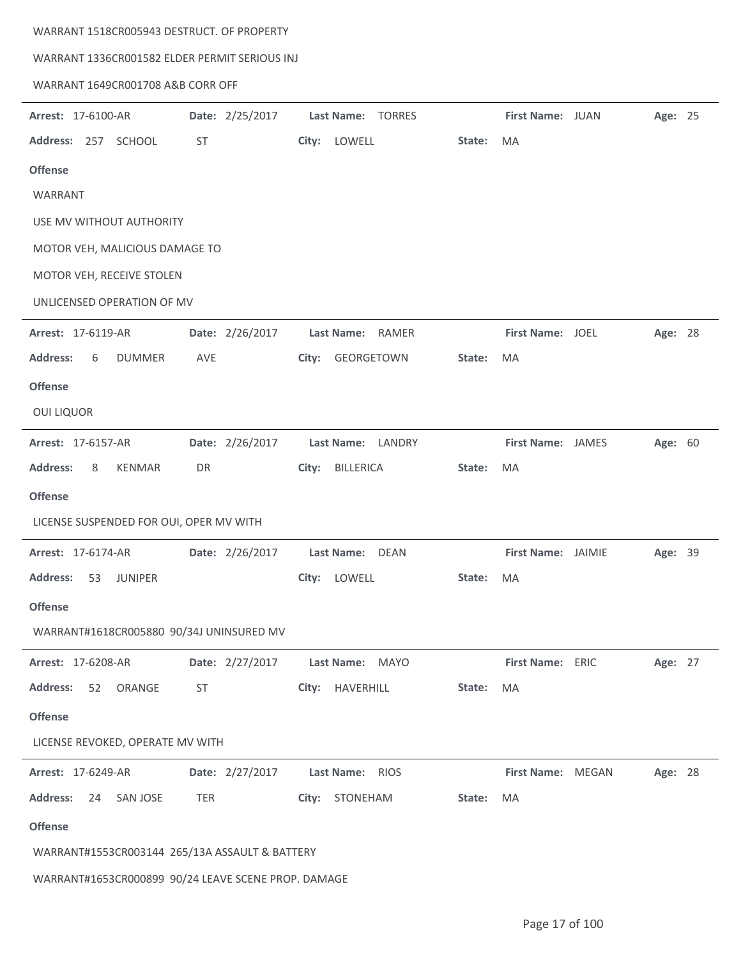## WARRANT 1518CR005943 DESTRUCT. OF PROPERTY

## WARRANT 1336CR001582 ELDER PERMIT SERIOUS INJ

## WARRANT 1649CR001708 A&B CORR OFF

| Arrest: 17-6100-AR                                  | Date: 2/25/2017 | Last Name:<br><b>TORRES</b>        |        | First Name: JUAN   | Age: 25 |  |
|-----------------------------------------------------|-----------------|------------------------------------|--------|--------------------|---------|--|
| Address: 257 SCHOOL                                 | ST              | City: LOWELL                       | State: | MA                 |         |  |
| <b>Offense</b>                                      |                 |                                    |        |                    |         |  |
| WARRANT                                             |                 |                                    |        |                    |         |  |
| USE MV WITHOUT AUTHORITY                            |                 |                                    |        |                    |         |  |
| MOTOR VEH, MALICIOUS DAMAGE TO                      |                 |                                    |        |                    |         |  |
| MOTOR VEH, RECEIVE STOLEN                           |                 |                                    |        |                    |         |  |
| UNLICENSED OPERATION OF MV                          |                 |                                    |        |                    |         |  |
| Arrest: 17-6119-AR                                  | Date: 2/26/2017 | Last Name: RAMER                   |        | First Name: JOEL   | Age: 28 |  |
| <b>Address:</b><br><b>DUMMER</b><br>6               | AVE             | GEORGETOWN<br>City:                | State: | MA                 |         |  |
| <b>Offense</b>                                      |                 |                                    |        |                    |         |  |
| <b>OUI LIQUOR</b>                                   |                 |                                    |        |                    |         |  |
| Arrest: 17-6157-AR                                  | Date: 2/26/2017 | Last Name: LANDRY                  |        | First Name: JAMES  | Age: 60 |  |
| <b>Address:</b><br>8<br><b>KENMAR</b>               | DR              | BILLERICA<br>City:                 | State: | MA                 |         |  |
| <b>Offense</b>                                      |                 |                                    |        |                    |         |  |
| LICENSE SUSPENDED FOR OUI, OPER MV WITH             |                 |                                    |        |                    |         |  |
| Arrest: 17-6174-AR                                  | Date: 2/26/2017 | Last Name: DEAN                    |        | First Name: JAIMIE | Age: 39 |  |
| <b>Address:</b><br>53<br><b>JUNIPER</b>             |                 | City:<br>LOWELL                    | State: | MA                 |         |  |
| <b>Offense</b>                                      |                 |                                    |        |                    |         |  |
| WARRANT#1618CR005880 90/34J UNINSURED MV            |                 |                                    |        |                    |         |  |
| Arrest: 17-6208-AR                                  |                 | Date: 2/27/2017    Last Name: MAYO |        | First Name: ERIC   | Age: 27 |  |
| <b>Address:</b><br>52 ORANGE                        | ST              | City: HAVERHILL                    | State: | MA                 |         |  |
| <b>Offense</b>                                      |                 |                                    |        |                    |         |  |
| LICENSE REVOKED, OPERATE MV WITH                    |                 |                                    |        |                    |         |  |
| Arrest: 17-6249-AR                                  |                 | Date: 2/27/2017    Last Name: RIOS |        | First Name: MEGAN  | Age: 28 |  |
| Address: 24 SAN JOSE                                | TER             | City: STONEHAM                     | State: | MA                 |         |  |
| <b>Offense</b>                                      |                 |                                    |        |                    |         |  |
| WARRANT#1553CR003144 265/13A ASSAULT & BATTERY      |                 |                                    |        |                    |         |  |
| WARRANT#1653CR000899 90/24 LEAVE SCENE PROP. DAMAGE |                 |                                    |        |                    |         |  |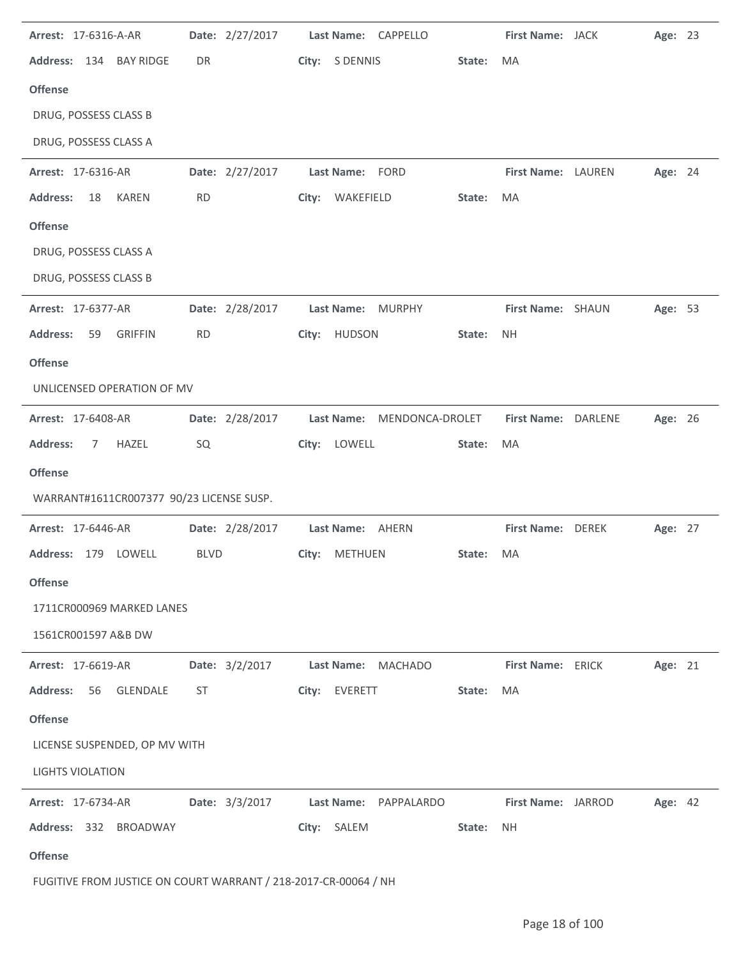| Arrest: 17-6316-A-AR                     | Date: 2/27/2017 | Last Name: CAPPELLO        | First Name: JACK<br>Age: 23    |
|------------------------------------------|-----------------|----------------------------|--------------------------------|
| Address: 134 BAY RIDGE                   | DR              | City: S DENNIS<br>State:   | MA                             |
| <b>Offense</b>                           |                 |                            |                                |
| DRUG, POSSESS CLASS B                    |                 |                            |                                |
| DRUG, POSSESS CLASS A                    |                 |                            |                                |
| Arrest: 17-6316-AR                       | Date: 2/27/2017 | Last Name: FORD            | First Name: LAUREN<br>Age: 24  |
| <b>Address:</b><br><b>KAREN</b><br>18    | <b>RD</b>       | City: WAKEFIELD<br>State:  | MA                             |
| <b>Offense</b>                           |                 |                            |                                |
| DRUG, POSSESS CLASS A                    |                 |                            |                                |
| DRUG, POSSESS CLASS B                    |                 |                            |                                |
| Arrest: 17-6377-AR                       | Date: 2/28/2017 | Last Name: MURPHY          | First Name: SHAUN<br>Age: 53   |
| <b>Address:</b><br><b>GRIFFIN</b><br>59  | <b>RD</b>       | City: HUDSON<br>State:     | <b>NH</b>                      |
| <b>Offense</b>                           |                 |                            |                                |
| UNLICENSED OPERATION OF MV               |                 |                            |                                |
| Arrest: 17-6408-AR                       | Date: 2/28/2017 | Last Name: MENDONCA-DROLET | First Name: DARLENE<br>Age: 26 |
| <b>Address:</b><br>HAZEL<br>7            | SQ              | City: LOWELL<br>State:     | MA                             |
| <b>Offense</b>                           |                 |                            |                                |
| WARRANT#1611CR007377 90/23 LICENSE SUSP. |                 |                            |                                |
| Arrest: 17-6446-AR                       | Date: 2/28/2017 | Last Name: AHERN           | First Name: DEREK<br>Age: 27   |
| Address: 179 LOWELL                      | <b>BLVD</b>     | City: METHUEN<br>State:    | <b>MA</b>                      |
| <b>Offense</b>                           |                 |                            |                                |
| 1711CR000969 MARKED LANES                |                 |                            |                                |
| 1561CR001597 A&B DW                      |                 |                            |                                |
|                                          |                 |                            |                                |
| Arrest: 17-6619-AR                       | Date: 3/2/2017  | Last Name: MACHADO         | First Name: ERICK<br>Age: 21   |
| <b>Address:</b><br>56<br><b>GLENDALE</b> | ST              | City: EVERETT<br>State:    | MA                             |
| <b>Offense</b>                           |                 |                            |                                |
| LICENSE SUSPENDED, OP MV WITH            |                 |                            |                                |
| <b>LIGHTS VIOLATION</b>                  |                 |                            |                                |
| Arrest: 17-6734-AR                       | Date: 3/3/2017  | Last Name:<br>PAPPALARDO   | First Name: JARROD<br>Age: 42  |
| Address: 332 BROADWAY                    |                 | City: SALEM<br>State:      | NH.                            |

FUGITIVE FROM JUSTICE ON COURT WARRANT / 218-2017-CR-00064 / NH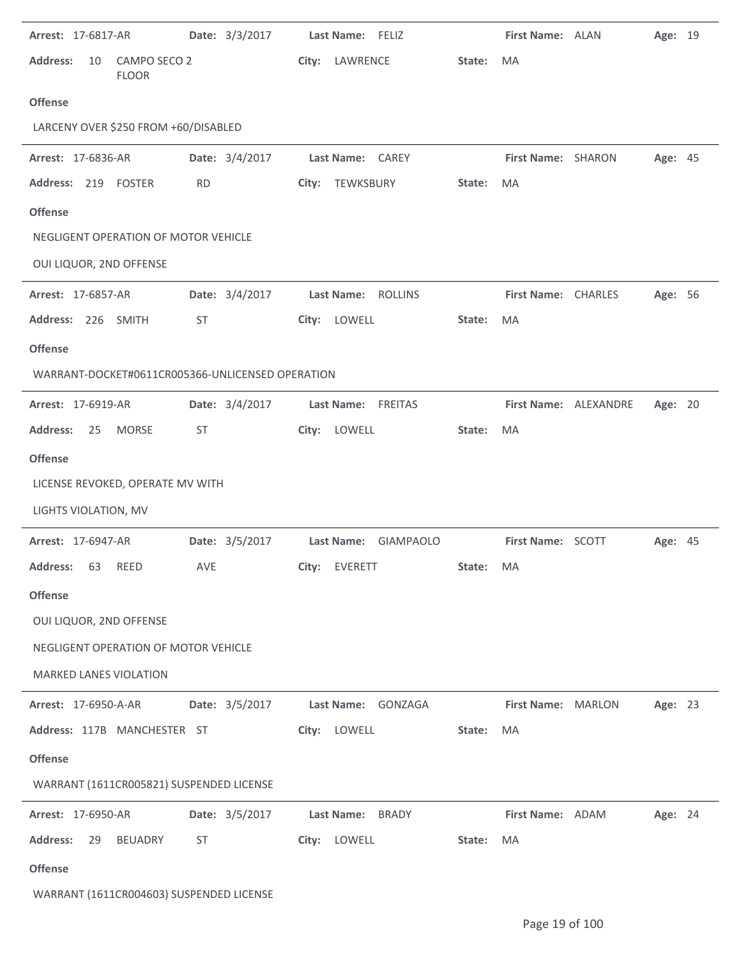| <b>Arrest: 17-6817-AR</b>                        |                              |           | Date: 3/3/2017 | Last Name: FELIZ     |        | First Name: ALAN      | Age: 19        |  |
|--------------------------------------------------|------------------------------|-----------|----------------|----------------------|--------|-----------------------|----------------|--|
| <b>Address:</b><br>10                            | CAMPO SECO 2<br><b>FLOOR</b> |           |                | City: LAWRENCE       | State: | <b>MA</b>             |                |  |
| <b>Offense</b>                                   |                              |           |                |                      |        |                       |                |  |
| LARCENY OVER \$250 FROM +60/DISABLED             |                              |           |                |                      |        |                       |                |  |
| Arrest: 17-6836-AR                               |                              |           | Date: 3/4/2017 | Last Name: CAREY     |        | First Name: SHARON    | Age: 45        |  |
| Address: 219 FOSTER                              |                              | <b>RD</b> |                | City: TEWKSBURY      | State: | MA                    |                |  |
| <b>Offense</b>                                   |                              |           |                |                      |        |                       |                |  |
| NEGLIGENT OPERATION OF MOTOR VEHICLE             |                              |           |                |                      |        |                       |                |  |
| OUI LIQUOR, 2ND OFFENSE                          |                              |           |                |                      |        |                       |                |  |
| <b>Arrest: 17-6857-AR</b>                        |                              |           | Date: 3/4/2017 | Last Name: ROLLINS   |        | First Name: CHARLES   | Age: 56        |  |
| Address: 226 SMITH                               |                              | ST        |                | City: LOWELL         | State: | MA                    |                |  |
| <b>Offense</b>                                   |                              |           |                |                      |        |                       |                |  |
| WARRANT-DOCKET#0611CR005366-UNLICENSED OPERATION |                              |           |                |                      |        |                       |                |  |
| Arrest: 17-6919-AR                               |                              |           | Date: 3/4/2017 | Last Name: FREITAS   |        | First Name: ALEXANDRE | Age: 20        |  |
| <b>Address:</b><br>25                            | <b>MORSE</b>                 | ST        |                | City: LOWELL         | State: | MA                    |                |  |
| <b>Offense</b>                                   |                              |           |                |                      |        |                       |                |  |
| LICENSE REVOKED, OPERATE MV WITH                 |                              |           |                |                      |        |                       |                |  |
| LIGHTS VIOLATION, MV                             |                              |           |                |                      |        |                       |                |  |
| <b>Arrest: 17-6947-AR</b>                        |                              |           | Date: 3/5/2017 | Last Name: GIAMPAOLO |        | First Name: SCOTT     | <b>Age: 45</b> |  |
| Address: 63 REED                                 |                              | AVE       |                | City: EVERETT        | State: | MA                    |                |  |
| <b>Offense</b>                                   |                              |           |                |                      |        |                       |                |  |
| OUI LIQUOR, 2ND OFFENSE                          |                              |           |                |                      |        |                       |                |  |
| NEGLIGENT OPERATION OF MOTOR VEHICLE             |                              |           |                |                      |        |                       |                |  |
| MARKED LANES VIOLATION                           |                              |           |                |                      |        |                       |                |  |
| <b>Arrest: 17-6950-A-AR</b>                      |                              |           | Date: 3/5/2017 | Last Name: GONZAGA   |        | First Name: MARLON    | Age: 23        |  |
| Address: 117B MANCHESTER ST                      |                              |           |                | City: LOWELL         | State: | MA                    |                |  |
| <b>Offense</b>                                   |                              |           |                |                      |        |                       |                |  |
| WARRANT (1611CR005821) SUSPENDED LICENSE         |                              |           |                |                      |        |                       |                |  |
| Arrest: 17-6950-AR                               |                              |           | Date: 3/5/2017 | Last Name: BRADY     |        | First Name: ADAM      | Age: 24        |  |
| <b>Address:</b><br>29                            | BEUADRY                      | ST        |                | City: LOWELL         | State: | MA                    |                |  |
| <b>Offense</b>                                   |                              |           |                |                      |        |                       |                |  |
| WARRANT (1611CR004603) SUSPENDED LICENSE         |                              |           |                |                      |        |                       |                |  |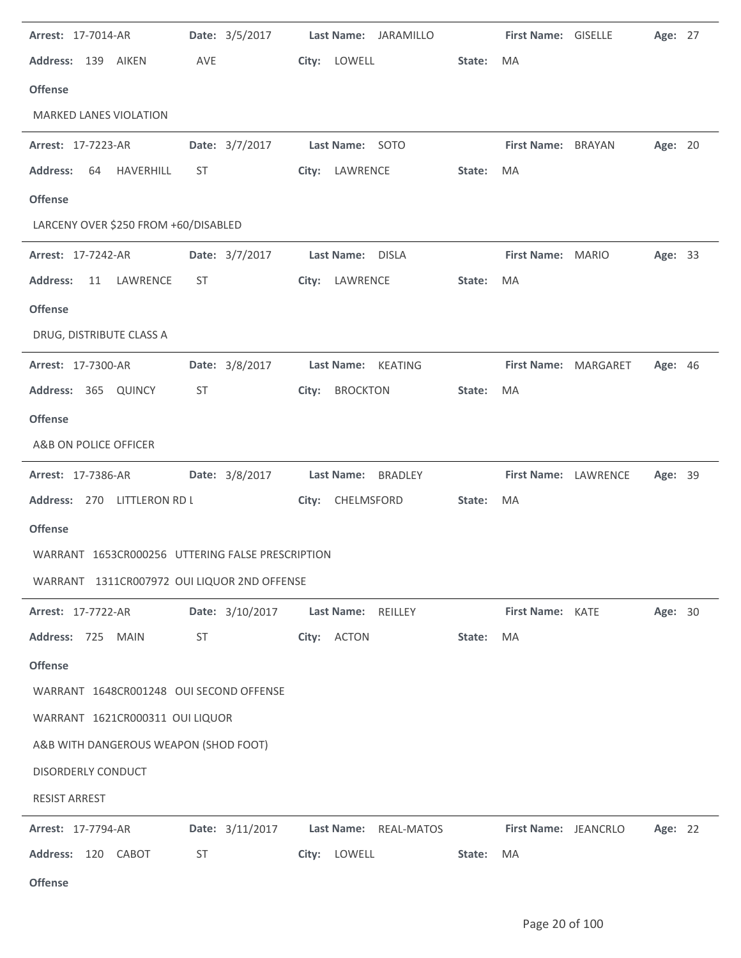| Arrest: 17-7014-AR                               | Date: 3/5/2017  |                 | Last Name: JARAMILLO  |        | First Name: GISELLE         | Age: 27        |  |
|--------------------------------------------------|-----------------|-----------------|-----------------------|--------|-----------------------------|----------------|--|
| Address: 139 AIKEN                               | AVE             |                 | City: LOWELL          | State: | MA                          |                |  |
| <b>Offense</b>                                   |                 |                 |                       |        |                             |                |  |
| <b>MARKED LANES VIOLATION</b>                    |                 |                 |                       |        |                             |                |  |
| Arrest: 17-7223-AR                               | Date: 3/7/2017  |                 | Last Name: SOTO       |        | First Name: BRAYAN          | Age: 20        |  |
| HAVERHILL<br><b>Address:</b><br>64               | ST              |                 | City: LAWRENCE        | State: | MA                          |                |  |
| <b>Offense</b>                                   |                 |                 |                       |        |                             |                |  |
| LARCENY OVER \$250 FROM +60/DISABLED             |                 |                 |                       |        |                             |                |  |
| Arrest: 17-7242-AR                               | Date: 3/7/2017  |                 | Last Name: DISLA      |        | First Name: MARIO           | Age: 33        |  |
| <b>Address:</b><br>LAWRENCE<br>11                | ST              |                 | City: LAWRENCE        | State: | MA                          |                |  |
| <b>Offense</b>                                   |                 |                 |                       |        |                             |                |  |
| DRUG, DISTRIBUTE CLASS A                         |                 |                 |                       |        |                             |                |  |
| Arrest: 17-7300-AR                               | Date: 3/8/2017  |                 | Last Name: KEATING    |        | First Name: MARGARET        | <b>Age: 46</b> |  |
| Address: 365 QUINCY                              | ST              | City:           | <b>BROCKTON</b>       | State: | MA                          |                |  |
| <b>Offense</b>                                   |                 |                 |                       |        |                             |                |  |
| A&B ON POLICE OFFICER                            |                 |                 |                       |        |                             |                |  |
| Arrest: 17-7386-AR                               | Date: 3/8/2017  |                 | Last Name: BRADLEY    |        | First Name: LAWRENCE        | Age: 39        |  |
| Address: 270 LITTLERON RD L                      |                 |                 | City: CHELMSFORD      | State: | MA                          |                |  |
| <b>Offense</b>                                   |                 |                 |                       |        |                             |                |  |
| WARRANT 1653CR000256 UTTERING FALSE PRESCRIPTION |                 |                 |                       |        |                             |                |  |
| WARRANT 1311CR007972 OUI LIQUOR 2ND OFFENSE      |                 |                 |                       |        |                             |                |  |
| Arrest: 17-7722-AR                               | Date: 3/10/2017 |                 | Last Name: REILLEY    |        | <b>First Name: KATE</b>     | Age: 30        |  |
| Address: 725 MAIN                                | ST              |                 | City: ACTON           | State: | MA                          |                |  |
| <b>Offense</b>                                   |                 |                 |                       |        |                             |                |  |
| WARRANT 1648CR001248 OUI SECOND OFFENSE          |                 |                 |                       |        |                             |                |  |
| WARRANT 1621CR000311 OUI LIQUOR                  |                 |                 |                       |        |                             |                |  |
| A&B WITH DANGEROUS WEAPON (SHOD FOOT)            |                 |                 |                       |        |                             |                |  |
| DISORDERLY CONDUCT                               |                 |                 |                       |        |                             |                |  |
| <b>RESIST ARREST</b>                             |                 |                 |                       |        |                             |                |  |
| <b>Arrest: 17-7794-AR</b>                        |                 | Date: 3/11/2017 | Last Name: REAL-MATOS |        | <b>First Name: JEANCRLO</b> | Age: 22        |  |
|                                                  |                 |                 |                       |        |                             |                |  |
| Address: 120 CABOT                               | ST              |                 | City: LOWELL          | State: | MA                          |                |  |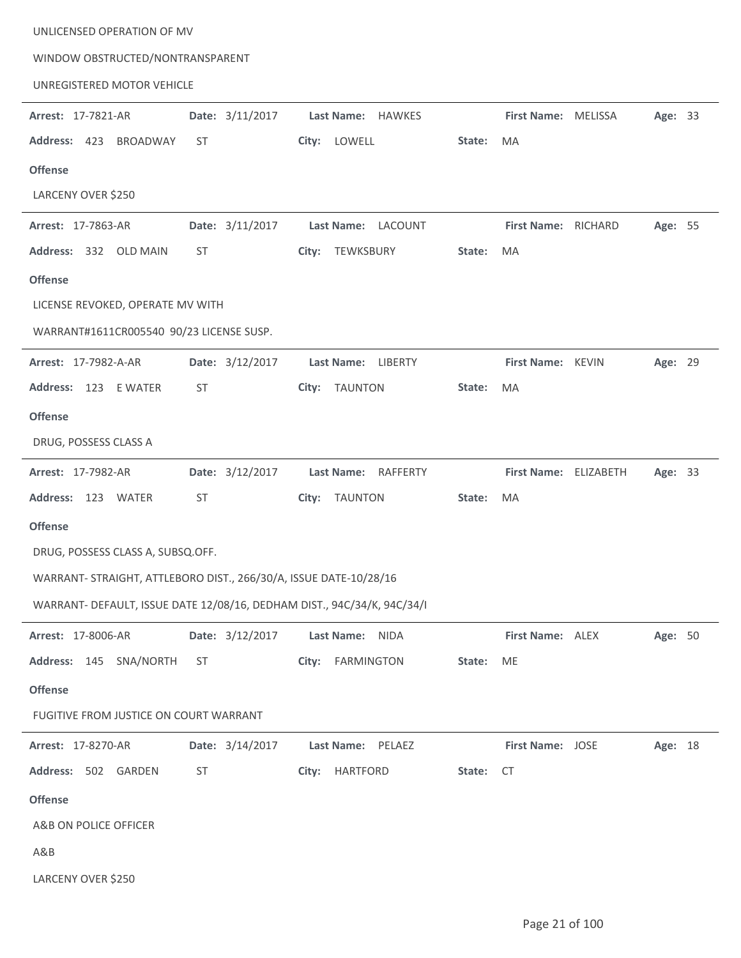| WINDOW OBSTRUCTED/NONTRANSPARENT                                        |                 |                         |        |                         |         |  |
|-------------------------------------------------------------------------|-----------------|-------------------------|--------|-------------------------|---------|--|
| UNREGISTERED MOTOR VEHICLE                                              |                 |                         |        |                         |         |  |
| Arrest: 17-7821-AR                                                      | Date: 3/11/2017 | Last Name: HAWKES       |        | First Name: MELISSA     | Age: 33 |  |
| Address: 423<br>BROADWAY                                                | ST              | City: LOWELL            | State: | MA                      |         |  |
| <b>Offense</b>                                                          |                 |                         |        |                         |         |  |
| LARCENY OVER \$250                                                      |                 |                         |        |                         |         |  |
| Arrest: 17-7863-AR                                                      | Date: 3/11/2017 | Last Name: LACOUNT      |        | First Name: RICHARD     | Age: 55 |  |
| Address: 332 OLD MAIN                                                   | ST              | City: TEWKSBURY         | State: | MA                      |         |  |
| <b>Offense</b>                                                          |                 |                         |        |                         |         |  |
| LICENSE REVOKED, OPERATE MV WITH                                        |                 |                         |        |                         |         |  |
| WARRANT#1611CR005540 90/23 LICENSE SUSP.                                |                 |                         |        |                         |         |  |
| Arrest: 17-7982-A-AR                                                    | Date: 3/12/2017 | Last Name: LIBERTY      |        | First Name: KEVIN       | Age: 29 |  |
| Address: 123 E WATER                                                    | <b>ST</b>       | <b>TAUNTON</b><br>City: | State: | MA                      |         |  |
| <b>Offense</b>                                                          |                 |                         |        |                         |         |  |
| DRUG, POSSESS CLASS A                                                   |                 |                         |        |                         |         |  |
| Arrest: 17-7982-AR                                                      | Date: 3/12/2017 | Last Name: RAFFERTY     |        | First Name: ELIZABETH   | Age: 33 |  |
| Address: 123 WATER                                                      | ST              | City: TAUNTON           | State: | MA                      |         |  |
| <b>Offense</b>                                                          |                 |                         |        |                         |         |  |
| DRUG, POSSESS CLASS A, SUBSQ.OFF.                                       |                 |                         |        |                         |         |  |
| WARRANT- STRAIGHT, ATTLEBORO DIST., 266/30/A, ISSUE DATE-10/28/16       |                 |                         |        |                         |         |  |
| WARRANT- DEFAULT, ISSUE DATE 12/08/16, DEDHAM DIST., 94C/34/K, 94C/34/I |                 |                         |        |                         |         |  |
| Arrest: 17-8006-AR                                                      | Date: 3/12/2017 | Last Name:<br>NIDA      |        | First Name: ALEX        | Age: 50 |  |
| Address: 145 SNA/NORTH                                                  | ST              | City: FARMINGTON        | State: | ME                      |         |  |
| <b>Offense</b>                                                          |                 |                         |        |                         |         |  |
| FUGITIVE FROM JUSTICE ON COURT WARRANT                                  |                 |                         |        |                         |         |  |
| Arrest: 17-8270-AR                                                      | Date: 3/14/2017 | Last Name: PELAEZ       |        | <b>First Name: JOSE</b> | Age: 18 |  |
| Address: 502 GARDEN                                                     | ST              | HARTFORD<br>City:       | State: | <b>CT</b>               |         |  |
| <b>Offense</b>                                                          |                 |                         |        |                         |         |  |
| A&B ON POLICE OFFICER                                                   |                 |                         |        |                         |         |  |
| A&B                                                                     |                 |                         |        |                         |         |  |
| LARCENY OVER \$250                                                      |                 |                         |        |                         |         |  |

UNLICENSED OPERATION OF MV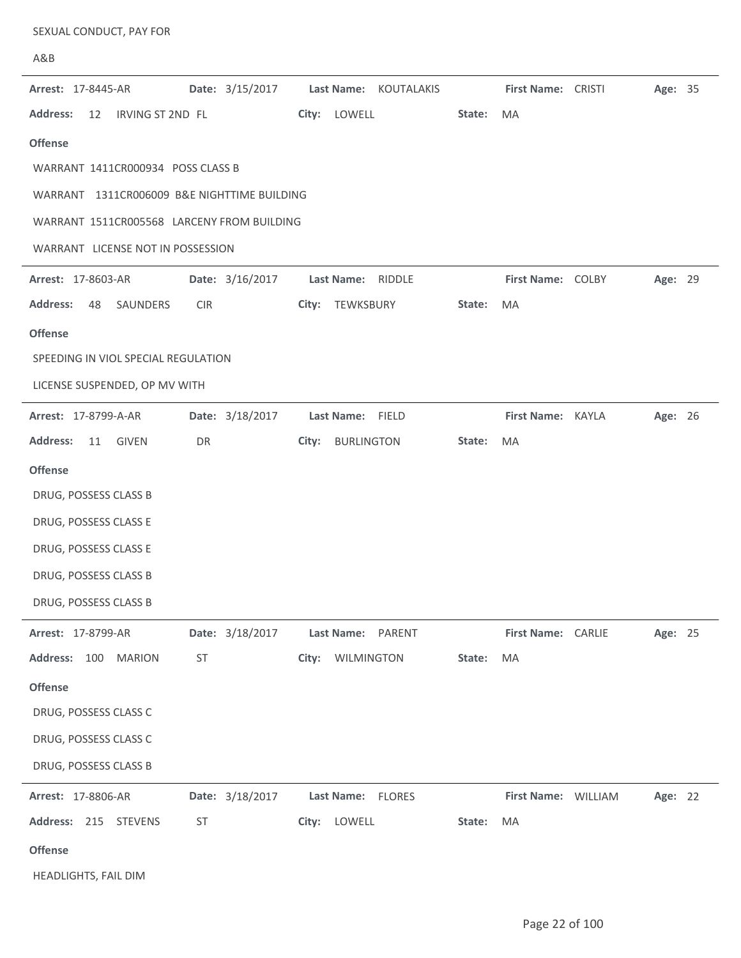| A&B                                         |                 |                            |        |                     |         |  |
|---------------------------------------------|-----------------|----------------------------|--------|---------------------|---------|--|
| Arrest: 17-8445-AR                          | Date: 3/15/2017 | Last Name: KOUTALAKIS      |        | First Name: CRISTI  | Age: 35 |  |
| <b>Address:</b><br>IRVING ST 2ND FL<br>12   |                 | City: LOWELL               | State: | MA                  |         |  |
| <b>Offense</b>                              |                 |                            |        |                     |         |  |
| WARRANT 1411CR000934 POSS CLASS B           |                 |                            |        |                     |         |  |
| WARRANT 1311CR006009 B&E NIGHTTIME BUILDING |                 |                            |        |                     |         |  |
| WARRANT 1511CR005568 LARCENY FROM BUILDING  |                 |                            |        |                     |         |  |
| WARRANT LICENSE NOT IN POSSESSION           |                 |                            |        |                     |         |  |
| Arrest: 17-8603-AR                          | Date: 3/16/2017 | Last Name: RIDDLE          |        | First Name: COLBY   | Age: 29 |  |
| <b>Address:</b><br>48<br>SAUNDERS           | <b>CIR</b>      | TEWKSBURY<br>City:         | State: | MA                  |         |  |
| <b>Offense</b>                              |                 |                            |        |                     |         |  |
| SPEEDING IN VIOL SPECIAL REGULATION         |                 |                            |        |                     |         |  |
| LICENSE SUSPENDED, OP MV WITH               |                 |                            |        |                     |         |  |
| Arrest: 17-8799-A-AR                        | Date: 3/18/2017 | Last Name: FIELD           |        | First Name: KAYLA   | Age: 26 |  |
| <b>Address:</b><br>11<br>GIVEN              | DR              | <b>BURLINGTON</b><br>City: | State: | MA                  |         |  |
| <b>Offense</b>                              |                 |                            |        |                     |         |  |
| DRUG, POSSESS CLASS B                       |                 |                            |        |                     |         |  |
| DRUG, POSSESS CLASS E                       |                 |                            |        |                     |         |  |
| DRUG, POSSESS CLASS E                       |                 |                            |        |                     |         |  |
| DRUG, POSSESS CLASS B                       |                 |                            |        |                     |         |  |
| DRUG, POSSESS CLASS B                       |                 |                            |        |                     |         |  |
| Arrest: 17-8799-AR                          | Date: 3/18/2017 | Last Name: PARENT          |        | First Name: CARLIE  | Age: 25 |  |
| Address: 100 MARION                         | ST              | City: WILMINGTON           | State: | MA                  |         |  |
| <b>Offense</b>                              |                 |                            |        |                     |         |  |
| DRUG, POSSESS CLASS C                       |                 |                            |        |                     |         |  |
| DRUG, POSSESS CLASS C                       |                 |                            |        |                     |         |  |
| DRUG, POSSESS CLASS B                       |                 |                            |        |                     |         |  |
| Arrest: 17-8806-AR                          | Date: 3/18/2017 | Last Name: FLORES          |        | First Name: WILLIAM | Age: 22 |  |
| Address: 215 STEVENS                        | ST              | City: LOWELL               | State: | MA                  |         |  |
| <b>Offense</b>                              |                 |                            |        |                     |         |  |

SEXUAL CONDUCT, PAY FOR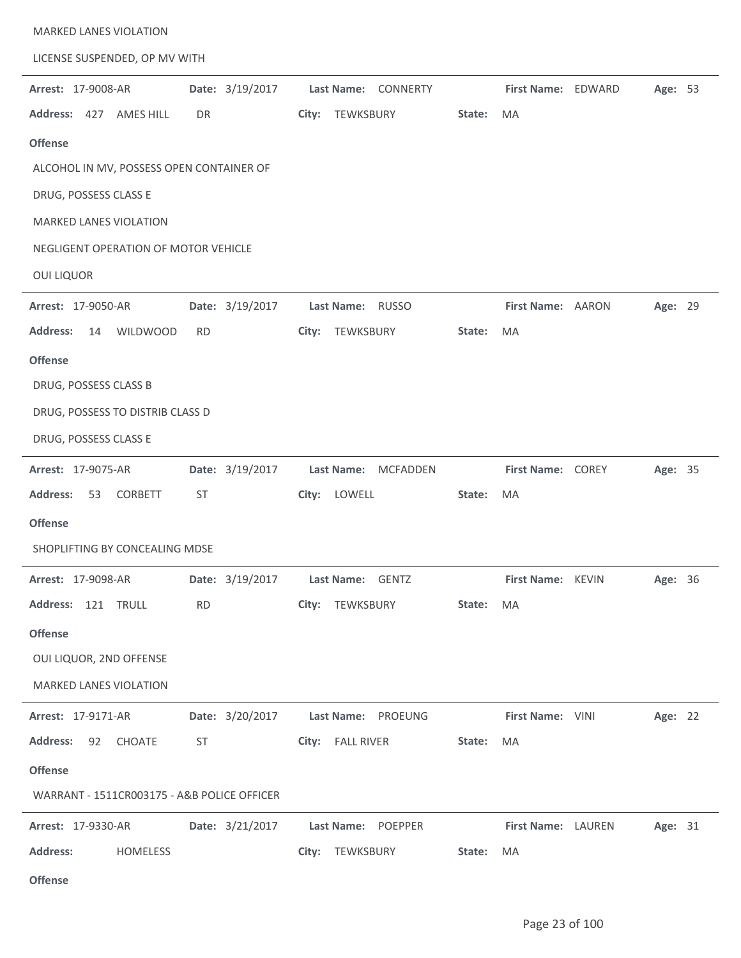| MARKED LANES VIOLATION                      |                 |                                    |        |                          |                            |         |  |
|---------------------------------------------|-----------------|------------------------------------|--------|--------------------------|----------------------------|---------|--|
| LICENSE SUSPENDED, OP MV WITH               |                 |                                    |        |                          |                            |         |  |
| Arrest: 17-9008-AR                          | Date: 3/19/2017 | Last Name: CONNERTY                |        | First Name: EDWARD       |                            | Age: 53 |  |
| Address: 427 AMES HILL                      | DR              | TEWKSBURY<br>City:                 | State: | MA                       |                            |         |  |
| <b>Offense</b>                              |                 |                                    |        |                          |                            |         |  |
| ALCOHOL IN MV, POSSESS OPEN CONTAINER OF    |                 |                                    |        |                          |                            |         |  |
| DRUG, POSSESS CLASS E                       |                 |                                    |        |                          |                            |         |  |
| <b>MARKED LANES VIOLATION</b>               |                 |                                    |        |                          |                            |         |  |
| NEGLIGENT OPERATION OF MOTOR VEHICLE        |                 |                                    |        |                          |                            |         |  |
| <b>OUI LIQUOR</b>                           |                 |                                    |        |                          |                            |         |  |
| Arrest: 17-9050-AR                          | Date: 3/19/2017 | Last Name: RUSSO                   |        | First Name: AARON        |                            | Age: 29 |  |
| <b>Address:</b><br><b>WILDWOOD</b><br>14    | <b>RD</b>       | TEWKSBURY<br>City:                 | State: | MA                       |                            |         |  |
| <b>Offense</b>                              |                 |                                    |        |                          |                            |         |  |
| DRUG, POSSESS CLASS B                       |                 |                                    |        |                          |                            |         |  |
| DRUG, POSSESS TO DISTRIB CLASS D            |                 |                                    |        |                          |                            |         |  |
| DRUG, POSSESS CLASS E                       |                 |                                    |        |                          |                            |         |  |
| Arrest: 17-9075-AR                          | Date: 3/19/2017 | <b>MCFADDEN</b><br>Last Name:      |        | <b>First Name: COREY</b> |                            | Age: 35 |  |
| <b>Address:</b><br>53<br>CORBETT            | <b>ST</b>       | City: LOWELL                       | State: | MA                       |                            |         |  |
| <b>Offense</b>                              |                 |                                    |        |                          |                            |         |  |
| SHOPLIFTING BY CONCEALING MDSE              |                 |                                    |        |                          |                            |         |  |
| <b>Arrest: 17-9098-AR</b>                   |                 | Date: 3/19/2017 Last Name: GENTZ   |        |                          | <b>First Name: KEVIN</b>   | Age: 36 |  |
| Address: 121 TRULL                          | <b>RD</b>       | City: TEWKSBURY                    | State: | MA                       |                            |         |  |
| <b>Offense</b>                              |                 |                                    |        |                          |                            |         |  |
| OUI LIQUOR, 2ND OFFENSE                     |                 |                                    |        |                          |                            |         |  |
| <b>MARKED LANES VIOLATION</b>               |                 |                                    |        |                          |                            |         |  |
| <b>Arrest: 17-9171-AR</b>                   |                 | Date: 3/20/2017 Last Name: PROEUNG |        | First Name: VINI         |                            | Age: 22 |  |
| Address: 92 CHOATE                          | ST              | City: FALL RIVER                   | State: | MA                       |                            |         |  |
| <b>Offense</b>                              |                 |                                    |        |                          |                            |         |  |
| WARRANT - 1511CR003175 - A&B POLICE OFFICER |                 |                                    |        |                          |                            |         |  |
| <b>Arrest: 17-9330-AR</b>                   |                 | Date: 3/21/2017 Last Name: POEPPER |        |                          | First Name: LAUREN Age: 31 |         |  |
| <b>Address:</b><br>HOMELESS                 |                 | City: TEWKSBURY                    | State: | MA                       |                            |         |  |
| <b>Offense</b>                              |                 |                                    |        |                          |                            |         |  |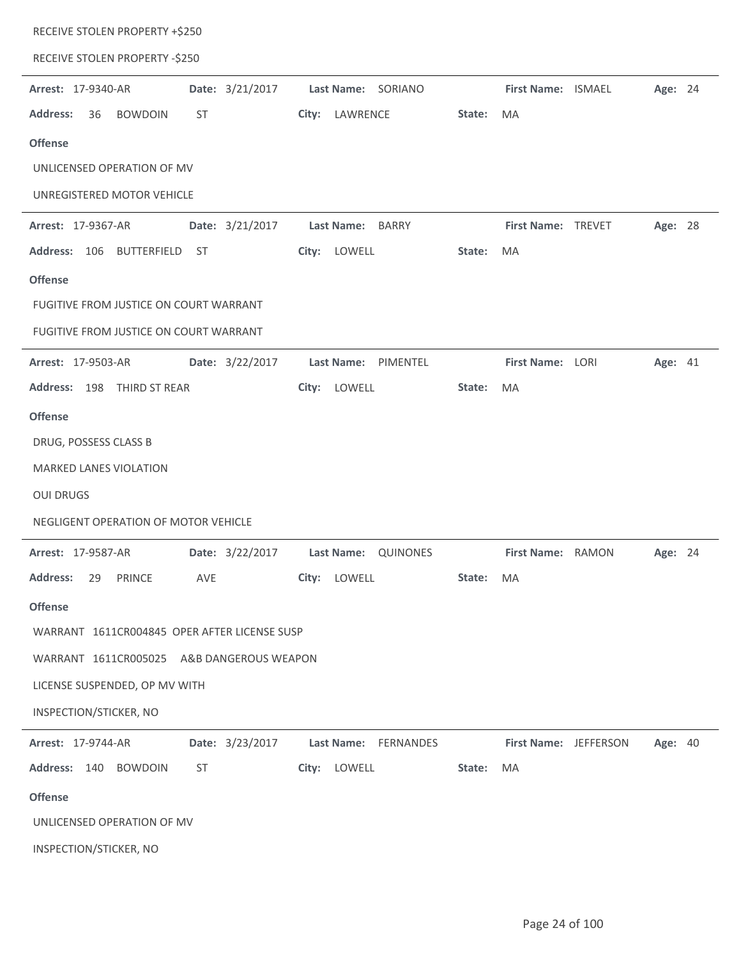| RECEIVE STOLEN PROPERTY +\$250                       |                                |        |                         |                       |         |  |
|------------------------------------------------------|--------------------------------|--------|-------------------------|-----------------------|---------|--|
| RECEIVE STOLEN PROPERTY -\$250                       |                                |        |                         |                       |         |  |
| Date: 3/21/2017<br>Arrest: 17-9340-AR                | Last Name: SORIANO             |        | First Name: ISMAEL      |                       | Age: 24 |  |
| <b>Address:</b><br>36<br><b>BOWDOIN</b><br>ST        | LAWRENCE<br>City:              | State: | MA                      |                       |         |  |
| <b>Offense</b>                                       |                                |        |                         |                       |         |  |
| UNLICENSED OPERATION OF MV                           |                                |        |                         |                       |         |  |
| UNREGISTERED MOTOR VEHICLE                           |                                |        |                         |                       |         |  |
| Date: 3/21/2017<br><b>Arrest: 17-9367-AR</b>         | Last Name: BARRY               |        | First Name: TREVET      |                       | Age: 28 |  |
| Address: 106 BUTTERFIELD ST                          | City: LOWELL                   | State: | MA                      |                       |         |  |
| <b>Offense</b>                                       |                                |        |                         |                       |         |  |
| FUGITIVE FROM JUSTICE ON COURT WARRANT               |                                |        |                         |                       |         |  |
| FUGITIVE FROM JUSTICE ON COURT WARRANT               |                                |        |                         |                       |         |  |
| Date: 3/22/2017<br>Arrest: 17-9503-AR                | Last Name: PIMENTEL            |        | <b>First Name: LORI</b> |                       | Age: 41 |  |
| Address: 198 THIRD ST REAR                           | City: LOWELL                   | State: | MA                      |                       |         |  |
| <b>Offense</b>                                       |                                |        |                         |                       |         |  |
| DRUG, POSSESS CLASS B                                |                                |        |                         |                       |         |  |
| <b>MARKED LANES VIOLATION</b>                        |                                |        |                         |                       |         |  |
| <b>OUI DRUGS</b>                                     |                                |        |                         |                       |         |  |
| NEGLIGENT OPERATION OF MOTOR VEHICLE                 |                                |        |                         |                       |         |  |
| <b>Arrest: 17-9587-AR</b><br>Date: 3/22/2017         | Last Name: QUINONES            |        | First Name: RAMON       |                       | Age: 24 |  |
| <b>Address:</b><br><b>PRINCE</b><br><b>AVE</b><br>29 | City: LOWELL                   | State: | MA                      |                       |         |  |
| <b>Offense</b>                                       |                                |        |                         |                       |         |  |
| WARRANT 1611CR004845 OPER AFTER LICENSE SUSP         |                                |        |                         |                       |         |  |
| WARRANT 1611CR005025<br>A&B DANGEROUS WEAPON         |                                |        |                         |                       |         |  |
| LICENSE SUSPENDED, OP MV WITH                        |                                |        |                         |                       |         |  |
| INSPECTION/STICKER, NO                               |                                |        |                         |                       |         |  |
| Date: 3/23/2017<br>Arrest: 17-9744-AR                | <b>Last Name:</b><br>FERNANDES |        |                         | First Name: JEFFERSON | Age: 40 |  |
| Address: 140<br><b>ST</b><br><b>BOWDOIN</b>          | City: LOWELL                   | State: | MA                      |                       |         |  |
| <b>Offense</b>                                       |                                |        |                         |                       |         |  |
| UNLICENSED OPERATION OF MV                           |                                |        |                         |                       |         |  |
| INSPECTION/STICKER, NO                               |                                |        |                         |                       |         |  |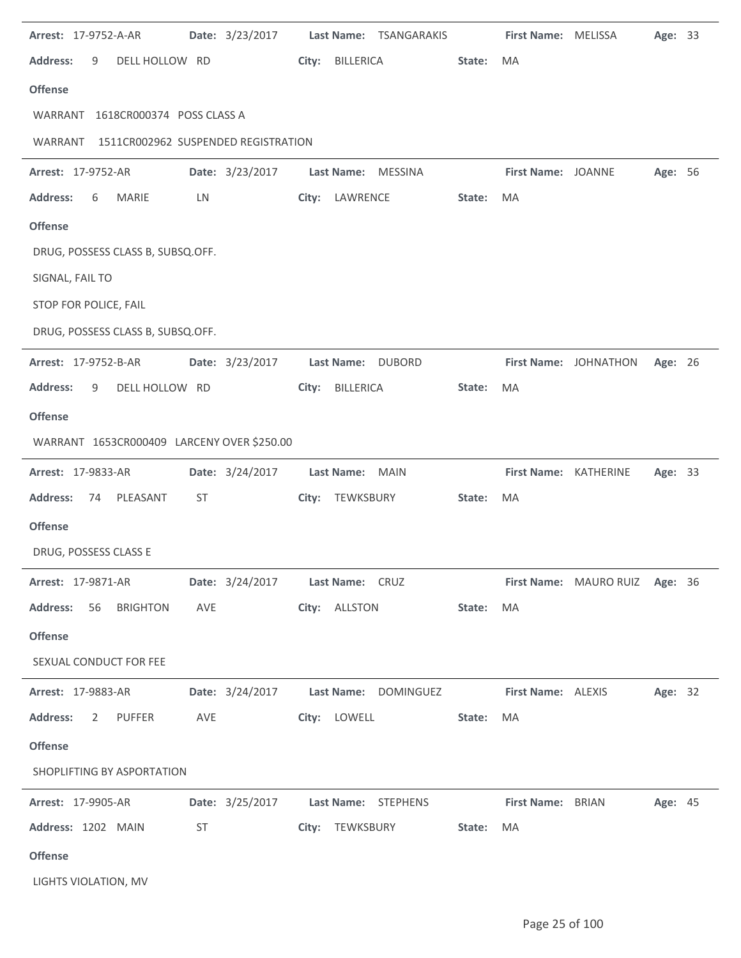| Arrest: 17-9752-A-AR                           |     | Date: 3/23/2017 |       | Last Name: TSANGARAKIS                  |        | First Name: MELISSA   |                                | Age: 33 |  |
|------------------------------------------------|-----|-----------------|-------|-----------------------------------------|--------|-----------------------|--------------------------------|---------|--|
| <b>Address:</b><br>DELL HOLLOW RD<br>9         |     |                 | City: | BILLERICA                               | State: | MA                    |                                |         |  |
| <b>Offense</b>                                 |     |                 |       |                                         |        |                       |                                |         |  |
| WARRANT 1618CR000374 POSS CLASS A              |     |                 |       |                                         |        |                       |                                |         |  |
| 1511CR002962 SUSPENDED REGISTRATION<br>WARRANT |     |                 |       |                                         |        |                       |                                |         |  |
| Arrest: 17-9752-AR                             |     | Date: 3/23/2017 |       | Last Name: MESSINA                      |        | First Name: JOANNE    |                                | Age: 56 |  |
| <b>MARIE</b><br><b>Address:</b><br>6           | LN  |                 |       | City: LAWRENCE                          | State: | MA                    |                                |         |  |
| <b>Offense</b>                                 |     |                 |       |                                         |        |                       |                                |         |  |
| DRUG, POSSESS CLASS B, SUBSQ.OFF.              |     |                 |       |                                         |        |                       |                                |         |  |
| SIGNAL, FAIL TO                                |     |                 |       |                                         |        |                       |                                |         |  |
| STOP FOR POLICE, FAIL                          |     |                 |       |                                         |        |                       |                                |         |  |
| DRUG, POSSESS CLASS B, SUBSQ.OFF.              |     |                 |       |                                         |        |                       |                                |         |  |
| Arrest: 17-9752-B-AR                           |     | Date: 3/23/2017 |       | Last Name: DUBORD                       |        |                       | First Name: JOHNATHON          | Age: 26 |  |
| <b>Address:</b><br>DELL HOLLOW RD<br>9         |     |                 | City: | BILLERICA                               | State: | MA                    |                                |         |  |
| <b>Offense</b>                                 |     |                 |       |                                         |        |                       |                                |         |  |
| WARRANT 1653CR000409 LARCENY OVER \$250.00     |     |                 |       |                                         |        |                       |                                |         |  |
|                                                |     |                 |       |                                         |        |                       |                                |         |  |
| Arrest: 17-9833-AR                             |     | Date: 3/24/2017 |       | Last Name: MAIN                         |        | First Name: KATHERINE |                                | Age: 33 |  |
| <b>Address:</b><br>PLEASANT<br>74              | ST  |                 |       | City: TEWKSBURY                         | State: | MA                    |                                |         |  |
| <b>Offense</b>                                 |     |                 |       |                                         |        |                       |                                |         |  |
| DRUG, POSSESS CLASS E                          |     |                 |       |                                         |        |                       |                                |         |  |
| <b>Arrest: 17-9871-AR</b>                      |     |                 |       | Date: 3/24/2017 Last Name: CRUZ         |        |                       | First Name: MAURO RUIZ Age: 36 |         |  |
| <b>Address:</b><br>56 BRIGHTON                 | AVE |                 |       | City: ALLSTON                           | State: | MA                    |                                |         |  |
| <b>Offense</b>                                 |     |                 |       |                                         |        |                       |                                |         |  |
| SEXUAL CONDUCT FOR FEE                         |     |                 |       |                                         |        |                       |                                |         |  |
| <b>Arrest: 17-9883-AR</b>                      |     |                 |       | Date: 3/24/2017    Last Name: DOMINGUEZ |        | First Name: ALEXIS    |                                | Age: 32 |  |
| <b>Address:</b><br>$\overline{2}$<br>PUFFER    | AVE |                 |       | City: LOWELL                            | State: | MA                    |                                |         |  |
| <b>Offense</b>                                 |     |                 |       |                                         |        |                       |                                |         |  |
| SHOPLIFTING BY ASPORTATION                     |     |                 |       |                                         |        |                       |                                |         |  |
| <b>Arrest: 17-9905-AR</b>                      |     |                 |       | Date: 3/25/2017 Last Name: STEPHENS     |        | First Name: BRIAN     |                                | Age: 45 |  |
| Address: 1202 MAIN                             | ST  |                 |       | City: TEWKSBURY                         | State: | MA                    |                                |         |  |
| <b>Offense</b>                                 |     |                 |       |                                         |        |                       |                                |         |  |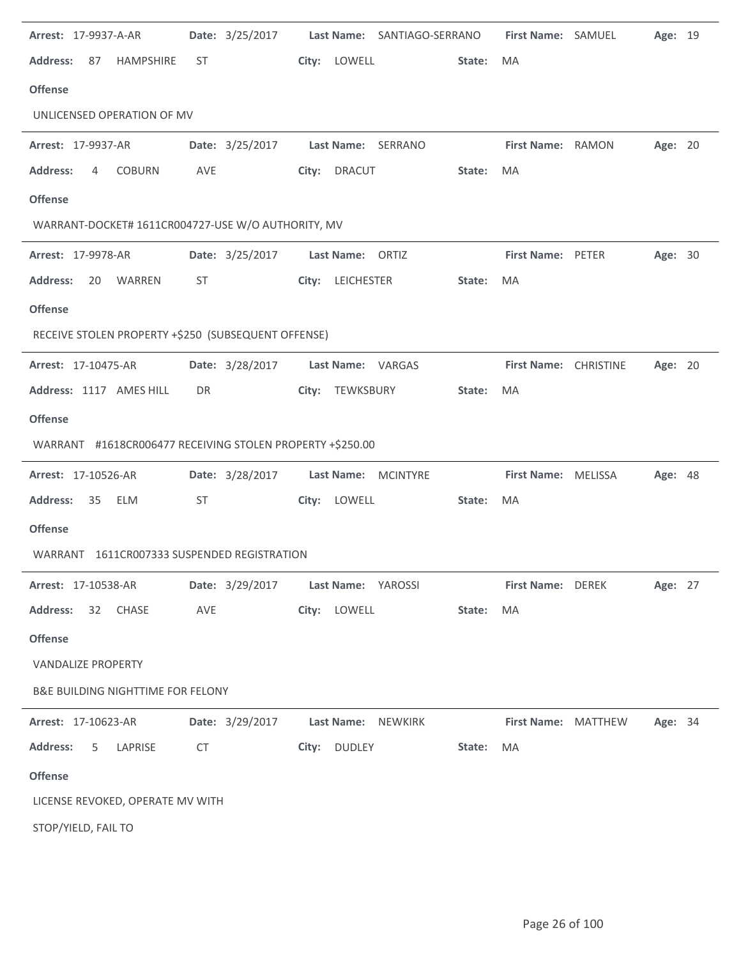| Arrest: 17-9937-A-AR                                      |           | Date: 3/25/2017 | Last Name: SANTIAGO-SERRANO        |        | First Name: SAMUEL       | Age: 19        |  |
|-----------------------------------------------------------|-----------|-----------------|------------------------------------|--------|--------------------------|----------------|--|
| <b>Address:</b><br>HAMPSHIRE<br>87                        | ST        |                 | City: LOWELL                       | State: | MA                       |                |  |
| <b>Offense</b>                                            |           |                 |                                    |        |                          |                |  |
| UNLICENSED OPERATION OF MV                                |           |                 |                                    |        |                          |                |  |
| Arrest: 17-9937-AR                                        |           |                 | Date: 3/25/2017 Last Name: SERRANO |        | First Name: RAMON        | Age: 20        |  |
| COBURN<br><b>Address:</b><br>4                            | AVE       |                 | City: DRACUT                       | State: | MA                       |                |  |
| <b>Offense</b>                                            |           |                 |                                    |        |                          |                |  |
| WARRANT-DOCKET# 1611CR004727-USE W/O AUTHORITY, MV        |           |                 |                                    |        |                          |                |  |
| Arrest: 17-9978-AR                                        |           | Date: 3/25/2017 | Last Name: ORTIZ                   |        | First Name: PETER        | Age: 30        |  |
| <b>Address:</b><br>20<br>WARREN                           | ST        |                 | City: LEICHESTER                   | State: | MA                       |                |  |
| <b>Offense</b>                                            |           |                 |                                    |        |                          |                |  |
| RECEIVE STOLEN PROPERTY +\$250 (SUBSEQUENT OFFENSE)       |           |                 |                                    |        |                          |                |  |
| Arrest: 17-10475-AR                                       |           | Date: 3/28/2017 | Last Name: VARGAS                  |        | First Name: CHRISTINE    | Age: 20        |  |
| Address: 1117 AMES HILL                                   | DR        |                 | City: TEWKSBURY                    | State: | MA                       |                |  |
| <b>Offense</b>                                            |           |                 |                                    |        |                          |                |  |
|                                                           |           |                 |                                    |        |                          |                |  |
| WARRANT #1618CR006477 RECEIVING STOLEN PROPERTY +\$250.00 |           |                 |                                    |        |                          |                |  |
| Arrest: 17-10526-AR                                       |           | Date: 3/28/2017 | Last Name: MCINTYRE                |        | First Name: MELISSA      | Age: 48        |  |
| <b>Address:</b><br>35 ELM                                 | <b>ST</b> |                 | City: LOWELL                       | State: | MA                       |                |  |
| <b>Offense</b>                                            |           |                 |                                    |        |                          |                |  |
| WARRANT 1611CR007333 SUSPENDED REGISTRATION               |           |                 |                                    |        |                          |                |  |
| <b>Arrest: 17-10538-AR</b>                                |           | Date: 3/29/2017 | Last Name: YAROSSI                 |        | <b>First Name: DEREK</b> | Age: 27        |  |
| Address: 32 CHASE                                         | AVE       |                 | City: LOWELL                       | State: | MA                       |                |  |
| <b>Offense</b>                                            |           |                 |                                    |        |                          |                |  |
| <b>VANDALIZE PROPERTY</b>                                 |           |                 |                                    |        |                          |                |  |
| <b>B&amp;E BUILDING NIGHTTIME FOR FELONY</b>              |           |                 |                                    |        |                          |                |  |
| Arrest: 17-10623-AR                                       |           | Date: 3/29/2017 | Last Name: NEWKIRK                 |        | First Name: MATTHEW      | <b>Age: 34</b> |  |
| <b>Address:</b><br>LAPRISE<br>5                           | CT        |                 | City: DUDLEY                       | State: | MA                       |                |  |
| <b>Offense</b>                                            |           |                 |                                    |        |                          |                |  |
| LICENSE REVOKED, OPERATE MV WITH                          |           |                 |                                    |        |                          |                |  |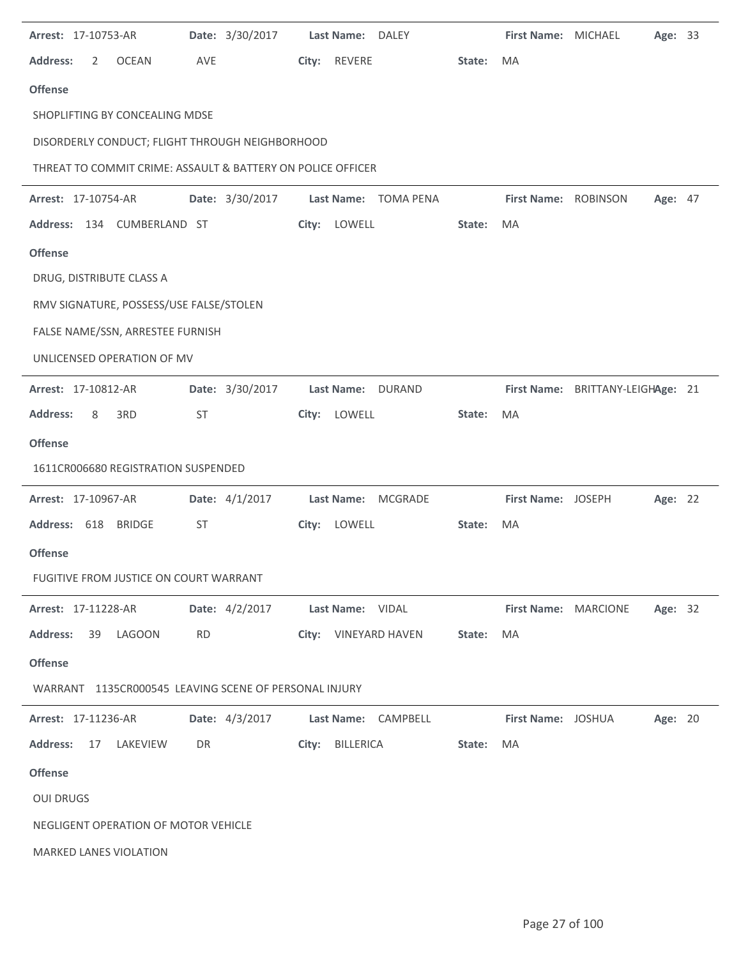| Arrest: 17-10753-AR                                         | Date: 3/30/2017 | Last Name: DALEY            |        | <b>First Name: MICHAEL</b> |                                   | Age: 33 |
|-------------------------------------------------------------|-----------------|-----------------------------|--------|----------------------------|-----------------------------------|---------|
| <b>Address:</b><br><b>OCEAN</b><br>2                        | AVE             | City: REVERE                | State: | MA                         |                                   |         |
| <b>Offense</b>                                              |                 |                             |        |                            |                                   |         |
| SHOPLIFTING BY CONCEALING MDSE                              |                 |                             |        |                            |                                   |         |
| DISORDERLY CONDUCT; FLIGHT THROUGH NEIGHBORHOOD             |                 |                             |        |                            |                                   |         |
| THREAT TO COMMIT CRIME: ASSAULT & BATTERY ON POLICE OFFICER |                 |                             |        |                            |                                   |         |
| Arrest: 17-10754-AR                                         | Date: 3/30/2017 | Last Name: TOMA PENA        |        | First Name: ROBINSON       |                                   | Age: 47 |
| Address: 134 CUMBERLAND ST                                  |                 | City: LOWELL                | State: | MA                         |                                   |         |
| <b>Offense</b>                                              |                 |                             |        |                            |                                   |         |
| DRUG, DISTRIBUTE CLASS A                                    |                 |                             |        |                            |                                   |         |
| RMV SIGNATURE, POSSESS/USE FALSE/STOLEN                     |                 |                             |        |                            |                                   |         |
| FALSE NAME/SSN, ARRESTEE FURNISH                            |                 |                             |        |                            |                                   |         |
| UNLICENSED OPERATION OF MV                                  |                 |                             |        |                            |                                   |         |
| Arrest: 17-10812-AR                                         | Date: 3/30/2017 | <b>Last Name:</b><br>DURAND |        |                            | First Name: BRITTANY-LEIGHAge: 21 |         |
| <b>Address:</b><br>3RD<br>8                                 | ST              | City: LOWELL                | State: | MA                         |                                   |         |
| <b>Offense</b>                                              |                 |                             |        |                            |                                   |         |
| 1611CR006680 REGISTRATION SUSPENDED                         |                 |                             |        |                            |                                   |         |
| Arrest: 17-10967-AR                                         | Date: 4/1/2017  | Last Name: MCGRADE          |        | First Name: JOSEPH         |                                   | Age: 22 |
| Address: 618 BRIDGE                                         | <b>ST</b>       | City: LOWELL                | State: | MA                         |                                   |         |
| <b>Offense</b>                                              |                 |                             |        |                            |                                   |         |
| FUGITIVE FROM JUSTICE ON COURT WARRANT                      |                 |                             |        |                            |                                   |         |
| <b>Arrest: 17-11228-AR</b>                                  | Date: 4/2/2017  | Last Name: VIDAL            |        | First Name: MARCIONE       |                                   | Age: 32 |
| <b>Address:</b><br>39<br>LAGOON                             | <b>RD</b>       | City: VINEYARD HAVEN        | State: | MA                         |                                   |         |
| <b>Offense</b>                                              |                 |                             |        |                            |                                   |         |
| WARRANT 1135CR000545 LEAVING SCENE OF PERSONAL INJURY       |                 |                             |        |                            |                                   |         |
| Arrest: 17-11236-AR                                         | Date: 4/3/2017  | Last Name: CAMPBELL         |        | First Name: JOSHUA         |                                   | Age: 20 |
| <b>Address:</b><br>17<br>LAKEVIEW                           | DR              | BILLERICA<br>City:          | State: | MA                         |                                   |         |
| <b>Offense</b>                                              |                 |                             |        |                            |                                   |         |
| <b>OUI DRUGS</b>                                            |                 |                             |        |                            |                                   |         |
| NEGLIGENT OPERATION OF MOTOR VEHICLE                        |                 |                             |        |                            |                                   |         |
| <b>MARKED LANES VIOLATION</b>                               |                 |                             |        |                            |                                   |         |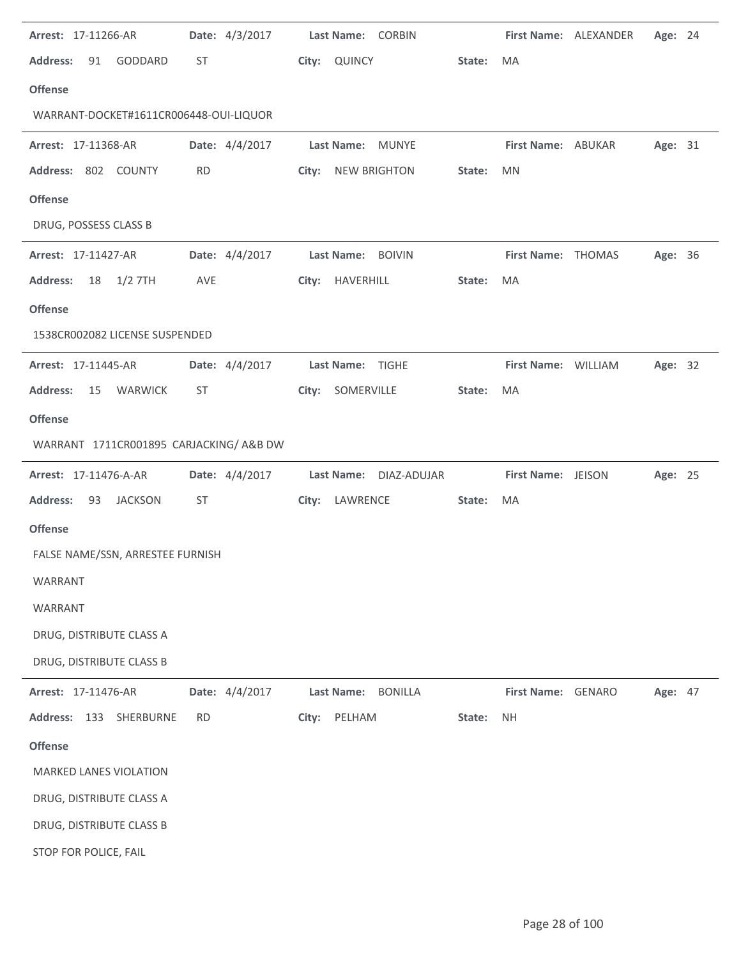| Arrest: 17-11266-AR                     |           | Date: 4/3/2017 |       | Last Name: CORBIN                   |        |                     | First Name: ALEXANDER | Age: 24 |  |
|-----------------------------------------|-----------|----------------|-------|-------------------------------------|--------|---------------------|-----------------------|---------|--|
| <b>Address:</b><br>GODDARD<br>91        | ST        |                |       | City: QUINCY                        | State: | MA                  |                       |         |  |
| <b>Offense</b>                          |           |                |       |                                     |        |                     |                       |         |  |
| WARRANT-DOCKET#1611CR006448-OUI-LIQUOR  |           |                |       |                                     |        |                     |                       |         |  |
| Arrest: 17-11368-AR                     |           | Date: 4/4/2017 |       | Last Name:<br>MUNYE                 |        | First Name: ABUKAR  |                       | Age: 31 |  |
| Address: 802 COUNTY                     | <b>RD</b> |                | City: | <b>NEW BRIGHTON</b>                 | State: | <b>MN</b>           |                       |         |  |
| <b>Offense</b>                          |           |                |       |                                     |        |                     |                       |         |  |
| DRUG, POSSESS CLASS B                   |           |                |       |                                     |        |                     |                       |         |  |
| Arrest: 17-11427-AR                     |           | Date: 4/4/2017 |       | Last Name: BOIVIN                   |        | First Name: THOMAS  |                       | Age: 36 |  |
| <b>Address:</b><br>18<br>$1/2$ 7TH      | AVE       |                |       | City: HAVERHILL                     | State: | MA                  |                       |         |  |
| <b>Offense</b>                          |           |                |       |                                     |        |                     |                       |         |  |
| 1538CR002082 LICENSE SUSPENDED          |           |                |       |                                     |        |                     |                       |         |  |
| Arrest: 17-11445-AR                     |           | Date: 4/4/2017 |       | Last Name: TIGHE                    |        | First Name: WILLIAM |                       | Age: 32 |  |
| <b>Address:</b><br>WARWICK<br>15        | ST        |                |       | City: SOMERVILLE                    | State: | MA                  |                       |         |  |
| <b>Offense</b>                          |           |                |       |                                     |        |                     |                       |         |  |
| WARRANT 1711CR001895 CARJACKING/A&B DW  |           |                |       |                                     |        |                     |                       |         |  |
| Arrest: 17-11476-A-AR                   |           | Date: 4/4/2017 |       | <b>Last Name:</b><br>DIAZ-ADUJAR    |        | First Name: JEISON  |                       | Age: 25 |  |
| <b>Address:</b><br><b>JACKSON</b><br>93 | ST        |                |       | City: LAWRENCE                      | State: | MA                  |                       |         |  |
| <b>Offense</b>                          |           |                |       |                                     |        |                     |                       |         |  |
| FALSE NAME/SSN, ARRESTEE FURNISH        |           |                |       |                                     |        |                     |                       |         |  |
| WARRANT                                 |           |                |       |                                     |        |                     |                       |         |  |
| WARRANT                                 |           |                |       |                                     |        |                     |                       |         |  |
| DRUG, DISTRIBUTE CLASS A                |           |                |       |                                     |        |                     |                       |         |  |
| DRUG, DISTRIBUTE CLASS B                |           |                |       |                                     |        |                     |                       |         |  |
| Arrest: 17-11476-AR                     |           | Date: 4/4/2017 |       | <b>Last Name:</b><br><b>BONILLA</b> |        | First Name: GENARO  |                       | Age: 47 |  |
| Address: 133<br>SHERBURNE               | <b>RD</b> |                | City: | PELHAM                              | State: | <b>NH</b>           |                       |         |  |
| <b>Offense</b>                          |           |                |       |                                     |        |                     |                       |         |  |
| <b>MARKED LANES VIOLATION</b>           |           |                |       |                                     |        |                     |                       |         |  |
| DRUG, DISTRIBUTE CLASS A                |           |                |       |                                     |        |                     |                       |         |  |
|                                         |           |                |       |                                     |        |                     |                       |         |  |
| DRUG, DISTRIBUTE CLASS B                |           |                |       |                                     |        |                     |                       |         |  |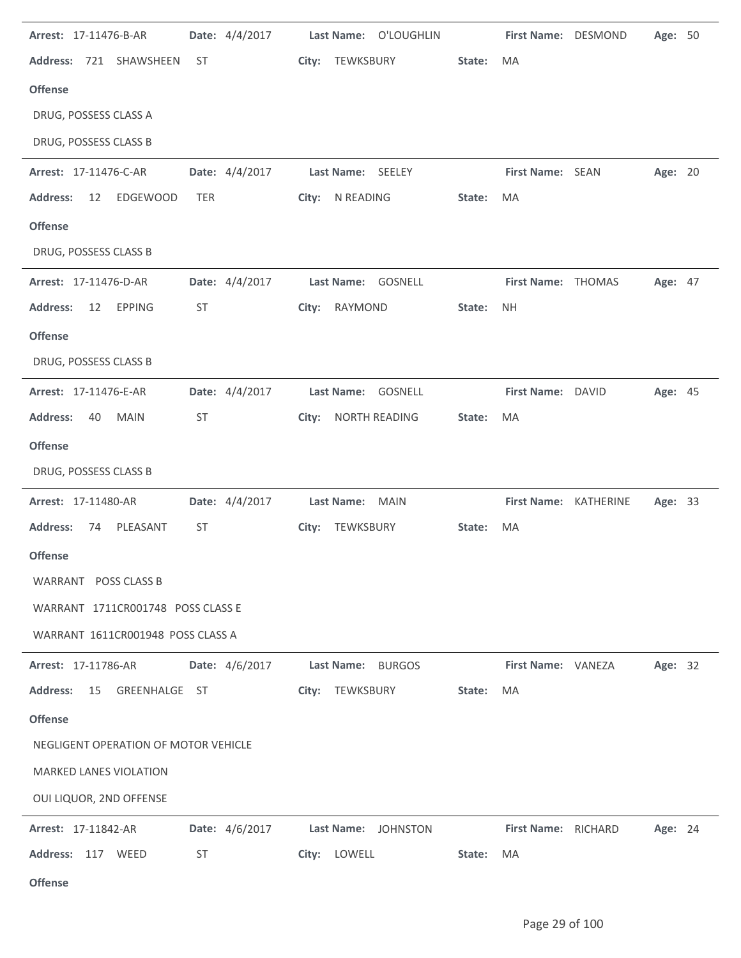| Arrest: 17-11476-B-AR                          | Date: 4/4/2017 | Last Name: O'LOUGHLIN |        | First Name: DESMOND |                       | Age: 50 |  |
|------------------------------------------------|----------------|-----------------------|--------|---------------------|-----------------------|---------|--|
| Address: 721 SHAWSHEEN<br>ST                   |                | City: TEWKSBURY       | State: | MA                  |                       |         |  |
| <b>Offense</b>                                 |                |                       |        |                     |                       |         |  |
| DRUG, POSSESS CLASS A                          |                |                       |        |                     |                       |         |  |
| DRUG, POSSESS CLASS B                          |                |                       |        |                     |                       |         |  |
| Arrest: 17-11476-C-AR                          | Date: 4/4/2017 | Last Name: SEELEY     |        | First Name: SEAN    |                       | Age: 20 |  |
| <b>Address:</b><br>EDGEWOOD<br>12<br>TER       |                | City: N READING       | State: | MA                  |                       |         |  |
| <b>Offense</b>                                 |                |                       |        |                     |                       |         |  |
| DRUG, POSSESS CLASS B                          |                |                       |        |                     |                       |         |  |
| Arrest: 17-11476-D-AR                          | Date: 4/4/2017 | Last Name: GOSNELL    |        | First Name: THOMAS  |                       | Age: 47 |  |
| <b>Address:</b><br><b>EPPING</b><br>ST<br>12   |                | City: RAYMOND         | State: | <b>NH</b>           |                       |         |  |
| <b>Offense</b>                                 |                |                       |        |                     |                       |         |  |
| DRUG, POSSESS CLASS B                          |                |                       |        |                     |                       |         |  |
| Arrest: 17-11476-E-AR                          | Date: 4/4/2017 | Last Name: GOSNELL    |        | First Name: DAVID   |                       | Age: 45 |  |
| <b>Address:</b><br>ST<br>40<br><b>MAIN</b>     |                | City: NORTH READING   | State: | MA                  |                       |         |  |
| <b>Offense</b>                                 |                |                       |        |                     |                       |         |  |
| DRUG, POSSESS CLASS B                          |                |                       |        |                     |                       |         |  |
| Arrest: 17-11480-AR                            | Date: 4/4/2017 | Last Name: MAIN       |        |                     | First Name: KATHERINE | Age: 33 |  |
| <b>Address:</b><br>74<br>PLEASANT<br><b>ST</b> |                | City: TEWKSBURY       | State: | MA                  |                       |         |  |
| <b>Offense</b>                                 |                |                       |        |                     |                       |         |  |
| WARRANT POSS CLASS B                           |                |                       |        |                     |                       |         |  |
| WARRANT 1711CR001748 POSS CLASS E              |                |                       |        |                     |                       |         |  |
| WARRANT 1611CR001948 POSS CLASS A              |                |                       |        |                     |                       |         |  |
| Arrest: 17-11786-AR                            | Date: 4/6/2017 | Last Name: BURGOS     |        | First Name: VANEZA  |                       | Age: 32 |  |
| <b>Address:</b><br>15<br>GREENHALGE ST         |                | TEWKSBURY<br>City:    | State: | MA                  |                       |         |  |
| <b>Offense</b>                                 |                |                       |        |                     |                       |         |  |
| NEGLIGENT OPERATION OF MOTOR VEHICLE           |                |                       |        |                     |                       |         |  |
| <b>MARKED LANES VIOLATION</b>                  |                |                       |        |                     |                       |         |  |
| OUI LIQUOR, 2ND OFFENSE                        |                |                       |        |                     |                       |         |  |
| Arrest: 17-11842-AR                            | Date: 4/6/2017 | Last Name: JOHNSTON   |        | First Name: RICHARD |                       | Age: 24 |  |
| Address: 117 WEED<br>ST                        |                | City: LOWELL          | State: | MA                  |                       |         |  |
|                                                |                |                       |        |                     |                       |         |  |

**Offense**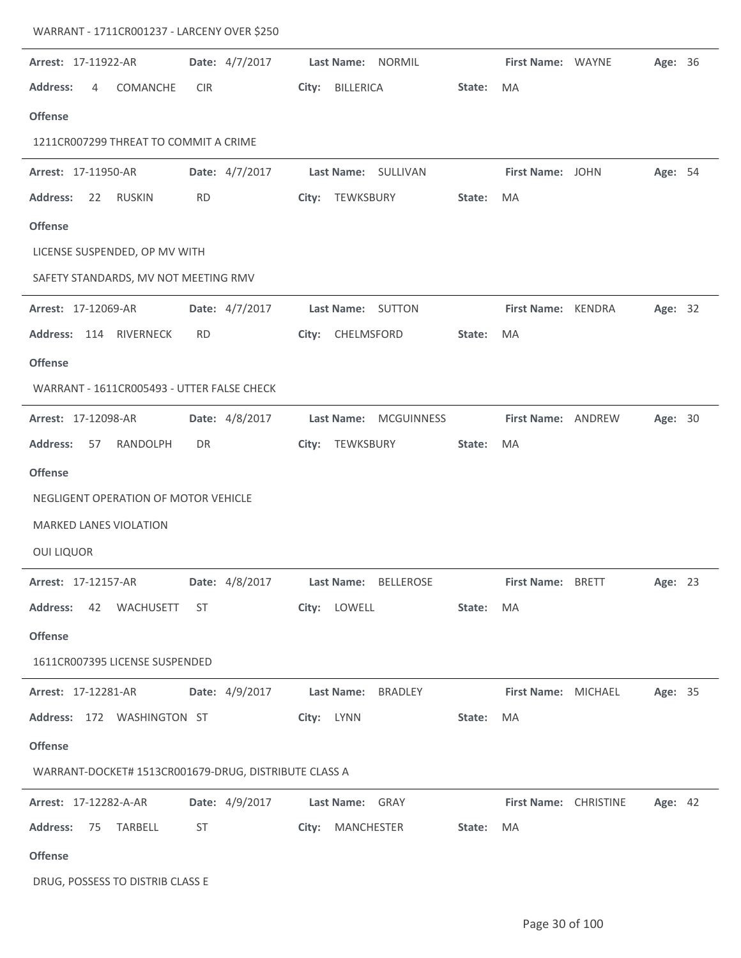| Arrest: 17-11922-AR                                   | Date: 4/7/2017 | Last Name: NORMIL                      |        | First Name: WAYNE        |                              | <b>Age: 36</b> |  |
|-------------------------------------------------------|----------------|----------------------------------------|--------|--------------------------|------------------------------|----------------|--|
| <b>Address:</b><br>COMANCHE<br>4                      | <b>CIR</b>     | City:<br><b>BILLERICA</b>              | State: | MA                       |                              |                |  |
| <b>Offense</b>                                        |                |                                        |        |                          |                              |                |  |
| 1211CR007299 THREAT TO COMMIT A CRIME                 |                |                                        |        |                          |                              |                |  |
| Arrest: 17-11950-AR                                   | Date: 4/7/2017 | Last Name: SULLIVAN                    |        | First Name: JOHN         |                              | Age: 54        |  |
| <b>Address:</b><br>22<br>RUSKIN                       | <b>RD</b>      | City: TEWKSBURY                        | State: | MA                       |                              |                |  |
| <b>Offense</b>                                        |                |                                        |        |                          |                              |                |  |
| LICENSE SUSPENDED, OP MV WITH                         |                |                                        |        |                          |                              |                |  |
| SAFETY STANDARDS, MV NOT MEETING RMV                  |                |                                        |        |                          |                              |                |  |
| Arrest: 17-12069-AR                                   | Date: 4/7/2017 | Last Name: SUTTON                      |        | First Name: KENDRA       |                              | Age: 32        |  |
| Address: 114 RIVERNECK                                | <b>RD</b>      | City: CHELMSFORD                       | State: | MA                       |                              |                |  |
| <b>Offense</b>                                        |                |                                        |        |                          |                              |                |  |
| WARRANT - 1611CR005493 - UTTER FALSE CHECK            |                |                                        |        |                          |                              |                |  |
| Arrest: 17-12098-AR                                   | Date: 4/8/2017 | <b>Last Name:</b><br><b>MCGUINNESS</b> |        | First Name: ANDREW       |                              | Age: 30        |  |
| <b>Address:</b><br>57<br>RANDOLPH                     | DR             | City:<br>TEWKSBURY                     | State: | MA                       |                              |                |  |
| <b>Offense</b>                                        |                |                                        |        |                          |                              |                |  |
| NEGLIGENT OPERATION OF MOTOR VEHICLE                  |                |                                        |        |                          |                              |                |  |
| <b>MARKED LANES VIOLATION</b>                         |                |                                        |        |                          |                              |                |  |
| <b>OUI LIQUOR</b>                                     |                |                                        |        |                          |                              |                |  |
| Arrest: 17-12157-AR                                   |                | Date: 4/8/2017    Last Name: BELLEROSE |        | <b>First Name: BRETT</b> |                              | Age: 23        |  |
| Address: 42 WACHUSETT ST                              |                | City: LOWELL                           | State: | MA                       |                              |                |  |
| <b>Offense</b>                                        |                |                                        |        |                          |                              |                |  |
| 1611CR007395 LICENSE SUSPENDED                        |                |                                        |        |                          |                              |                |  |
| <b>Arrest: 17-12281-AR</b>                            |                | Date: 4/9/2017 Last Name: BRADLEY      |        | First Name: MICHAEL      |                              | Age: 35        |  |
| Address: 172 WASHINGTON ST                            |                | City: LYNN                             | State: | <b>MA</b>                |                              |                |  |
| <b>Offense</b>                                        |                |                                        |        |                          |                              |                |  |
| WARRANT-DOCKET# 1513CR001679-DRUG, DISTRIBUTE CLASS A |                |                                        |        |                          |                              |                |  |
| <b>Arrest: 17-12282-A-AR</b>                          | Date: 4/9/2017 | <b>Last Name: GRAY</b>                 |        |                          | <b>First Name: CHRISTINE</b> | Age: 42        |  |
| Address: 75 TARBELL                                   | ST             | City: MANCHESTER                       | State: | MA                       |                              |                |  |
| <b>Offense</b>                                        |                |                                        |        |                          |                              |                |  |
| DRUG, POSSESS TO DISTRIB CLASS E                      |                |                                        |        |                          |                              |                |  |

WARRANT - 1711CR001237 - LARCENY OVER \$250

l.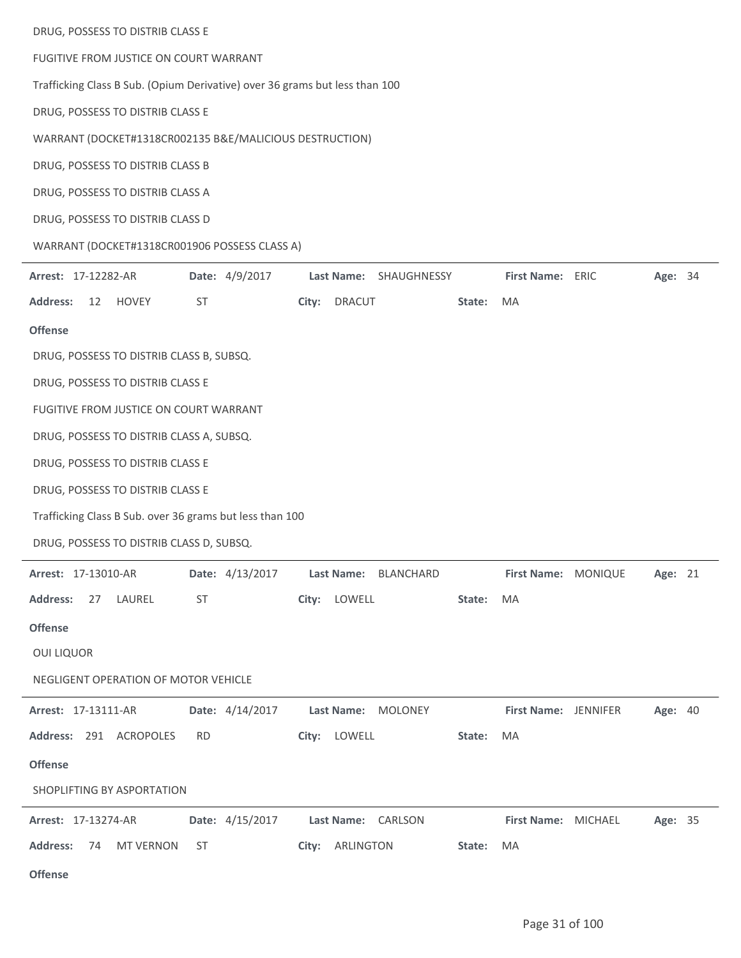| DRUG, POSSESS TO DISTRIB CLASS E                                            |                                      |                                 |
|-----------------------------------------------------------------------------|--------------------------------------|---------------------------------|
| FUGITIVE FROM JUSTICE ON COURT WARRANT                                      |                                      |                                 |
| Trafficking Class B Sub. (Opium Derivative) over 36 grams but less than 100 |                                      |                                 |
| DRUG, POSSESS TO DISTRIB CLASS E                                            |                                      |                                 |
| WARRANT (DOCKET#1318CR002135 B&E/MALICIOUS DESTRUCTION)                     |                                      |                                 |
| DRUG, POSSESS TO DISTRIB CLASS B                                            |                                      |                                 |
| DRUG, POSSESS TO DISTRIB CLASS A                                            |                                      |                                 |
| DRUG, POSSESS TO DISTRIB CLASS D                                            |                                      |                                 |
| WARRANT (DOCKET#1318CR001906 POSSESS CLASS A)                               |                                      |                                 |
| Date: 4/9/2017<br>Arrest: 17-12282-AR                                       | Last Name: SHAUGHNESSY               | First Name: ERIC<br>Age: 34     |
| <b>Address:</b><br>HOVEY<br>ST<br>12                                        | City: DRACUT                         | MA<br>State:                    |
| <b>Offense</b>                                                              |                                      |                                 |
| DRUG, POSSESS TO DISTRIB CLASS B, SUBSQ.                                    |                                      |                                 |
| DRUG, POSSESS TO DISTRIB CLASS E                                            |                                      |                                 |
| FUGITIVE FROM JUSTICE ON COURT WARRANT                                      |                                      |                                 |
| DRUG, POSSESS TO DISTRIB CLASS A, SUBSQ.                                    |                                      |                                 |
| DRUG, POSSESS TO DISTRIB CLASS E                                            |                                      |                                 |
| DRUG, POSSESS TO DISTRIB CLASS E                                            |                                      |                                 |
| Trafficking Class B Sub. over 36 grams but less than 100                    |                                      |                                 |
| DRUG, POSSESS TO DISTRIB CLASS D, SUBSQ.                                    |                                      |                                 |
| Arrest: 17-13010-AR                                                         | Date: 4/13/2017 Last Name: BLANCHARD | First Name: MONIQUE Age: 21     |
| <b>Address:</b><br>27 LAUREL<br>ST                                          | City: LOWELL                         | State:<br>MA                    |
| <b>Offense</b>                                                              |                                      |                                 |
| <b>OUI LIQUOR</b>                                                           |                                      |                                 |
| NEGLIGENT OPERATION OF MOTOR VEHICLE                                        |                                      |                                 |
| Date: 4/14/2017<br><b>Arrest: 17-13111-AR</b>                               | Last Name: MOLONEY                   | First Name: JENNIFER<br>Age: 40 |
| Address: 291 ACROPOLES<br><b>RD</b>                                         | City: LOWELL                         | State:<br>MA                    |
| <b>Offense</b>                                                              |                                      |                                 |
| SHOPLIFTING BY ASPORTATION                                                  |                                      |                                 |
| <b>Arrest: 17-13274-AR</b>                                                  | Date: 4/15/2017 Last Name: CARLSON   | Age: 35<br>First Name: MICHAEL  |
| <b>MT VERNON</b><br><b>Address:</b><br>74<br>ST                             | City: ARLINGTON                      | State:<br>MA.                   |
| <b>Offense</b>                                                              |                                      |                                 |

 $\overline{\phantom{a}}$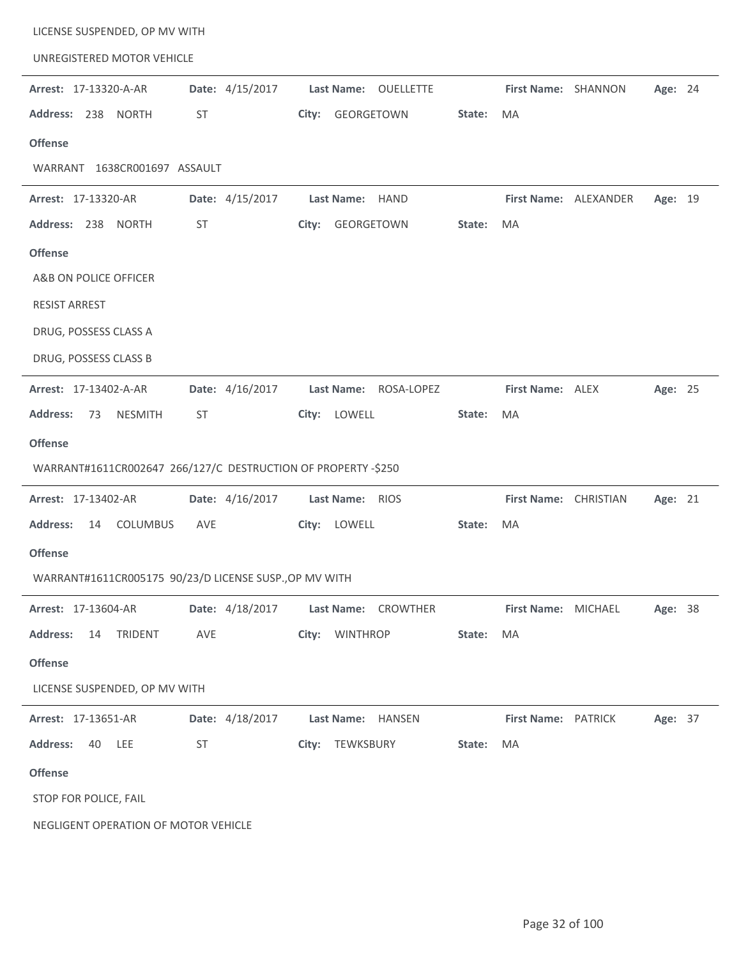| LICENSE SUSPENDED, OP MV WITH                                 |                 |                                |        |                       |                       |         |  |
|---------------------------------------------------------------|-----------------|--------------------------------|--------|-----------------------|-----------------------|---------|--|
| UNREGISTERED MOTOR VEHICLE                                    |                 |                                |        |                       |                       |         |  |
| Arrest: 17-13320-A-AR                                         | Date: 4/15/2017 | <b>Last Name:</b><br>OUELLETTE |        | First Name: SHANNON   |                       | Age: 24 |  |
| Address: 238 NORTH                                            | ST              | City: GEORGETOWN               | State: | MA                    |                       |         |  |
| <b>Offense</b>                                                |                 |                                |        |                       |                       |         |  |
| WARRANT 1638CR001697 ASSAULT                                  |                 |                                |        |                       |                       |         |  |
| Arrest: 17-13320-AR                                           | Date: 4/15/2017 | Last Name: HAND                |        |                       | First Name: ALEXANDER | Age: 19 |  |
| Address: 238 NORTH                                            | <b>ST</b>       | City: GEORGETOWN               | State: | MA                    |                       |         |  |
| <b>Offense</b>                                                |                 |                                |        |                       |                       |         |  |
| A&B ON POLICE OFFICER                                         |                 |                                |        |                       |                       |         |  |
| <b>RESIST ARREST</b>                                          |                 |                                |        |                       |                       |         |  |
| DRUG, POSSESS CLASS A                                         |                 |                                |        |                       |                       |         |  |
| DRUG, POSSESS CLASS B                                         |                 |                                |        |                       |                       |         |  |
| Arrest: 17-13402-A-AR                                         | Date: 4/16/2017 | Last Name: ROSA-LOPEZ          |        | First Name: ALEX      |                       | Age: 25 |  |
| <b>NESMITH</b><br><b>Address:</b><br>73                       | ST              | City: LOWELL                   | State: | MA                    |                       |         |  |
| <b>Offense</b>                                                |                 |                                |        |                       |                       |         |  |
| WARRANT#1611CR002647 266/127/C DESTRUCTION OF PROPERTY -\$250 |                 |                                |        |                       |                       |         |  |
| Arrest: 17-13402-AR                                           | Date: 4/16/2017 | Last Name: RIOS                |        | First Name: CHRISTIAN |                       | Age: 21 |  |
| <b>Address:</b><br>14<br><b>COLUMBUS</b>                      | AVE             | City: LOWELL                   | State: | MA                    |                       |         |  |
| <b>Offense</b>                                                |                 |                                |        |                       |                       |         |  |
| WARRANT#1611CR005175 90/23/D LICENSE SUSP., OP MV WITH        |                 |                                |        |                       |                       |         |  |
| Arrest: 17-13604-AR                                           | Date: 4/18/2017 | Last Name: CROWTHER            |        | First Name: MICHAEL   |                       | Age: 38 |  |
| <b>Address:</b><br>14<br><b>TRIDENT</b>                       | AVE             | City: WINTHROP                 | State: | MA                    |                       |         |  |
| <b>Offense</b>                                                |                 |                                |        |                       |                       |         |  |
| LICENSE SUSPENDED, OP MV WITH                                 |                 |                                |        |                       |                       |         |  |
| Arrest: 17-13651-AR                                           | Date: 4/18/2017 | Last Name: HANSEN              |        | First Name: PATRICK   |                       | Age: 37 |  |
| <b>Address:</b><br>40<br>LEE                                  | ST              | TEWKSBURY<br>City:             | State: | MA                    |                       |         |  |
| <b>Offense</b>                                                |                 |                                |        |                       |                       |         |  |
| STOP FOR POLICE, FAIL                                         |                 |                                |        |                       |                       |         |  |
| NEGLIGENT OPERATION OF MOTOR VEHICLE                          |                 |                                |        |                       |                       |         |  |
|                                                               |                 |                                |        |                       |                       |         |  |

÷,

 $\overline{a}$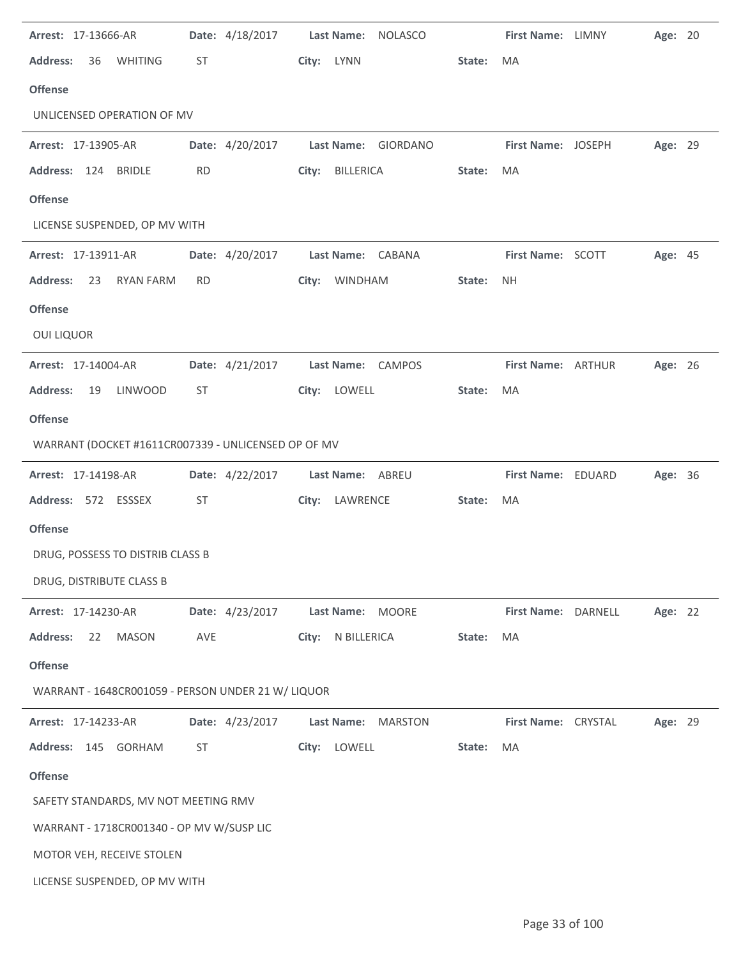| Arrest: 17-13666-AR                                 | Date: 4/18/2017 | <b>Last Name:</b><br><b>NOLASCO</b> |                     | First Name: LIMNY   | Age: 20 |
|-----------------------------------------------------|-----------------|-------------------------------------|---------------------|---------------------|---------|
| <b>Address:</b><br>36<br><b>WHITING</b>             | ST              | City: LYNN                          | State:<br><b>MA</b> |                     |         |
| <b>Offense</b>                                      |                 |                                     |                     |                     |         |
| UNLICENSED OPERATION OF MV                          |                 |                                     |                     |                     |         |
| Arrest: 17-13905-AR                                 | Date: 4/20/2017 | Last Name: GIORDANO                 |                     | First Name: JOSEPH  | Age: 29 |
| Address: 124 BRIDLE                                 | <b>RD</b>       | BILLERICA<br>City:                  | MA<br>State:        |                     |         |
| <b>Offense</b>                                      |                 |                                     |                     |                     |         |
| LICENSE SUSPENDED, OP MV WITH                       |                 |                                     |                     |                     |         |
| Arrest: 17-13911-AR                                 | Date: 4/20/2017 | Last Name: CABANA                   |                     | First Name: SCOTT   | Age: 45 |
| <b>Address:</b><br>23<br>RYAN FARM                  | <b>RD</b>       | City: WINDHAM                       | State:<br><b>NH</b> |                     |         |
| <b>Offense</b>                                      |                 |                                     |                     |                     |         |
| <b>OUI LIQUOR</b>                                   |                 |                                     |                     |                     |         |
| Arrest: 17-14004-AR                                 | Date: 4/21/2017 | Last Name: CAMPOS                   |                     | First Name: ARTHUR  | Age: 26 |
| <b>Address:</b><br><b>LINWOOD</b><br>19             | ST              | City: LOWELL                        | State:<br>MA        |                     |         |
| <b>Offense</b>                                      |                 |                                     |                     |                     |         |
| WARRANT (DOCKET #1611CR007339 - UNLICENSED OP OF MV |                 |                                     |                     |                     |         |
| Arrest: 17-14198-AR                                 | Date: 4/22/2017 | Last Name: ABREU                    |                     | First Name: EDUARD  | Age: 36 |
| Address: 572 ESSSEX                                 | ST              | City: LAWRENCE                      | State:<br>MA        |                     |         |
| <b>Offense</b>                                      |                 |                                     |                     |                     |         |
| DRUG, POSSESS TO DISTRIB CLASS B                    |                 |                                     |                     |                     |         |
| DRUG, DISTRIBUTE CLASS B                            |                 |                                     |                     |                     |         |
| Arrest: 17-14230-AR                                 | Date: 4/23/2017 | Last Name: MOORE                    |                     | First Name: DARNELL | Age: 22 |
| <b>Address:</b><br>22<br><b>MASON</b>               | AVE             | N BILLERICA<br>City:                | MA<br>State:        |                     |         |
| <b>Offense</b>                                      |                 |                                     |                     |                     |         |
| WARRANT - 1648CR001059 - PERSON UNDER 21 W/ LIQUOR  |                 |                                     |                     |                     |         |
| Arrest: 17-14233-AR                                 | Date: 4/23/2017 | Last Name:<br><b>MARSTON</b>        |                     | First Name: CRYSTAL | Age: 29 |
| Address: 145 GORHAM                                 | ST              | LOWELL<br>City:                     | State:<br>MA        |                     |         |
| <b>Offense</b>                                      |                 |                                     |                     |                     |         |
| SAFETY STANDARDS, MV NOT MEETING RMV                |                 |                                     |                     |                     |         |
| WARRANT - 1718CR001340 - OP MV W/SUSP LIC           |                 |                                     |                     |                     |         |
| MOTOR VEH, RECEIVE STOLEN                           |                 |                                     |                     |                     |         |
| LICENSE SUSPENDED, OP MV WITH                       |                 |                                     |                     |                     |         |

J.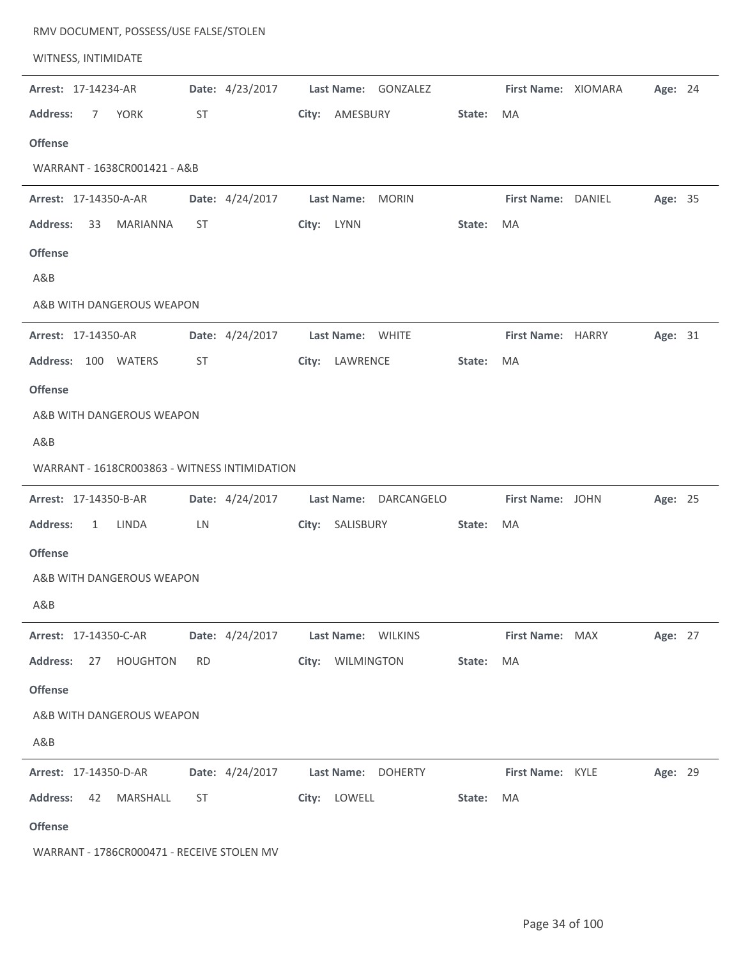| RMV DOCUMENT, POSSESS/USE FALSE/STOLEN        |                 |                                 |        |                     |         |  |
|-----------------------------------------------|-----------------|---------------------------------|--------|---------------------|---------|--|
| WITNESS, INTIMIDATE                           |                 |                                 |        |                     |         |  |
| Arrest: 17-14234-AR                           | Date: 4/23/2017 | Last Name: GONZALEZ             |        | First Name: XIOMARA | Age: 24 |  |
| <b>Address:</b><br><b>YORK</b><br>7           | ST              | AMESBURY<br>City:               | State: | MA                  |         |  |
| <b>Offense</b>                                |                 |                                 |        |                     |         |  |
| WARRANT - 1638CR001421 - A&B                  |                 |                                 |        |                     |         |  |
| Arrest: 17-14350-A-AR                         | Date: 4/24/2017 | Last Name:<br><b>MORIN</b>      |        | First Name: DANIEL  | Age: 35 |  |
| <b>Address:</b><br>33<br>MARIANNA             | ST              | City: LYNN                      | State: | MA                  |         |  |
| <b>Offense</b>                                |                 |                                 |        |                     |         |  |
| A&B                                           |                 |                                 |        |                     |         |  |
| A&B WITH DANGEROUS WEAPON                     |                 |                                 |        |                     |         |  |
| Arrest: 17-14350-AR                           | Date: 4/24/2017 | Last Name: WHITE                |        | First Name: HARRY   | Age: 31 |  |
| <b>Address:</b><br>100 WATERS                 | <b>ST</b>       | LAWRENCE<br>City:               | State: | MA                  |         |  |
| <b>Offense</b>                                |                 |                                 |        |                     |         |  |
| A&B WITH DANGEROUS WEAPON                     |                 |                                 |        |                     |         |  |
| A&B                                           |                 |                                 |        |                     |         |  |
| WARRANT - 1618CR003863 - WITNESS INTIMIDATION |                 |                                 |        |                     |         |  |
| Arrest: 17-14350-B-AR                         | Date: 4/24/2017 | <b>Last Name:</b><br>DARCANGELO |        | First Name: JOHN    | Age: 25 |  |
| <b>Address:</b><br>LINDA<br>$\mathbf{1}$      | LN              | City: SALISBURY                 | State: | MA                  |         |  |
| <b>Offense</b>                                |                 |                                 |        |                     |         |  |
| A&B WITH DANGEROUS WEAPON                     |                 |                                 |        |                     |         |  |
| A&B                                           |                 |                                 |        |                     |         |  |
| Arrest: 17-14350-C-AR                         | Date: 4/24/2017 | Last Name: WILKINS              |        | First Name: MAX     | Age: 27 |  |
| <b>Address:</b><br><b>HOUGHTON</b><br>27      | <b>RD</b>       | City: WILMINGTON                | State: | MA                  |         |  |
| <b>Offense</b>                                |                 |                                 |        |                     |         |  |
| A&B WITH DANGEROUS WEAPON                     |                 |                                 |        |                     |         |  |
| A&B                                           |                 |                                 |        |                     |         |  |
| Arrest: 17-14350-D-AR                         | Date: 4/24/2017 | Last Name: DOHERTY              |        | First Name: KYLE    | Age: 29 |  |
| <b>Address:</b><br>42<br>MARSHALL             | ST              | City: LOWELL                    | State: | MA                  |         |  |
| <b>Offense</b>                                |                 |                                 |        |                     |         |  |
| WARRANT - 1786CR000471 - RECEIVE STOLEN MV    |                 |                                 |        |                     |         |  |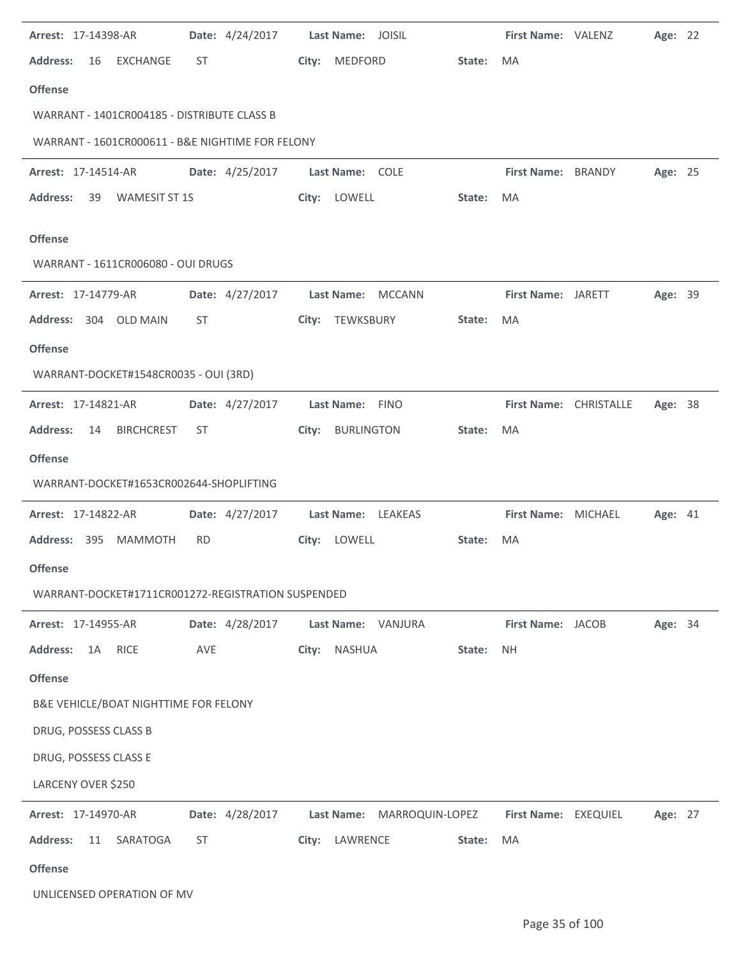| Arrest: 17-14398-AR                                                  |            | Date: 4/24/2017 |       | Last Name: JOISIL                    |        | First Name: VALENZ           | Age: 22 |  |
|----------------------------------------------------------------------|------------|-----------------|-------|--------------------------------------|--------|------------------------------|---------|--|
| <b>Address:</b><br>16<br>EXCHANGE                                    | <b>ST</b>  |                 | City: | MEDFORD                              | State: | <b>MA</b>                    |         |  |
| <b>Offense</b>                                                       |            |                 |       |                                      |        |                              |         |  |
| WARRANT - 1401CR004185 - DISTRIBUTE CLASS B                          |            |                 |       |                                      |        |                              |         |  |
| WARRANT - 1601CR000611 - B&E NIGHTIME FOR FELONY                     |            |                 |       |                                      |        |                              |         |  |
| <b>Arrest: 17-14514-AR</b>                                           |            | Date: 4/25/2017 |       | Last Name: COLE                      |        | First Name: BRANDY           | Age: 25 |  |
| <b>WAMESIT ST 1S</b><br><b>Address:</b><br>39                        |            |                 |       | City: LOWELL                         | State: | MA                           |         |  |
| <b>Offense</b>                                                       |            |                 |       |                                      |        |                              |         |  |
| WARRANT - 1611CR006080 - OUI DRUGS                                   |            |                 |       |                                      |        |                              |         |  |
| Arrest: 17-14779-AR                                                  |            | Date: 4/27/2017 |       | Last Name: MCCANN                    |        | First Name: JARETT           | Age: 39 |  |
| Address: 304 OLD MAIN                                                | <b>ST</b>  |                 | City: | TEWKSBURY                            | State: | MA                           |         |  |
| <b>Offense</b>                                                       |            |                 |       |                                      |        |                              |         |  |
| WARRANT-DOCKET#1548CR0035 - OUI (3RD)                                |            |                 |       |                                      |        |                              |         |  |
|                                                                      |            | Date: 4/27/2017 |       |                                      |        |                              | Age: 38 |  |
| Arrest: 17-14821-AR<br><b>Address:</b><br><b>BIRCHCREST</b><br>14    | ST         |                 | City: | Last Name: FINO<br><b>BURLINGTON</b> | State: | First Name: CHRISTALLE<br>MA |         |  |
| <b>Offense</b>                                                       |            |                 |       |                                      |        |                              |         |  |
| WARRANT-DOCKET#1653CR002644-SHOPLIFTING                              |            |                 |       |                                      |        |                              |         |  |
|                                                                      |            |                 |       |                                      |        |                              |         |  |
| Arrest: 17-14822-AR                                                  |            | Date: 4/27/2017 |       | Last Name: LEAKEAS                   |        | First Name: MICHAEL          | Age: 41 |  |
| Address: 395 MAMMOTH                                                 | RD.        |                 |       | City: LOWELL                         | State: | MA                           |         |  |
| <b>Offense</b><br>WARRANT-DOCKET#1711CR001272-REGISTRATION SUSPENDED |            |                 |       |                                      |        |                              |         |  |
|                                                                      |            |                 |       |                                      |        |                              |         |  |
| <b>Arrest: 17-14955-AR</b>                                           |            | Date: 4/28/2017 |       | Last Name: VANJURA                   |        | First Name: JACOB            | Age: 34 |  |
| <b>Address:</b><br>1A<br><b>RICE</b>                                 | <b>AVE</b> |                 | City: | NASHUA                               | State: | <b>NH</b>                    |         |  |
| <b>Offense</b>                                                       |            |                 |       |                                      |        |                              |         |  |
| B&E VEHICLE/BOAT NIGHTTIME FOR FELONY                                |            |                 |       |                                      |        |                              |         |  |
| DRUG, POSSESS CLASS B                                                |            |                 |       |                                      |        |                              |         |  |
| DRUG, POSSESS CLASS E                                                |            |                 |       |                                      |        |                              |         |  |
| LARCENY OVER \$250                                                   |            |                 |       |                                      |        |                              |         |  |
| Arrest: 17-14970-AR                                                  |            | Date: 4/28/2017 |       | Last Name: MARROQUIN-LOPEZ           |        | First Name: EXEQUIEL         | Age: 27 |  |
| <b>Address:</b><br>11<br>SARATOGA                                    | ST         |                 |       | City: LAWRENCE                       | State: | MA                           |         |  |
| <b>Offense</b>                                                       |            |                 |       |                                      |        |                              |         |  |
| UNLICENSED OPERATION OF MV                                           |            |                 |       |                                      |        |                              |         |  |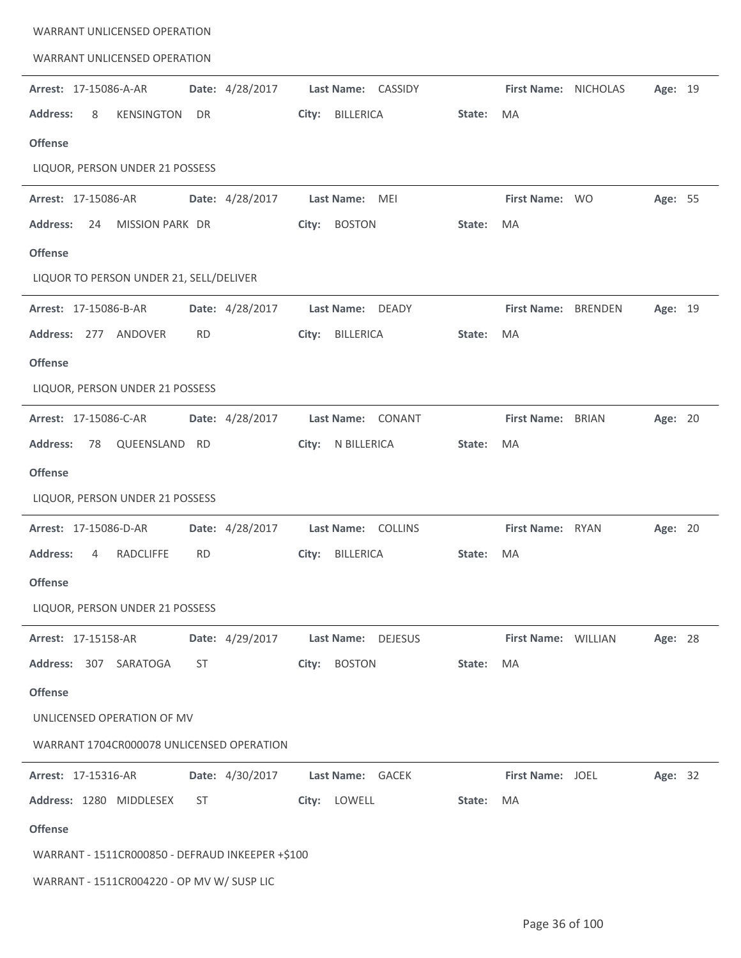| <b>WARRANT UNLICENSED OPERATION</b>                   |                           |                         |                         |
|-------------------------------------------------------|---------------------------|-------------------------|-------------------------|
| <b>WARRANT UNLICENSED OPERATION</b>                   |                           |                         |                         |
| Date: 4/28/2017<br>Arrest: 17-15086-A-AR              | Last Name: CASSIDY        | First Name: NICHOLAS    | Age: 19                 |
| <b>Address:</b><br><b>KENSINGTON</b><br>8<br>DR       | <b>BILLERICA</b><br>City: | State:<br>MA            |                         |
| <b>Offense</b>                                        |                           |                         |                         |
| LIQUOR, PERSON UNDER 21 POSSESS                       |                           |                         |                         |
| Date: 4/28/2017<br>Arrest: 17-15086-AR                | Last Name: MEI            | First Name: WO          | Age: 55                 |
| MISSION PARK DR<br><b>Address:</b><br>24              | <b>BOSTON</b><br>City:    | MA<br>State:            |                         |
| <b>Offense</b>                                        |                           |                         |                         |
| LIQUOR TO PERSON UNDER 21, SELL/DELIVER               |                           |                         |                         |
| Date: 4/28/2017<br>Arrest: 17-15086-B-AR              | Last Name: DEADY          | First Name: BRENDEN     | Age: 19                 |
| Address: 277 ANDOVER<br><b>RD</b>                     | <b>BILLERICA</b><br>City: | State:<br>MA            |                         |
| <b>Offense</b>                                        |                           |                         |                         |
| LIQUOR, PERSON UNDER 21 POSSESS                       |                           |                         |                         |
| Arrest: 17-15086-C-AR<br>Date: 4/28/2017              | Last Name: CONANT         | <b>First Name:</b>      | <b>BRIAN</b><br>Age: 20 |
| QUEENSLAND RD<br><b>Address:</b><br>78                | N BILLERICA<br>City:      | MA<br>State:            |                         |
| <b>Offense</b>                                        |                           |                         |                         |
| LIQUOR, PERSON UNDER 21 POSSESS                       |                           |                         |                         |
| Arrest: 17-15086-D-AR<br>Date: 4/28/2017              | Last Name: COLLINS        | First Name: RYAN        | Age: 20                 |
| <b>Address:</b><br><b>RADCLIFFE</b><br><b>RD</b><br>4 | <b>BILLERICA</b><br>City: | State:<br>MA            |                         |
| <b>Offense</b>                                        |                           |                         |                         |
| LIQUOR, PERSON UNDER 21 POSSESS                       |                           |                         |                         |
| Date: 4/29/2017<br><b>Arrest: 17-15158-AR</b>         | Last Name: DEJESUS        | First Name: WILLIAN     | Age: 28                 |
| Address: 307 SARATOGA<br>ST                           | <b>BOSTON</b><br>City:    | MA<br>State:            |                         |
| <b>Offense</b>                                        |                           |                         |                         |
| UNLICENSED OPERATION OF MV                            |                           |                         |                         |
| WARRANT 1704CR000078 UNLICENSED OPERATION             |                           |                         |                         |
| Date: 4/30/2017<br>Arrest: 17-15316-AR                | Last Name: GACEK          | <b>First Name: JOEL</b> | Age: 32                 |
| Address: 1280 MIDDLESEX<br>ST                         | City: LOWELL              | State:<br>MA            |                         |
| <b>Offense</b>                                        |                           |                         |                         |
| WARRANT - 1511CR000850 - DEFRAUD INKEEPER +\$100      |                           |                         |                         |
| WARRANT - 1511CR004220 - OP MV W/ SUSP LIC            |                           |                         |                         |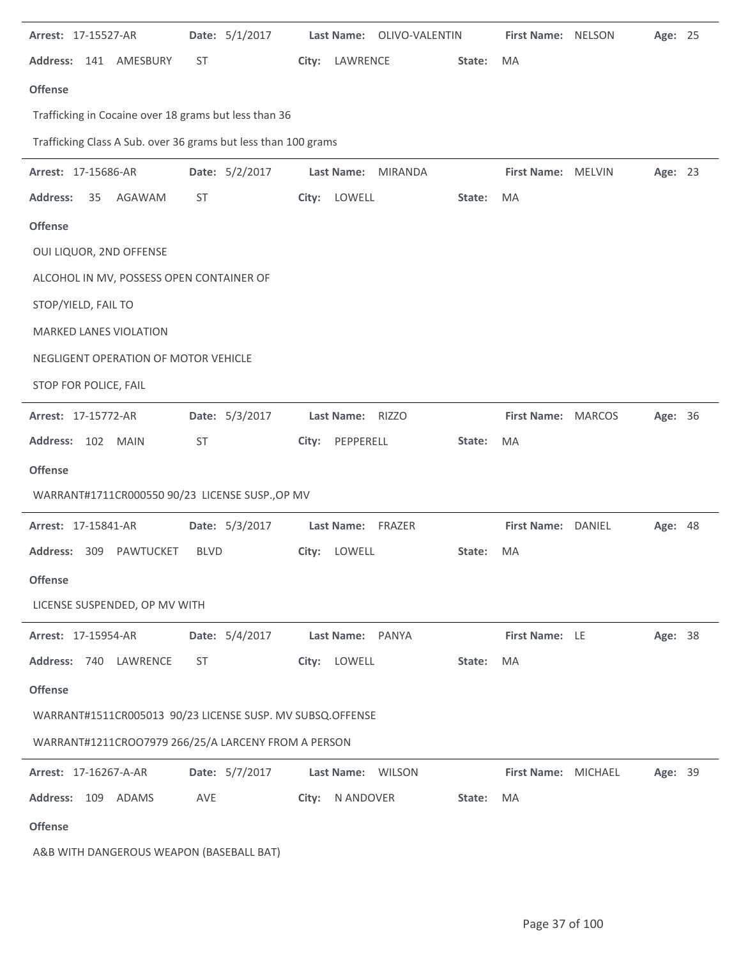| Arrest: 17-15527-AR                                            | Date: 5/1/2017 |                    | Last Name: OLIVO-VALENTIN | <b>First Name: NELSON</b> | Age: 25        |  |
|----------------------------------------------------------------|----------------|--------------------|---------------------------|---------------------------|----------------|--|
| <b>Address:</b><br>141 AMESBURY                                | <b>ST</b>      | LAWRENCE<br>City:  | State:                    | <b>MA</b>                 |                |  |
| <b>Offense</b>                                                 |                |                    |                           |                           |                |  |
| Trafficking in Cocaine over 18 grams but less than 36          |                |                    |                           |                           |                |  |
| Trafficking Class A Sub. over 36 grams but less than 100 grams |                |                    |                           |                           |                |  |
| Arrest: 17-15686-AR                                            | Date: 5/2/2017 | <b>Last Name:</b>  | <b>MIRANDA</b>            | First Name: MELVIN        | Age: 23        |  |
| Address:<br>35<br>AGAWAM                                       | ST             | LOWELL<br>City:    | State:                    | MA                        |                |  |
| <b>Offense</b>                                                 |                |                    |                           |                           |                |  |
| OUI LIQUOR, 2ND OFFENSE                                        |                |                    |                           |                           |                |  |
| ALCOHOL IN MV, POSSESS OPEN CONTAINER OF                       |                |                    |                           |                           |                |  |
| STOP/YIELD, FAIL TO                                            |                |                    |                           |                           |                |  |
| MARKED LANES VIOLATION                                         |                |                    |                           |                           |                |  |
| NEGLIGENT OPERATION OF MOTOR VEHICLE                           |                |                    |                           |                           |                |  |
| STOP FOR POLICE, FAIL                                          |                |                    |                           |                           |                |  |
| Arrest: 17-15772-AR                                            | Date: 5/3/2017 | Last Name: RIZZO   |                           | First Name: MARCOS        | Age: 36        |  |
| Address: 102 MAIN                                              | <b>ST</b>      | City:<br>PEPPERELL | State:                    | MA                        |                |  |
| <b>Offense</b>                                                 |                |                    |                           |                           |                |  |
| WARRANT#1711CR000550 90/23 LICENSE SUSP., OP MV                |                |                    |                           |                           |                |  |
| Arrest: 17-15841-AR                                            | Date: 5/3/2017 | Last Name: FRAZER  |                           | First Name: DANIEL        | <b>Age: 48</b> |  |
| Address:<br>309<br><b>PAWTUCKET</b>                            | <b>BLVD</b>    | LOWELL<br>City:    | State:                    | MA                        |                |  |
| <b>Offense</b>                                                 |                |                    |                           |                           |                |  |
| LICENSE SUSPENDED, OP MV WITH                                  |                |                    |                           |                           |                |  |
| Arrest: 17-15954-AR                                            | Date: 5/4/2017 | Last Name: PANYA   |                           | First Name: LE            | Age: 38        |  |
| Address: 740<br>LAWRENCE                                       | <b>ST</b>      | LOWELL<br>City:    | State:                    | MA                        |                |  |
| <b>Offense</b>                                                 |                |                    |                           |                           |                |  |
| WARRANT#1511CR005013 90/23 LICENSE SUSP. MV SUBSQ.OFFENSE      |                |                    |                           |                           |                |  |
| WARRANT#1211CROO7979 266/25/A LARCENY FROM A PERSON            |                |                    |                           |                           |                |  |
| Arrest: 17-16267-A-AR                                          | Date: 5/7/2017 | Last Name:         | <b>WILSON</b>             | First Name: MICHAEL       | Age: 39        |  |
| Address: 109 ADAMS                                             | AVE            | N ANDOVER<br>City: | State:                    | MA                        |                |  |
| <b>Offense</b>                                                 |                |                    |                           |                           |                |  |
| A&B WITH DANGEROUS WEAPON (BASEBALL BAT)                       |                |                    |                           |                           |                |  |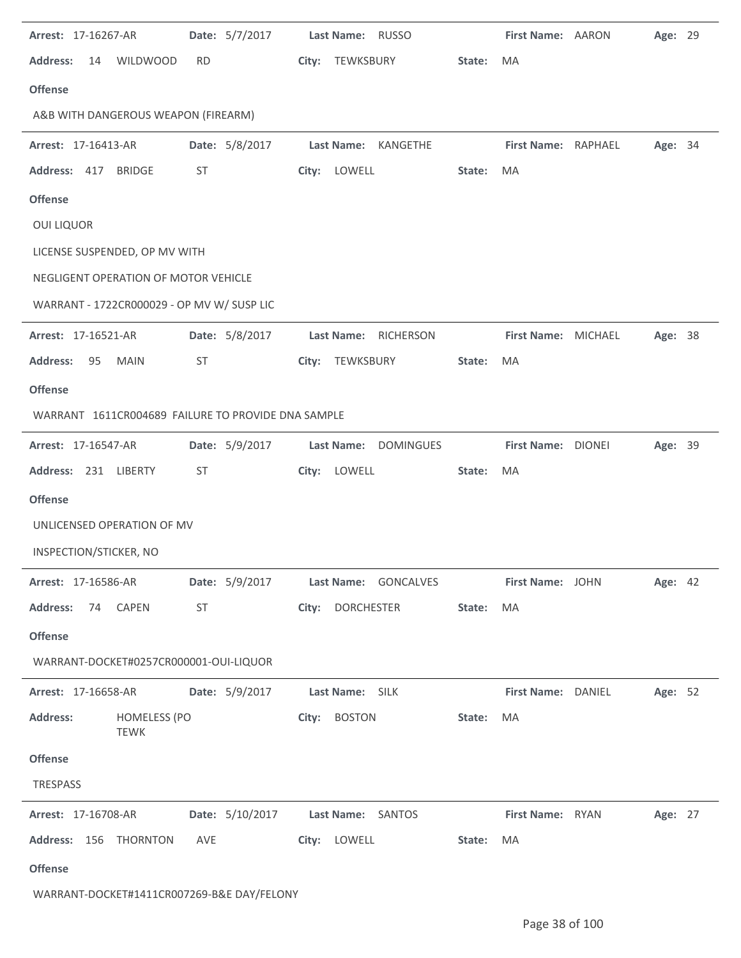| Arrest: 17-16267-AR                                    |                | Date: 5/7/2017                    | Last Name: RUSSO                      |        | First Name: AARON   |                           | Age: 29 |  |
|--------------------------------------------------------|----------------|-----------------------------------|---------------------------------------|--------|---------------------|---------------------------|---------|--|
| <b>Address:</b><br>14<br><b>WILDWOOD</b>               | <b>RD</b>      |                                   | City: TEWKSBURY                       | State: | <b>MA</b>           |                           |         |  |
| <b>Offense</b>                                         |                |                                   |                                       |        |                     |                           |         |  |
| A&B WITH DANGEROUS WEAPON (FIREARM)                    |                |                                   |                                       |        |                     |                           |         |  |
| Arrest: 17-16413-AR                                    | Date: 5/8/2017 |                                   | <b>Last Name:</b><br>KANGETHE         |        | First Name: RAPHAEL |                           | Age: 34 |  |
| Address: 417 BRIDGE                                    | ST             |                                   | City: LOWELL                          | State: | MA                  |                           |         |  |
| <b>Offense</b>                                         |                |                                   |                                       |        |                     |                           |         |  |
| <b>OUI LIQUOR</b>                                      |                |                                   |                                       |        |                     |                           |         |  |
| LICENSE SUSPENDED, OP MV WITH                          |                |                                   |                                       |        |                     |                           |         |  |
| NEGLIGENT OPERATION OF MOTOR VEHICLE                   |                |                                   |                                       |        |                     |                           |         |  |
| WARRANT - 1722CR000029 - OP MV W/ SUSP LIC             |                |                                   |                                       |        |                     |                           |         |  |
| Arrest: 17-16521-AR                                    | Date: 5/8/2017 |                                   | <b>Last Name:</b><br>RICHERSON        |        | First Name: MICHAEL |                           | Age: 38 |  |
| <b>Address:</b><br>95<br><b>MAIN</b>                   | ST             | City:                             | TEWKSBURY                             | State: | MA                  |                           |         |  |
| <b>Offense</b>                                         |                |                                   |                                       |        |                     |                           |         |  |
| WARRANT 1611CR004689 FAILURE TO PROVIDE DNA SAMPLE     |                |                                   |                                       |        |                     |                           |         |  |
| Arrest: 17-16547-AR                                    | Date: 5/9/2017 |                                   | <b>Last Name:</b><br><b>DOMINGUES</b> |        | First Name: DIONEI  |                           | Age: 39 |  |
| Address: 231 LIBERTY                                   | ST             |                                   | City: LOWELL                          | State: | MA                  |                           |         |  |
| <b>Offense</b>                                         |                |                                   |                                       |        |                     |                           |         |  |
|                                                        |                |                                   |                                       |        |                     |                           |         |  |
| UNLICENSED OPERATION OF MV                             |                |                                   |                                       |        |                     |                           |         |  |
| INSPECTION/STICKER, NO                                 |                |                                   |                                       |        |                     |                           |         |  |
| <b>Arrest: 17-16586-AR</b>                             |                |                                   | Date: 5/9/2017 Last Name: GONCALVES   |        |                     | First Name: JOHN Age: 42  |         |  |
| Address: 74 CAPEN                                      | <b>ST</b>      |                                   | City: DORCHESTER                      | State: | MA                  |                           |         |  |
| <b>Offense</b>                                         |                |                                   |                                       |        |                     |                           |         |  |
| WARRANT-DOCKET#0257CR000001-OUI-LIQUOR                 |                |                                   |                                       |        |                     |                           |         |  |
| Arrest: 17-16658-AR   Date: 5/9/2017   Last Name: SILK |                |                                   |                                       |        |                     | <b>First Name: DANIEL</b> | Age: 52 |  |
| <b>Address:</b><br><b>HOMELESS (PO</b><br><b>TEWK</b>  |                |                                   | City: BOSTON                          | State: | MA                  |                           |         |  |
| <b>Offense</b>                                         |                |                                   |                                       |        |                     |                           |         |  |
| TRESPASS                                               |                |                                   |                                       |        |                     |                           |         |  |
| <b>Arrest: 17-16708-AR</b>                             |                | Date: 5/10/2017 Last Name: SANTOS |                                       |        |                     | First Name: RYAN Age: 27  |         |  |
| Address: 156 THORNTON AVE                              |                |                                   | City: LOWELL                          | State: | MA                  |                           |         |  |

WARRANT-DOCKET#1411CR007269-B&E DAY/FELONY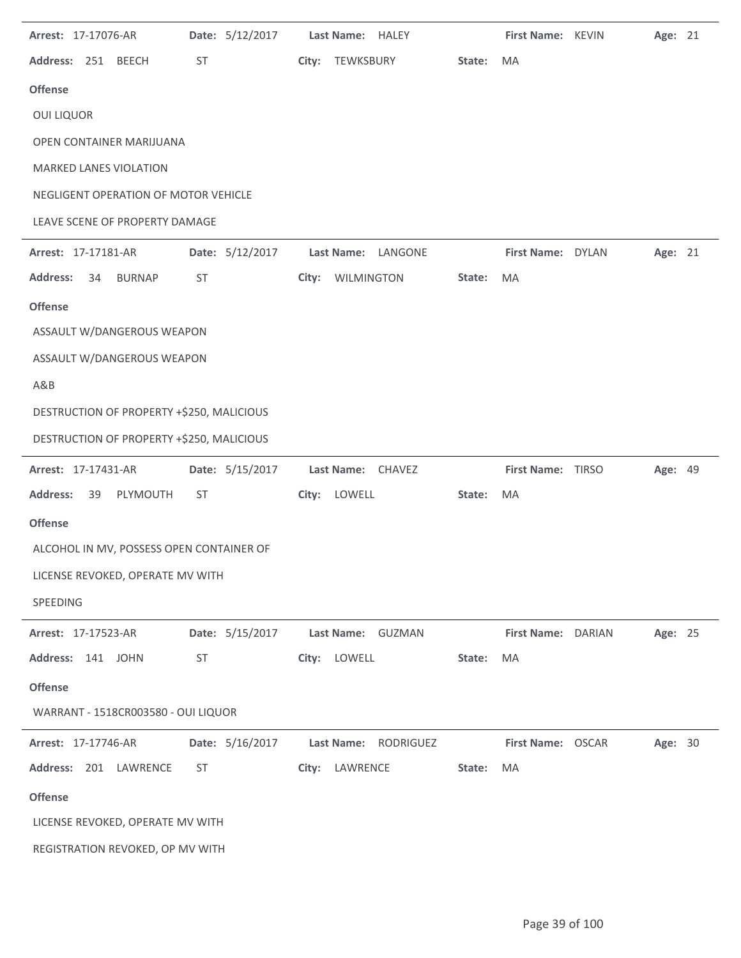| Arrest: 17-17076-AR |    |                                           |           | Date: 5/12/2017 | Last Name: HALEY               |        | First Name: KEVIN  | Age: 21 |  |
|---------------------|----|-------------------------------------------|-----------|-----------------|--------------------------------|--------|--------------------|---------|--|
| Address: 251 BEECH  |    |                                           | ST        |                 | City: TEWKSBURY                | State: | MA                 |         |  |
| <b>Offense</b>      |    |                                           |           |                 |                                |        |                    |         |  |
| <b>OUI LIQUOR</b>   |    |                                           |           |                 |                                |        |                    |         |  |
|                     |    | OPEN CONTAINER MARIJUANA                  |           |                 |                                |        |                    |         |  |
|                     |    | <b>MARKED LANES VIOLATION</b>             |           |                 |                                |        |                    |         |  |
|                     |    | NEGLIGENT OPERATION OF MOTOR VEHICLE      |           |                 |                                |        |                    |         |  |
|                     |    | LEAVE SCENE OF PROPERTY DAMAGE            |           |                 |                                |        |                    |         |  |
| Arrest: 17-17181-AR |    |                                           |           | Date: 5/12/2017 | Last Name: LANGONE             |        | First Name: DYLAN  | Age: 21 |  |
| <b>Address:</b>     | 34 | <b>BURNAP</b>                             | ST        |                 | City: WILMINGTON               | State: | MA                 |         |  |
| <b>Offense</b>      |    |                                           |           |                 |                                |        |                    |         |  |
|                     |    | ASSAULT W/DANGEROUS WEAPON                |           |                 |                                |        |                    |         |  |
|                     |    | ASSAULT W/DANGEROUS WEAPON                |           |                 |                                |        |                    |         |  |
| A&B                 |    |                                           |           |                 |                                |        |                    |         |  |
|                     |    | DESTRUCTION OF PROPERTY +\$250, MALICIOUS |           |                 |                                |        |                    |         |  |
|                     |    | DESTRUCTION OF PROPERTY +\$250, MALICIOUS |           |                 |                                |        |                    |         |  |
| Arrest: 17-17431-AR |    |                                           |           | Date: 5/15/2017 | Last Name: CHAVEZ              |        | First Name: TIRSO  | Age: 49 |  |
| <b>Address:</b>     | 39 | PLYMOUTH                                  | ST        |                 | City: LOWELL                   | State: | MA                 |         |  |
| <b>Offense</b>      |    |                                           |           |                 |                                |        |                    |         |  |
|                     |    | ALCOHOL IN MV, POSSESS OPEN CONTAINER OF  |           |                 |                                |        |                    |         |  |
|                     |    | LICENSE REVOKED, OPERATE MV WITH          |           |                 |                                |        |                    |         |  |
| SPEEDING            |    |                                           |           |                 |                                |        |                    |         |  |
| Arrest: 17-17523-AR |    |                                           |           | Date: 5/15/2017 | Last Name: GUZMAN              |        | First Name: DARIAN | Age: 25 |  |
| Address: 141 JOHN   |    |                                           | <b>ST</b> |                 | City: LOWELL                   | State: | MA                 |         |  |
| <b>Offense</b>      |    |                                           |           |                 |                                |        |                    |         |  |
|                     |    | WARRANT - 1518CR003580 - OUI LIQUOR       |           |                 |                                |        |                    |         |  |
| Arrest: 17-17746-AR |    |                                           |           | Date: 5/16/2017 | <b>Last Name:</b><br>RODRIGUEZ |        | First Name: OSCAR  | Age: 30 |  |
|                     |    | Address: 201 LAWRENCE                     | ST        |                 | City: LAWRENCE                 | State: | MA                 |         |  |
| <b>Offense</b>      |    |                                           |           |                 |                                |        |                    |         |  |
|                     |    | LICENSE REVOKED, OPERATE MV WITH          |           |                 |                                |        |                    |         |  |
|                     |    | REGISTRATION REVOKED, OP MV WITH          |           |                 |                                |        |                    |         |  |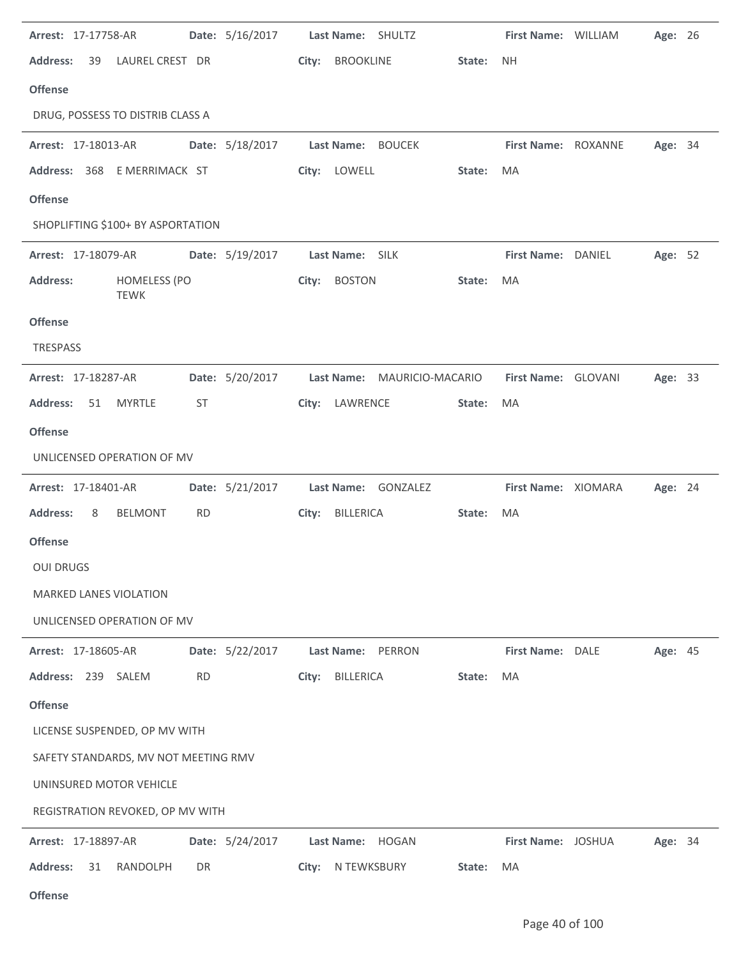| Arrest: 17-17758-AR                  |                                    |           | Date: 5/16/2017                      |       |                   | Last Name: SHULTZ                              |        | First Name: WILLIAM | Age: 26 |  |
|--------------------------------------|------------------------------------|-----------|--------------------------------------|-------|-------------------|------------------------------------------------|--------|---------------------|---------|--|
| <b>Address:</b><br>39                | LAUREL CREST DR                    |           |                                      |       | City: BROOKLINE   |                                                | State: | NH.                 |         |  |
| <b>Offense</b>                       |                                    |           |                                      |       |                   |                                                |        |                     |         |  |
| DRUG, POSSESS TO DISTRIB CLASS A     |                                    |           |                                      |       |                   |                                                |        |                     |         |  |
| Arrest: 17-18013-AR                  |                                    |           | Date: 5/18/2017    Last Name: BOUCEK |       |                   |                                                |        | First Name: ROXANNE | Age: 34 |  |
| Address: 368 E MERRIMACK ST          |                                    |           |                                      |       | City: LOWELL      |                                                | State: | MA                  |         |  |
| <b>Offense</b>                       |                                    |           |                                      |       |                   |                                                |        |                     |         |  |
| SHOPLIFTING \$100+ BY ASPORTATION    |                                    |           |                                      |       |                   |                                                |        |                     |         |  |
| Arrest: 17-18079-AR                  |                                    |           | Date: 5/19/2017                      |       | Last Name: SILK   |                                                |        | First Name: DANIEL  | Age: 52 |  |
| <b>Address:</b>                      | <b>HOMELESS (PO</b><br><b>TEWK</b> |           |                                      |       | City: BOSTON      |                                                | State: | MA                  |         |  |
| <b>Offense</b>                       |                                    |           |                                      |       |                   |                                                |        |                     |         |  |
| TRESPASS                             |                                    |           |                                      |       |                   |                                                |        |                     |         |  |
| Arrest: 17-18287-AR                  |                                    |           |                                      |       |                   | Date: 5/20/2017    Last Name: MAURICIO-MACARIO |        | First Name: GLOVANI | Age: 33 |  |
| <b>Address:</b><br>51                | <b>MYRTLE</b>                      | ST        |                                      |       | City: LAWRENCE    |                                                | State: | MA                  |         |  |
| <b>Offense</b>                       |                                    |           |                                      |       |                   |                                                |        |                     |         |  |
| UNLICENSED OPERATION OF MV           |                                    |           |                                      |       |                   |                                                |        |                     |         |  |
| Arrest: 17-18401-AR                  |                                    |           | Date: 5/21/2017                      |       |                   | Last Name: GONZALEZ                            |        | First Name: XIOMARA | Age: 24 |  |
| <b>Address:</b><br>8                 | <b>BELMONT</b>                     | <b>RD</b> |                                      |       | City: BILLERICA   |                                                | State: | MA                  |         |  |
| <b>Offense</b>                       |                                    |           |                                      |       |                   |                                                |        |                     |         |  |
| <b>OUI DRUGS</b>                     |                                    |           |                                      |       |                   |                                                |        |                     |         |  |
| <b>MARKED LANES VIOLATION</b>        |                                    |           |                                      |       |                   |                                                |        |                     |         |  |
| UNLICENSED OPERATION OF MV           |                                    |           |                                      |       |                   |                                                |        |                     |         |  |
| Arrest: 17-18605-AR                  |                                    |           | Date: 5/22/2017                      |       |                   | Last Name: PERRON                              |        | First Name: DALE    | Age: 45 |  |
| Address: 239 SALEM                   |                                    | <b>RD</b> |                                      | City: | BILLERICA         |                                                | State: | MA                  |         |  |
| <b>Offense</b>                       |                                    |           |                                      |       |                   |                                                |        |                     |         |  |
| LICENSE SUSPENDED, OP MV WITH        |                                    |           |                                      |       |                   |                                                |        |                     |         |  |
| SAFETY STANDARDS, MV NOT MEETING RMV |                                    |           |                                      |       |                   |                                                |        |                     |         |  |
| UNINSURED MOTOR VEHICLE              |                                    |           |                                      |       |                   |                                                |        |                     |         |  |
| REGISTRATION REVOKED, OP MV WITH     |                                    |           |                                      |       |                   |                                                |        |                     |         |  |
| Arrest: 17-18897-AR                  |                                    |           | Date: 5/24/2017                      |       |                   | Last Name: HOGAN                               |        | First Name: JOSHUA  | Age: 34 |  |
| <b>Address:</b><br>31                | RANDOLPH                           | DR        |                                      |       | City: N TEWKSBURY |                                                | State: | MA                  |         |  |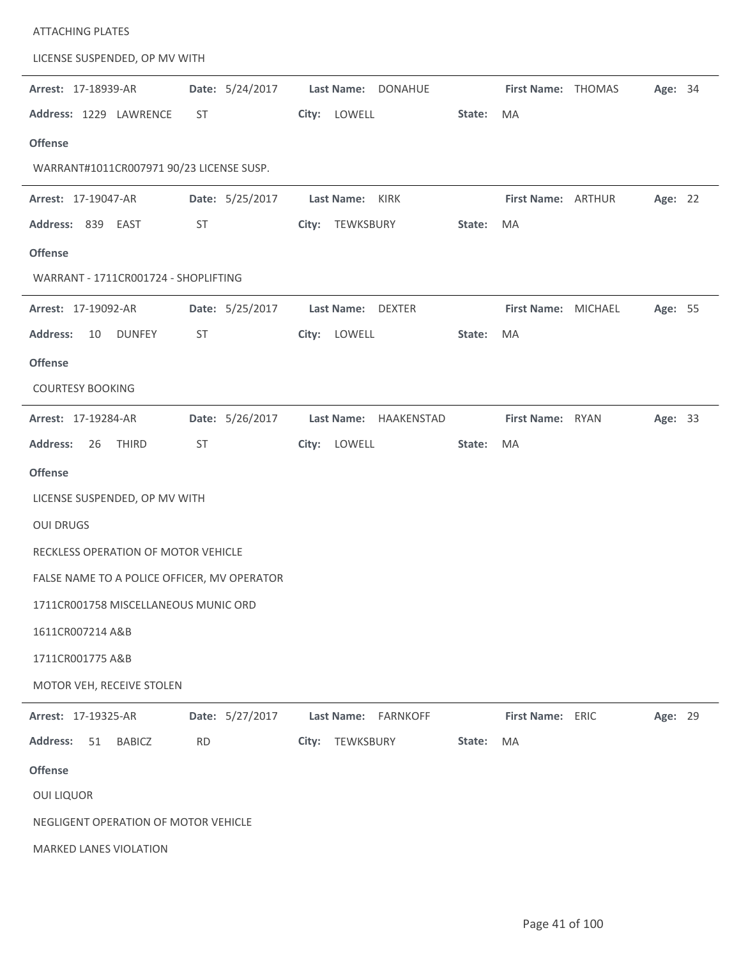| <b>ATTACHING PLATES</b>                     |                 |                                      |        |                     |         |  |
|---------------------------------------------|-----------------|--------------------------------------|--------|---------------------|---------|--|
| LICENSE SUSPENDED, OP MV WITH               |                 |                                      |        |                     |         |  |
| Arrest: 17-18939-AR                         | Date: 5/24/2017 | <b>Last Name:</b><br><b>DONAHUE</b>  |        | First Name: THOMAS  | Age: 34 |  |
| Address: 1229 LAWRENCE                      | ST              | LOWELL<br>City:                      | State: | MA                  |         |  |
| <b>Offense</b>                              |                 |                                      |        |                     |         |  |
| WARRANT#1011CR007971 90/23 LICENSE SUSP.    |                 |                                      |        |                     |         |  |
| Arrest: 17-19047-AR                         | Date: 5/25/2017 | Last Name:<br>KIRK                   |        | First Name: ARTHUR  | Age: 22 |  |
| Address: 839 EAST                           | ST              | TEWKSBURY<br>City:                   | State: | MA                  |         |  |
| <b>Offense</b>                              |                 |                                      |        |                     |         |  |
| WARRANT - 1711CR001724 - SHOPLIFTING        |                 |                                      |        |                     |         |  |
| Arrest: 17-19092-AR                         | Date: 5/25/2017 | Last Name: DEXTER                    |        | First Name: MICHAEL | Age: 55 |  |
| <b>Address:</b><br>10<br><b>DUNFEY</b>      | <b>ST</b>       | City: LOWELL                         | State: | MA                  |         |  |
| <b>Offense</b>                              |                 |                                      |        |                     |         |  |
| <b>COURTESY BOOKING</b>                     |                 |                                      |        |                     |         |  |
| Arrest: 17-19284-AR                         | Date: 5/26/2017 | Last Name: HAAKENSTAD                |        | First Name: RYAN    | Age: 33 |  |
| <b>Address:</b><br><b>THIRD</b><br>26       | ST              | LOWELL<br>City:                      | State: | MA                  |         |  |
| <b>Offense</b>                              |                 |                                      |        |                     |         |  |
| LICENSE SUSPENDED, OP MV WITH               |                 |                                      |        |                     |         |  |
| <b>OUI DRUGS</b>                            |                 |                                      |        |                     |         |  |
| RECKLESS OPERATION OF MOTOR VEHICLE         |                 |                                      |        |                     |         |  |
| FALSE NAME TO A POLICE OFFICER, MV OPERATOR |                 |                                      |        |                     |         |  |
| 1711CR001758 MISCELLANEOUS MUNIC ORD        |                 |                                      |        |                     |         |  |
| 1611CR007214 A&B                            |                 |                                      |        |                     |         |  |
| 1711CR001775 A&B                            |                 |                                      |        |                     |         |  |
| MOTOR VEH, RECEIVE STOLEN                   |                 |                                      |        |                     |         |  |
|                                             |                 |                                      |        |                     |         |  |
| Arrest: 17-19325-AR                         | Date: 5/27/2017 | <b>Last Name:</b><br><b>FARNKOFF</b> |        | First Name: ERIC    | Age: 29 |  |
| <b>Address:</b><br>51<br><b>BABICZ</b>      | <b>RD</b>       | TEWKSBURY<br>City:                   | State: | MA                  |         |  |
| <b>Offense</b>                              |                 |                                      |        |                     |         |  |
| <b>OUI LIQUOR</b>                           |                 |                                      |        |                     |         |  |
| NEGLIGENT OPERATION OF MOTOR VEHICLE        |                 |                                      |        |                     |         |  |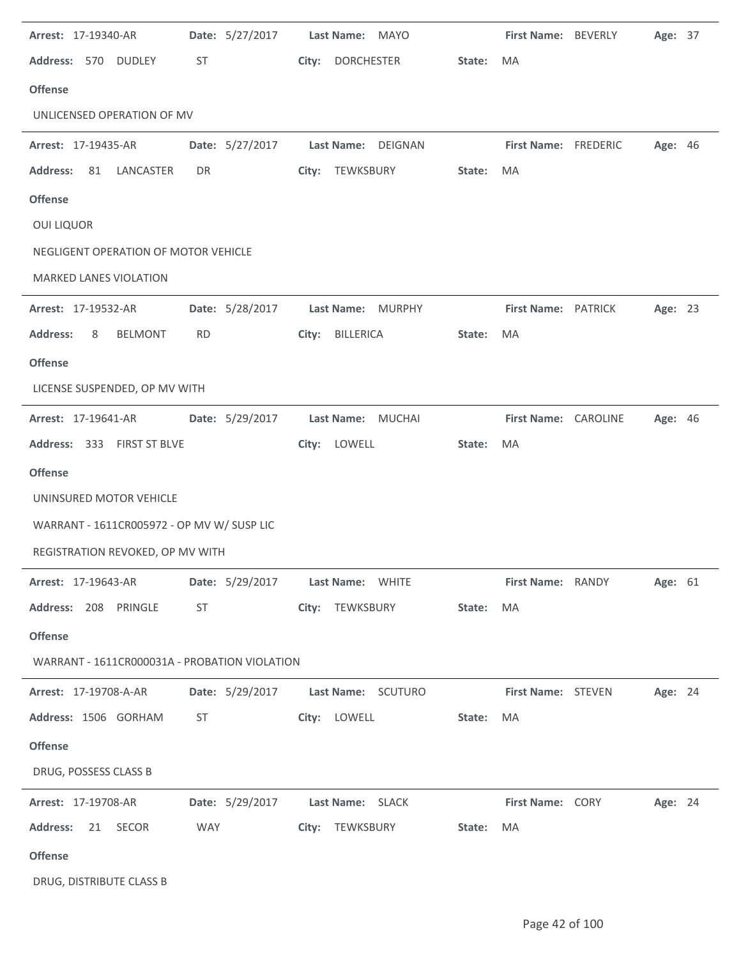| Arrest: 17-19340-AR                           | Date: 5/27/2017 | Last Name: MAYO                    |        | First Name: BEVERLY  |                   | Age: 37 |  |
|-----------------------------------------------|-----------------|------------------------------------|--------|----------------------|-------------------|---------|--|
| Address: 570<br><b>DUDLEY</b>                 | ST              | City:<br><b>DORCHESTER</b>         | State: | MA                   |                   |         |  |
| <b>Offense</b>                                |                 |                                    |        |                      |                   |         |  |
| UNLICENSED OPERATION OF MV                    |                 |                                    |        |                      |                   |         |  |
| Arrest: 17-19435-AR                           | Date: 5/27/2017 | <b>Last Name:</b><br>DEIGNAN       |        | First Name: FREDERIC |                   | Age: 46 |  |
| <b>Address:</b><br>81<br>LANCASTER            | DR              | City:<br>TEWKSBURY                 | State: | MA                   |                   |         |  |
| <b>Offense</b>                                |                 |                                    |        |                      |                   |         |  |
| <b>OUI LIQUOR</b>                             |                 |                                    |        |                      |                   |         |  |
| NEGLIGENT OPERATION OF MOTOR VEHICLE          |                 |                                    |        |                      |                   |         |  |
| MARKED LANES VIOLATION                        |                 |                                    |        |                      |                   |         |  |
| Arrest: 17-19532-AR                           | Date: 5/28/2017 | Last Name: MURPHY                  |        | First Name: PATRICK  |                   | Age: 23 |  |
| <b>Address:</b><br><b>BELMONT</b><br>8        | <b>RD</b>       | <b>BILLERICA</b><br>City:          | State: | MA                   |                   |         |  |
| <b>Offense</b>                                |                 |                                    |        |                      |                   |         |  |
| LICENSE SUSPENDED, OP MV WITH                 |                 |                                    |        |                      |                   |         |  |
| Arrest: 17-19641-AR                           | Date: 5/29/2017 | Last Name:<br>MUCHAI               |        | First Name: CAROLINE |                   | Age: 46 |  |
| Address: 333 FIRST ST BLVE                    |                 | LOWELL<br>City:                    | State: | MA                   |                   |         |  |
| <b>Offense</b>                                |                 |                                    |        |                      |                   |         |  |
| UNINSURED MOTOR VEHICLE                       |                 |                                    |        |                      |                   |         |  |
| WARRANT - 1611CR005972 - OP MV W/ SUSP LIC    |                 |                                    |        |                      |                   |         |  |
| REGISTRATION REVOKED, OP MV WITH              |                 |                                    |        |                      |                   |         |  |
| <b>Arrest: 17-19643-AR</b>                    |                 | Date: 5/29/2017 Last Name: WHITE   |        |                      | First Name: RANDY | Age: 61 |  |
| Address: 208 PRINGLE                          | ST              | City: TEWKSBURY                    | State: | MA                   |                   |         |  |
| <b>Offense</b>                                |                 |                                    |        |                      |                   |         |  |
| WARRANT - 1611CR000031A - PROBATION VIOLATION |                 |                                    |        |                      |                   |         |  |
| <b>Arrest: 17-19708-A-AR</b>                  |                 | Date: 5/29/2017 Last Name: SCUTURO |        | First Name: STEVEN   |                   | Age: 24 |  |
| Address: 1506 GORHAM                          | ST              | City: LOWELL                       | State: | MA                   |                   |         |  |
| <b>Offense</b>                                |                 |                                    |        |                      |                   |         |  |
| DRUG, POSSESS CLASS B                         |                 |                                    |        |                      |                   |         |  |
| Arrest: 17-19708-AR                           |                 | Date: 5/29/2017 Last Name: SLACK   |        | First Name: CORY     |                   | Age: 24 |  |
| Address: 21 SECOR                             | WAY             | City: TEWKSBURY                    | State: | MA                   |                   |         |  |
| <b>Offense</b>                                |                 |                                    |        |                      |                   |         |  |
| DRUG, DISTRIBUTE CLASS B                      |                 |                                    |        |                      |                   |         |  |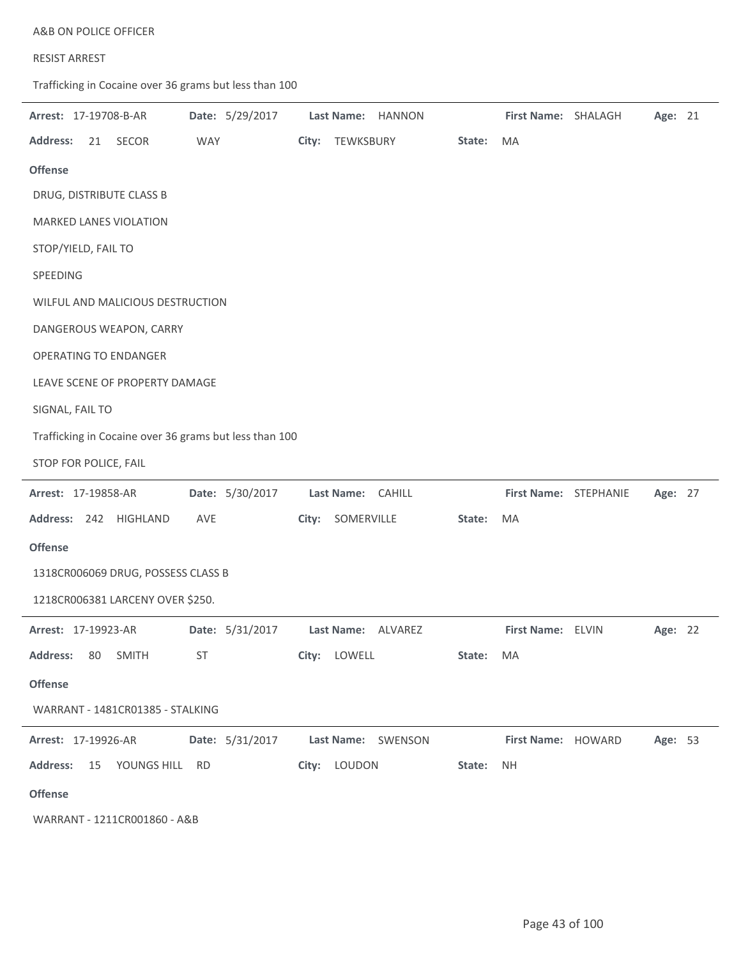| A&B ON POLICE OFFICER |  |
|-----------------------|--|
|-----------------------|--|

## RESIST ARREST

Trafficking in Cocaine over 36 grams but less than 100

| Arrest: 17-19708-B-AR                                  | Date: 5/29/2017 | Last Name: HANNON   |        | First Name: SHALAGH |                       | Age: 21 |
|--------------------------------------------------------|-----------------|---------------------|--------|---------------------|-----------------------|---------|
| <b>Address:</b><br>SECOR<br>21                         | <b>WAY</b>      | City: TEWKSBURY     | State: | MA                  |                       |         |
| <b>Offense</b>                                         |                 |                     |        |                     |                       |         |
| DRUG, DISTRIBUTE CLASS B                               |                 |                     |        |                     |                       |         |
| <b>MARKED LANES VIOLATION</b>                          |                 |                     |        |                     |                       |         |
| STOP/YIELD, FAIL TO                                    |                 |                     |        |                     |                       |         |
| SPEEDING                                               |                 |                     |        |                     |                       |         |
| WILFUL AND MALICIOUS DESTRUCTION                       |                 |                     |        |                     |                       |         |
| DANGEROUS WEAPON, CARRY                                |                 |                     |        |                     |                       |         |
| <b>OPERATING TO ENDANGER</b>                           |                 |                     |        |                     |                       |         |
| LEAVE SCENE OF PROPERTY DAMAGE                         |                 |                     |        |                     |                       |         |
| SIGNAL, FAIL TO                                        |                 |                     |        |                     |                       |         |
| Trafficking in Cocaine over 36 grams but less than 100 |                 |                     |        |                     |                       |         |
| STOP FOR POLICE, FAIL                                  |                 |                     |        |                     |                       |         |
| Arrest: 17-19858-AR                                    | Date: 5/30/2017 | Last Name: CAHILL   |        |                     | First Name: STEPHANIE | Age: 27 |
| Address: 242 HIGHLAND                                  | AVE             | SOMERVILLE<br>City: | State: | MA                  |                       |         |
| <b>Offense</b>                                         |                 |                     |        |                     |                       |         |
| 1318CR006069 DRUG, POSSESS CLASS B                     |                 |                     |        |                     |                       |         |
| 1218CR006381 LARCENY OVER \$250.                       |                 |                     |        |                     |                       |         |
| Arrest: 17-19923-AR                                    | Date: 5/31/2017 | Last Name: ALVAREZ  |        | First Name: ELVIN   |                       | Age: 22 |
| <b>Address:</b><br>SMITH<br>80                         | ST              | City: LOWELL        | State: | MA                  |                       |         |
| <b>Offense</b>                                         |                 |                     |        |                     |                       |         |
| WARRANT - 1481CR01385 - STALKING                       |                 |                     |        |                     |                       |         |
| <b>Arrest: 17-19926-AR</b>                             | Date: 5/31/2017 | Last Name: SWENSON  |        | First Name: HOWARD  |                       | Age: 53 |
| <b>Address:</b><br>15<br>YOUNGS HILL RD                |                 | City: LOUDON        | State: | <b>NH</b>           |                       |         |
| <b>Offense</b>                                         |                 |                     |        |                     |                       |         |
|                                                        |                 |                     |        |                     |                       |         |

WARRANT - 1211CR001860 - A&B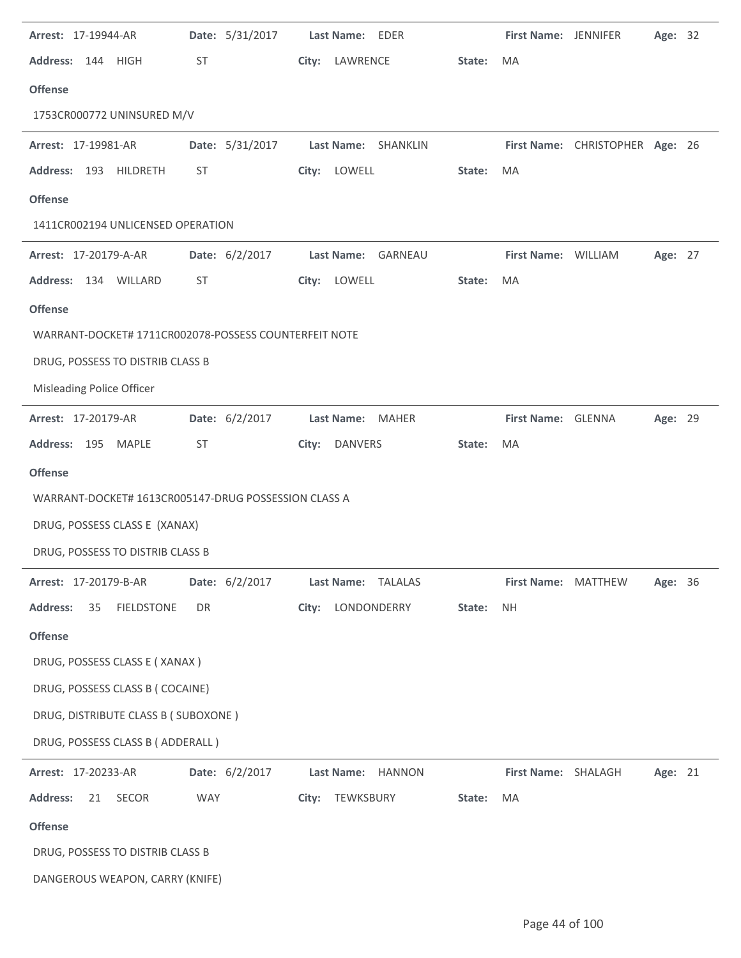| Arrest: 17-19944-AR                                                 |            | Date: 5/31/2017 |       | Last Name: EDER                         |        | First Name: JENNIFER             |                                 | Age: 32        |  |
|---------------------------------------------------------------------|------------|-----------------|-------|-----------------------------------------|--------|----------------------------------|---------------------------------|----------------|--|
| Address: 144 HIGH                                                   | ST         |                 |       | City: LAWRENCE                          | State: | MA                               |                                 |                |  |
| <b>Offense</b>                                                      |            |                 |       |                                         |        |                                  |                                 |                |  |
| 1753CR000772 UNINSURED M/V                                          |            |                 |       |                                         |        |                                  |                                 |                |  |
| Arrest: 17-19981-AR                                                 |            | Date: 5/31/2017 |       | Last Name: SHANKLIN                     |        |                                  | First Name: CHRISTOPHER Age: 26 |                |  |
| Address: 193 HILDRETH                                               | ST         |                 |       | City: LOWELL                            | State: | MA                               |                                 |                |  |
| <b>Offense</b>                                                      |            |                 |       |                                         |        |                                  |                                 |                |  |
| 1411CR002194 UNLICENSED OPERATION                                   |            |                 |       |                                         |        |                                  |                                 |                |  |
| Arrest: 17-20179-A-AR                                               |            | Date: 6/2/2017  |       | Last Name: GARNEAU                      |        | First Name: WILLIAM              |                                 | Age: 27        |  |
| Address: 134 WILLARD                                                | ST         |                 |       | City: LOWELL                            | State: | MA                               |                                 |                |  |
| <b>Offense</b>                                                      |            |                 |       |                                         |        |                                  |                                 |                |  |
| WARRANT-DOCKET# 1711CR002078-POSSESS COUNTERFEIT NOTE               |            |                 |       |                                         |        |                                  |                                 |                |  |
| DRUG, POSSESS TO DISTRIB CLASS B                                    |            |                 |       |                                         |        |                                  |                                 |                |  |
| Misleading Police Officer                                           |            |                 |       |                                         |        |                                  |                                 |                |  |
| Arrest: 17-20179-AR                                                 |            | Date: 6/2/2017  |       | Last Name: MAHER                        |        | First Name: GLENNA               |                                 | Age: 29        |  |
| Address: 195 MAPLE                                                  | ST         |                 | City: | DANVERS                                 | State: | MA                               |                                 |                |  |
| <b>Offense</b>                                                      |            |                 |       |                                         |        |                                  |                                 |                |  |
|                                                                     |            |                 |       |                                         |        |                                  |                                 |                |  |
| WARRANT-DOCKET# 1613CR005147-DRUG POSSESSION CLASS A                |            |                 |       |                                         |        |                                  |                                 |                |  |
| DRUG, POSSESS CLASS E (XANAX)                                       |            |                 |       |                                         |        |                                  |                                 |                |  |
| DRUG, POSSESS TO DISTRIB CLASS B                                    |            |                 |       |                                         |        |                                  |                                 |                |  |
|                                                                     |            |                 |       |                                         |        |                                  |                                 |                |  |
| Arrest: 17-20179-B-AR<br><b>Address:</b><br><b>FIELDSTONE</b><br>35 | DR         | Date: 6/2/2017  |       | Last Name: TALALAS<br>City: LONDONDERRY | State: | First Name: MATTHEW<br><b>NH</b> |                                 | <b>Age: 36</b> |  |
|                                                                     |            |                 |       |                                         |        |                                  |                                 |                |  |
| <b>Offense</b>                                                      |            |                 |       |                                         |        |                                  |                                 |                |  |
| DRUG, POSSESS CLASS E (XANAX)<br>DRUG, POSSESS CLASS B (COCAINE)    |            |                 |       |                                         |        |                                  |                                 |                |  |
| DRUG, DISTRIBUTE CLASS B (SUBOXONE)                                 |            |                 |       |                                         |        |                                  |                                 |                |  |
| DRUG, POSSESS CLASS B (ADDERALL)                                    |            |                 |       |                                         |        |                                  |                                 |                |  |
| Arrest: 17-20233-AR                                                 |            | Date: 6/2/2017  |       | Last Name: HANNON                       |        | First Name: SHALAGH              |                                 | Age: 21        |  |
| SECOR<br><b>Address:</b><br>21                                      | <b>WAY</b> |                 |       | City: TEWKSBURY                         | State: | MA                               |                                 |                |  |
| <b>Offense</b>                                                      |            |                 |       |                                         |        |                                  |                                 |                |  |
| DRUG, POSSESS TO DISTRIB CLASS B                                    |            |                 |       |                                         |        |                                  |                                 |                |  |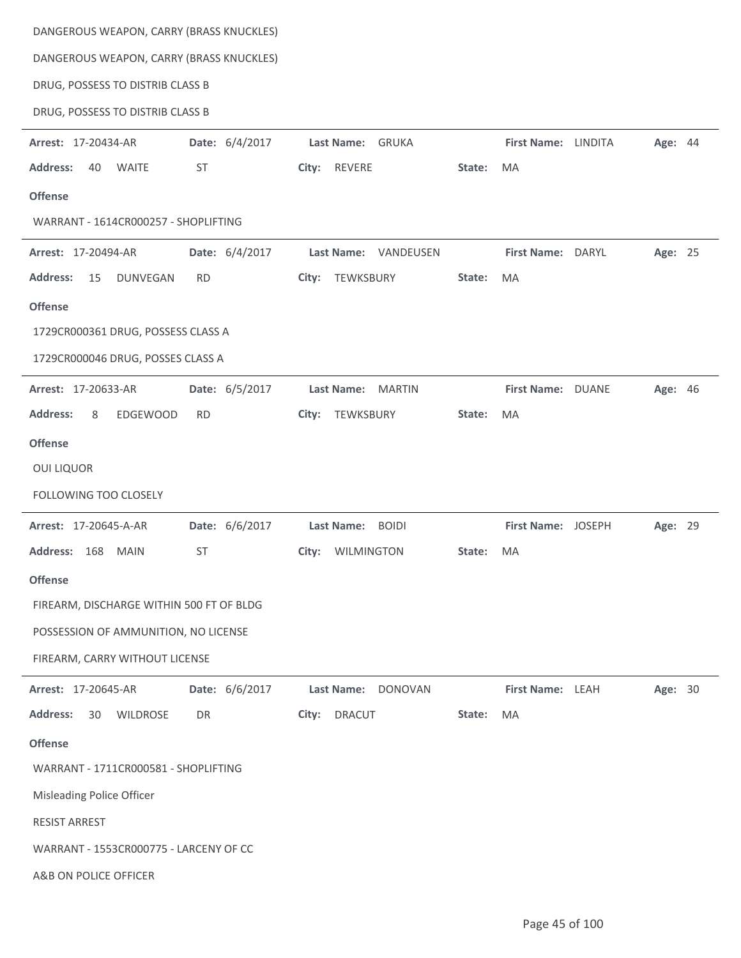| DANGEROUS WEAPON, CARRY (BRASS KNUCKLES) |                |                             |        |                     |         |  |
|------------------------------------------|----------------|-----------------------------|--------|---------------------|---------|--|
| DANGEROUS WEAPON, CARRY (BRASS KNUCKLES) |                |                             |        |                     |         |  |
| DRUG, POSSESS TO DISTRIB CLASS B         |                |                             |        |                     |         |  |
| DRUG, POSSESS TO DISTRIB CLASS B         |                |                             |        |                     |         |  |
| Arrest: 17-20434-AR                      | Date: 6/4/2017 | <b>GRUKA</b><br>Last Name:  |        | First Name: LINDITA | Age: 44 |  |
| <b>Address:</b><br>40<br><b>WAITE</b>    | <b>ST</b>      | <b>REVERE</b><br>City:      | State: | MA                  |         |  |
| <b>Offense</b>                           |                |                             |        |                     |         |  |
| WARRANT - 1614CR000257 - SHOPLIFTING     |                |                             |        |                     |         |  |
| Arrest: 17-20494-AR                      | Date: 6/4/2017 | Last Name: VANDEUSEN        |        | First Name: DARYL   | Age: 25 |  |
| <b>Address:</b><br>15<br><b>DUNVEGAN</b> | <b>RD</b>      | TEWKSBURY<br>City:          | State: | MA                  |         |  |
| <b>Offense</b>                           |                |                             |        |                     |         |  |
| 1729CR000361 DRUG, POSSESS CLASS A       |                |                             |        |                     |         |  |
| 1729CR000046 DRUG, POSSES CLASS A        |                |                             |        |                     |         |  |
| Arrest: 17-20633-AR                      | Date: 6/5/2017 | <b>MARTIN</b><br>Last Name: |        | First Name: DUANE   | Age: 46 |  |
| <b>Address:</b><br>8<br>EDGEWOOD         | <b>RD</b>      | TEWKSBURY<br>City:          | State: | MA                  |         |  |
| <b>Offense</b>                           |                |                             |        |                     |         |  |
| <b>OUI LIQUOR</b>                        |                |                             |        |                     |         |  |
| <b>FOLLOWING TOO CLOSELY</b>             |                |                             |        |                     |         |  |
| Arrest: 17-20645-A-AR                    | Date: 6/6/2017 | Last Name: BOIDI            |        | First Name: JOSEPH  | Age: 29 |  |
| 168<br><b>MAIN</b><br><b>Address:</b>    | <b>ST</b>      | WILMINGTON<br>City:         | State: | MA                  |         |  |
| <b>Offense</b>                           |                |                             |        |                     |         |  |
| FIREARM, DISCHARGE WITHIN 500 FT OF BLDG |                |                             |        |                     |         |  |
| POSSESSION OF AMMUNITION, NO LICENSE     |                |                             |        |                     |         |  |
| FIREARM, CARRY WITHOUT LICENSE           |                |                             |        |                     |         |  |
| Arrest: 17-20645-AR                      | Date: 6/6/2017 | Last Name: DONOVAN          |        | First Name: LEAH    | Age: 30 |  |
| <b>Address:</b><br>30<br><b>WILDROSE</b> | DR             | <b>DRACUT</b><br>City:      | State: | MA                  |         |  |
| <b>Offense</b>                           |                |                             |        |                     |         |  |
| WARRANT - 1711CR000581 - SHOPLIFTING     |                |                             |        |                     |         |  |
| Misleading Police Officer                |                |                             |        |                     |         |  |
| <b>RESIST ARREST</b>                     |                |                             |        |                     |         |  |
| WARRANT - 1553CR000775 - LARCENY OF CC   |                |                             |        |                     |         |  |
| A&B ON POLICE OFFICER                    |                |                             |        |                     |         |  |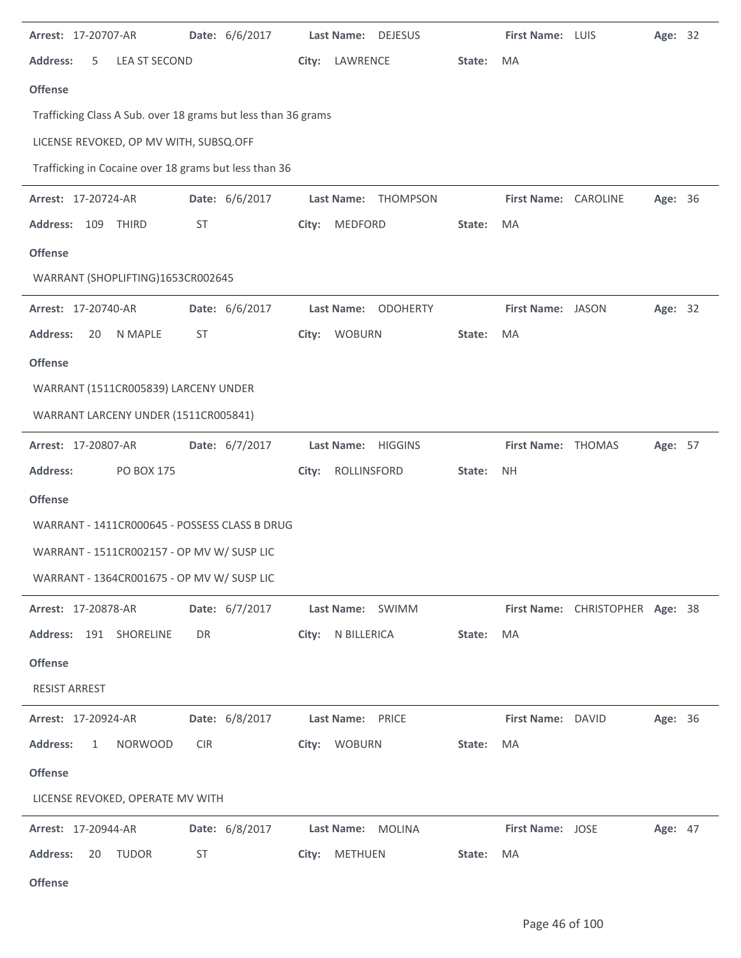| Arrest: 17-20707-AR                                           | Date: 6/6/2017 | Last Name: DEJESUS     |        | First Name: LUIS     |                                 | Age: 32 |  |
|---------------------------------------------------------------|----------------|------------------------|--------|----------------------|---------------------------------|---------|--|
| <b>Address:</b><br><b>LEA ST SECOND</b><br>5                  |                | City: LAWRENCE         | State: | MA                   |                                 |         |  |
| <b>Offense</b>                                                |                |                        |        |                      |                                 |         |  |
| Trafficking Class A Sub. over 18 grams but less than 36 grams |                |                        |        |                      |                                 |         |  |
| LICENSE REVOKED, OP MV WITH, SUBSQ.OFF                        |                |                        |        |                      |                                 |         |  |
| Trafficking in Cocaine over 18 grams but less than 36         |                |                        |        |                      |                                 |         |  |
| Arrest: 17-20724-AR                                           | Date: 6/6/2017 | THOMPSON<br>Last Name: |        | First Name: CAROLINE |                                 | Age: 36 |  |
| Address: 109 THIRD                                            | <b>ST</b>      | MEDFORD<br>City:       | State: | MA                   |                                 |         |  |
| <b>Offense</b>                                                |                |                        |        |                      |                                 |         |  |
| WARRANT (SHOPLIFTING)1653CR002645                             |                |                        |        |                      |                                 |         |  |
| Arrest: 17-20740-AR                                           | Date: 6/6/2017 | Last Name: ODOHERTY    |        | First Name: JASON    |                                 | Age: 32 |  |
| <b>Address:</b><br>N MAPLE<br>20                              | <b>ST</b>      | City: WOBURN           | State: | MA                   |                                 |         |  |
| <b>Offense</b>                                                |                |                        |        |                      |                                 |         |  |
| WARRANT (1511CR005839) LARCENY UNDER                          |                |                        |        |                      |                                 |         |  |
| WARRANT LARCENY UNDER (1511CR005841)                          |                |                        |        |                      |                                 |         |  |
| Arrest: 17-20807-AR                                           | Date: 6/7/2017 | Last Name: HIGGINS     |        | First Name: THOMAS   |                                 | Age: 57 |  |
| <b>Address:</b><br><b>PO BOX 175</b>                          |                | ROLLINSFORD<br>City:   | State: | <b>NH</b>            |                                 |         |  |
| <b>Offense</b>                                                |                |                        |        |                      |                                 |         |  |
| WARRANT - 1411CR000645 - POSSESS CLASS B DRUG                 |                |                        |        |                      |                                 |         |  |
| WARRANT - 1511CR002157 - OP MV W/ SUSP LIC                    |                |                        |        |                      |                                 |         |  |
| WARRANT - 1364CR001675 - OP MV W/ SUSP LIC                    |                |                        |        |                      |                                 |         |  |
| Arrest: 17-20878-AR                                           | Date: 6/7/2017 | Last Name: SWIMM       |        |                      | First Name: CHRISTOPHER Age: 38 |         |  |
| Address: 191 SHORELINE                                        | DR             | City: N BILLERICA      | State: | MA                   |                                 |         |  |
| <b>Offense</b>                                                |                |                        |        |                      |                                 |         |  |
| <b>RESIST ARREST</b>                                          |                |                        |        |                      |                                 |         |  |
| Arrest: 17-20924-AR                                           | Date: 6/8/2017 | Last Name: PRICE       |        | First Name: DAVID    |                                 | Age: 36 |  |
| <b>Address:</b><br>$\mathbf{1}$<br><b>NORWOOD</b>             | <b>CIR</b>     | City: WOBURN           | State: | MA                   |                                 |         |  |
| <b>Offense</b>                                                |                |                        |        |                      |                                 |         |  |
| LICENSE REVOKED, OPERATE MV WITH                              |                |                        |        |                      |                                 |         |  |
| <b>Arrest: 17-20944-AR</b>                                    | Date: 6/8/2017 | Last Name: MOLINA      |        | First Name: JOSE     |                                 | Age: 47 |  |
| <b>Address:</b><br>20<br>TUDOR                                | ST             | City: METHUEN          | State: | MA                   |                                 |         |  |
|                                                               |                |                        |        |                      |                                 |         |  |

**Offense**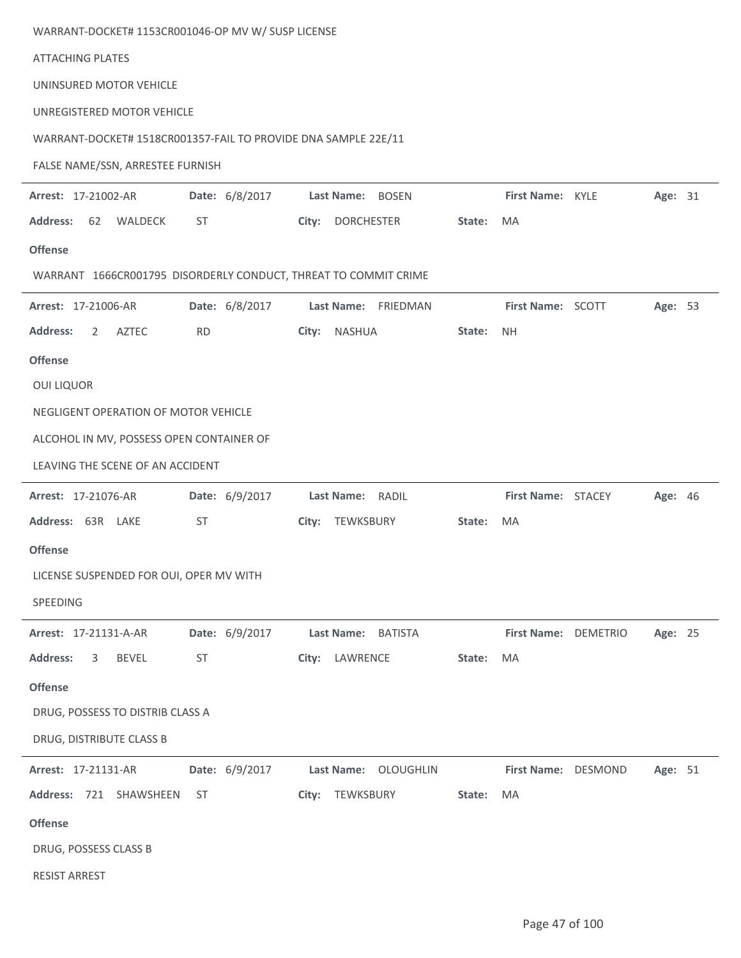| WARRANT-DOCKET# 1153CR001046-OP MV W/ SUSP LICENSE              |                |                            |        |                      |         |  |
|-----------------------------------------------------------------|----------------|----------------------------|--------|----------------------|---------|--|
| <b>ATTACHING PLATES</b>                                         |                |                            |        |                      |         |  |
| UNINSURED MOTOR VEHICLE                                         |                |                            |        |                      |         |  |
| UNREGISTERED MOTOR VEHICLE                                      |                |                            |        |                      |         |  |
| WARRANT-DOCKET# 1518CR001357-FAIL TO PROVIDE DNA SAMPLE 22E/11  |                |                            |        |                      |         |  |
| FALSE NAME/SSN, ARRESTEE FURNISH                                |                |                            |        |                      |         |  |
| Arrest: 17-21002-AR                                             | Date: 6/8/2017 | Last Name: BOSEN           |        | First Name: KYLE     | Age: 31 |  |
| <b>Address:</b><br>62<br>WALDECK                                | ST             | City:<br><b>DORCHESTER</b> | State: | MA                   |         |  |
| <b>Offense</b>                                                  |                |                            |        |                      |         |  |
| WARRANT 1666CR001795 DISORDERLY CONDUCT, THREAT TO COMMIT CRIME |                |                            |        |                      |         |  |
| Arrest: 17-21006-AR                                             | Date: 6/8/2017 | Last Name: FRIEDMAN        |        | First Name: SCOTT    | Age: 53 |  |
| <b>AZTEC</b><br><b>Address:</b><br>2                            | <b>RD</b>      | City:<br><b>NASHUA</b>     | State: | <b>NH</b>            |         |  |
| <b>Offense</b>                                                  |                |                            |        |                      |         |  |
| <b>OUI LIQUOR</b>                                               |                |                            |        |                      |         |  |
| NEGLIGENT OPERATION OF MOTOR VEHICLE                            |                |                            |        |                      |         |  |
| ALCOHOL IN MV, POSSESS OPEN CONTAINER OF                        |                |                            |        |                      |         |  |
| LEAVING THE SCENE OF AN ACCIDENT                                |                |                            |        |                      |         |  |
| Arrest: 17-21076-AR                                             | Date: 6/9/2017 | Last Name: RADIL           |        | First Name: STACEY   | Age: 46 |  |
| Address: 63R LAKE                                               | ST             | City: TEWKSBURY            | State: | MA                   |         |  |
| <b>Offense</b>                                                  |                |                            |        |                      |         |  |
| LICENSE SUSPENDED FOR OUI, OPER MV WITH                         |                |                            |        |                      |         |  |
| SPEEDING                                                        |                |                            |        |                      |         |  |
| Arrest: 17-21131-A-AR                                           | Date: 6/9/2017 | Last Name: BATISTA         |        | First Name: DEMETRIO | Age: 25 |  |
| <b>Address:</b><br><b>BEVEL</b><br>3                            | ST             | City: LAWRENCE             | State: | MA                   |         |  |
| <b>Offense</b>                                                  |                |                            |        |                      |         |  |
| DRUG, POSSESS TO DISTRIB CLASS A                                |                |                            |        |                      |         |  |
| DRUG, DISTRIBUTE CLASS B                                        |                |                            |        |                      |         |  |
| Arrest: 17-21131-AR                                             | Date: 6/9/2017 | Last Name: OLOUGHLIN       |        | First Name: DESMOND  | Age: 51 |  |
| Address: 721 SHAWSHEEN                                          | <b>ST</b>      | City: TEWKSBURY            | State: | MA                   |         |  |
| <b>Offense</b>                                                  |                |                            |        |                      |         |  |
| DRUG, POSSESS CLASS B                                           |                |                            |        |                      |         |  |
| <b>RESIST ARREST</b>                                            |                |                            |        |                      |         |  |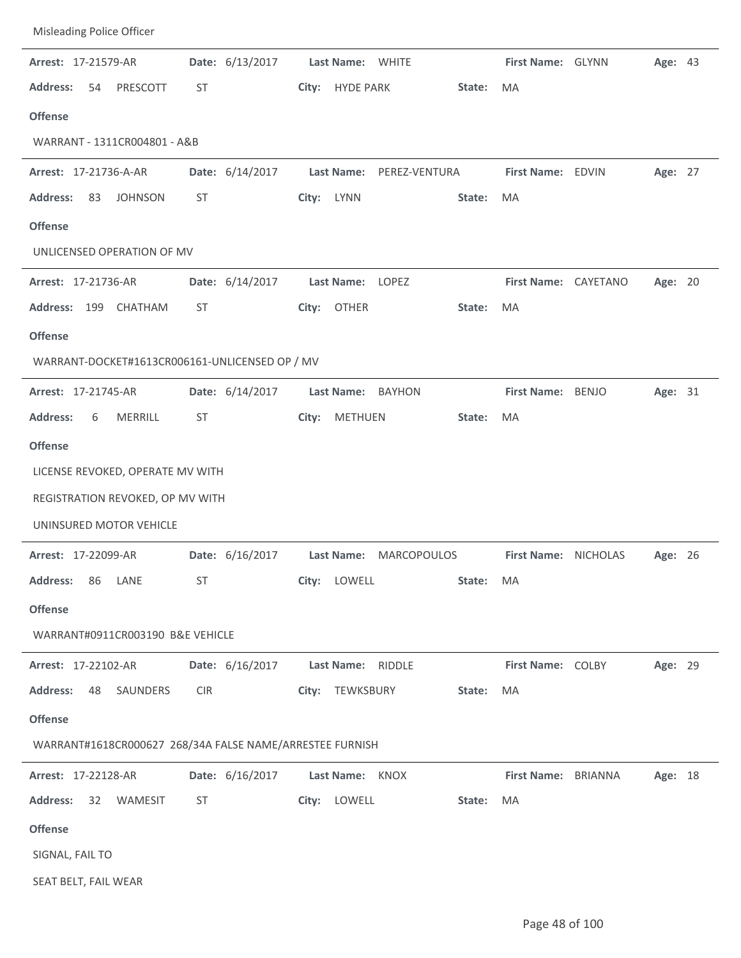| Misleading Police Officer                                |                 |                                     |                                 |
|----------------------------------------------------------|-----------------|-------------------------------------|---------------------------------|
| Arrest: 17-21579-AR                                      | Date: 6/13/2017 | Last Name: WHITE                    | First Name: GLYNN<br>Age: 43    |
| <b>Address:</b><br>54<br>PRESCOTT                        | ST              | <b>HYDE PARK</b><br>City:<br>State: | <b>MA</b>                       |
| <b>Offense</b>                                           |                 |                                     |                                 |
| WARRANT - 1311CR004801 - A&B                             |                 |                                     |                                 |
| Arrest: 17-21736-A-AR                                    | Date: 6/14/2017 | <b>Last Name:</b><br>PEREZ-VENTURA  | First Name: EDVIN<br>Age: 27    |
| <b>Address:</b><br>83<br><b>JOHNSON</b>                  | ST              | City: LYNN<br>State:                | MA                              |
| <b>Offense</b>                                           |                 |                                     |                                 |
| UNLICENSED OPERATION OF MV                               |                 |                                     |                                 |
| Arrest: 17-21736-AR                                      | Date: 6/14/2017 | Last Name: LOPEZ                    | First Name: CAYETANO<br>Age: 20 |
| Address: 199 CHATHAM                                     | ST              | City: OTHER<br>State:               | MA                              |
| <b>Offense</b>                                           |                 |                                     |                                 |
| WARRANT-DOCKET#1613CR006161-UNLICENSED OP / MV           |                 |                                     |                                 |
| Arrest: 17-21745-AR                                      | Date: 6/14/2017 | Last Name: BAYHON                   | First Name: BENJO<br>Age: 31    |
| <b>Address:</b><br><b>MERRILL</b><br>6                   | ST              | <b>METHUEN</b><br>City:<br>State:   | MA                              |
| <b>Offense</b>                                           |                 |                                     |                                 |
| LICENSE REVOKED, OPERATE MV WITH                         |                 |                                     |                                 |
| REGISTRATION REVOKED, OP MV WITH                         |                 |                                     |                                 |
| UNINSURED MOTOR VEHICLE                                  |                 |                                     |                                 |
| Arrest: 17-22099-AR                                      | Date: 6/16/2017 | Last Name: MARCOPOULOS              | First Name: NICHOLAS<br>Age: 26 |
| <b>Address:</b><br>86<br>LANE                            | ST              | City: LOWELL<br>State: MA           |                                 |
| <b>Offense</b>                                           |                 |                                     |                                 |
| WARRANT#0911CR003190 B&E VEHICLE                         |                 |                                     |                                 |
| Arrest: 17-22102-AR                                      | Date: 6/16/2017 | Last Name: RIDDLE                   | First Name: COLBY<br>Age: 29    |
| <b>Address:</b><br>48<br>SAUNDERS                        | <b>CIR</b>      | City: TEWKSBURY<br>State:           | MA                              |
| <b>Offense</b>                                           |                 |                                     |                                 |
| WARRANT#1618CR000627 268/34A FALSE NAME/ARRESTEE FURNISH |                 |                                     |                                 |
| Arrest: 17-22128-AR                                      | Date: 6/16/2017 | Last Name: KNOX                     | First Name: BRIANNA<br>Age: 18  |
| Address:<br>32<br>WAMESIT                                | ST              | City: LOWELL<br>State:              | MA                              |
|                                                          |                 |                                     |                                 |
| <b>Offense</b>                                           |                 |                                     |                                 |
| SIGNAL, FAIL TO                                          |                 |                                     |                                 |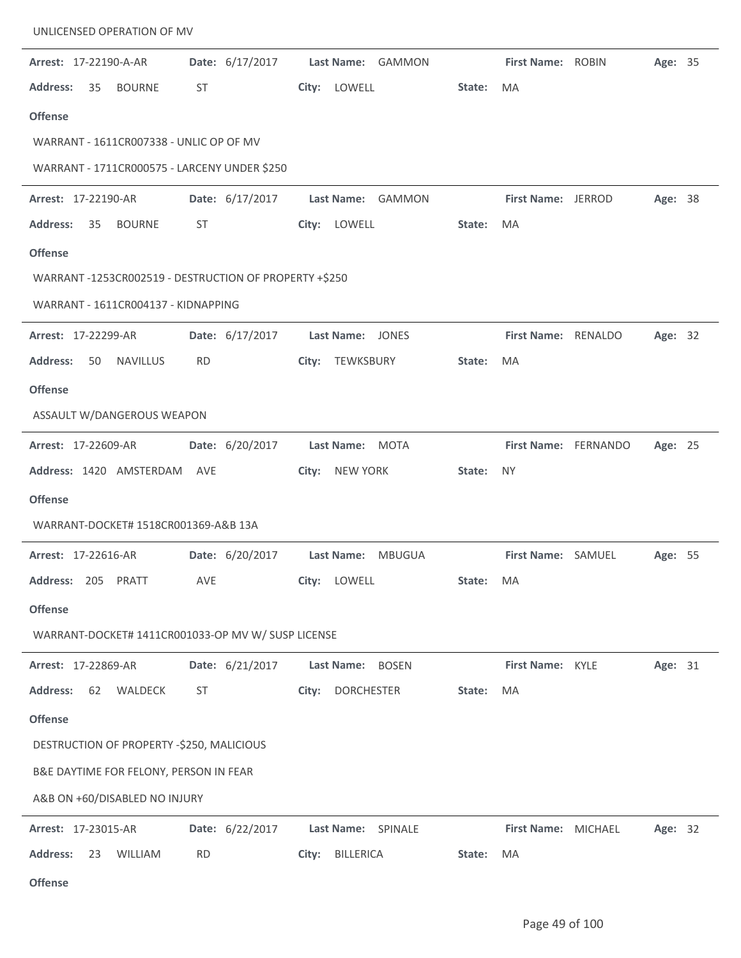| UNLICENSED OPERATION OF MV                            |                 |                      |           |                           |         |  |
|-------------------------------------------------------|-----------------|----------------------|-----------|---------------------------|---------|--|
| Arrest: 17-22190-A-AR                                 | Date: 6/17/2017 | Last Name: GAMMON    |           | First Name: ROBIN         | Age: 35 |  |
| <b>Address:</b><br>35<br><b>BOURNE</b>                | ST              | City: LOWELL         | State:    | <b>MA</b>                 |         |  |
| <b>Offense</b>                                        |                 |                      |           |                           |         |  |
| WARRANT - 1611CR007338 - UNLIC OP OF MV               |                 |                      |           |                           |         |  |
| WARRANT - 1711CR000575 - LARCENY UNDER \$250          |                 |                      |           |                           |         |  |
| Arrest: 17-22190-AR                                   | Date: 6/17/2017 | Last Name: GAMMON    |           | First Name: JERROD        | Age: 38 |  |
| <b>Address:</b><br>35<br><b>BOURNE</b>                | ST              | City: LOWELL         | State:    | <b>MA</b>                 |         |  |
| <b>Offense</b>                                        |                 |                      |           |                           |         |  |
| WARRANT-1253CR002519 - DESTRUCTION OF PROPERTY +\$250 |                 |                      |           |                           |         |  |
| WARRANT - 1611CR004137 - KIDNAPPING                   |                 |                      |           |                           |         |  |
| Arrest: 17-22299-AR                                   | Date: 6/17/2017 | Last Name: JONES     |           | First Name: RENALDO       | Age: 32 |  |
| <b>Address:</b><br><b>NAVILLUS</b><br>50              | <b>RD</b>       | TEWKSBURY<br>City:   | State:    | MA                        |         |  |
| <b>Offense</b>                                        |                 |                      |           |                           |         |  |
| ASSAULT W/DANGEROUS WEAPON                            |                 |                      |           |                           |         |  |
| Arrest: 17-22609-AR                                   | Date: 6/20/2017 | Last Name: MOTA      |           | First Name: FERNANDO      | Age: 25 |  |
| Address: 1420 AMSTERDAM                               | AVE             | NEW YORK<br>City:    | State:    | <b>NY</b>                 |         |  |
| <b>Offense</b>                                        |                 |                      |           |                           |         |  |
| WARRANT-DOCKET# 1518CR001369-A&B 13A                  |                 |                      |           |                           |         |  |
| Arrest: 17-22616-AR                                   | Date: 6/20/2017 | Last Name:<br>MBUGUA |           | <b>First Name: SAMUEL</b> | Age: 55 |  |
| Address: 205 PRATT                                    | AVE             | City: LOWELL         | State: MA |                           |         |  |
| <b>Offense</b>                                        |                 |                      |           |                           |         |  |
| WARRANT-DOCKET# 1411CR001033-OP MV W/ SUSP LICENSE    |                 |                      |           |                           |         |  |
| Arrest: 17-22869-AR                                   | Date: 6/21/2017 | Last Name: BOSEN     |           | First Name: KYLE          | Age: 31 |  |
| <b>Address:</b><br>62<br>WALDECK                      | ST              | City: DORCHESTER     | State:    | MA                        |         |  |
| <b>Offense</b>                                        |                 |                      |           |                           |         |  |
| DESTRUCTION OF PROPERTY -\$250, MALICIOUS             |                 |                      |           |                           |         |  |
| B&E DAYTIME FOR FELONY, PERSON IN FEAR                |                 |                      |           |                           |         |  |
| A&B ON +60/DISABLED NO INJURY                         |                 |                      |           |                           |         |  |
| Arrest: 17-23015-AR                                   | Date: 6/22/2017 | Last Name: SPINALE   |           | First Name: MICHAEL       | Age: 32 |  |
| <b>Address:</b><br><b>WILLIAM</b><br>23               | <b>RD</b>       | BILLERICA<br>City:   | State:    | MA                        |         |  |
| <b>Offense</b>                                        |                 |                      |           |                           |         |  |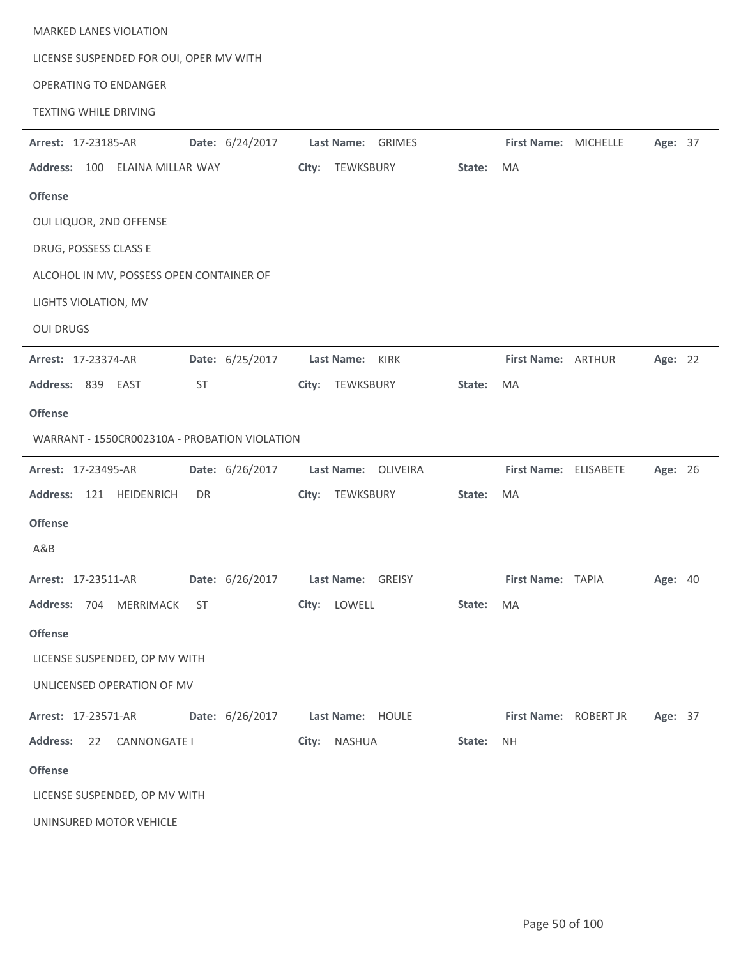| <b>MARKED LANES VIOLATION</b><br>LICENSE SUSPENDED FOR OUI, OPER MV WITH<br><b>OPERATING TO ENDANGER</b><br><b>TEXTING WHILE DRIVING</b> |                                      |        |                            |                               |         |  |
|------------------------------------------------------------------------------------------------------------------------------------------|--------------------------------------|--------|----------------------------|-------------------------------|---------|--|
|                                                                                                                                          |                                      |        |                            |                               |         |  |
| Date: 6/24/2017<br>Arrest: 17-23185-AR                                                                                                   | Last Name: GRIMES<br>City: TEWKSBURY | State: | First Name: MICHELLE<br>MA |                               | Age: 37 |  |
| Address: 100 ELAINA MILLAR WAY                                                                                                           |                                      |        |                            |                               |         |  |
| <b>Offense</b>                                                                                                                           |                                      |        |                            |                               |         |  |
| OUI LIQUOR, 2ND OFFENSE                                                                                                                  |                                      |        |                            |                               |         |  |
| DRUG, POSSESS CLASS E                                                                                                                    |                                      |        |                            |                               |         |  |
| ALCOHOL IN MV, POSSESS OPEN CONTAINER OF                                                                                                 |                                      |        |                            |                               |         |  |
| LIGHTS VIOLATION, MV                                                                                                                     |                                      |        |                            |                               |         |  |
| <b>OUI DRUGS</b>                                                                                                                         |                                      |        |                            |                               |         |  |
| Date: 6/25/2017<br>Arrest: 17-23374-AR                                                                                                   | Last Name: KIRK                      |        | First Name: ARTHUR         |                               | Age: 22 |  |
| Address: 839 EAST<br>ST                                                                                                                  | City: TEWKSBURY                      | State: | <b>MA</b>                  |                               |         |  |
| <b>Offense</b>                                                                                                                           |                                      |        |                            |                               |         |  |
| WARRANT - 1550CR002310A - PROBATION VIOLATION                                                                                            |                                      |        |                            |                               |         |  |
| Date: 6/26/2017<br>Arrest: 17-23495-AR                                                                                                   | Last Name: OLIVEIRA                  |        | First Name: ELISABETE      |                               | Age: 26 |  |
| Address: 121 HEIDENRICH<br>DR                                                                                                            | TEWKSBURY<br>City:                   | State: | MA                         |                               |         |  |
| <b>Offense</b>                                                                                                                           |                                      |        |                            |                               |         |  |
| A&B                                                                                                                                      |                                      |        |                            |                               |         |  |
| Arrest: 17-23511-AR        Date: 6/26/2017        Last Name: GREISY                                                                      |                                      |        | First Name: TAPIA          |                               | Age: 40 |  |
| Address: 704 MERRIMACK ST City: LOWELL State:                                                                                            |                                      |        | MA                         |                               |         |  |
| <b>Offense</b>                                                                                                                           |                                      |        |                            |                               |         |  |
| LICENSE SUSPENDED, OP MV WITH                                                                                                            |                                      |        |                            |                               |         |  |
| UNLICENSED OPERATION OF MV                                                                                                               |                                      |        |                            |                               |         |  |
| Arrest: 17-23571-AR   Date: 6/26/2017   Last Name: HOULE                                                                                 |                                      |        |                            | First Name: ROBERT JR Age: 37 |         |  |
| Address: 22 CANNONGATE I                                                                                                                 | City: NASHUA State:                  |        | <b>NH</b>                  |                               |         |  |
| <b>Offense</b>                                                                                                                           |                                      |        |                            |                               |         |  |
| LICENSE SUSPENDED, OP MV WITH                                                                                                            |                                      |        |                            |                               |         |  |
| UNINSURED MOTOR VEHICLE                                                                                                                  |                                      |        |                            |                               |         |  |

÷,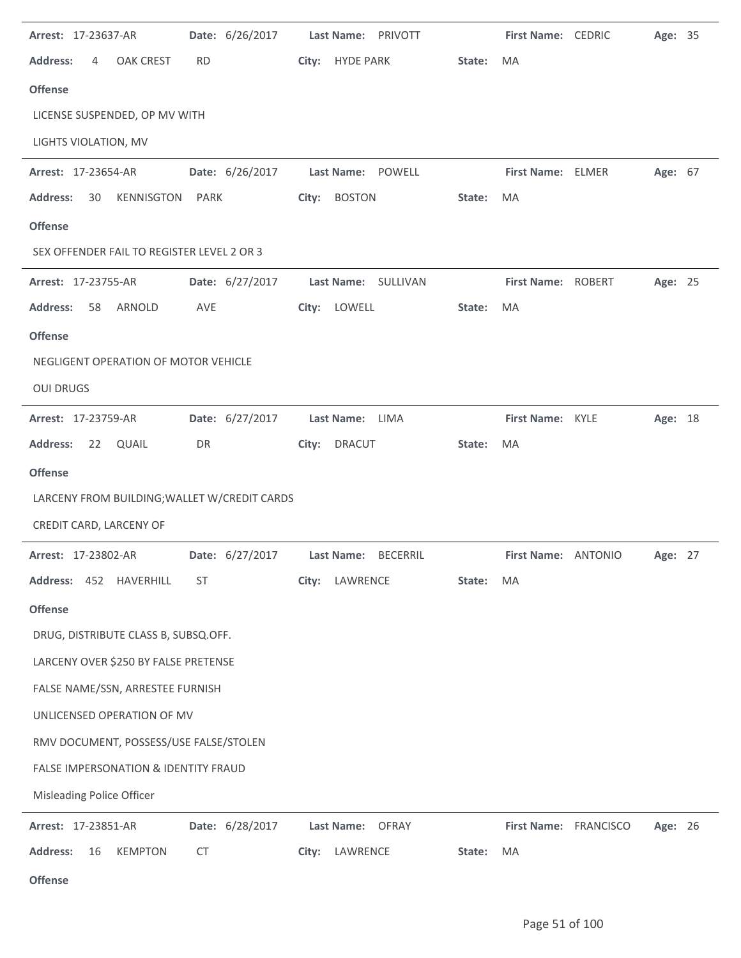| Arrest: 17-23637-AR                             | Date: 6/26/2017 | Last Name:<br>PRIVOTT  |        | First Name: CEDRIC    | Age: 35 |  |
|-------------------------------------------------|-----------------|------------------------|--------|-----------------------|---------|--|
| <b>Address:</b><br><b>OAK CREST</b><br>4        | <b>RD</b>       | City: HYDE PARK        | State: | MA                    |         |  |
| <b>Offense</b>                                  |                 |                        |        |                       |         |  |
| LICENSE SUSPENDED, OP MV WITH                   |                 |                        |        |                       |         |  |
| LIGHTS VIOLATION, MV                            |                 |                        |        |                       |         |  |
| Arrest: 17-23654-AR                             | Date: 6/26/2017 | Last Name: POWELL      |        | First Name: ELMER     | Age: 67 |  |
| <b>Address:</b><br>30<br><b>KENNISGTON</b>      | PARK            | <b>BOSTON</b><br>City: | State: | MA                    |         |  |
| <b>Offense</b>                                  |                 |                        |        |                       |         |  |
| SEX OFFENDER FAIL TO REGISTER LEVEL 2 OR 3      |                 |                        |        |                       |         |  |
| Arrest: 17-23755-AR                             | Date: 6/27/2017 | Last Name: SULLIVAN    |        | First Name: ROBERT    | Age: 25 |  |
| <b>Address:</b><br>ARNOLD<br>58                 | <b>AVE</b>      | City: LOWELL           | State: | MA                    |         |  |
| <b>Offense</b>                                  |                 |                        |        |                       |         |  |
| NEGLIGENT OPERATION OF MOTOR VEHICLE            |                 |                        |        |                       |         |  |
| <b>OUI DRUGS</b>                                |                 |                        |        |                       |         |  |
| Arrest: 17-23759-AR                             | Date: 6/27/2017 | Last Name: LIMA        |        | First Name: KYLE      | Age: 18 |  |
| <b>Address:</b><br>22<br>QUAIL                  | DR              | <b>DRACUT</b><br>City: | State: | MA                    |         |  |
| <b>Offense</b>                                  |                 |                        |        |                       |         |  |
| LARCENY FROM BUILDING; WALLET W/CREDIT CARDS    |                 |                        |        |                       |         |  |
| CREDIT CARD, LARCENY OF                         |                 |                        |        |                       |         |  |
| Arrest: 17-23802-AR                             | Date: 6/27/2017 | Last Name: BECERRIL    |        | First Name: ANTONIO   | Age: 27 |  |
| Address: 452 HAVERHILL                          | ST              | LAWRENCE<br>City:      | State: | MA                    |         |  |
| <b>Offense</b>                                  |                 |                        |        |                       |         |  |
| DRUG, DISTRIBUTE CLASS B, SUBSQ.OFF.            |                 |                        |        |                       |         |  |
| LARCENY OVER \$250 BY FALSE PRETENSE            |                 |                        |        |                       |         |  |
| FALSE NAME/SSN, ARRESTEE FURNISH                |                 |                        |        |                       |         |  |
| UNLICENSED OPERATION OF MV                      |                 |                        |        |                       |         |  |
| RMV DOCUMENT, POSSESS/USE FALSE/STOLEN          |                 |                        |        |                       |         |  |
| <b>FALSE IMPERSONATION &amp; IDENTITY FRAUD</b> |                 |                        |        |                       |         |  |
| Misleading Police Officer                       |                 |                        |        |                       |         |  |
| Arrest: 17-23851-AR                             | Date: 6/28/2017 | Last Name: OFRAY       |        | First Name: FRANCISCO | Age: 26 |  |
| <b>Address:</b><br>16<br><b>KEMPTON</b>         | <b>CT</b>       | City: LAWRENCE         | State: | MA                    |         |  |
| Offense                                         |                 |                        |        |                       |         |  |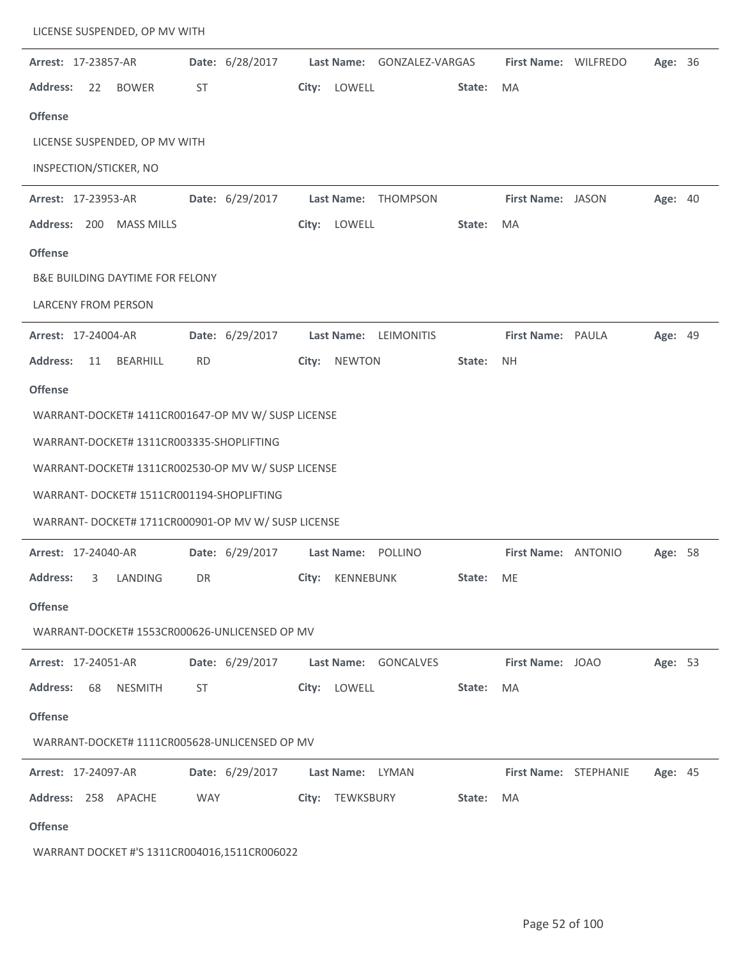|                 | LICENSE SUSPENDED, OP MV WITH              |                                                     |                            |        |                       |         |  |
|-----------------|--------------------------------------------|-----------------------------------------------------|----------------------------|--------|-----------------------|---------|--|
|                 | Arrest: 17-23857-AR                        | Date: 6/28/2017                                     | Last Name: GONZALEZ-VARGAS |        | First Name: WILFREDO  | Age: 36 |  |
| <b>Address:</b> | 22<br><b>BOWER</b>                         | ST                                                  | LOWELL<br>City:            | State: | <b>MA</b>             |         |  |
| <b>Offense</b>  |                                            |                                                     |                            |        |                       |         |  |
|                 | LICENSE SUSPENDED, OP MV WITH              |                                                     |                            |        |                       |         |  |
|                 | INSPECTION/STICKER, NO                     |                                                     |                            |        |                       |         |  |
|                 | Arrest: 17-23953-AR                        | Date: 6/29/2017                                     | Last Name:<br>THOMPSON     |        | First Name: JASON     | Age: 40 |  |
|                 | Address: 200 MASS MILLS                    |                                                     | City:<br>LOWELL            | State: | <b>MA</b>             |         |  |
| <b>Offense</b>  |                                            |                                                     |                            |        |                       |         |  |
|                 | <b>B&amp;E BUILDING DAYTIME FOR FELONY</b> |                                                     |                            |        |                       |         |  |
|                 | <b>LARCENY FROM PERSON</b>                 |                                                     |                            |        |                       |         |  |
|                 | Arrest: 17-24004-AR                        | Date: 6/29/2017                                     | Last Name: LEIMONITIS      |        | First Name: PAULA     | Age: 49 |  |
| <b>Address:</b> | <b>BEARHILL</b><br>11                      | <b>RD</b>                                           | <b>NEWTON</b><br>City:     | State: | <b>NH</b>             |         |  |
| <b>Offense</b>  |                                            |                                                     |                            |        |                       |         |  |
|                 |                                            | WARRANT-DOCKET# 1411CR001647-OP MV W/ SUSP LICENSE  |                            |        |                       |         |  |
|                 | WARRANT-DOCKET# 1311CR003335-SHOPLIFTING   |                                                     |                            |        |                       |         |  |
|                 |                                            | WARRANT-DOCKET# 1311CR002530-OP MV W/ SUSP LICENSE  |                            |        |                       |         |  |
|                 |                                            | WARRANT- DOCKET# 1511CR001194-SHOPLIFTING           |                            |        |                       |         |  |
|                 |                                            | WARRANT- DOCKET# 1711CR000901-OP MV W/ SUSP LICENSE |                            |        |                       |         |  |
|                 | Arrest: 17-24040-AR                        | Date: 6/29/2017                                     | Last Name: POLLINO         |        | First Name: ANTONIO   | Age: 58 |  |
| <b>Address:</b> | LANDING<br>3                               | DR                                                  | City:<br>KENNEBUNK         | State: | ME                    |         |  |
| <b>Offense</b>  |                                            |                                                     |                            |        |                       |         |  |
|                 |                                            | WARRANT-DOCKET# 1553CR000626-UNLICENSED OP MV       |                            |        |                       |         |  |
|                 | Arrest: 17-24051-AR                        | Date: 6/29/2017                                     | Last Name: GONCALVES       |        | First Name: JOAO      | Age: 53 |  |
| <b>Address:</b> | 68<br><b>NESMITH</b>                       | ST                                                  | City: LOWELL               | State: | MA                    |         |  |
| <b>Offense</b>  |                                            |                                                     |                            |        |                       |         |  |
|                 |                                            | WARRANT-DOCKET# 1111CR005628-UNLICENSED OP MV       |                            |        |                       |         |  |
|                 | <b>Arrest: 17-24097-AR</b>                 | Date: 6/29/2017                                     | Last Name: LYMAN           |        | First Name: STEPHANIE | Age: 45 |  |
|                 | Address: 258 APACHE                        | <b>WAY</b>                                          | City: TEWKSBURY            | State: | MA                    |         |  |
| <b>Offense</b>  |                                            |                                                     |                            |        |                       |         |  |
|                 |                                            | WARRANT DOCKET #'S 1311CR004016,1511CR006022        |                            |        |                       |         |  |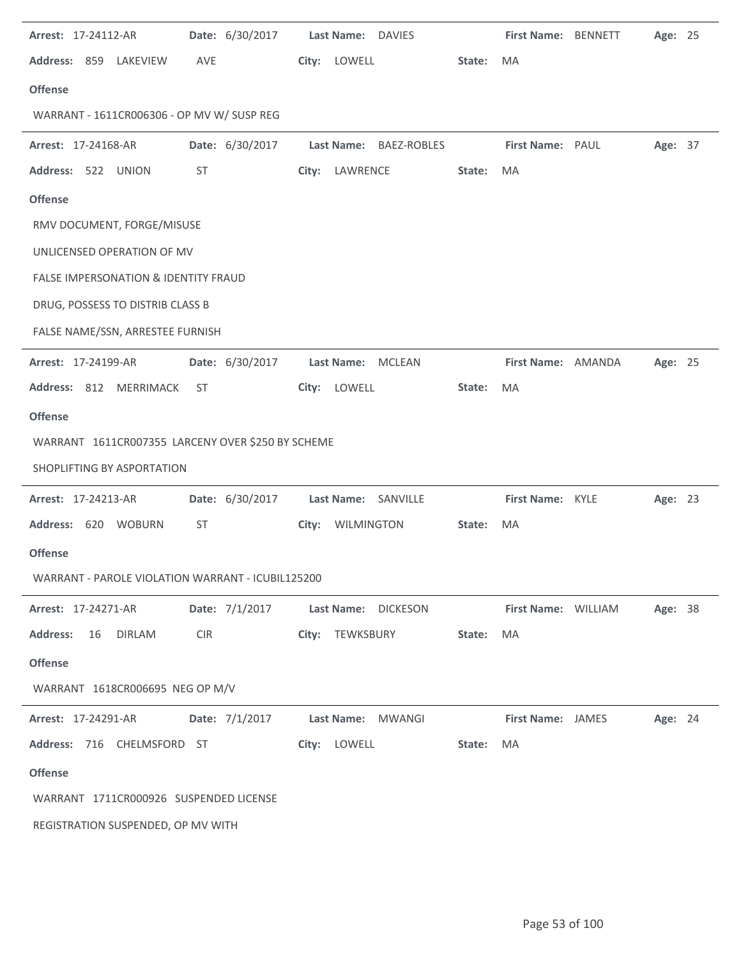| Arrest: 17-24112-AR                               |            | Date: 6/30/2017 |       | Last Name: DAVIES |                     |        | First Name: BENNETT      | Age: 25 |  |
|---------------------------------------------------|------------|-----------------|-------|-------------------|---------------------|--------|--------------------------|---------|--|
| Address: 859 LAKEVIEW                             | <b>AVE</b> |                 |       | City: LOWELL      |                     | State: | <b>MA</b>                |         |  |
| <b>Offense</b>                                    |            |                 |       |                   |                     |        |                          |         |  |
| WARRANT - 1611CR006306 - OP MV W/ SUSP REG        |            |                 |       |                   |                     |        |                          |         |  |
| Arrest: 17-24168-AR                               |            | Date: 6/30/2017 |       | <b>Last Name:</b> | BAEZ-ROBLES         |        | First Name: PAUL         | Age: 37 |  |
| Address: 522 UNION                                | ST         |                 | City: | LAWRENCE          |                     | State: | MA                       |         |  |
| <b>Offense</b>                                    |            |                 |       |                   |                     |        |                          |         |  |
| RMV DOCUMENT, FORGE/MISUSE                        |            |                 |       |                   |                     |        |                          |         |  |
| UNLICENSED OPERATION OF MV                        |            |                 |       |                   |                     |        |                          |         |  |
| <b>FALSE IMPERSONATION &amp; IDENTITY FRAUD</b>   |            |                 |       |                   |                     |        |                          |         |  |
| DRUG, POSSESS TO DISTRIB CLASS B                  |            |                 |       |                   |                     |        |                          |         |  |
| FALSE NAME/SSN, ARRESTEE FURNISH                  |            |                 |       |                   |                     |        |                          |         |  |
| Arrest: 17-24199-AR                               |            | Date: 6/30/2017 |       |                   | Last Name: MCLEAN   |        | First Name: AMANDA       | Age: 25 |  |
| Address: 812 MERRIMACK                            | ST         |                 | City: | LOWELL            |                     | State: | MA                       |         |  |
| <b>Offense</b>                                    |            |                 |       |                   |                     |        |                          |         |  |
| WARRANT 1611CR007355 LARCENY OVER \$250 BY SCHEME |            |                 |       |                   |                     |        |                          |         |  |
| SHOPLIFTING BY ASPORTATION                        |            |                 |       |                   |                     |        |                          |         |  |
| Arrest: 17-24213-AR                               |            | Date: 6/30/2017 |       |                   | Last Name: SANVILLE |        | First Name: KYLE         | Age: 23 |  |
| Address: 620 WOBURN                               | ST         |                 |       | City: WILMINGTON  |                     | State: | MA                       |         |  |
| <b>Offense</b>                                    |            |                 |       |                   |                     |        |                          |         |  |
| WARRANT - PAROLE VIOLATION WARRANT - ICUBIL125200 |            |                 |       |                   |                     |        |                          |         |  |
| Arrest: 17-24271-AR                               |            | Date: 7/1/2017  |       |                   | Last Name: DICKESON |        | First Name: WILLIAM      | Age: 38 |  |
| <b>Address:</b><br>16<br>DIRLAM                   | <b>CIR</b> |                 |       | City: TEWKSBURY   |                     | State: | MA                       |         |  |
| <b>Offense</b>                                    |            |                 |       |                   |                     |        |                          |         |  |
| WARRANT 1618CR006695 NEG OP M/V                   |            |                 |       |                   |                     |        |                          |         |  |
| <b>Arrest: 17-24291-AR</b>                        |            | Date: 7/1/2017  |       |                   | Last Name: MWANGI   |        | <b>First Name: JAMES</b> | Age: 24 |  |
| Address: 716 CHELMSFORD ST                        |            |                 |       | City: LOWELL      |                     | State: | MA                       |         |  |
| <b>Offense</b>                                    |            |                 |       |                   |                     |        |                          |         |  |
| WARRANT 1711CR000926 SUSPENDED LICENSE            |            |                 |       |                   |                     |        |                          |         |  |
| REGISTRATION SUSPENDED, OP MV WITH                |            |                 |       |                   |                     |        |                          |         |  |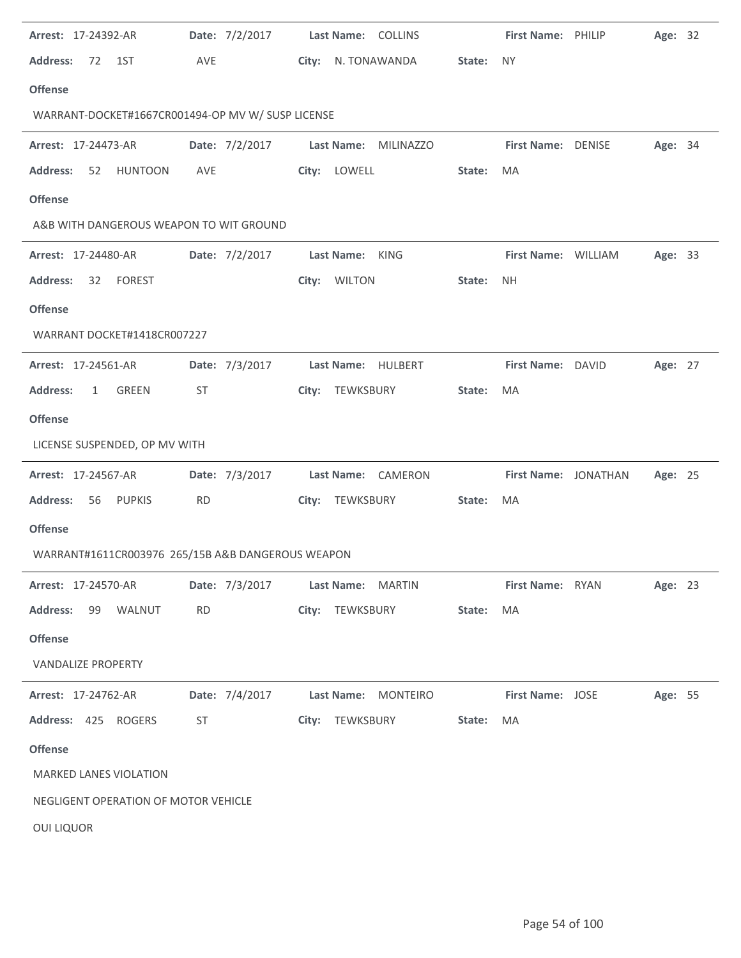| Arrest: 17-24392-AR                               | Date: 7/2/2017 | Last Name: COLLINS               | First Name: PHILIP<br>Age: 32   |
|---------------------------------------------------|----------------|----------------------------------|---------------------------------|
| <b>Address:</b><br>72<br>1ST                      | AVE            | City: N. TONAWANDA               | State:<br><b>NY</b>             |
| <b>Offense</b>                                    |                |                                  |                                 |
| WARRANT-DOCKET#1667CR001494-OP MV W/ SUSP LICENSE |                |                                  |                                 |
| <b>Arrest: 17-24473-AR</b>                        | Date: 7/2/2017 | Last Name: MILINAZZO             | First Name: DENISE<br>Age: 34   |
| <b>HUNTOON</b><br><b>Address:</b><br>52           | AVE            | City: LOWELL                     | State:<br>MA                    |
| <b>Offense</b>                                    |                |                                  |                                 |
| A&B WITH DANGEROUS WEAPON TO WIT GROUND           |                |                                  |                                 |
| Arrest: 17-24480-AR                               | Date: 7/2/2017 | Last Name: KING                  | First Name: WILLIAM<br>Age: 33  |
| <b>Address:</b><br><b>FOREST</b><br>32            |                | City: WILTON                     | State:<br><b>NH</b>             |
| <b>Offense</b>                                    |                |                                  |                                 |
| WARRANT DOCKET#1418CR007227                       |                |                                  |                                 |
| <b>Arrest: 17-24561-AR</b>                        | Date: 7/3/2017 | Last Name: HULBERT               | First Name: DAVID<br>Age: 27    |
| <b>Address:</b><br>GREEN<br>$\mathbf{1}$          | ST             | City: TEWKSBURY                  | State:<br>MA                    |
| <b>Offense</b>                                    |                |                                  |                                 |
| LICENSE SUSPENDED, OP MV WITH                     |                |                                  |                                 |
|                                                   |                |                                  |                                 |
| <b>Arrest: 17-24567-AR</b>                        | Date: 7/3/2017 | Last Name: CAMERON               | First Name: JONATHAN<br>Age: 25 |
| <b>Address:</b><br>56<br>PUPKIS                   | <b>RD</b>      | City: TEWKSBURY                  | State:<br>MA                    |
| <b>Offense</b>                                    |                |                                  |                                 |
| WARRANT#1611CR003976 265/15B A&B DANGEROUS WEAPON |                |                                  |                                 |
| <b>Arrest: 17-24570-AR</b>                        |                | Date: 7/3/2017 Last Name: MARTIN | First Name: RYAN<br>Age: 23     |
| Address: 99 WALNUT                                | <b>RD</b>      | City: TEWKSBURY                  | State:<br>MA                    |
| <b>Offense</b>                                    |                |                                  |                                 |
| <b>VANDALIZE PROPERTY</b>                         |                |                                  |                                 |
| <b>Arrest: 17-24762-AR</b>                        | Date: 7/4/2017 | Last Name: MONTEIRO              | First Name: JOSE<br>Age: 55     |
| Address: 425 ROGERS                               | ST             | City: TEWKSBURY                  | State:<br>MA                    |
| <b>Offense</b>                                    |                |                                  |                                 |
| MARKED LANES VIOLATION                            |                |                                  |                                 |
| NEGLIGENT OPERATION OF MOTOR VEHICLE              |                |                                  |                                 |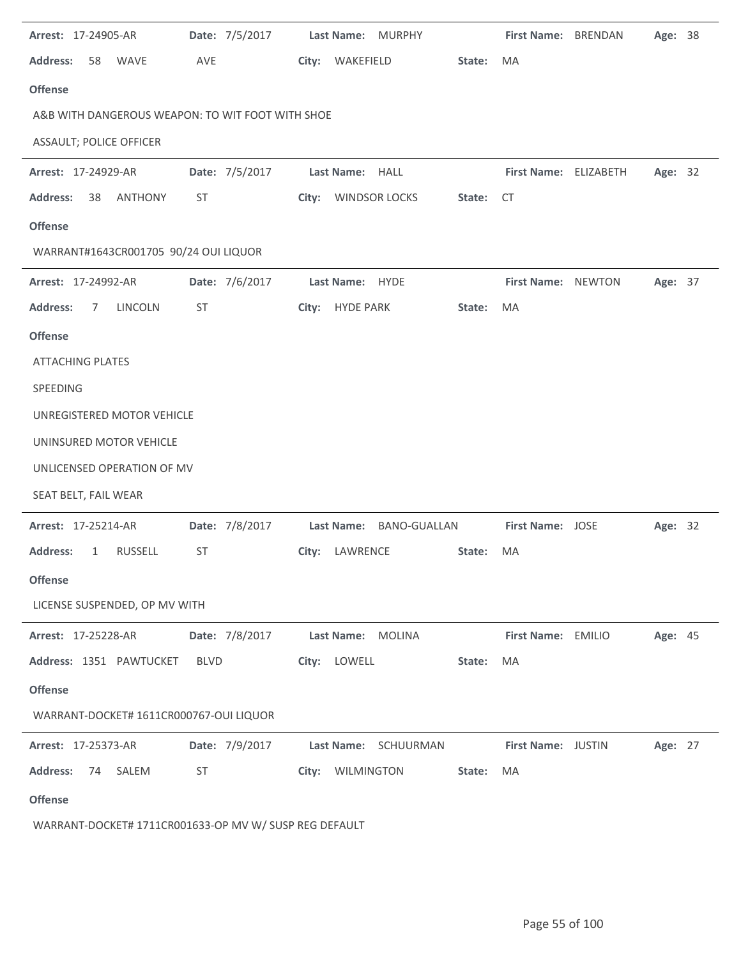| Arrest: 17-24905-AR                               | Date: 7/5/2017 | Last Name: MURPHY       |        | First Name: BRENDAN   | Age: 38        |  |
|---------------------------------------------------|----------------|-------------------------|--------|-----------------------|----------------|--|
| <b>Address:</b><br><b>WAVE</b><br>58              | AVE            | City: WAKEFIELD         | State: | MA                    |                |  |
| <b>Offense</b>                                    |                |                         |        |                       |                |  |
| A&B WITH DANGEROUS WEAPON: TO WIT FOOT WITH SHOE  |                |                         |        |                       |                |  |
| ASSAULT; POLICE OFFICER                           |                |                         |        |                       |                |  |
| Arrest: 17-24929-AR                               | Date: 7/5/2017 | Last Name: HALL         |        | First Name: ELIZABETH | Age: 32        |  |
| <b>Address:</b><br>38<br>ANTHONY                  | ST             | City: WINDSOR LOCKS     | State: | CT                    |                |  |
| <b>Offense</b>                                    |                |                         |        |                       |                |  |
| WARRANT#1643CR001705 90/24 OUI LIQUOR             |                |                         |        |                       |                |  |
| Arrest: 17-24992-AR                               | Date: 7/6/2017 | Last Name: HYDE         |        | First Name: NEWTON    | Age: 37        |  |
| <b>Address:</b><br>LINCOLN<br>7                   | ST             | City: HYDE PARK         | State: | MA                    |                |  |
| <b>Offense</b>                                    |                |                         |        |                       |                |  |
| <b>ATTACHING PLATES</b>                           |                |                         |        |                       |                |  |
| SPEEDING                                          |                |                         |        |                       |                |  |
| UNREGISTERED MOTOR VEHICLE                        |                |                         |        |                       |                |  |
| UNINSURED MOTOR VEHICLE                           |                |                         |        |                       |                |  |
| UNLICENSED OPERATION OF MV                        |                |                         |        |                       |                |  |
| SEAT BELT, FAIL WEAR                              |                |                         |        |                       |                |  |
| Arrest: 17-25214-AR                               | Date: 7/8/2017 | Last Name: BANO-GUALLAN |        | First Name: JOSE      | Age: 32        |  |
| <b>Address:</b><br><b>RUSSELL</b><br>$\mathbf{1}$ | ST             | City: LAWRENCE          | State: | MA                    |                |  |
| <b>Offense</b>                                    |                |                         |        |                       |                |  |
| LICENSE SUSPENDED, OP MV WITH                     |                |                         |        |                       |                |  |
| Arrest: 17-25228-AR                               | Date: 7/8/2017 | Last Name: MOLINA       |        | First Name: EMILIO    | <b>Age: 45</b> |  |
| Address: 1351 PAWTUCKET                           | BLVD           | City: LOWELL            | State: | MA                    |                |  |
| <b>Offense</b>                                    |                |                         |        |                       |                |  |
| WARRANT-DOCKET# 1611CR000767-OUI LIQUOR           |                |                         |        |                       |                |  |
| Arrest: 17-25373-AR                               | Date: 7/9/2017 | Last Name: SCHUURMAN    |        | First Name: JUSTIN    | Age: 27        |  |
| <b>Address:</b><br>SALEM<br>74                    | ST             | City: WILMINGTON        | State: | MA                    |                |  |
| <b>Offense</b>                                    |                |                         |        |                       |                |  |

WARRANT-DOCKET# 1711CR001633-OP MV W/ SUSP REG DEFAULT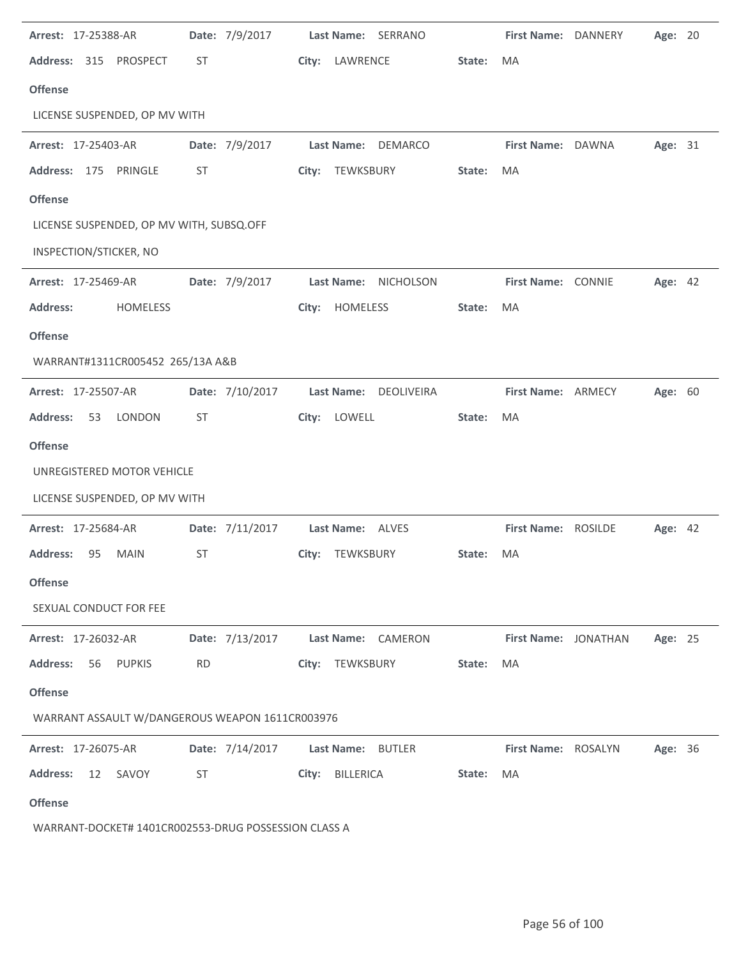| Arrest: 17-25388-AR                                  |           | Date: 7/9/2017  |       |                   | Last Name: SERRANO |        | First Name: DANNERY  | Age: 20 |  |
|------------------------------------------------------|-----------|-----------------|-------|-------------------|--------------------|--------|----------------------|---------|--|
| <b>Address:</b><br>315<br>PROSPECT                   | ST        |                 | City: | LAWRENCE          |                    | State: | MA                   |         |  |
| <b>Offense</b>                                       |           |                 |       |                   |                    |        |                      |         |  |
| LICENSE SUSPENDED, OP MV WITH                        |           |                 |       |                   |                    |        |                      |         |  |
| Arrest: 17-25403-AR                                  |           | Date: 7/9/2017  |       | Last Name:        | <b>DEMARCO</b>     |        | First Name: DAWNA    | Age: 31 |  |
| Address: 175<br>PRINGLE                              | ST        |                 | City: | TEWKSBURY         |                    | State: | MA                   |         |  |
| <b>Offense</b>                                       |           |                 |       |                   |                    |        |                      |         |  |
| LICENSE SUSPENDED, OP MV WITH, SUBSQ.OFF             |           |                 |       |                   |                    |        |                      |         |  |
| INSPECTION/STICKER, NO                               |           |                 |       |                   |                    |        |                      |         |  |
| Arrest: 17-25469-AR                                  |           | Date: 7/9/2017  |       | Last Name:        | NICHOLSON          |        | First Name: CONNIE   | Age: 42 |  |
| <b>Address:</b><br><b>HOMELESS</b>                   |           |                 | City: | <b>HOMELESS</b>   |                    | State: | MA                   |         |  |
| <b>Offense</b>                                       |           |                 |       |                   |                    |        |                      |         |  |
| WARRANT#1311CR005452 265/13A A&B                     |           |                 |       |                   |                    |        |                      |         |  |
| Arrest: 17-25507-AR                                  |           | Date: 7/10/2017 |       | <b>Last Name:</b> | DEOLIVEIRA         |        | First Name: ARMECY   | Age: 60 |  |
| LONDON<br><b>Address:</b><br>53                      | ST        |                 | City: | LOWELL            |                    | State: | MA                   |         |  |
| <b>Offense</b>                                       |           |                 |       |                   |                    |        |                      |         |  |
| UNREGISTERED MOTOR VEHICLE                           |           |                 |       |                   |                    |        |                      |         |  |
| LICENSE SUSPENDED, OP MV WITH                        |           |                 |       |                   |                    |        |                      |         |  |
| Arrest: 17-25684-AR                                  |           | Date: 7/11/2017 |       | Last Name: ALVES  |                    |        | First Name: ROSILDE  | Age: 42 |  |
| <b>Address:</b><br>95<br><b>MAIN</b>                 | ST        |                 |       | City: TEWKSBURY   |                    | State: | <b>MA</b>            |         |  |
| <b>Offense</b>                                       |           |                 |       |                   |                    |        |                      |         |  |
| SEXUAL CONDUCT FOR FEE                               |           |                 |       |                   |                    |        |                      |         |  |
| Arrest: 17-26032-AR                                  |           | Date: 7/13/2017 |       |                   | Last Name: CAMERON |        | First Name: JONATHAN | Age: 25 |  |
| <b>Address:</b><br>56<br>PUPKIS                      | <b>RD</b> |                 |       | City: TEWKSBURY   |                    | State: | MA                   |         |  |
| <b>Offense</b>                                       |           |                 |       |                   |                    |        |                      |         |  |
| WARRANT ASSAULT W/DANGEROUS WEAPON 1611CR003976      |           |                 |       |                   |                    |        |                      |         |  |
| Arrest: 17-26075-AR                                  |           | Date: 7/14/2017 |       | Last Name: BUTLER |                    |        | First Name: ROSALYN  | Age: 36 |  |
| <b>Address:</b><br>12<br>SAVOY                       | ST        |                 |       | City: BILLERICA   |                    | State: | MA                   |         |  |
| <b>Offense</b>                                       |           |                 |       |                   |                    |        |                      |         |  |
| WARRANT-DOCKET# 1401CR002553-DRUG POSSESSION CLASS A |           |                 |       |                   |                    |        |                      |         |  |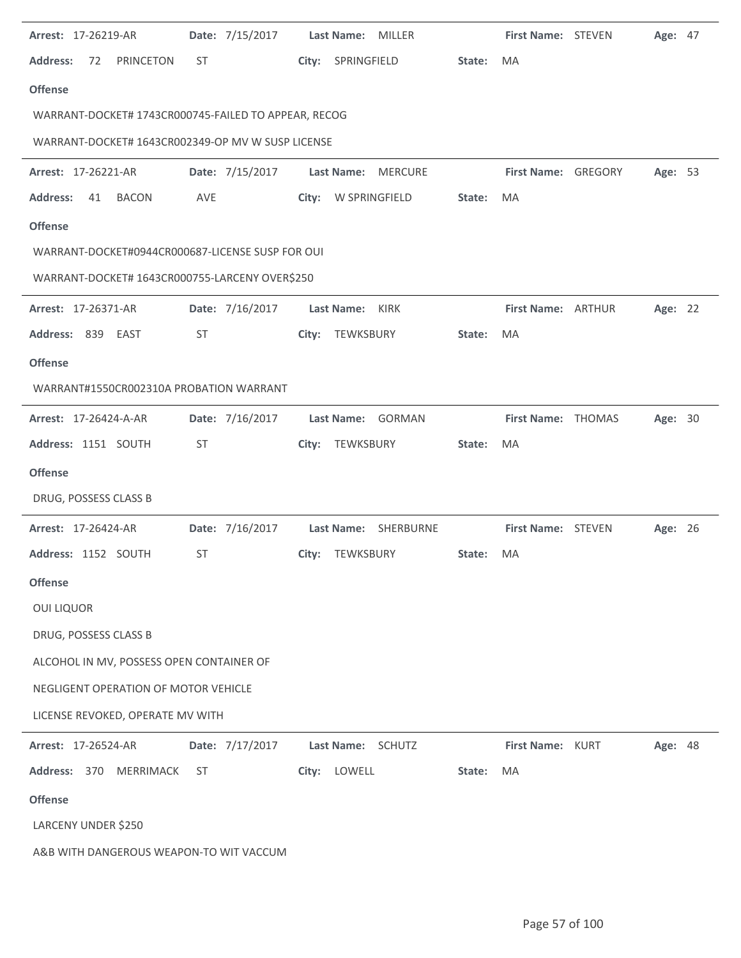| Arrest: 17-26219-AR                                  | Date: 7/15/2017 | Last Name: MILLER                   |        | First Name: STEVEN  | Age: 47 |  |
|------------------------------------------------------|-----------------|-------------------------------------|--------|---------------------|---------|--|
| <b>Address:</b><br><b>PRINCETON</b><br>72            | <b>ST</b>       | SPRINGFIELD<br>City:                | State: | MA                  |         |  |
| <b>Offense</b>                                       |                 |                                     |        |                     |         |  |
| WARRANT-DOCKET# 1743CR000745-FAILED TO APPEAR, RECOG |                 |                                     |        |                     |         |  |
| WARRANT-DOCKET# 1643CR002349-OP MV W SUSP LICENSE    |                 |                                     |        |                     |         |  |
| Arrest: 17-26221-AR                                  | Date: 7/15/2017 | <b>Last Name:</b><br><b>MERCURE</b> |        | First Name: GREGORY | Age: 53 |  |
| <b>Address:</b><br>41<br><b>BACON</b>                | <b>AVE</b>      | City: W SPRINGFIELD                 | State: | MA                  |         |  |
| <b>Offense</b>                                       |                 |                                     |        |                     |         |  |
| WARRANT-DOCKET#0944CR000687-LICENSE SUSP FOR OUI     |                 |                                     |        |                     |         |  |
| WARRANT-DOCKET# 1643CR000755-LARCENY OVER\$250       |                 |                                     |        |                     |         |  |
| Arrest: 17-26371-AR                                  | Date: 7/16/2017 | Last Name: KIRK                     |        | First Name: ARTHUR  | Age: 22 |  |
| Address: 839 EAST                                    | <b>ST</b>       | TEWKSBURY<br>City:                  | State: | MA                  |         |  |
| <b>Offense</b>                                       |                 |                                     |        |                     |         |  |
| WARRANT#1550CR002310A PROBATION WARRANT              |                 |                                     |        |                     |         |  |
| Arrest: 17-26424-A-AR                                | Date: 7/16/2017 | Last Name: GORMAN                   |        | First Name: THOMAS  | Age: 30 |  |
| Address: 1151 SOUTH                                  | ST              | TEWKSBURY<br>City:                  | State: | MA                  |         |  |
| <b>Offense</b>                                       |                 |                                     |        |                     |         |  |
| DRUG, POSSESS CLASS B                                |                 |                                     |        |                     |         |  |
| Arrest: 17-26424-AR                                  | Date: 7/16/2017 | Last Name: SHERBURNE                |        | First Name: STEVEN  | Age: 26 |  |
| Address: 1152 SOUTH                                  | <b>ST</b>       | City: TEWKSBURY                     | State: | MA                  |         |  |
| <b>Offense</b>                                       |                 |                                     |        |                     |         |  |
| <b>OUI LIQUOR</b>                                    |                 |                                     |        |                     |         |  |
| DRUG, POSSESS CLASS B                                |                 |                                     |        |                     |         |  |
| ALCOHOL IN MV, POSSESS OPEN CONTAINER OF             |                 |                                     |        |                     |         |  |
| NEGLIGENT OPERATION OF MOTOR VEHICLE                 |                 |                                     |        |                     |         |  |
| LICENSE REVOKED, OPERATE MV WITH                     |                 |                                     |        |                     |         |  |
| Arrest: 17-26524-AR                                  | Date: 7/17/2017 | Last Name: SCHUTZ                   |        | First Name: KURT    | Age: 48 |  |
| Address: 370 MERRIMACK                               | <b>ST</b>       | City: LOWELL                        | State: | MA                  |         |  |
| <b>Offense</b>                                       |                 |                                     |        |                     |         |  |
| LARCENY UNDER \$250                                  |                 |                                     |        |                     |         |  |
| A&B WITH DANGEROUS WEAPON-TO WIT VACCUM              |                 |                                     |        |                     |         |  |

 $\ddot{\phantom{a}}$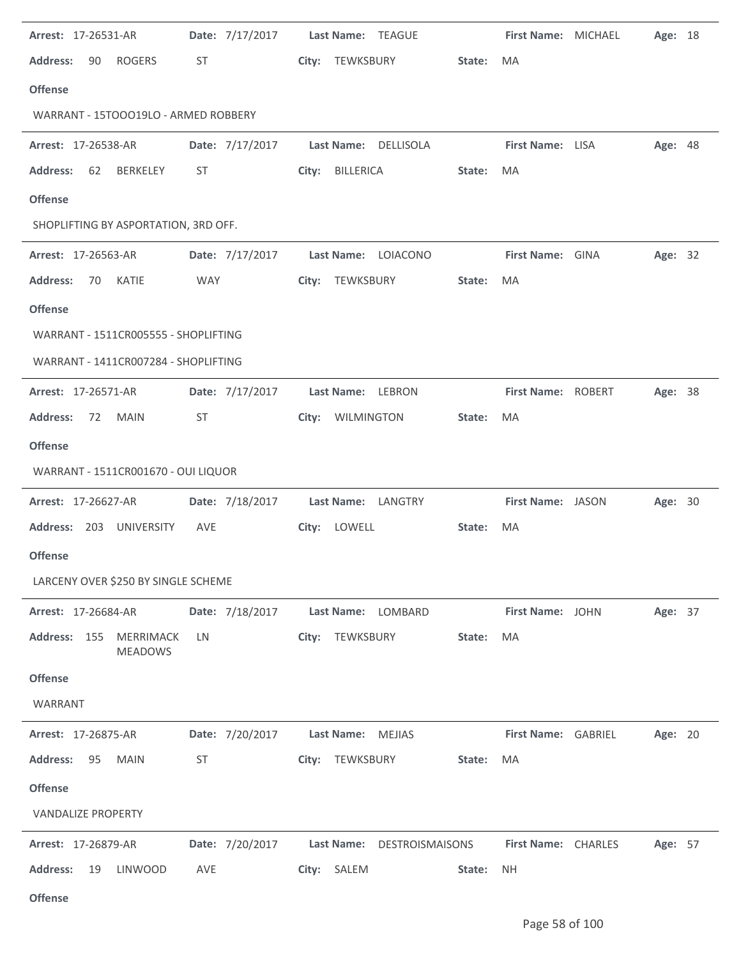| Arrest: 17-26531-AR                         | Date: 7/17/2017 | Last Name: TEAGUE             |                     | First Name: MICHAEL | Age: 18 |
|---------------------------------------------|-----------------|-------------------------------|---------------------|---------------------|---------|
| <b>Address:</b><br><b>ROGERS</b><br>90      | ST              | City: TEWKSBURY               | State:<br>MA        |                     |         |
| <b>Offense</b>                              |                 |                               |                     |                     |         |
| WARRANT - 15TOOO19LO - ARMED ROBBERY        |                 |                               |                     |                     |         |
| Arrest: 17-26538-AR                         | Date: 7/17/2017 | Last Name: DELLISOLA          |                     | First Name: LISA    | Age: 48 |
| <b>Address:</b><br>62<br>BERKELEY           | ST              | BILLERICA<br>City:            | State:<br>MA        |                     |         |
| <b>Offense</b>                              |                 |                               |                     |                     |         |
| SHOPLIFTING BY ASPORTATION, 3RD OFF.        |                 |                               |                     |                     |         |
| Arrest: 17-26563-AR                         | Date: 7/17/2017 | Last Name: LOIACONO           |                     | First Name: GINA    | Age: 32 |
| <b>Address:</b><br>70<br><b>KATIE</b>       | <b>WAY</b>      | City: TEWKSBURY               | State:<br>MA        |                     |         |
| <b>Offense</b>                              |                 |                               |                     |                     |         |
| WARRANT - 1511CR005555 - SHOPLIFTING        |                 |                               |                     |                     |         |
| WARRANT - 1411CR007284 - SHOPLIFTING        |                 |                               |                     |                     |         |
| Arrest: 17-26571-AR                         | Date: 7/17/2017 | Last Name: LEBRON             |                     | First Name: ROBERT  | Age: 38 |
| <b>Address:</b><br>72<br><b>MAIN</b>        | ST              | WILMINGTON<br>City:           | State:<br>MA        |                     |         |
| <b>Offense</b>                              |                 |                               |                     |                     |         |
| WARRANT - 1511CR001670 - OUI LIQUOR         |                 |                               |                     |                     |         |
| Arrest: 17-26627-AR                         | Date: 7/18/2017 | Last Name: LANGTRY            |                     | First Name: JASON   | Age: 30 |
| Address: 203 UNIVERSITY                     | AVE             | City: LOWELL                  | State:<br>MA        |                     |         |
| <b>Offense</b>                              |                 |                               |                     |                     |         |
| LARCENY OVER \$250 BY SINGLE SCHEME         |                 |                               |                     |                     |         |
| Arrest: 17-26684-AR                         | Date: 7/18/2017 | Last Name: LOMBARD            |                     | First Name: JOHN    | Age: 37 |
| Address: 155<br>MERRIMACK<br><b>MEADOWS</b> | LN              | City: TEWKSBURY               | MA<br>State:        |                     |         |
| <b>Offense</b>                              |                 |                               |                     |                     |         |
| WARRANT                                     |                 |                               |                     |                     |         |
| Arrest: 17-26875-AR                         | Date: 7/20/2017 | Last Name: MEJIAS             |                     | First Name: GABRIEL | Age: 20 |
| <b>Address:</b><br>95<br><b>MAIN</b>        | <b>ST</b>       | City: TEWKSBURY               | State:<br>MA        |                     |         |
| <b>Offense</b>                              |                 |                               |                     |                     |         |
| <b>VANDALIZE PROPERTY</b>                   |                 |                               |                     |                     |         |
| Arrest: 17-26879-AR                         | Date: 7/20/2017 | Last Name:<br>DESTROISMAISONS |                     | First Name: CHARLES | Age: 57 |
| <b>Address:</b><br>19<br><b>LINWOOD</b>     | AVE             | City: SALEM                   | <b>NH</b><br>State: |                     |         |
| <b>Offense</b>                              |                 |                               |                     |                     |         |

÷,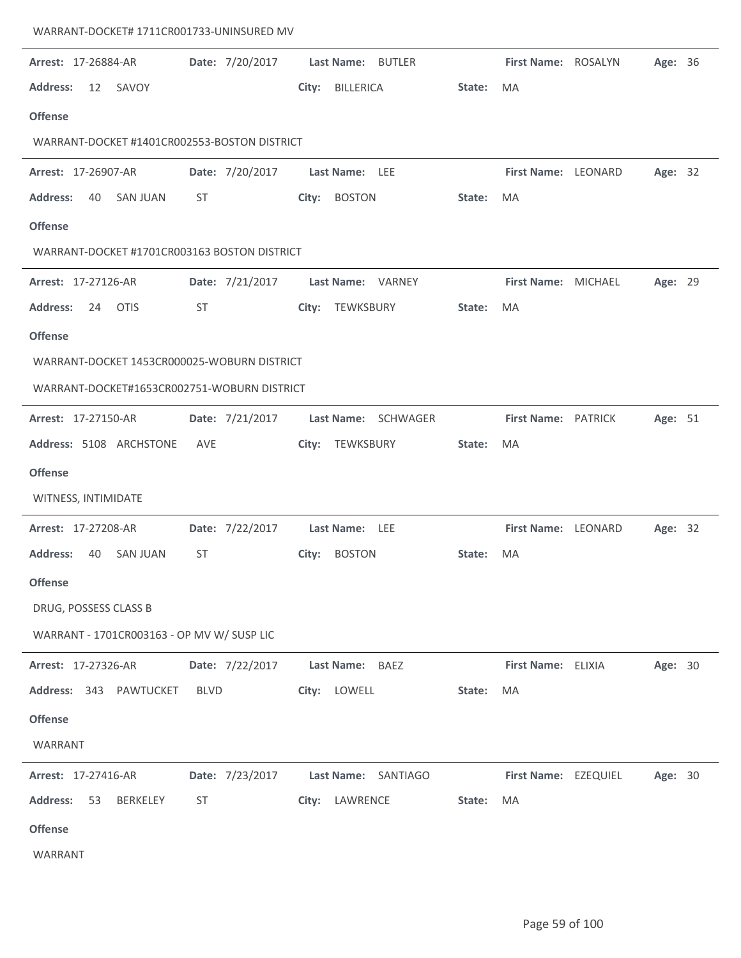| Arrest: 17-26884-AR                          | Date: 7/20/2017 | Last Name: BUTLER         |        | First Name: ROSALYN  | Age: 36 |  |
|----------------------------------------------|-----------------|---------------------------|--------|----------------------|---------|--|
| <b>Address:</b><br>12<br>SAVOY               |                 | <b>BILLERICA</b><br>City: | State: | MA                   |         |  |
| <b>Offense</b>                               |                 |                           |        |                      |         |  |
| WARRANT-DOCKET #1401CR002553-BOSTON DISTRICT |                 |                           |        |                      |         |  |
| Arrest: 17-26907-AR                          | Date: 7/20/2017 | Last Name: LEE            |        | First Name: LEONARD  | Age: 32 |  |
| <b>Address:</b><br>40<br><b>SAN JUAN</b>     | ST              | <b>BOSTON</b><br>City:    | State: | MA                   |         |  |
| <b>Offense</b>                               |                 |                           |        |                      |         |  |
| WARRANT-DOCKET #1701CR003163 BOSTON DISTRICT |                 |                           |        |                      |         |  |
| Arrest: 17-27126-AR                          | Date: 7/21/2017 | Last Name: VARNEY         |        | First Name: MICHAEL  | Age: 29 |  |
| <b>Address:</b><br>24<br><b>OTIS</b>         | ST              | City: TEWKSBURY           | State: | MA                   |         |  |
| <b>Offense</b>                               |                 |                           |        |                      |         |  |
| WARRANT-DOCKET 1453CR000025-WOBURN DISTRICT  |                 |                           |        |                      |         |  |
| WARRANT-DOCKET#1653CR002751-WOBURN DISTRICT  |                 |                           |        |                      |         |  |
| Arrest: 17-27150-AR                          | Date: 7/21/2017 | Last Name: SCHWAGER       |        | First Name: PATRICK  | Age: 51 |  |
| Address: 5108 ARCHSTONE                      | AVE             | City: TEWKSBURY           | State: | MA                   |         |  |
| <b>Offense</b>                               |                 |                           |        |                      |         |  |
| WITNESS, INTIMIDATE                          |                 |                           |        |                      |         |  |
| Arrest: 17-27208-AR                          | Date: 7/22/2017 | Last Name: LEE            |        | First Name: LEONARD  | Age: 32 |  |
| <b>Address:</b><br>40<br><b>SAN JUAN</b>     | <b>ST</b>       | City:<br><b>BOSTON</b>    | State: | MA                   |         |  |
| Offense                                      |                 |                           |        |                      |         |  |
| DRUG, POSSESS CLASS B                        |                 |                           |        |                      |         |  |
| WARRANT - 1701CR003163 - OP MV W/ SUSP LIC   |                 |                           |        |                      |         |  |
| Arrest: 17-27326-AR                          | Date: 7/22/2017 | Last Name: BAEZ           |        | First Name: ELIXIA   | Age: 30 |  |
| Address: 343 PAWTUCKET                       | <b>BLVD</b>     | City: LOWELL              | State: | MA                   |         |  |
| <b>Offense</b>                               |                 |                           |        |                      |         |  |
| WARRANT                                      |                 |                           |        |                      |         |  |
| Arrest: 17-27416-AR                          | Date: 7/23/2017 | Last Name: SANTIAGO       |        | First Name: EZEQUIEL | Age: 30 |  |
| <b>Address:</b><br>53<br>BERKELEY            | ST              | City: LAWRENCE            | State: | MA                   |         |  |
| <b>Offense</b>                               |                 |                           |        |                      |         |  |
| WARRANT                                      |                 |                           |        |                      |         |  |

WARRANT-DOCKET# 1711CR001733-UNINSURED MV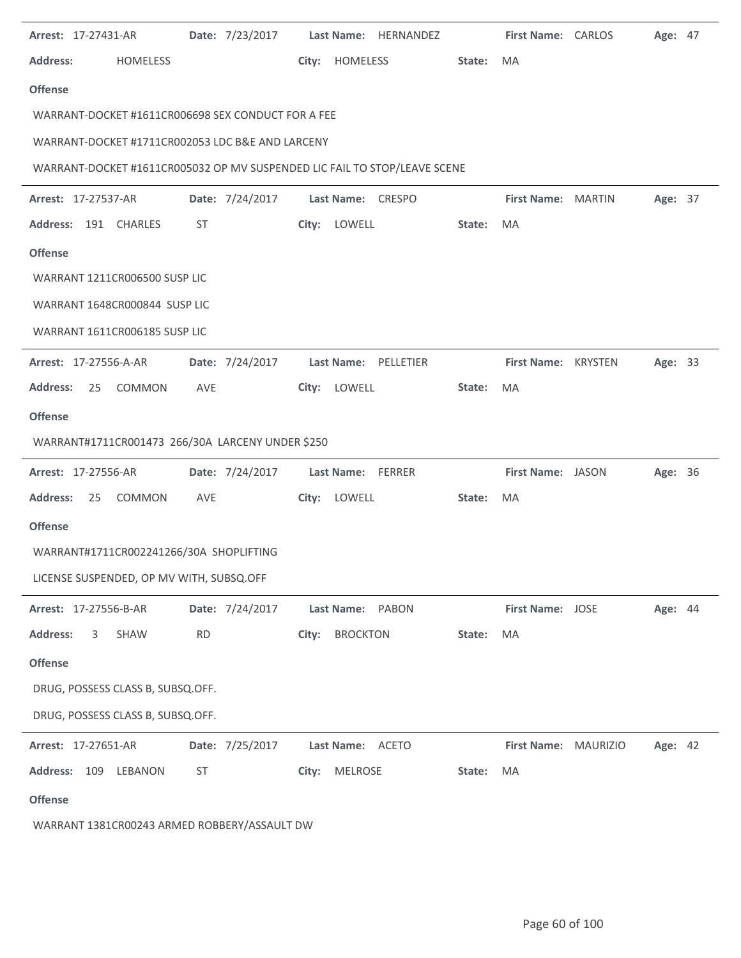| <b>Arrest: 17-27431-AR</b>                         |                 | Date: 7/23/2017 Last Name: HERNANDEZ                                      |        | <b>First Name: CARLOS</b> | Age: 47        |  |
|----------------------------------------------------|-----------------|---------------------------------------------------------------------------|--------|---------------------------|----------------|--|
| <b>Address:</b><br><b>HOMELESS</b>                 |                 | City: HOMELESS                                                            | State: | MA                        |                |  |
| <b>Offense</b>                                     |                 |                                                                           |        |                           |                |  |
| WARRANT-DOCKET #1611CR006698 SEX CONDUCT FOR A FEE |                 |                                                                           |        |                           |                |  |
| WARRANT-DOCKET #1711CR002053 LDC B&E AND LARCENY   |                 |                                                                           |        |                           |                |  |
|                                                    |                 | WARRANT-DOCKET #1611CR005032 OP MV SUSPENDED LIC FAIL TO STOP/LEAVE SCENE |        |                           |                |  |
| <b>Arrest: 17-27537-AR</b>                         | Date: 7/24/2017 | Last Name: CRESPO                                                         |        | First Name: MARTIN        | Age: 37        |  |
| Address: 191 CHARLES                               | ST              | City: LOWELL                                                              | State: | MA                        |                |  |
| <b>Offense</b>                                     |                 |                                                                           |        |                           |                |  |
| WARRANT 1211CR006500 SUSP LIC                      |                 |                                                                           |        |                           |                |  |
| WARRANT 1648CR000844 SUSP LIC                      |                 |                                                                           |        |                           |                |  |
| WARRANT 1611CR006185 SUSP LIC                      |                 |                                                                           |        |                           |                |  |
| <b>Arrest: 17-27556-A-AR</b>                       |                 | Date: 7/24/2017    Last Name: PELLETIER                                   |        | First Name: KRYSTEN       | Age: 33        |  |
| <b>Address:</b><br>25<br>COMMON                    | AVE             | City: LOWELL                                                              | State: | MA                        |                |  |
| <b>Offense</b>                                     |                 |                                                                           |        |                           |                |  |
| WARRANT#1711CR001473 266/30A LARCENY UNDER \$250   |                 |                                                                           |        |                           |                |  |
| <b>Arrest: 17-27556-AR</b>                         |                 | Date: 7/24/2017 Last Name: FERRER                                         |        | First Name: JASON         | Age: 36        |  |
| Address: 25 COMMON                                 | AVE             | City: LOWELL                                                              | State: | MA                        |                |  |
| <b>Offense</b>                                     |                 |                                                                           |        |                           |                |  |
| WARRANT#1711CR002241266/30A SHOPLIFTING            |                 |                                                                           |        |                           |                |  |
| LICENSE SUSPENDED, OP MV WITH, SUBSQ.OFF           |                 |                                                                           |        |                           |                |  |
| Arrest: 17-27556-B-AR                              | Date: 7/24/2017 | Last Name: PABON                                                          |        | <b>First Name: JOSE</b>   | Age: 44        |  |
| <b>Address:</b><br>3<br>SHAW                       | <b>RD</b>       | <b>BROCKTON</b><br>City:                                                  | State: | MA                        |                |  |
| <b>Offense</b>                                     |                 |                                                                           |        |                           |                |  |
| DRUG, POSSESS CLASS B, SUBSQ.OFF.                  |                 |                                                                           |        |                           |                |  |
| DRUG, POSSESS CLASS B, SUBSQ.OFF.                  |                 |                                                                           |        |                           |                |  |
| Arrest: 17-27651-AR                                | Date: 7/25/2017 | Last Name: ACETO                                                          |        | First Name: MAURIZIO      | <b>Age: 42</b> |  |
| Address: 109 LEBANON                               | ST              | City: MELROSE                                                             | State: | MA                        |                |  |
| <b>Offense</b>                                     |                 |                                                                           |        |                           |                |  |
|                                                    |                 |                                                                           |        |                           |                |  |

WARRANT 1381CR00243 ARMED ROBBERY/ASSAULT DW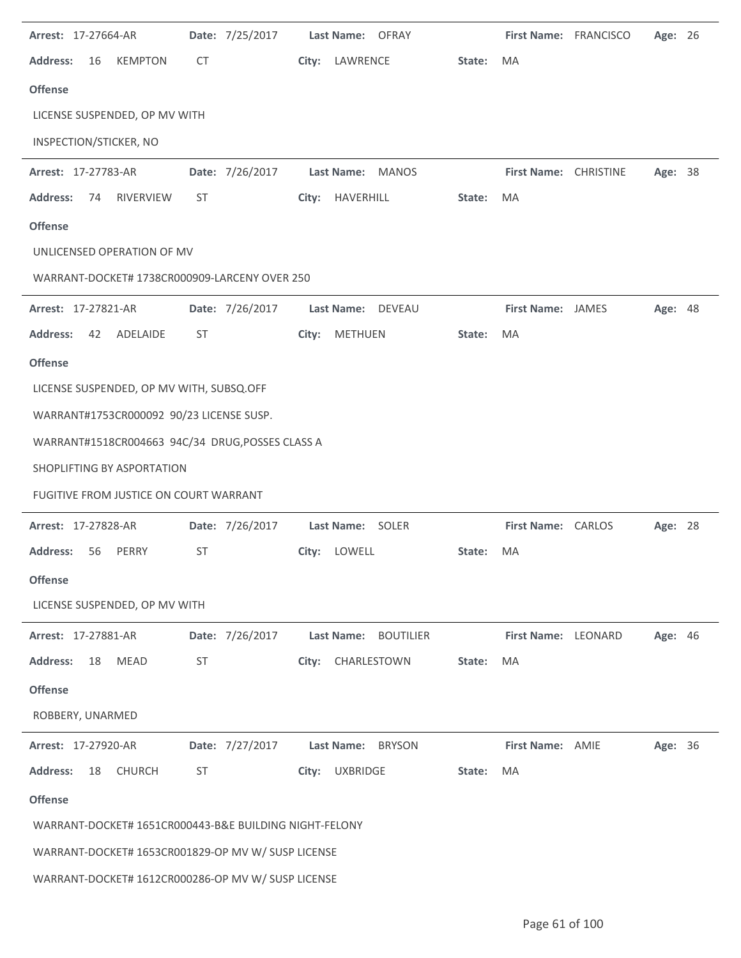| Arrest: 17-27664-AR                                    | Date: 7/25/2017 | Last Name: OFRAY               |        | First Name: FRANCISCO   | Age: 26 |  |
|--------------------------------------------------------|-----------------|--------------------------------|--------|-------------------------|---------|--|
| <b>Address:</b><br><b>KEMPTON</b><br>16                | CT              | City:<br>LAWRENCE              | State: | <b>MA</b>               |         |  |
| <b>Offense</b>                                         |                 |                                |        |                         |         |  |
| LICENSE SUSPENDED, OP MV WITH                          |                 |                                |        |                         |         |  |
| INSPECTION/STICKER, NO                                 |                 |                                |        |                         |         |  |
| Arrest: 17-27783-AR                                    | Date: 7/26/2017 | Last Name: MANOS               |        | First Name: CHRISTINE   | Age: 38 |  |
| <b>Address:</b><br>RIVERVIEW<br>74                     | <b>ST</b>       | HAVERHILL<br>City:             | State: | MA                      |         |  |
| <b>Offense</b>                                         |                 |                                |        |                         |         |  |
| UNLICENSED OPERATION OF MV                             |                 |                                |        |                         |         |  |
| WARRANT-DOCKET# 1738CR000909-LARCENY OVER 250          |                 |                                |        |                         |         |  |
| Arrest: 17-27821-AR                                    | Date: 7/26/2017 | Last Name: DEVEAU              |        | First Name: JAMES       | Age: 48 |  |
| <b>Address:</b><br>ADELAIDE<br>42                      | <b>ST</b>       | <b>METHUEN</b><br>City:        | State: | <b>MA</b>               |         |  |
| <b>Offense</b>                                         |                 |                                |        |                         |         |  |
| LICENSE SUSPENDED, OP MV WITH, SUBSQ.OFF               |                 |                                |        |                         |         |  |
| WARRANT#1753CR000092 90/23 LICENSE SUSP.               |                 |                                |        |                         |         |  |
| WARRANT#1518CR004663 94C/34 DRUG, POSSES CLASS A       |                 |                                |        |                         |         |  |
| SHOPLIFTING BY ASPORTATION                             |                 |                                |        |                         |         |  |
| FUGITIVE FROM JUSTICE ON COURT WARRANT                 |                 |                                |        |                         |         |  |
| Arrest: 17-27828-AR                                    | Date: 7/26/2017 | Last Name: SOLER               |        | First Name: CARLOS      | Age: 28 |  |
| <b>Address:</b><br>56<br>PERRY                         | <b>ST</b>       | LOWELL<br>City:                | State: | MA                      |         |  |
| <b>Offense</b>                                         |                 |                                |        |                         |         |  |
| LICENSE SUSPENDED, OP MV WITH                          |                 |                                |        |                         |         |  |
| Arrest: 17-27881-AR                                    | Date: 7/26/2017 | Last Name:<br><b>BOUTILIER</b> |        | First Name: LEONARD     | Age: 46 |  |
| <b>MEAD</b><br><b>Address:</b><br>18                   | ST              | CHARLESTOWN<br>City:           | State: | MA                      |         |  |
| <b>Offense</b>                                         |                 |                                |        |                         |         |  |
| ROBBERY, UNARMED                                       |                 |                                |        |                         |         |  |
| Arrest: 17-27920-AR                                    | Date: 7/27/2017 | Last Name:<br><b>BRYSON</b>    |        | <b>First Name: AMIE</b> | Age: 36 |  |
| <b>Address:</b><br>18<br><b>CHURCH</b>                 | <b>ST</b>       | <b>UXBRIDGE</b><br>City:       | State: | MA                      |         |  |
| <b>Offense</b>                                         |                 |                                |        |                         |         |  |
| WARRANT-DOCKET# 1651CR000443-B&E BUILDING NIGHT-FELONY |                 |                                |        |                         |         |  |
| WARRANT-DOCKET# 1653CR001829-OP MV W/ SUSP LICENSE     |                 |                                |        |                         |         |  |
| WARRANT-DOCKET# 1612CR000286-OP MV W/ SUSP LICENSE     |                 |                                |        |                         |         |  |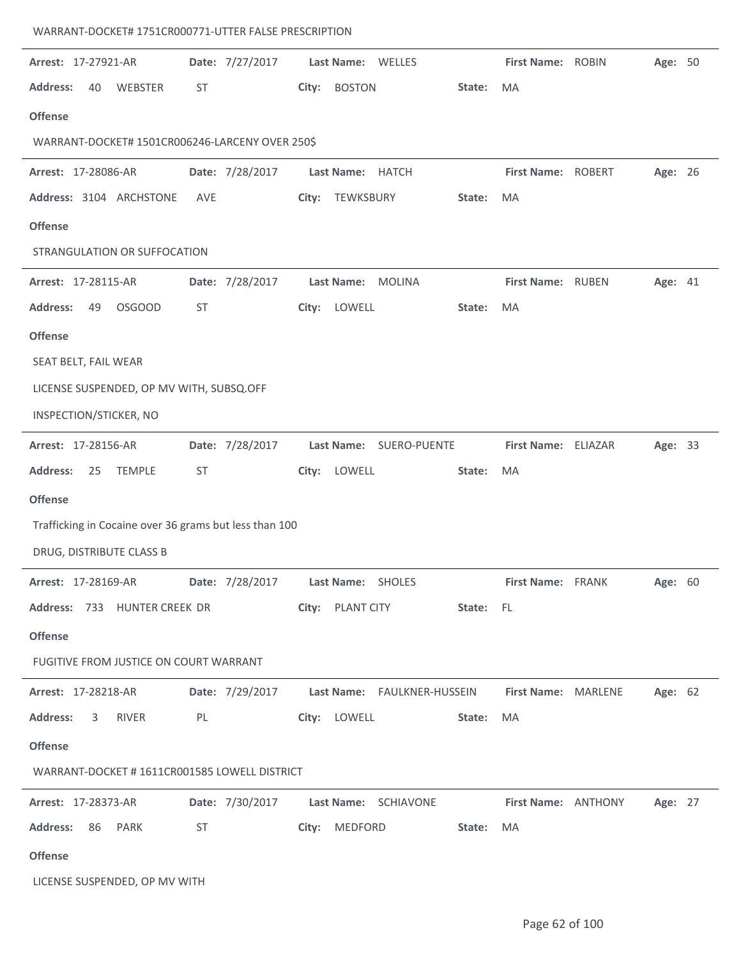| Arrest: 17-27921-AR                                    | Date: 7/27/2017 | Last Name: WELLES                                                     | First Name: ROBIN<br>Age: 50               |
|--------------------------------------------------------|-----------------|-----------------------------------------------------------------------|--------------------------------------------|
| <b>Address:</b><br>40<br>WEBSTER                       | <b>ST</b>       | <b>BOSTON</b><br>State:<br>City:                                      | MA                                         |
| <b>Offense</b>                                         |                 |                                                                       |                                            |
| WARRANT-DOCKET# 1501CR006246-LARCENY OVER 250\$        |                 |                                                                       |                                            |
|                                                        |                 | Last Name: HATCH                                                      | First Name: ROBERT                         |
| Arrest: 17-28086-AR                                    | Date: 7/28/2017 |                                                                       | Age: 26                                    |
| Address: 3104 ARCHSTONE                                | <b>AVE</b>      | TEWKSBURY<br>City:<br>State:                                          | MA                                         |
| <b>Offense</b>                                         |                 |                                                                       |                                            |
| STRANGULATION OR SUFFOCATION                           |                 |                                                                       |                                            |
| Arrest: 17-28115-AR                                    | Date: 7/28/2017 | <b>Last Name:</b><br><b>MOLINA</b>                                    | First Name: RUBEN<br>Age: 41               |
| <b>Address:</b><br>49<br><b>OSGOOD</b>                 | ST              | LOWELL<br>City:<br>State:                                             | <b>MA</b>                                  |
| <b>Offense</b>                                         |                 |                                                                       |                                            |
| SEAT BELT, FAIL WEAR                                   |                 |                                                                       |                                            |
| LICENSE SUSPENDED, OP MV WITH, SUBSQ.OFF               |                 |                                                                       |                                            |
| INSPECTION/STICKER, NO                                 |                 |                                                                       |                                            |
|                                                        |                 |                                                                       |                                            |
| Arrest: 17-28156-AR                                    | Date: 7/28/2017 | Last Name: SUERO-PUENTE                                               | First Name: ELIAZAR<br>Age: 33             |
| <b>Address:</b><br>25<br><b>TEMPLE</b>                 | <b>ST</b>       | City: LOWELL<br>State:                                                | MA                                         |
| <b>Offense</b>                                         |                 |                                                                       |                                            |
| Trafficking in Cocaine over 36 grams but less than 100 |                 |                                                                       |                                            |
| DRUG, DISTRIBUTE CLASS B                               |                 |                                                                       |                                            |
| <b>Arrest: 17-28169-AR</b>                             | Date: 7/28/2017 | Last Name: SHOLES                                                     | <b>First Name: FRANK</b><br><b>Age: 60</b> |
| Address: 733 HUNTER CREEK DR                           |                 | City: PLANT CITY State: FL                                            |                                            |
| <b>Offense</b>                                         |                 |                                                                       |                                            |
| FUGITIVE FROM JUSTICE ON COURT WARRANT                 |                 |                                                                       |                                            |
| Arrest: 17-28218-AR                                    |                 |                                                                       | Age: 62                                    |
|                                                        |                 | Date: 7/29/2017    Last Name: FAULKNER-HUSSEIN    First Name: MARLENE |                                            |
| <b>Address:</b><br>$\overline{\mathbf{3}}$<br>RIVER    | PL              | City: LOWELL<br>State:                                                | MA                                         |
| <b>Offense</b>                                         |                 |                                                                       |                                            |
| WARRANT-DOCKET #1611CR001585 LOWELL DISTRICT           |                 |                                                                       |                                            |
| <b>Arrest: 17-28373-AR</b>                             |                 | Date: 7/30/2017 Last Name: SCHIAVONE                                  | First Name: ANTHONY<br>Age: 27             |
| Address: 86 PARK                                       | ST              | City: MEDFORD<br>State:                                               | MA                                         |
| <b>Offense</b>                                         |                 |                                                                       |                                            |
| LICENSE SUSPENDED, OP MV WITH                          |                 |                                                                       |                                            |
|                                                        |                 |                                                                       |                                            |

WARRANT-DOCKET# 1751CR000771-UTTER FALSE PRESCRIPTION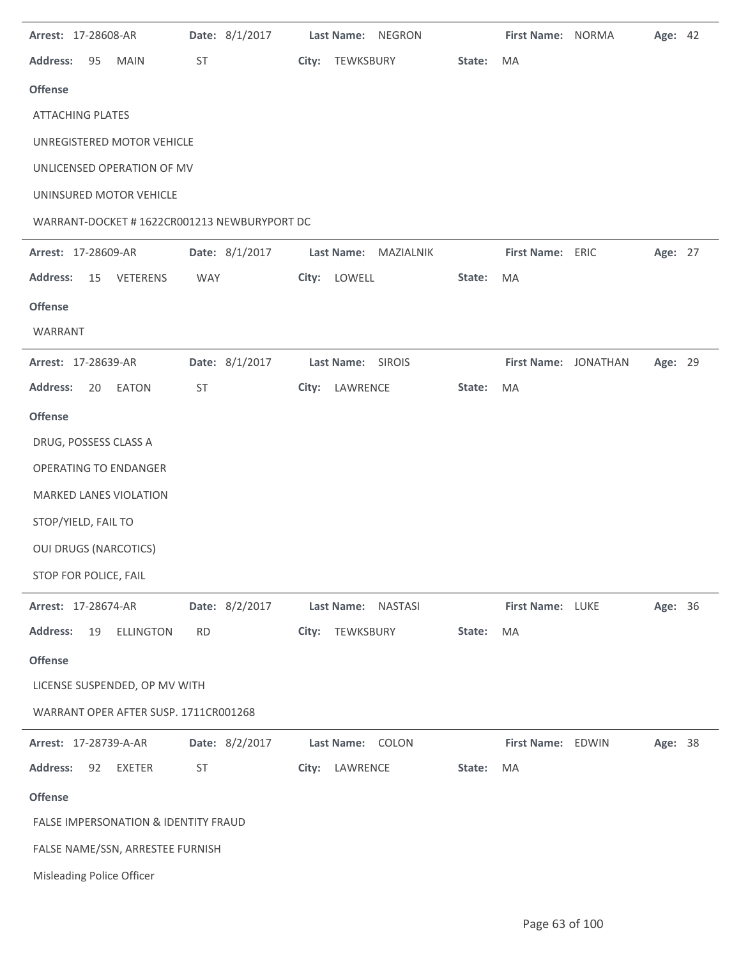| Arrest: 17-28608-AR                         | Date: 8/1/2017 | Last Name:<br><b>NEGRON</b>    |        | First Name: NORMA    | Age: 42 |  |
|---------------------------------------------|----------------|--------------------------------|--------|----------------------|---------|--|
| <b>Address:</b><br>95<br><b>MAIN</b>        | ST             | City:<br>TEWKSBURY             | State: | MA                   |         |  |
| <b>Offense</b>                              |                |                                |        |                      |         |  |
| <b>ATTACHING PLATES</b>                     |                |                                |        |                      |         |  |
| UNREGISTERED MOTOR VEHICLE                  |                |                                |        |                      |         |  |
| UNLICENSED OPERATION OF MV                  |                |                                |        |                      |         |  |
| UNINSURED MOTOR VEHICLE                     |                |                                |        |                      |         |  |
| WARRANT-DOCKET #1622CR001213 NEWBURYPORT DC |                |                                |        |                      |         |  |
| Arrest: 17-28609-AR                         | Date: 8/1/2017 | <b>Last Name:</b><br>MAZIALNIK |        | First Name: ERIC     | Age: 27 |  |
| <b>Address:</b><br>VETERENS<br>15           | WAY            | City: LOWELL                   | State: | MA                   |         |  |
| <b>Offense</b>                              |                |                                |        |                      |         |  |
| WARRANT                                     |                |                                |        |                      |         |  |
| Arrest: 17-28639-AR                         | Date: 8/1/2017 | Last Name: SIROIS              |        | First Name: JONATHAN | Age: 29 |  |
| <b>Address:</b><br>20<br><b>EATON</b>       | ST             | City: LAWRENCE                 | State: | MA                   |         |  |
| <b>Offense</b>                              |                |                                |        |                      |         |  |
| DRUG, POSSESS CLASS A                       |                |                                |        |                      |         |  |
| <b>OPERATING TO ENDANGER</b>                |                |                                |        |                      |         |  |
| <b>MARKED LANES VIOLATION</b>               |                |                                |        |                      |         |  |
| STOP/YIELD, FAIL TO                         |                |                                |        |                      |         |  |
| <b>OUI DRUGS (NARCOTICS)</b>                |                |                                |        |                      |         |  |
| STOP FOR POLICE, FAIL                       |                |                                |        |                      |         |  |
| Arrest: 17-28674-AR                         | Date: 8/2/2017 | <b>NASTASI</b><br>Last Name:   |        | First Name: LUKE     | Age: 36 |  |
| <b>Address:</b><br>ELLINGTON<br>19          | <b>RD</b>      | TEWKSBURY<br>City:             | State: | MA                   |         |  |
| <b>Offense</b>                              |                |                                |        |                      |         |  |
| LICENSE SUSPENDED, OP MV WITH               |                |                                |        |                      |         |  |
| WARRANT OPER AFTER SUSP. 1711CR001268       |                |                                |        |                      |         |  |
| Arrest: 17-28739-A-AR                       | Date: 8/2/2017 | Last Name: COLON               |        | First Name: EDWIN    | Age: 38 |  |
| <b>Address:</b><br>92<br>EXETER             | <b>ST</b>      | City: LAWRENCE                 | State: | MA                   |         |  |
| <b>Offense</b>                              |                |                                |        |                      |         |  |
| FALSE IMPERSONATION & IDENTITY FRAUD        |                |                                |        |                      |         |  |
| FALSE NAME/SSN, ARRESTEE FURNISH            |                |                                |        |                      |         |  |
| Misleading Police Officer                   |                |                                |        |                      |         |  |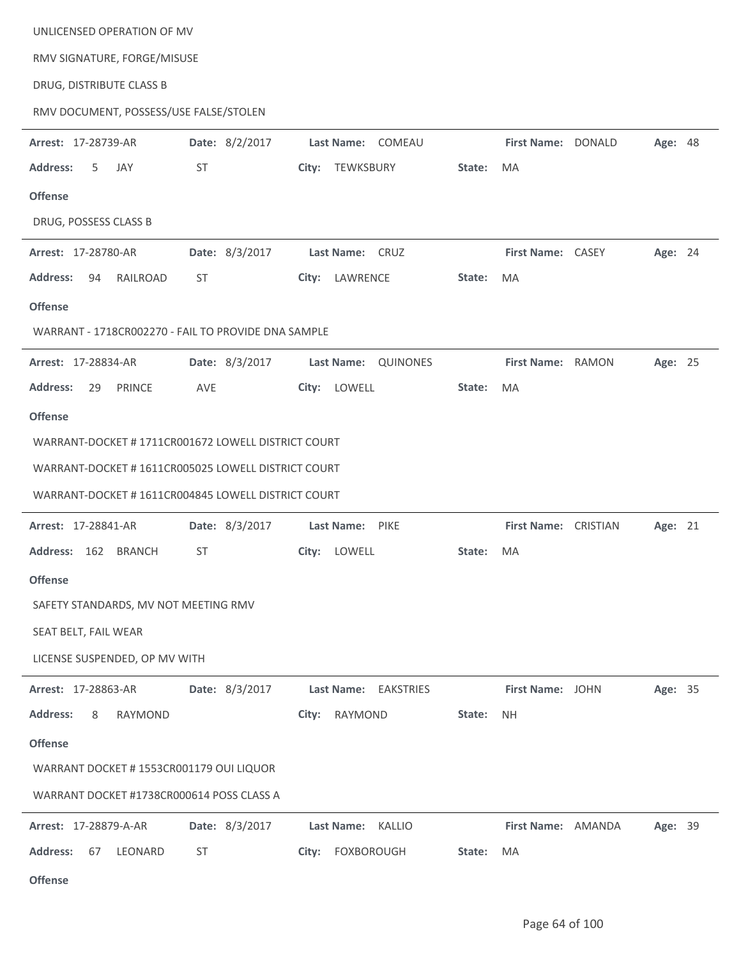UNLICENSED OPERATION OF MV

RMV SIGNATURE, FORGE/MISUSE

DRUG, DISTRIBUTE CLASS B

RMV DOCUMENT, POSSESS/USE FALSE/STOLEN

| Arrest: 17-28739-AR                  | Date: 8/2/2017                                      | Last Name: COMEAU                                      |        | First Name: DONALD   |                         | Age: 48 |  |
|--------------------------------------|-----------------------------------------------------|--------------------------------------------------------|--------|----------------------|-------------------------|---------|--|
| <b>Address:</b><br>5<br>JAY          | ST                                                  | City: TEWKSBURY                                        | State: | MA                   |                         |         |  |
| <b>Offense</b>                       |                                                     |                                                        |        |                      |                         |         |  |
| DRUG, POSSESS CLASS B                |                                                     |                                                        |        |                      |                         |         |  |
| Arrest: 17-28780-AR                  | Date: 8/3/2017                                      | Last Name: CRUZ                                        |        | First Name: CASEY    |                         | Age: 24 |  |
| <b>Address:</b><br>RAILROAD<br>94    | ST                                                  | City: LAWRENCE                                         | State: | MA                   |                         |         |  |
| <b>Offense</b>                       |                                                     |                                                        |        |                      |                         |         |  |
|                                      | WARRANT - 1718CR002270 - FAIL TO PROVIDE DNA SAMPLE |                                                        |        |                      |                         |         |  |
| Arrest: 17-28834-AR                  | Date: 8/3/2017                                      | Last Name: QUINONES                                    |        | First Name: RAMON    |                         | Age: 25 |  |
| <b>Address:</b><br>PRINCE<br>29      | AVE                                                 | City: LOWELL                                           | State: | MA                   |                         |         |  |
| <b>Offense</b>                       |                                                     |                                                        |        |                      |                         |         |  |
|                                      | WARRANT-DOCKET #1711CR001672 LOWELL DISTRICT COURT  |                                                        |        |                      |                         |         |  |
|                                      | WARRANT-DOCKET # 1611CR005025 LOWELL DISTRICT COURT |                                                        |        |                      |                         |         |  |
|                                      | WARRANT-DOCKET #1611CR004845 LOWELL DISTRICT COURT  |                                                        |        |                      |                         |         |  |
| Arrest: 17-28841-AR                  | Date: 8/3/2017                                      | Last Name: PIKE                                        |        | First Name: CRISTIAN |                         | Age: 21 |  |
| Address: 162 BRANCH                  | ST                                                  | City: LOWELL                                           | State: | MA                   |                         |         |  |
| <b>Offense</b>                       |                                                     |                                                        |        |                      |                         |         |  |
| SAFETY STANDARDS, MV NOT MEETING RMV |                                                     |                                                        |        |                      |                         |         |  |
| SEAT BELT, FAIL WEAR                 |                                                     |                                                        |        |                      |                         |         |  |
| LICENSE SUSPENDED, OP MV WITH        |                                                     |                                                        |        |                      |                         |         |  |
| <b>Arrest: 17-28863-AR</b>           |                                                     | Date: 8/3/2017 Last Name: EAKSTRIES                    |        |                      | <b>First Name: JOHN</b> | Age: 35 |  |
| Address: 8<br>RAYMOND                |                                                     | City: RAYMOND                                          | State: | NH.                  |                         |         |  |
| <b>Offense</b>                       |                                                     |                                                        |        |                      |                         |         |  |
|                                      | WARRANT DOCKET # 1553CR001179 OUI LIQUOR            |                                                        |        |                      |                         |         |  |
|                                      | WARRANT DOCKET #1738CR000614 POSS CLASS A           |                                                        |        |                      |                         |         |  |
|                                      |                                                     | Arrest: 17-28879-A-AR Date: 8/3/2017 Last Name: KALLIO |        |                      | First Name: AMANDA      | Age: 39 |  |
| Address: 67 LEONARD                  | ST                                                  | City: FOXBOROUGH                                       | State: | MA                   |                         |         |  |
| <b>Offense</b>                       |                                                     |                                                        |        |                      |                         |         |  |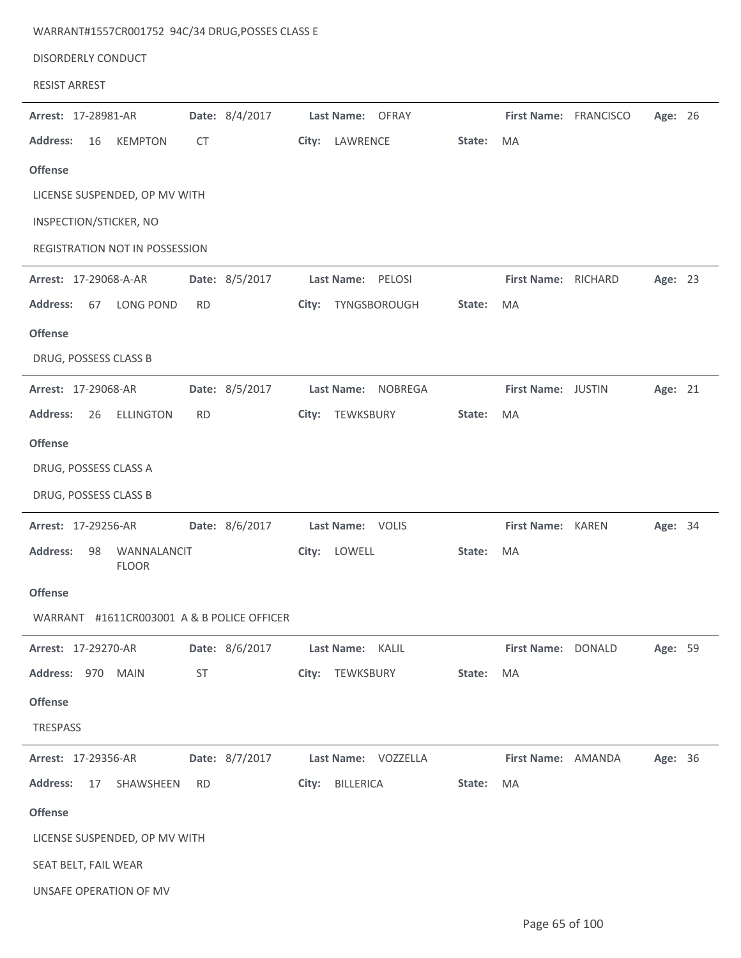| <b>DISORDERLY CONDUCT</b>                            |           |                |       |                     |        |                       |  |         |  |
|------------------------------------------------------|-----------|----------------|-------|---------------------|--------|-----------------------|--|---------|--|
| <b>RESIST ARREST</b>                                 |           |                |       |                     |        |                       |  |         |  |
| Arrest: 17-28981-AR                                  |           | Date: 8/4/2017 |       | Last Name: OFRAY    |        | First Name: FRANCISCO |  | Age: 26 |  |
| <b>Address:</b><br>16<br><b>KEMPTON</b>              | <b>CT</b> |                |       | City: LAWRENCE      | State: | MA                    |  |         |  |
| <b>Offense</b>                                       |           |                |       |                     |        |                       |  |         |  |
| LICENSE SUSPENDED, OP MV WITH                        |           |                |       |                     |        |                       |  |         |  |
| INSPECTION/STICKER, NO                               |           |                |       |                     |        |                       |  |         |  |
| REGISTRATION NOT IN POSSESSION                       |           |                |       |                     |        |                       |  |         |  |
| Arrest: 17-29068-A-AR                                |           | Date: 8/5/2017 |       | Last Name: PELOSI   |        | First Name: RICHARD   |  | Age: 23 |  |
| <b>Address:</b><br>67<br><b>LONG POND</b>            | <b>RD</b> |                | City: | TYNGSBOROUGH        | State: | MA                    |  |         |  |
| <b>Offense</b>                                       |           |                |       |                     |        |                       |  |         |  |
| DRUG, POSSESS CLASS B                                |           |                |       |                     |        |                       |  |         |  |
| Arrest: 17-29068-AR                                  |           | Date: 8/5/2017 |       | Last Name: NOBREGA  |        | First Name: JUSTIN    |  | Age: 21 |  |
| <b>Address:</b><br>26<br><b>ELLINGTON</b>            | <b>RD</b> |                | City: | TEWKSBURY           | State: | MA                    |  |         |  |
| <b>Offense</b>                                       |           |                |       |                     |        |                       |  |         |  |
| DRUG, POSSESS CLASS A                                |           |                |       |                     |        |                       |  |         |  |
| DRUG, POSSESS CLASS B                                |           |                |       |                     |        |                       |  |         |  |
| Arrest: 17-29256-AR                                  |           | Date: 8/6/2017 |       | Last Name: VOLIS    |        | First Name: KAREN     |  | Age: 34 |  |
| <b>Address:</b><br>98<br>WANNALANCIT<br><b>FLOOR</b> |           |                | City: | LOWELL              | State: | MA                    |  |         |  |
| <b>Offense</b>                                       |           |                |       |                     |        |                       |  |         |  |
| WARRANT #1611CR003001 A & B POLICE OFFICER           |           |                |       |                     |        |                       |  |         |  |
| Arrest: 17-29270-AR                                  |           | Date: 8/6/2017 |       | Last Name: KALIL    |        | First Name: DONALD    |  | Age: 59 |  |
| Address: 970 MAIN                                    | <b>ST</b> |                |       | City: TEWKSBURY     | State: | MA                    |  |         |  |
| <b>Offense</b>                                       |           |                |       |                     |        |                       |  |         |  |
| TRESPASS                                             |           |                |       |                     |        |                       |  |         |  |
| Arrest: 17-29356-AR                                  |           | Date: 8/7/2017 |       | Last Name: VOZZELLA |        | First Name: AMANDA    |  | Age: 36 |  |
| <b>Address:</b><br>17<br>SHAWSHEEN                   | RD.       |                |       | City: BILLERICA     | State: | MA                    |  |         |  |
| <b>Offense</b>                                       |           |                |       |                     |        |                       |  |         |  |
| LICENSE SUSPENDED, OP MV WITH                        |           |                |       |                     |        |                       |  |         |  |
| SEAT BELT, FAIL WEAR                                 |           |                |       |                     |        |                       |  |         |  |
| UNSAFE OPERATION OF MV                               |           |                |       |                     |        |                       |  |         |  |

WARRANT#1557CR001752 94C/34 DRUG,POSSES CLASS E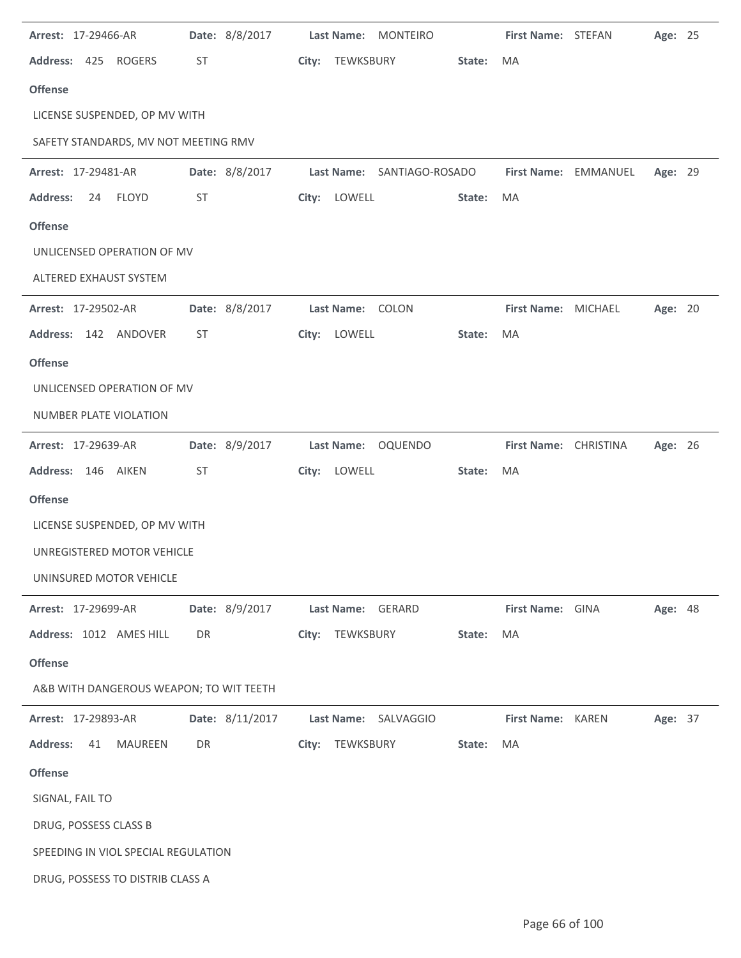| Arrest: 17-29466-AR                     | Date: 8/8/2017  | Last Name: MONTEIRO        |        | First Name: STEFAN    |                      | Age: 25 |  |
|-----------------------------------------|-----------------|----------------------------|--------|-----------------------|----------------------|---------|--|
| Address: 425 ROGERS                     | ST              | City: TEWKSBURY            | State: | MA                    |                      |         |  |
| <b>Offense</b>                          |                 |                            |        |                       |                      |         |  |
| LICENSE SUSPENDED, OP MV WITH           |                 |                            |        |                       |                      |         |  |
| SAFETY STANDARDS, MV NOT MEETING RMV    |                 |                            |        |                       |                      |         |  |
| Arrest: 17-29481-AR                     | Date: 8/8/2017  | Last Name: SANTIAGO-ROSADO |        |                       | First Name: EMMANUEL | Age: 29 |  |
| <b>FLOYD</b><br><b>Address:</b><br>24   | ST              | City: LOWELL               | State: | MA                    |                      |         |  |
| <b>Offense</b>                          |                 |                            |        |                       |                      |         |  |
| UNLICENSED OPERATION OF MV              |                 |                            |        |                       |                      |         |  |
| ALTERED EXHAUST SYSTEM                  |                 |                            |        |                       |                      |         |  |
| Arrest: 17-29502-AR                     | Date: 8/8/2017  | Last Name: COLON           |        | First Name: MICHAEL   |                      | Age: 20 |  |
| Address: 142 ANDOVER                    | ST              | City: LOWELL               | State: | MA                    |                      |         |  |
| <b>Offense</b>                          |                 |                            |        |                       |                      |         |  |
| UNLICENSED OPERATION OF MV              |                 |                            |        |                       |                      |         |  |
| NUMBER PLATE VIOLATION                  |                 |                            |        |                       |                      |         |  |
| Arrest: 17-29639-AR                     | Date: 8/9/2017  | Last Name: OQUENDO         |        | First Name: CHRISTINA |                      | Age: 26 |  |
| Address: 146 AIKEN                      | ST              | City: LOWELL               | State: | MA                    |                      |         |  |
| <b>Offense</b>                          |                 |                            |        |                       |                      |         |  |
| LICENSE SUSPENDED, OP MV WITH           |                 |                            |        |                       |                      |         |  |
| UNREGISTERED MOTOR VEHICLE              |                 |                            |        |                       |                      |         |  |
| UNINSURED MOTOR VEHICLE                 |                 |                            |        |                       |                      |         |  |
| Arrest: 17-29699-AR                     | Date: 8/9/2017  | Last Name: GERARD          |        | First Name: GINA      |                      | Age: 48 |  |
| Address: 1012 AMES HILL                 | DR              | City: TEWKSBURY            | State: | MA                    |                      |         |  |
| <b>Offense</b>                          |                 |                            |        |                       |                      |         |  |
| A&B WITH DANGEROUS WEAPON; TO WIT TEETH |                 |                            |        |                       |                      |         |  |
| Arrest: 17-29893-AR                     | Date: 8/11/2017 | Last Name: SALVAGGIO       |        | First Name: KAREN     |                      | Age: 37 |  |
| <b>Address:</b><br>41<br>MAUREEN        | DR              | City: TEWKSBURY            | State: | MA                    |                      |         |  |
| <b>Offense</b>                          |                 |                            |        |                       |                      |         |  |
| SIGNAL, FAIL TO                         |                 |                            |        |                       |                      |         |  |
| DRUG, POSSESS CLASS B                   |                 |                            |        |                       |                      |         |  |
| SPEEDING IN VIOL SPECIAL REGULATION     |                 |                            |        |                       |                      |         |  |
| DRUG, POSSESS TO DISTRIB CLASS A        |                 |                            |        |                       |                      |         |  |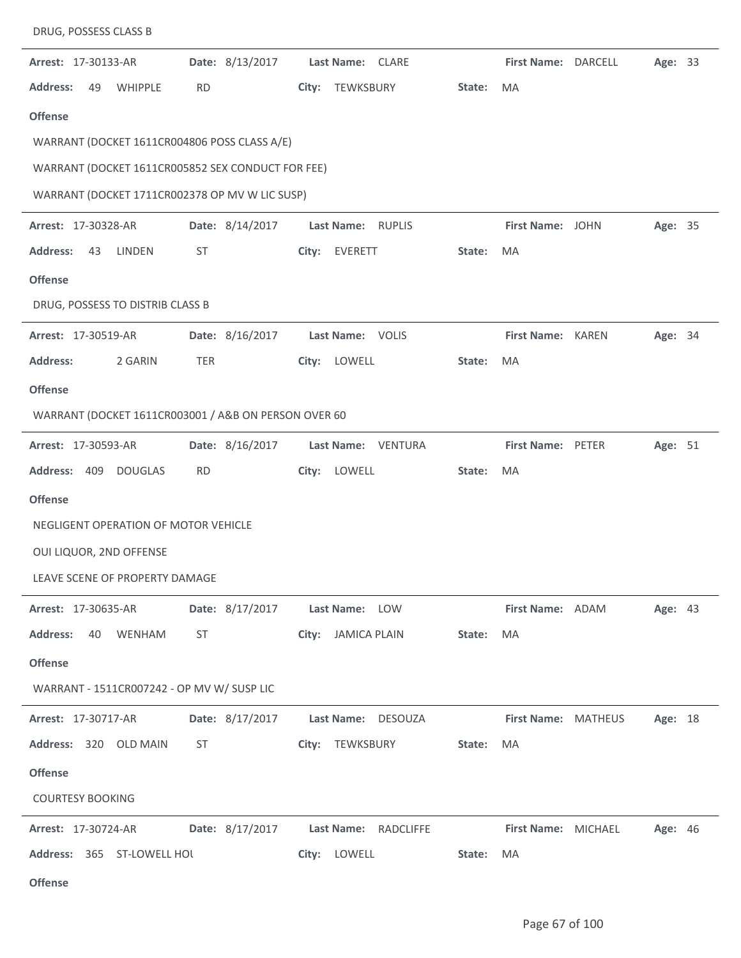| DRUG, POSSESS CLASS B                                |                 |                                      |        |                          |                     |         |  |
|------------------------------------------------------|-----------------|--------------------------------------|--------|--------------------------|---------------------|---------|--|
| Arrest: 17-30133-AR                                  | Date: 8/13/2017 | Last Name: CLARE                     |        | First Name: DARCELL      |                     | Age: 33 |  |
| <b>Address:</b><br>49<br><b>WHIPPLE</b>              | <b>RD</b>       | TEWKSBURY<br>City:                   | State: | <b>MA</b>                |                     |         |  |
| <b>Offense</b>                                       |                 |                                      |        |                          |                     |         |  |
| WARRANT (DOCKET 1611CR004806 POSS CLASS A/E)         |                 |                                      |        |                          |                     |         |  |
| WARRANT (DOCKET 1611CR005852 SEX CONDUCT FOR FEE)    |                 |                                      |        |                          |                     |         |  |
| WARRANT (DOCKET 1711CR002378 OP MV W LIC SUSP)       |                 |                                      |        |                          |                     |         |  |
| Arrest: 17-30328-AR                                  | Date: 8/14/2017 | Last Name: RUPLIS                    |        | First Name: JOHN         |                     | Age: 35 |  |
| <b>Address:</b><br>43<br>LINDEN                      | <b>ST</b>       | City:<br>EVERETT                     | State: | MA                       |                     |         |  |
| <b>Offense</b>                                       |                 |                                      |        |                          |                     |         |  |
| DRUG, POSSESS TO DISTRIB CLASS B                     |                 |                                      |        |                          |                     |         |  |
| Arrest: 17-30519-AR                                  | Date: 8/16/2017 | Last Name: VOLIS                     |        | First Name: KAREN        |                     | Age: 34 |  |
| <b>Address:</b><br>2 GARIN                           | <b>TER</b>      | LOWELL<br>City:                      | State: | <b>MA</b>                |                     |         |  |
| <b>Offense</b>                                       |                 |                                      |        |                          |                     |         |  |
| WARRANT (DOCKET 1611CR003001 / A&B ON PERSON OVER 60 |                 |                                      |        |                          |                     |         |  |
| Arrest: 17-30593-AR                                  | Date: 8/16/2017 | Last Name: VENTURA                   |        | <b>First Name: PETER</b> |                     | Age: 51 |  |
| Address: 409<br><b>DOUGLAS</b>                       | <b>RD</b>       | LOWELL<br>City:                      | State: | MA                       |                     |         |  |
| <b>Offense</b>                                       |                 |                                      |        |                          |                     |         |  |
| NEGLIGENT OPERATION OF MOTOR VEHICLE                 |                 |                                      |        |                          |                     |         |  |
| OUI LIQUOR, 2ND OFFENSE                              |                 |                                      |        |                          |                     |         |  |
| LEAVE SCENE OF PROPERTY DAMAGE                       |                 |                                      |        |                          |                     |         |  |
| <b>Arrest: 17-30635-AR</b>                           |                 | Date: 8/17/2017 Last Name: LOW       |        | First Name: ADAM         |                     | Age: 43 |  |
| Address: 40 WENHAM                                   | ST              | City: JAMICA PLAIN                   | State: | MA                       |                     |         |  |
| <b>Offense</b>                                       |                 |                                      |        |                          |                     |         |  |
| WARRANT - 1511CR007242 - OP MV W/ SUSP LIC           |                 |                                      |        |                          |                     |         |  |
| <b>Arrest: 17-30717-AR</b>                           |                 | Date: 8/17/2017 Last Name: DESOUZA   |        |                          | First Name: MATHEUS | Age: 18 |  |
| Address: 320 OLD MAIN                                | ST              | City: TEWKSBURY                      | State: | MA                       |                     |         |  |
| <b>Offense</b>                                       |                 |                                      |        |                          |                     |         |  |
| <b>COURTESY BOOKING</b>                              |                 |                                      |        |                          |                     |         |  |
| <b>Arrest: 17-30724-AR</b>                           |                 | Date: 8/17/2017 Last Name: RADCLIFFE |        | First Name: MICHAEL      |                     | Age: 46 |  |
| Address: 365 ST-LOWELL HOL                           |                 | City: LOWELL                         | State: | MA                       |                     |         |  |
| <b>Offense</b>                                       |                 |                                      |        |                          |                     |         |  |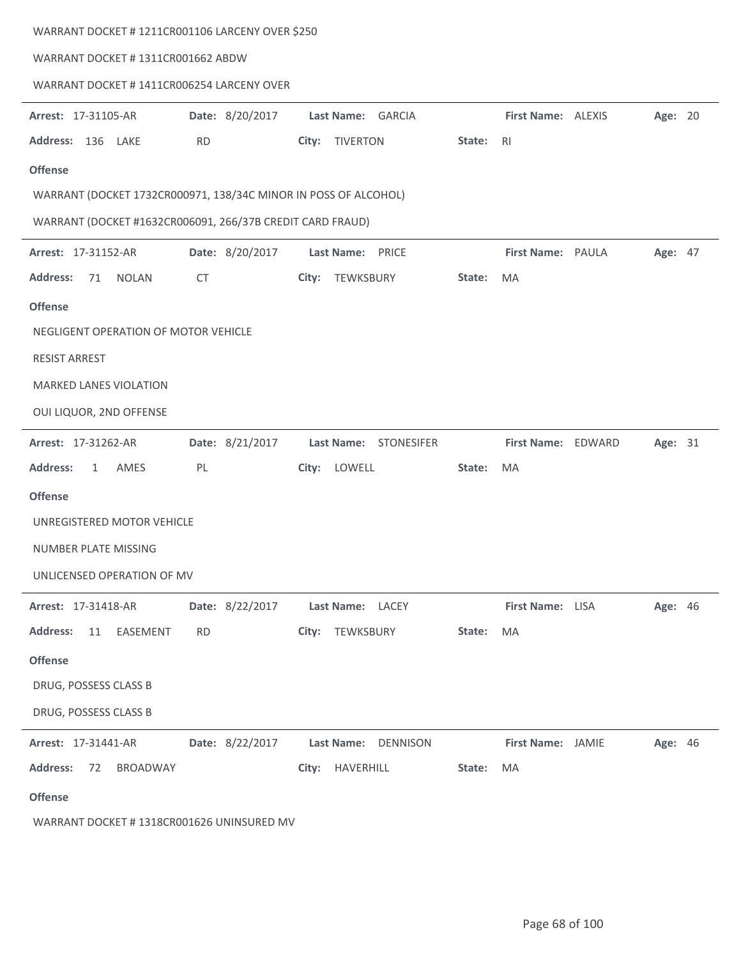| WARRANT DOCKET # 1211CR001106 LARCENY OVER \$250                |                 |                          |        |                    |         |  |
|-----------------------------------------------------------------|-----------------|--------------------------|--------|--------------------|---------|--|
| WARRANT DOCKET #1311CR001662 ABDW                               |                 |                          |        |                    |         |  |
| WARRANT DOCKET # 1411CR006254 LARCENY OVER                      |                 |                          |        |                    |         |  |
|                                                                 |                 |                          |        |                    |         |  |
| Arrest: 17-31105-AR                                             | Date: 8/20/2017 | Last Name: GARCIA        |        | First Name: ALEXIS | Age: 20 |  |
| Address: 136 LAKE                                               | <b>RD</b>       | <b>TIVERTON</b><br>City: | State: | R <sub>l</sub>     |         |  |
| <b>Offense</b>                                                  |                 |                          |        |                    |         |  |
| WARRANT (DOCKET 1732CR000971, 138/34C MINOR IN POSS OF ALCOHOL) |                 |                          |        |                    |         |  |
| WARRANT (DOCKET #1632CR006091, 266/37B CREDIT CARD FRAUD)       |                 |                          |        |                    |         |  |
| Arrest: 17-31152-AR                                             | Date: 8/20/2017 | Last Name: PRICE         |        | First Name: PAULA  | Age: 47 |  |
| <b>Address:</b><br>71<br><b>NOLAN</b>                           | <b>CT</b>       | TEWKSBURY<br>City:       | State: | MA                 |         |  |
| <b>Offense</b>                                                  |                 |                          |        |                    |         |  |
| NEGLIGENT OPERATION OF MOTOR VEHICLE                            |                 |                          |        |                    |         |  |
| <b>RESIST ARREST</b>                                            |                 |                          |        |                    |         |  |
| MARKED LANES VIOLATION                                          |                 |                          |        |                    |         |  |
| OUI LIQUOR, 2ND OFFENSE                                         |                 |                          |        |                    |         |  |
|                                                                 |                 |                          |        |                    |         |  |
| Arrest: 17-31262-AR                                             | Date: 8/21/2017 | Last Name: STONESIFER    |        | First Name: EDWARD | Age: 31 |  |
| <b>Address:</b><br>AMES<br>$\mathbf{1}$                         | PL              | City: LOWELL             | State: | MA                 |         |  |
| <b>Offense</b>                                                  |                 |                          |        |                    |         |  |
| UNREGISTERED MOTOR VEHICLE                                      |                 |                          |        |                    |         |  |
| NUMBER PLATE MISSING                                            |                 |                          |        |                    |         |  |
| UNLICENSED OPERATION OF MV                                      |                 |                          |        |                    |         |  |
| Arrest: 17-31418-AR                                             | Date: 8/22/2017 | Last Name: LACEY         |        | First Name: LISA   | Age: 46 |  |
| <b>Address:</b><br>11<br>EASEMENT                               | <b>RD</b>       | City: TEWKSBURY          | State: | MA                 |         |  |
| <b>Offense</b>                                                  |                 |                          |        |                    |         |  |
| DRUG, POSSESS CLASS B                                           |                 |                          |        |                    |         |  |
| DRUG, POSSESS CLASS B                                           |                 |                          |        |                    |         |  |
|                                                                 |                 |                          |        |                    |         |  |
| Arrest: 17-31441-AR                                             | Date: 8/22/2017 | Last Name: DENNISON      |        | First Name: JAMIE  | Age: 46 |  |
| <b>Address:</b><br>72<br><b>BROADWAY</b>                        |                 | City: HAVERHILL          | State: | MA                 |         |  |
| <b>Offense</b>                                                  |                 |                          |        |                    |         |  |
|                                                                 |                 |                          |        |                    |         |  |

WARRANT DOCKET # 1318CR001626 UNINSURED MV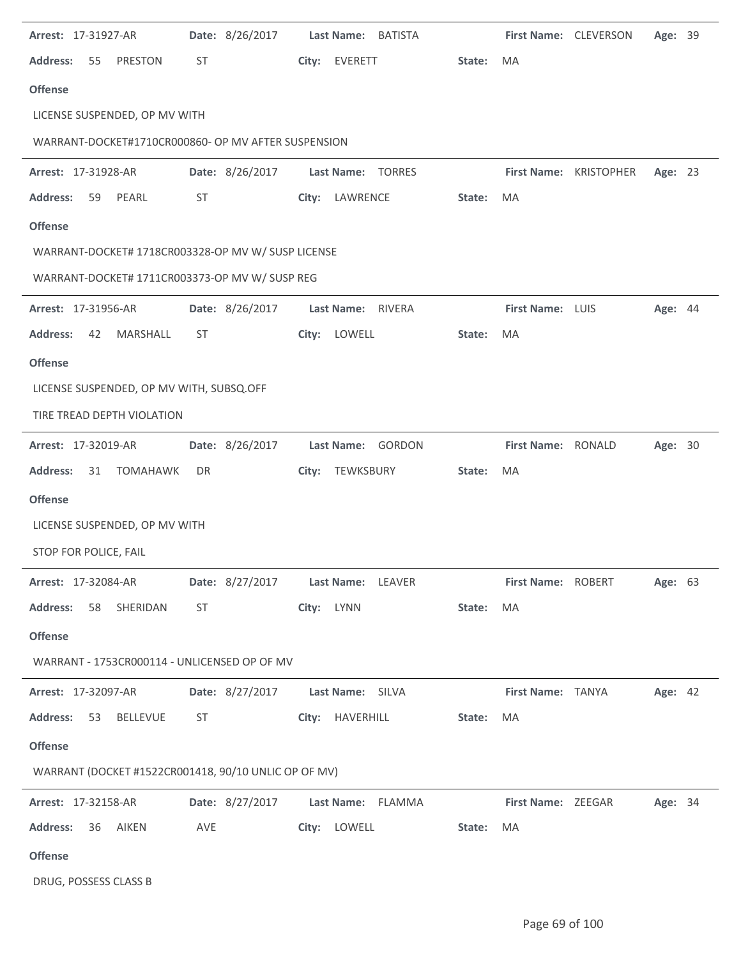| Arrest: 17-31927-AR                                  |           | Date: 8/26/2017                   |            |                   | Last Name: BATISTA |        | First Name: CLEVERSON     |                        | Age: 39        |  |
|------------------------------------------------------|-----------|-----------------------------------|------------|-------------------|--------------------|--------|---------------------------|------------------------|----------------|--|
| <b>Address:</b><br>55<br><b>PRESTON</b>              | <b>ST</b> |                                   |            | City: EVERETT     |                    | State: | <b>MA</b>                 |                        |                |  |
| <b>Offense</b>                                       |           |                                   |            |                   |                    |        |                           |                        |                |  |
| LICENSE SUSPENDED, OP MV WITH                        |           |                                   |            |                   |                    |        |                           |                        |                |  |
| WARRANT-DOCKET#1710CR000860- OP MV AFTER SUSPENSION  |           |                                   |            |                   |                    |        |                           |                        |                |  |
| Arrest: 17-31928-AR                                  |           | Date: 8/26/2017                   |            |                   | Last Name: TORRES  |        |                           | First Name: KRISTOPHER | Age: 23        |  |
| <b>Address:</b><br>59<br>PEARL                       | ST        |                                   |            | City: LAWRENCE    |                    | State: | MA                        |                        |                |  |
| <b>Offense</b>                                       |           |                                   |            |                   |                    |        |                           |                        |                |  |
| WARRANT-DOCKET# 1718CR003328-OP MV W/ SUSP LICENSE   |           |                                   |            |                   |                    |        |                           |                        |                |  |
| WARRANT-DOCKET# 1711CR003373-OP MV W/ SUSP REG       |           |                                   |            |                   |                    |        |                           |                        |                |  |
| Arrest: 17-31956-AR                                  |           | Date: 8/26/2017                   |            | Last Name: RIVERA |                    |        | First Name: LUIS          |                        | <b>Age: 44</b> |  |
| <b>Address:</b><br>MARSHALL<br>42                    | ST        |                                   | City:      | LOWELL            |                    | State: | MA                        |                        |                |  |
| <b>Offense</b>                                       |           |                                   |            |                   |                    |        |                           |                        |                |  |
| LICENSE SUSPENDED, OP MV WITH, SUBSQ.OFF             |           |                                   |            |                   |                    |        |                           |                        |                |  |
| TIRE TREAD DEPTH VIOLATION                           |           |                                   |            |                   |                    |        |                           |                        |                |  |
| Arrest: 17-32019-AR                                  |           | Date: 8/26/2017                   |            |                   | Last Name: GORDON  |        | First Name: RONALD        |                        | Age: 30        |  |
| <b>Address:</b><br>31<br>TOMAHAWK                    | DR        |                                   |            | City: TEWKSBURY   |                    | State: | MA                        |                        |                |  |
| <b>Offense</b>                                       |           |                                   |            |                   |                    |        |                           |                        |                |  |
| LICENSE SUSPENDED, OP MV WITH                        |           |                                   |            |                   |                    |        |                           |                        |                |  |
| STOP FOR POLICE, FAIL                                |           |                                   |            |                   |                    |        |                           |                        |                |  |
| Arrest: 17-32084-AR                                  |           | Date: 8/27/2017 Last Name: LEAVER |            |                   |                    |        | First Name: ROBERT        |                        | <b>Age: 63</b> |  |
| <b>Address:</b><br>58 SHERIDAN                       | ST        |                                   | City: LYNN |                   |                    | State: | MA                        |                        |                |  |
| <b>Offense</b>                                       |           |                                   |            |                   |                    |        |                           |                        |                |  |
| WARRANT - 1753CR000114 - UNLICENSED OP OF MV         |           |                                   |            |                   |                    |        |                           |                        |                |  |
| <b>Arrest: 17-32097-AR</b>                           |           | Date: 8/27/2017 Last Name: SILVA  |            |                   |                    |        | First Name: TANYA         |                        | Age: 42        |  |
| Address: 53<br>BELLEVUE                              | ST        |                                   |            |                   | City: HAVERHILL    | State: | MA                        |                        |                |  |
| <b>Offense</b>                                       |           |                                   |            |                   |                    |        |                           |                        |                |  |
| WARRANT (DOCKET #1522CR001418, 90/10 UNLIC OP OF MV) |           |                                   |            |                   |                    |        |                           |                        |                |  |
| <b>Arrest: 17-32158-AR</b>                           |           | Date: 8/27/2017                   |            |                   | Last Name: FLAMMA  |        | <b>First Name: ZEEGAR</b> |                        | Age: 34        |  |
| <b>Address:</b><br>36 AIKEN                          | AVE       |                                   |            | City: LOWELL      |                    | State: | <b>MA</b>                 |                        |                |  |
| <b>Offense</b>                                       |           |                                   |            |                   |                    |        |                           |                        |                |  |
| DRUG, POSSESS CLASS B                                |           |                                   |            |                   |                    |        |                           |                        |                |  |

j.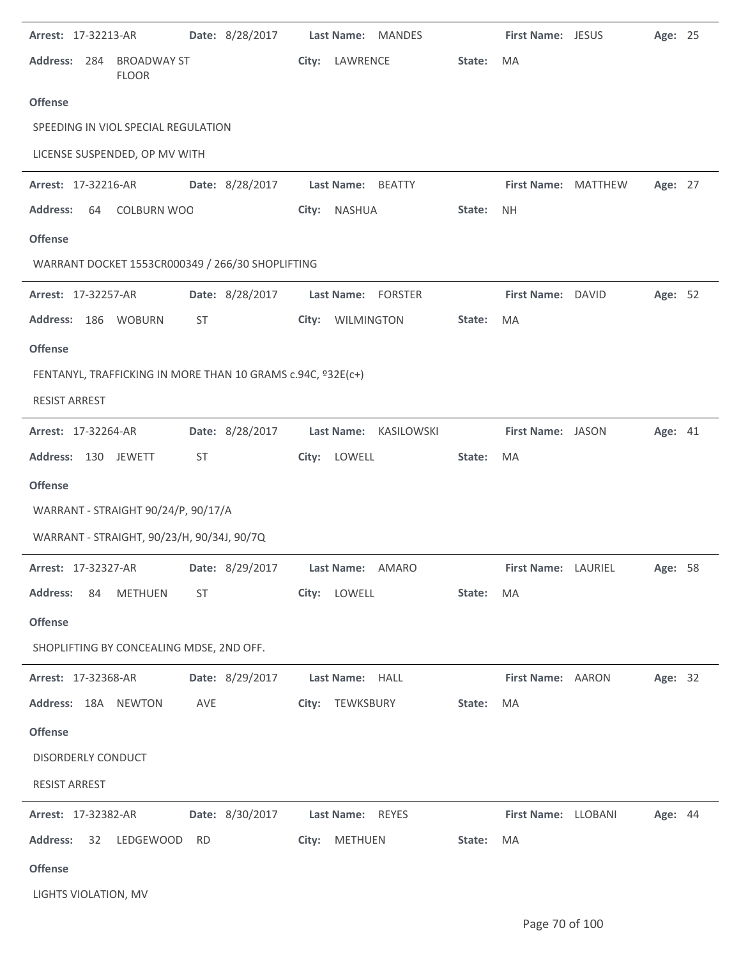| Arrest: 17-32213-AR        |                                            |     | Date: 8/28/2017                                             |                   | Last Name: MANDES     |           | First Name: JESUS   |                             | Age: 25 |  |
|----------------------------|--------------------------------------------|-----|-------------------------------------------------------------|-------------------|-----------------------|-----------|---------------------|-----------------------------|---------|--|
|                            | Address: 284 BROADWAY ST<br><b>FLOOR</b>   |     |                                                             | City: LAWRENCE    |                       | State:    | MA                  |                             |         |  |
| <b>Offense</b>             |                                            |     |                                                             |                   |                       |           |                     |                             |         |  |
|                            | SPEEDING IN VIOL SPECIAL REGULATION        |     |                                                             |                   |                       |           |                     |                             |         |  |
|                            | LICENSE SUSPENDED, OP MV WITH              |     |                                                             |                   |                       |           |                     |                             |         |  |
| Arrest: 17-32216-AR        |                                            |     | Date: 8/28/2017                                             | Last Name: BEATTY |                       |           | First Name: MATTHEW |                             | Age: 27 |  |
| <b>Address:</b>            | 64 COLBURN WOO                             |     |                                                             | City: NASHUA      |                       | State:    | <b>NH</b>           |                             |         |  |
| <b>Offense</b>             |                                            |     |                                                             |                   |                       |           |                     |                             |         |  |
|                            |                                            |     | WARRANT DOCKET 1553CR000349 / 266/30 SHOPLIFTING            |                   |                       |           |                     |                             |         |  |
| Arrest: 17-32257-AR        |                                            |     | Date: 8/28/2017                                             |                   | Last Name: FORSTER    |           | First Name: DAVID   |                             | Age: 52 |  |
|                            | Address: 186 WOBURN                        | ST  |                                                             | City: WILMINGTON  |                       | State:    | MA                  |                             |         |  |
| <b>Offense</b>             |                                            |     |                                                             |                   |                       |           |                     |                             |         |  |
|                            |                                            |     | FENTANYL, TRAFFICKING IN MORE THAN 10 GRAMS c.94C, º32E(c+) |                   |                       |           |                     |                             |         |  |
| <b>RESIST ARREST</b>       |                                            |     |                                                             |                   |                       |           |                     |                             |         |  |
| Arrest: 17-32264-AR        |                                            |     | Date: 8/28/2017                                             |                   | Last Name: KASILOWSKI |           | First Name: JASON   |                             | Age: 41 |  |
| Address: 130 JEWETT        |                                            | ST  |                                                             | City: LOWELL      |                       | State:    | MA                  |                             |         |  |
| <b>Offense</b>             |                                            |     |                                                             |                   |                       |           |                     |                             |         |  |
|                            | WARRANT - STRAIGHT 90/24/P, 90/17/A        |     |                                                             |                   |                       |           |                     |                             |         |  |
|                            | WARRANT - STRAIGHT, 90/23/H, 90/34J, 90/7Q |     |                                                             |                   |                       |           |                     |                             |         |  |
| Arrest: 17-32327-AR        |                                            |     | Date: 8/29/2017 Last Name: AMARO                            |                   |                       |           |                     | First Name: LAURIEL Age: 58 |         |  |
|                            | Address: 84 METHUEN ST                     |     |                                                             | City: LOWELL      |                       | State: MA |                     |                             |         |  |
| <b>Offense</b>             |                                            |     |                                                             |                   |                       |           |                     |                             |         |  |
|                            | SHOPLIFTING BY CONCEALING MDSE, 2ND OFF.   |     |                                                             |                   |                       |           |                     |                             |         |  |
| <b>Arrest: 17-32368-AR</b> |                                            |     | Date: 8/29/2017 Last Name: HALL                             |                   |                       |           | First Name: AARON   |                             | Age: 32 |  |
|                            | Address: 18A NEWTON                        | AVE |                                                             |                   | City: TEWKSBURY       | State:    | MA                  |                             |         |  |
| <b>Offense</b>             |                                            |     |                                                             |                   |                       |           |                     |                             |         |  |
| DISORDERLY CONDUCT         |                                            |     |                                                             |                   |                       |           |                     |                             |         |  |
| <b>RESIST ARREST</b>       |                                            |     |                                                             |                   |                       |           |                     |                             |         |  |
|                            | <b>Arrest: 17-32382-AR</b>                 |     | Date: 8/30/2017 Last Name: REYES                            |                   |                       |           | First Name: LLOBANI |                             | Age: 44 |  |
|                            | Address: 32 LEDGEWOOD RD                   |     |                                                             | City: METHUEN     |                       | State:    | MA                  |                             |         |  |
| <b>Offense</b>             |                                            |     |                                                             |                   |                       |           |                     |                             |         |  |
| LIGHTS VIOLATION, MV       |                                            |     |                                                             |                   |                       |           |                     |                             |         |  |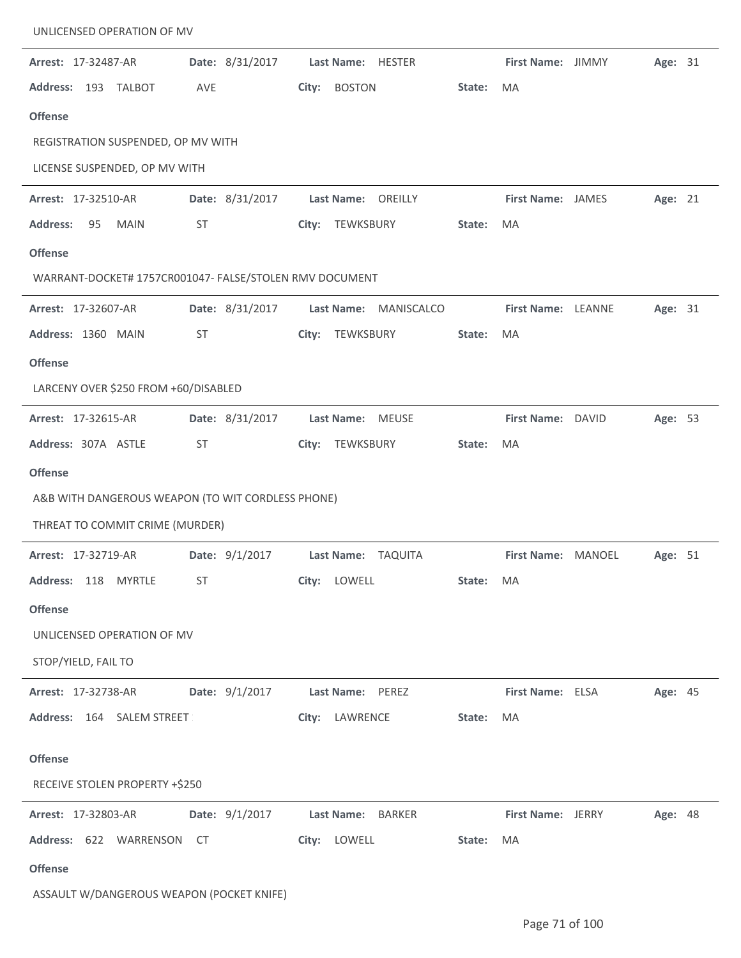| UNLICENSED OPERATION OF MV                              |     |                 |       |                   |                    |        |                          |         |  |
|---------------------------------------------------------|-----|-----------------|-------|-------------------|--------------------|--------|--------------------------|---------|--|
| Arrest: 17-32487-AR                                     |     | Date: 8/31/2017 |       |                   | Last Name: HESTER  |        | First Name: JIMMY        | Age: 31 |  |
| <b>Address:</b><br>193 TALBOT                           | AVE |                 | City: | <b>BOSTON</b>     |                    | State: | <b>MA</b>                |         |  |
| <b>Offense</b>                                          |     |                 |       |                   |                    |        |                          |         |  |
| REGISTRATION SUSPENDED, OP MV WITH                      |     |                 |       |                   |                    |        |                          |         |  |
| LICENSE SUSPENDED, OP MV WITH                           |     |                 |       |                   |                    |        |                          |         |  |
| Arrest: 17-32510-AR                                     |     | Date: 8/31/2017 |       |                   | Last Name: OREILLY |        | <b>First Name: JAMES</b> | Age: 21 |  |
| <b>Address:</b><br>95<br><b>MAIN</b>                    | ST  |                 |       | City: TEWKSBURY   |                    | State: | <b>MA</b>                |         |  |
| <b>Offense</b>                                          |     |                 |       |                   |                    |        |                          |         |  |
| WARRANT-DOCKET# 1757CR001047- FALSE/STOLEN RMV DOCUMENT |     |                 |       |                   |                    |        |                          |         |  |
| Arrest: 17-32607-AR                                     |     | Date: 8/31/2017 |       | <b>Last Name:</b> | MANISCALCO         |        | First Name: LEANNE       | Age: 31 |  |
| Address: 1360 MAIN                                      | ST  |                 | City: | TEWKSBURY         |                    | State: | <b>MA</b>                |         |  |
| <b>Offense</b>                                          |     |                 |       |                   |                    |        |                          |         |  |
| LARCENY OVER \$250 FROM +60/DISABLED                    |     |                 |       |                   |                    |        |                          |         |  |
| Arrest: 17-32615-AR                                     |     | Date: 8/31/2017 |       | Last Name: MEUSE  |                    |        | First Name: DAVID        | Age: 53 |  |
| Address: 307A ASTLE                                     | ST  |                 | City: | TEWKSBURY         |                    | State: | MA                       |         |  |
| <b>Offense</b>                                          |     |                 |       |                   |                    |        |                          |         |  |
| A&B WITH DANGEROUS WEAPON (TO WIT CORDLESS PHONE)       |     |                 |       |                   |                    |        |                          |         |  |
| THREAT TO COMMIT CRIME (MURDER)                         |     |                 |       |                   |                    |        |                          |         |  |
| Arrest: 17-32719-AR                                     |     | Date: 9/1/2017  |       |                   | Last Name: TAQUITA |        | First Name: MANOEL       | Age: 51 |  |
| Address: 118 MYRTLE                                     | ST  |                 |       | City: LOWELL      |                    | State: | MA                       |         |  |
| <b>Offense</b>                                          |     |                 |       |                   |                    |        |                          |         |  |
| UNLICENSED OPERATION OF MV                              |     |                 |       |                   |                    |        |                          |         |  |
| STOP/YIELD, FAIL TO                                     |     |                 |       |                   |                    |        |                          |         |  |
| Arrest: 17-32738-AR                                     |     | Date: 9/1/2017  |       | Last Name: PEREZ  |                    |        | First Name: ELSA         | Age: 45 |  |
| Address: 164 SALEM STREET                               |     |                 | City: | LAWRENCE          |                    | State: | MA                       |         |  |
|                                                         |     |                 |       |                   |                    |        |                          |         |  |
| <b>Offense</b>                                          |     |                 |       |                   |                    |        |                          |         |  |
| RECEIVE STOLEN PROPERTY +\$250                          |     |                 |       |                   |                    |        |                          |         |  |
| Arrest: 17-32803-AR                                     |     | Date: 9/1/2017  |       | Last Name:        | BARKER             |        | <b>First Name: JERRY</b> | Age: 48 |  |
| Address: 622 WARRENSON CT                               |     |                 |       | City: LOWELL      |                    | State: | MA                       |         |  |
| <b>Offense</b>                                          |     |                 |       |                   |                    |        |                          |         |  |
| ASSAULT W/DANGEROUS WEAPON (POCKET KNIFE)               |     |                 |       |                   |                    |        |                          |         |  |

 $\ddot{\phantom{1}}$ 

 $\overline{a}$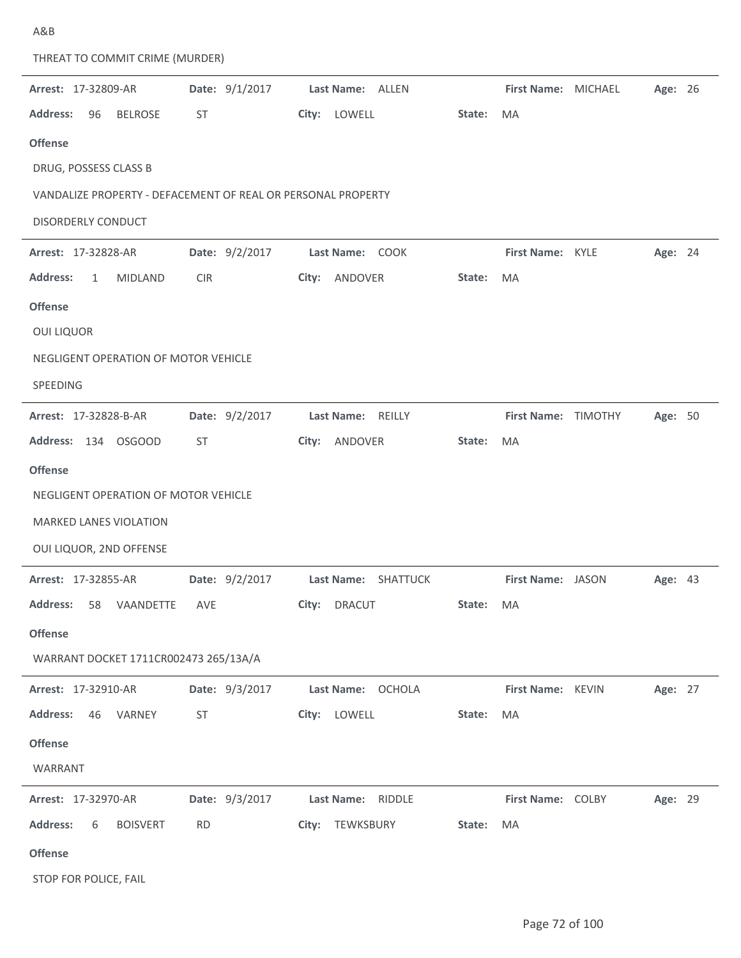| THREAT TO COMMIT CRIME (MURDER)                              |                |                                  |           |                     |                           |                |  |
|--------------------------------------------------------------|----------------|----------------------------------|-----------|---------------------|---------------------------|----------------|--|
| Arrest: 17-32809-AR                                          | Date: 9/1/2017 | Last Name: ALLEN                 |           | First Name: MICHAEL |                           | Age: 26        |  |
| <b>Address:</b><br>96<br><b>BELROSE</b>                      | ST             | City: LOWELL                     | State:    | MA                  |                           |                |  |
| <b>Offense</b>                                               |                |                                  |           |                     |                           |                |  |
| DRUG, POSSESS CLASS B                                        |                |                                  |           |                     |                           |                |  |
| VANDALIZE PROPERTY - DEFACEMENT OF REAL OR PERSONAL PROPERTY |                |                                  |           |                     |                           |                |  |
| <b>DISORDERLY CONDUCT</b>                                    |                |                                  |           |                     |                           |                |  |
| Arrest: 17-32828-AR                                          | Date: 9/2/2017 | Last Name: COOK                  |           | First Name: KYLE    |                           | Age: 24        |  |
| <b>Address:</b><br><b>MIDLAND</b><br>1                       | <b>CIR</b>     | ANDOVER<br>City:                 | State:    | <b>MA</b>           |                           |                |  |
| <b>Offense</b>                                               |                |                                  |           |                     |                           |                |  |
| <b>OUI LIQUOR</b>                                            |                |                                  |           |                     |                           |                |  |
| NEGLIGENT OPERATION OF MOTOR VEHICLE                         |                |                                  |           |                     |                           |                |  |
| SPEEDING                                                     |                |                                  |           |                     |                           |                |  |
| Arrest: 17-32828-B-AR                                        | Date: 9/2/2017 | Last Name:<br>REILLY             |           | First Name: TIMOTHY |                           | Age: 50        |  |
| Address: 134 OSGOOD                                          | ST             | ANDOVER<br>City:                 | State:    | MA                  |                           |                |  |
| <b>Offense</b>                                               |                |                                  |           |                     |                           |                |  |
| NEGLIGENT OPERATION OF MOTOR VEHICLE                         |                |                                  |           |                     |                           |                |  |
| <b>MARKED LANES VIOLATION</b>                                |                |                                  |           |                     |                           |                |  |
| OUI LIQUOR, 2ND OFFENSE                                      |                |                                  |           |                     |                           |                |  |
| Arrest: 17-32855-AR                                          | Date: 9/2/2017 | Last Name: SHATTUCK              |           | First Name: JASON   |                           | <b>Age: 43</b> |  |
| Address: 58 VAANDETTE AVE                                    |                | City: DRACUT                     | State: MA |                     |                           |                |  |
| <b>Offense</b>                                               |                |                                  |           |                     |                           |                |  |
| WARRANT DOCKET 1711CR002473 265/13A/A                        |                |                                  |           |                     |                           |                |  |
| <b>Arrest: 17-32910-AR</b>                                   |                | Date: 9/3/2017 Last Name: OCHOLA |           |                     | First Name: KEVIN Age: 27 |                |  |
| Address: 46 VARNEY                                           | ST             | City: LOWELL                     | State: MA |                     |                           |                |  |
| <b>Offense</b>                                               |                |                                  |           |                     |                           |                |  |
| WARRANT                                                      |                |                                  |           |                     |                           |                |  |
| Arrest: 17-32970-AR   Date: 9/3/2017   Last Name: RIDDLE     |                |                                  |           |                     | First Name: COLBY Age: 29 |                |  |
| Address: 6 BOISVERT                                          | <b>RD</b>      | City: TEWKSBURY                  | State:    | MA                  |                           |                |  |
| <b>Offense</b>                                               |                |                                  |           |                     |                           |                |  |
|                                                              |                |                                  |           |                     |                           |                |  |

STOP FOR POLICE, FAIL

A&B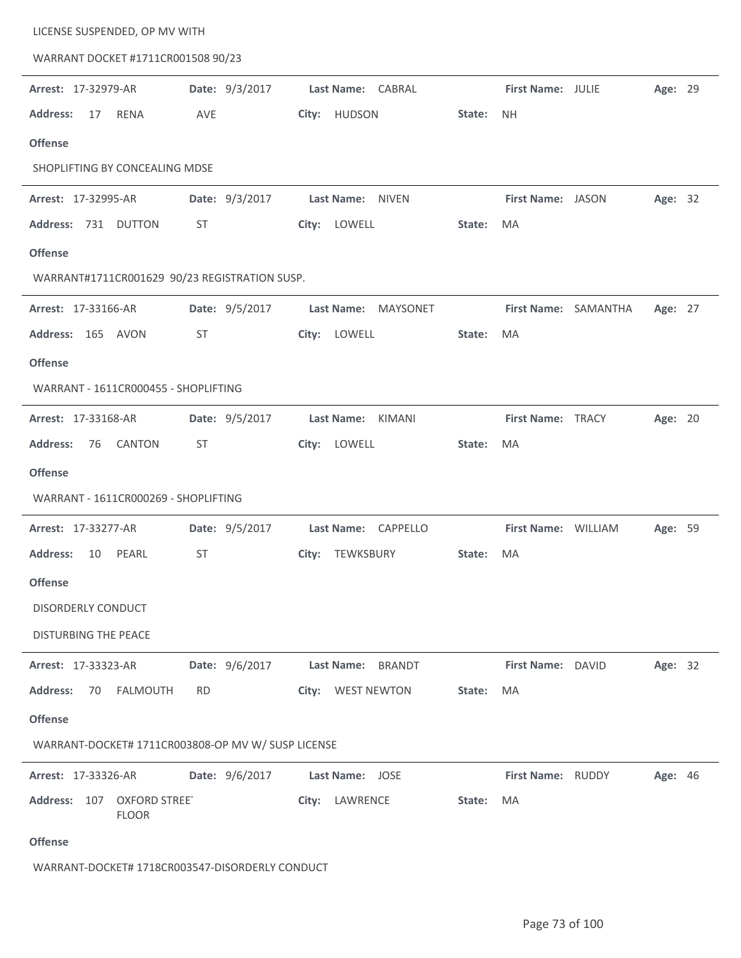| LICENSE SUSPENDED, OP MV WITH<br>WARRANT DOCKET #1711CR001508 90/23 |                |                               |        |                     |                      |         |  |
|---------------------------------------------------------------------|----------------|-------------------------------|--------|---------------------|----------------------|---------|--|
| Arrest: 17-32979-AR                                                 | Date: 9/3/2017 | Last Name: CABRAL             |        | First Name: JULIE   |                      | Age: 29 |  |
| <b>Address:</b><br><b>RENA</b><br>17                                | AVE            | City: HUDSON                  | State: | <b>NH</b>           |                      |         |  |
| <b>Offense</b>                                                      |                |                               |        |                     |                      |         |  |
| SHOPLIFTING BY CONCEALING MDSE                                      |                |                               |        |                     |                      |         |  |
| Arrest: 17-32995-AR                                                 | Date: 9/3/2017 | Last Name: NIVEN              |        | First Name: JASON   |                      | Age: 32 |  |
| Address: 731 DUTTON                                                 | ST             | City: LOWELL                  | State: | MA                  |                      |         |  |
| <b>Offense</b>                                                      |                |                               |        |                     |                      |         |  |
| WARRANT#1711CR001629 90/23 REGISTRATION SUSP.                       |                |                               |        |                     |                      |         |  |
| Arrest: 17-33166-AR                                                 | Date: 9/5/2017 | Last Name:<br>MAYSONET        |        |                     | First Name: SAMANTHA | Age: 27 |  |
| Address: 165 AVON                                                   | ST.            | City: LOWELL                  | State: | <b>MA</b>           |                      |         |  |
| <b>Offense</b>                                                      |                |                               |        |                     |                      |         |  |
| WARRANT - 1611CR000455 - SHOPLIFTING                                |                |                               |        |                     |                      |         |  |
| Arrest: 17-33168-AR                                                 | Date: 9/5/2017 | Last Name:<br>KIMANI          |        | First Name: TRACY   |                      | Age: 20 |  |
| <b>CANTON</b><br><b>Address:</b><br>76                              | ST             | City: LOWELL                  | State: | MA                  |                      |         |  |
| <b>Offense</b>                                                      |                |                               |        |                     |                      |         |  |
| WARRANT - 1611CR000269 - SHOPLIFTING                                |                |                               |        |                     |                      |         |  |
| Arrest: 17-33277-AR                                                 | Date: 9/5/2017 | <b>Last Name:</b><br>CAPPELLO |        | First Name: WILLIAM |                      | Age: 59 |  |
| <b>Address:</b><br>PEARL<br>10                                      | <b>ST</b>      | City: TEWKSBURY               | State: | MA                  |                      |         |  |
| <b>Offense</b>                                                      |                |                               |        |                     |                      |         |  |
| DISORDERLY CONDUCT                                                  |                |                               |        |                     |                      |         |  |
| <b>DISTURBING THE PEACE</b>                                         |                |                               |        |                     |                      |         |  |
| Arrest: 17-33323-AR                                                 | Date: 9/6/2017 | Last Name: BRANDT             |        | First Name: DAVID   |                      | Age: 32 |  |
| <b>Address:</b><br>FALMOUTH<br>70                                   | RD.            | City: WEST NEWTON             | State: | MA                  |                      |         |  |
| <b>Offense</b>                                                      |                |                               |        |                     |                      |         |  |
| WARRANT-DOCKET# 1711CR003808-OP MV W/ SUSP LICENSE                  |                |                               |        |                     |                      |         |  |
| Arrest: 17-33326-AR                                                 | Date: 9/6/2017 | Last Name: JOSE               |        | First Name: RUDDY   |                      | Age: 46 |  |
| Address: 107<br><b>OXFORD STREE</b><br><b>FLOOR</b>                 |                | City: LAWRENCE                | State: | MA                  |                      |         |  |
| <b>Offense</b>                                                      |                |                               |        |                     |                      |         |  |
| WARRANT-DOCKET# 1718CR003547-DISORDERLY CONDUCT                     |                |                               |        |                     |                      |         |  |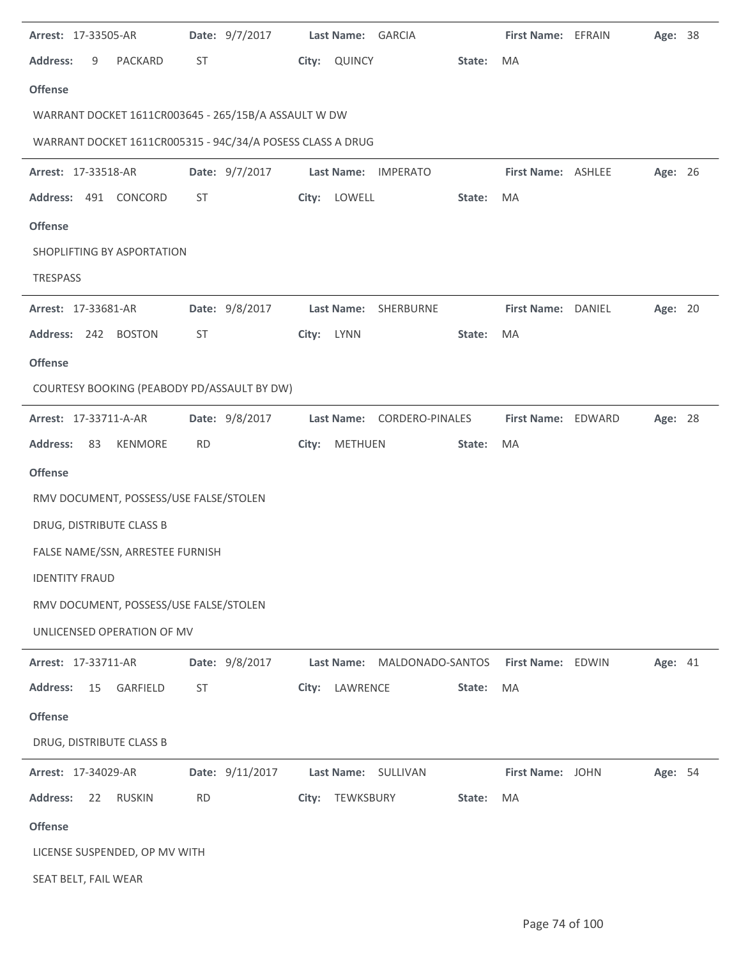| Arrest: 17-33505-AR                                        | Date: 9/7/2017  | Last Name: GARCIA    |                            | First Name: EFRAIN | Age: 38 |  |
|------------------------------------------------------------|-----------------|----------------------|----------------------------|--------------------|---------|--|
| <b>Address:</b><br>9<br>PACKARD                            | ST              | QUINCY<br>City:      | State:                     | MA                 |         |  |
| <b>Offense</b>                                             |                 |                      |                            |                    |         |  |
| WARRANT DOCKET 1611CR003645 - 265/15B/A ASSAULT W DW       |                 |                      |                            |                    |         |  |
| WARRANT DOCKET 1611CR005315 - 94C/34/A POSESS CLASS A DRUG |                 |                      |                            |                    |         |  |
| Arrest: 17-33518-AR                                        | Date: 9/7/2017  | <b>Last Name:</b>    | <b>IMPERATO</b>            | First Name: ASHLEE | Age: 26 |  |
| Address: 491 CONCORD                                       | <b>ST</b>       | LOWELL<br>City:      | State:                     | MA                 |         |  |
| <b>Offense</b>                                             |                 |                      |                            |                    |         |  |
| SHOPLIFTING BY ASPORTATION                                 |                 |                      |                            |                    |         |  |
| <b>TRESPASS</b>                                            |                 |                      |                            |                    |         |  |
| Arrest: 17-33681-AR                                        | Date: 9/8/2017  | <b>Last Name:</b>    | SHERBURNE                  | First Name: DANIEL | Age: 20 |  |
| Address: 242<br><b>BOSTON</b>                              | ST              | <b>LYNN</b><br>City: | State:                     | MA                 |         |  |
| <b>Offense</b>                                             |                 |                      |                            |                    |         |  |
| COURTESY BOOKING (PEABODY PD/ASSAULT BY DW)                |                 |                      |                            |                    |         |  |
| Arrest: 17-33711-A-AR                                      | Date: 9/8/2017  |                      | Last Name: CORDERO-PINALES | First Name: EDWARD | Age: 28 |  |
| KENMORE<br><b>Address:</b><br>83                           | <b>RD</b>       | City:<br>METHUEN     | State:                     | MA                 |         |  |
| <b>Offense</b>                                             |                 |                      |                            |                    |         |  |
| RMV DOCUMENT, POSSESS/USE FALSE/STOLEN                     |                 |                      |                            |                    |         |  |
| DRUG, DISTRIBUTE CLASS B                                   |                 |                      |                            |                    |         |  |
| FALSE NAME/SSN, ARRESTEE FURNISH                           |                 |                      |                            |                    |         |  |
| <b>IDENTITY FRAUD</b>                                      |                 |                      |                            |                    |         |  |
| RMV DOCUMENT, POSSESS/USE FALSE/STOLEN                     |                 |                      |                            |                    |         |  |
| UNLICENSED OPERATION OF MV                                 |                 |                      |                            |                    |         |  |
| Arrest: 17-33711-AR                                        | Date: 9/8/2017  | Last Name:           | MALDONADO-SANTOS           | First Name: EDWIN  | Age: 41 |  |
| <b>Address:</b><br>15<br>GARFIELD                          | ST              | LAWRENCE<br>City:    | State:                     | MA                 |         |  |
| <b>Offense</b>                                             |                 |                      |                            |                    |         |  |
| DRUG, DISTRIBUTE CLASS B                                   |                 |                      |                            |                    |         |  |
| Arrest: 17-34029-AR                                        | Date: 9/11/2017 | Last Name: SULLIVAN  |                            | First Name: JOHN   | Age: 54 |  |
| <b>Address:</b><br><b>RUSKIN</b><br>22                     | <b>RD</b>       | City: TEWKSBURY      | State:                     | MA                 |         |  |
| <b>Offense</b>                                             |                 |                      |                            |                    |         |  |
| LICENSE SUSPENDED, OP MV WITH                              |                 |                      |                            |                    |         |  |
| SEAT BELT, FAIL WEAR                                       |                 |                      |                            |                    |         |  |

 $\ddot{\phantom{1}}$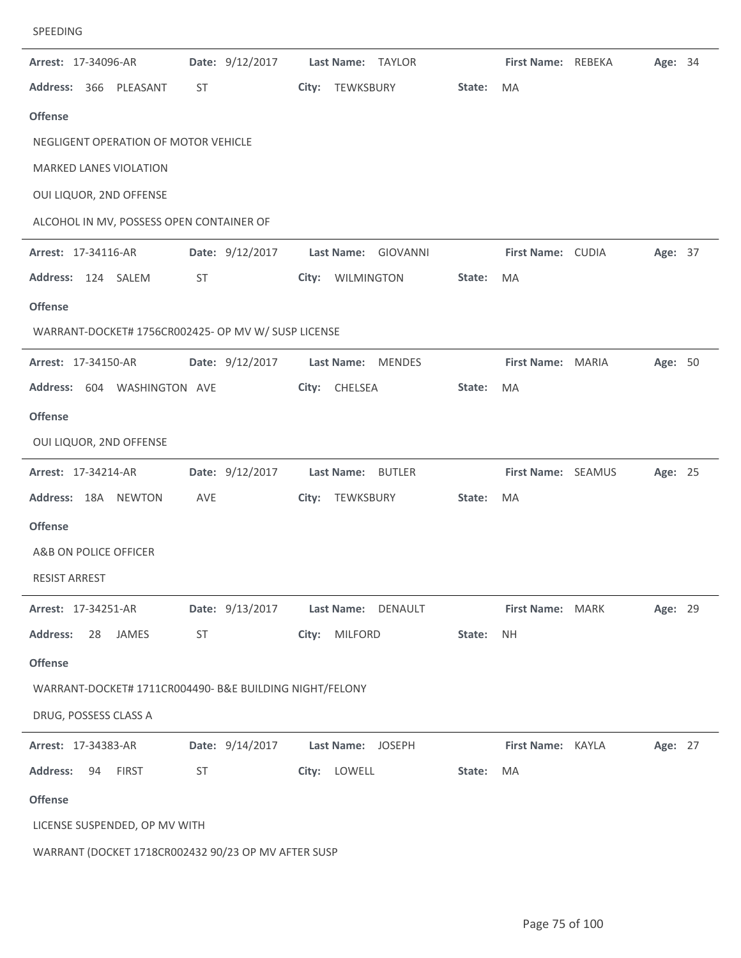| SPEEDING |  |
|----------|--|
|          |  |

| Arrest: 17-34096-AR                                     | Date: 9/12/2017 | Last Name: TAYLOR       |        | First Name: REBEKA | Age: 34 |  |
|---------------------------------------------------------|-----------------|-------------------------|--------|--------------------|---------|--|
| Address: 366 PLEASANT                                   | ST              | City: TEWKSBURY         | State: | MA                 |         |  |
| <b>Offense</b>                                          |                 |                         |        |                    |         |  |
| NEGLIGENT OPERATION OF MOTOR VEHICLE                    |                 |                         |        |                    |         |  |
| MARKED LANES VIOLATION                                  |                 |                         |        |                    |         |  |
| OUI LIQUOR, 2ND OFFENSE                                 |                 |                         |        |                    |         |  |
| ALCOHOL IN MV, POSSESS OPEN CONTAINER OF                |                 |                         |        |                    |         |  |
| Arrest: 17-34116-AR                                     | Date: 9/12/2017 | Last Name: GIOVANNI     |        | First Name: CUDIA  | Age: 37 |  |
| Address: 124 SALEM                                      | ST              | City: WILMINGTON        | State: | MA                 |         |  |
| <b>Offense</b>                                          |                 |                         |        |                    |         |  |
| WARRANT-DOCKET# 1756CR002425- OP MV W/ SUSP LICENSE     |                 |                         |        |                    |         |  |
| Arrest: 17-34150-AR                                     | Date: 9/12/2017 | Last Name: MENDES       |        | First Name: MARIA  | Age: 50 |  |
| Address: 604 WASHINGTON AVE                             |                 | City: CHELSEA           | State: | MA                 |         |  |
| <b>Offense</b>                                          |                 |                         |        |                    |         |  |
| OUI LIQUOR, 2ND OFFENSE                                 |                 |                         |        |                    |         |  |
| Arrest: 17-34214-AR                                     | Date: 9/12/2017 | Last Name: BUTLER       |        | First Name: SEAMUS | Age: 25 |  |
| Address: 18A NEWTON                                     | AVE             | TEWKSBURY<br>City:      | State: | MA                 |         |  |
| <b>Offense</b>                                          |                 |                         |        |                    |         |  |
| A&B ON POLICE OFFICER                                   |                 |                         |        |                    |         |  |
| <b>RESIST ARREST</b>                                    |                 |                         |        |                    |         |  |
| Arrest: 17-34251-AR                                     | Date: 9/13/2017 | Last Name: DENAULT      |        | First Name: MARK   | Age: 29 |  |
| Address:<br>28<br>JAMES                                 | ST              | City:<br><b>MILFORD</b> | State: | <b>NH</b>          |         |  |
| <b>Offense</b>                                          |                 |                         |        |                    |         |  |
| WARRANT-DOCKET# 1711CR004490- B&E BUILDING NIGHT/FELONY |                 |                         |        |                    |         |  |
| DRUG, POSSESS CLASS A                                   |                 |                         |        |                    |         |  |
| Arrest: 17-34383-AR                                     | Date: 9/14/2017 | Last Name: JOSEPH       |        | First Name: KAYLA  | Age: 27 |  |
| <b>Address:</b><br><b>FIRST</b><br>94                   | ST              | City: LOWELL            | State: | MA                 |         |  |
| <b>Offense</b>                                          |                 |                         |        |                    |         |  |
| LICENSE SUSPENDED, OP MV WITH                           |                 |                         |        |                    |         |  |
| WARRANT (DOCKET 1718CR002432 90/23 OP MV AFTER SUSP     |                 |                         |        |                    |         |  |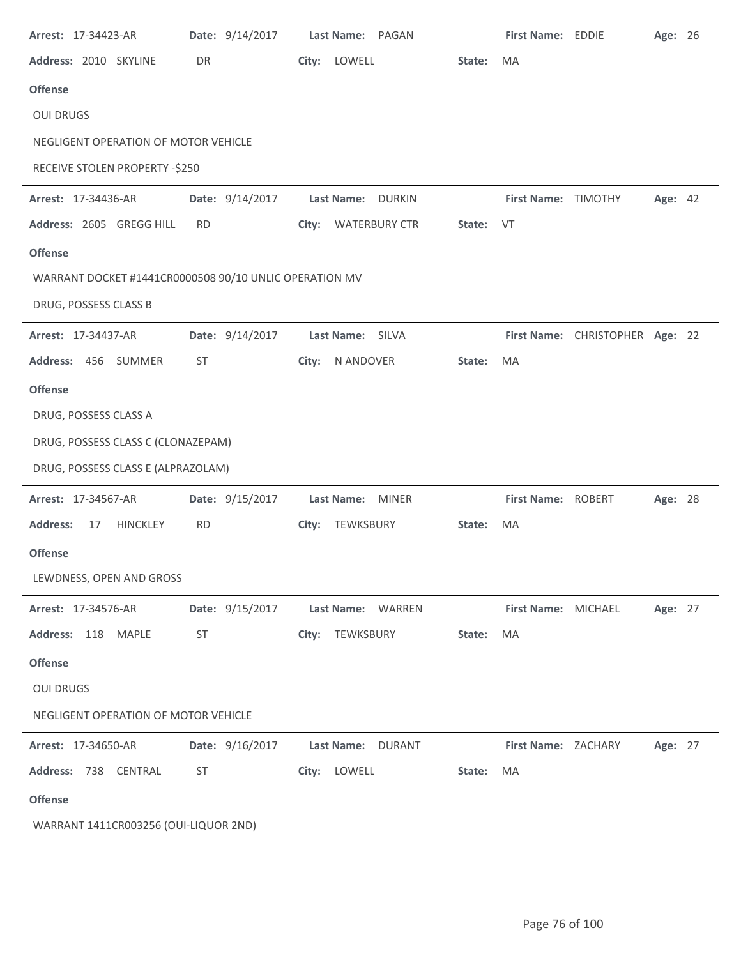| Arrest: 17-34423-AR                                    | Date: 9/14/2017 | Last Name: PAGAN                   |           | First Name: EDDIE   |                                 | Age: 26 |  |
|--------------------------------------------------------|-----------------|------------------------------------|-----------|---------------------|---------------------------------|---------|--|
| Address: 2010 SKYLINE                                  | DR              | City: LOWELL                       | State:    | <b>MA</b>           |                                 |         |  |
| <b>Offense</b>                                         |                 |                                    |           |                     |                                 |         |  |
| <b>OUI DRUGS</b>                                       |                 |                                    |           |                     |                                 |         |  |
| NEGLIGENT OPERATION OF MOTOR VEHICLE                   |                 |                                    |           |                     |                                 |         |  |
| RECEIVE STOLEN PROPERTY -\$250                         |                 |                                    |           |                     |                                 |         |  |
| Arrest: 17-34436-AR                                    | Date: 9/14/2017 | <b>DURKIN</b><br>Last Name:        |           | First Name: TIMOTHY |                                 | Age: 42 |  |
| Address: 2605 GREGG HILL                               | <b>RD</b>       | City: WATERBURY CTR                | State: VT |                     |                                 |         |  |
| <b>Offense</b>                                         |                 |                                    |           |                     |                                 |         |  |
| WARRANT DOCKET #1441CR0000508 90/10 UNLIC OPERATION MV |                 |                                    |           |                     |                                 |         |  |
| DRUG, POSSESS CLASS B                                  |                 |                                    |           |                     |                                 |         |  |
| Arrest: 17-34437-AR                                    | Date: 9/14/2017 | Last Name: SILVA                   |           |                     | First Name: CHRISTOPHER Age: 22 |         |  |
| Address: 456 SUMMER                                    | <b>ST</b>       | City:<br>N ANDOVER                 | State:    | MA                  |                                 |         |  |
| <b>Offense</b>                                         |                 |                                    |           |                     |                                 |         |  |
| DRUG, POSSESS CLASS A                                  |                 |                                    |           |                     |                                 |         |  |
| DRUG, POSSESS CLASS C (CLONAZEPAM)                     |                 |                                    |           |                     |                                 |         |  |
| DRUG, POSSESS CLASS E (ALPRAZOLAM)                     |                 |                                    |           |                     |                                 |         |  |
| Arrest: 17-34567-AR                                    | Date: 9/15/2017 | <b>Last Name:</b><br><b>MINER</b>  |           | First Name: ROBERT  |                                 | Age: 28 |  |
| <b>Address:</b><br><b>HINCKLEY</b><br>17               | <b>RD</b>       | TEWKSBURY<br>City:                 | State:    | MA                  |                                 |         |  |
| <b>Offense</b>                                         |                 |                                    |           |                     |                                 |         |  |
| LEWDNESS, OPEN AND GROSS                               |                 |                                    |           |                     |                                 |         |  |
| Arrest: 17-34576-AR                                    | Date: 9/15/2017 | Last Name: WARREN                  |           | First Name: MICHAEL |                                 | Age: 27 |  |
| Address: 118 MAPLE                                     | ST              | City: TEWKSBURY                    | State:    | MA                  |                                 |         |  |
| <b>Offense</b>                                         |                 |                                    |           |                     |                                 |         |  |
| <b>OUI DRUGS</b>                                       |                 |                                    |           |                     |                                 |         |  |
| NEGLIGENT OPERATION OF MOTOR VEHICLE                   |                 |                                    |           |                     |                                 |         |  |
| Arrest: 17-34650-AR                                    | Date: 9/16/2017 | <b>Last Name:</b><br><b>DURANT</b> |           | First Name: ZACHARY |                                 | Age: 27 |  |
| Address: 738 CENTRAL                                   | ST              | City: LOWELL                       | State:    | MA                  |                                 |         |  |
| <b>Offense</b>                                         |                 |                                    |           |                     |                                 |         |  |
| WARRANT 1411CR003256 (OUI-LIQUOR 2ND)                  |                 |                                    |           |                     |                                 |         |  |

 $\mathbb{R}^2$ 

 $\overline{\phantom{a}}$ 

 $\sim$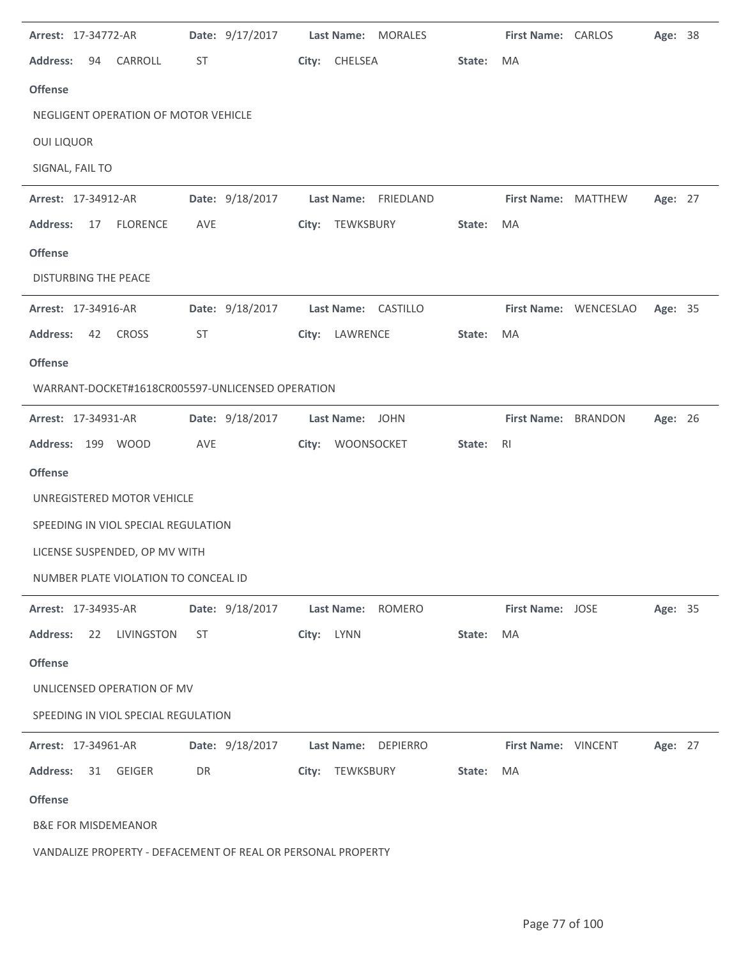| Arrest: 17-34772-AR                                          | Date: 9/17/2017 | Last Name: MORALES   |        | First Name: CARLOS  |                       | Age: 38 |  |
|--------------------------------------------------------------|-----------------|----------------------|--------|---------------------|-----------------------|---------|--|
| <b>Address:</b><br>CARROLL<br>94                             | ST              | City: CHELSEA        | State: | MA                  |                       |         |  |
| <b>Offense</b>                                               |                 |                      |        |                     |                       |         |  |
| NEGLIGENT OPERATION OF MOTOR VEHICLE                         |                 |                      |        |                     |                       |         |  |
| <b>OUI LIQUOR</b>                                            |                 |                      |        |                     |                       |         |  |
| SIGNAL, FAIL TO                                              |                 |                      |        |                     |                       |         |  |
| Arrest: 17-34912-AR                                          | Date: 9/18/2017 | Last Name: FRIEDLAND |        | First Name: MATTHEW |                       | Age: 27 |  |
| <b>FLORENCE</b><br><b>Address:</b><br>17                     | AVE             | City: TEWKSBURY      | State: | MA                  |                       |         |  |
| <b>Offense</b>                                               |                 |                      |        |                     |                       |         |  |
| <b>DISTURBING THE PEACE</b>                                  |                 |                      |        |                     |                       |         |  |
| Arrest: 17-34916-AR                                          | Date: 9/18/2017 | Last Name: CASTILLO  |        |                     | First Name: WENCESLAO | Age: 35 |  |
| <b>Address:</b><br>42<br><b>CROSS</b>                        | <b>ST</b>       | LAWRENCE<br>City:    | State: | MA                  |                       |         |  |
| <b>Offense</b>                                               |                 |                      |        |                     |                       |         |  |
| WARRANT-DOCKET#1618CR005597-UNLICENSED OPERATION             |                 |                      |        |                     |                       |         |  |
| Arrest: 17-34931-AR                                          | Date: 9/18/2017 | Last Name: JOHN      |        | First Name: BRANDON |                       | Age: 26 |  |
| Address: 199 WOOD                                            | AVE             | City:<br>WOONSOCKET  | State: | R <sub>l</sub>      |                       |         |  |
| <b>Offense</b>                                               |                 |                      |        |                     |                       |         |  |
| UNREGISTERED MOTOR VEHICLE                                   |                 |                      |        |                     |                       |         |  |
| SPEEDING IN VIOL SPECIAL REGULATION                          |                 |                      |        |                     |                       |         |  |
| LICENSE SUSPENDED, OP MV WITH                                |                 |                      |        |                     |                       |         |  |
| NUMBER PLATE VIOLATION TO CONCEAL ID                         |                 |                      |        |                     |                       |         |  |
| Arrest: 17-34935-AR                                          | Date: 9/18/2017 | ROMERO<br>Last Name: |        | First Name: JOSE    |                       | Age: 35 |  |
| <b>Address:</b><br>22<br>LIVINGSTON                          | <b>ST</b>       | City: LYNN           | State: | MA                  |                       |         |  |
| <b>Offense</b>                                               |                 |                      |        |                     |                       |         |  |
| UNLICENSED OPERATION OF MV                                   |                 |                      |        |                     |                       |         |  |
| SPEEDING IN VIOL SPECIAL REGULATION                          |                 |                      |        |                     |                       |         |  |
| Arrest: 17-34961-AR                                          | Date: 9/18/2017 | Last Name: DEPIERRO  |        | First Name: VINCENT |                       | Age: 27 |  |
| <b>Address:</b><br>31<br>GEIGER                              | DR              | City: TEWKSBURY      | State: | MA                  |                       |         |  |
| <b>Offense</b>                                               |                 |                      |        |                     |                       |         |  |
| <b>B&amp;E FOR MISDEMEANOR</b>                               |                 |                      |        |                     |                       |         |  |
| VANDALIZE PROPERTY - DEFACEMENT OF REAL OR PERSONAL PROPERTY |                 |                      |        |                     |                       |         |  |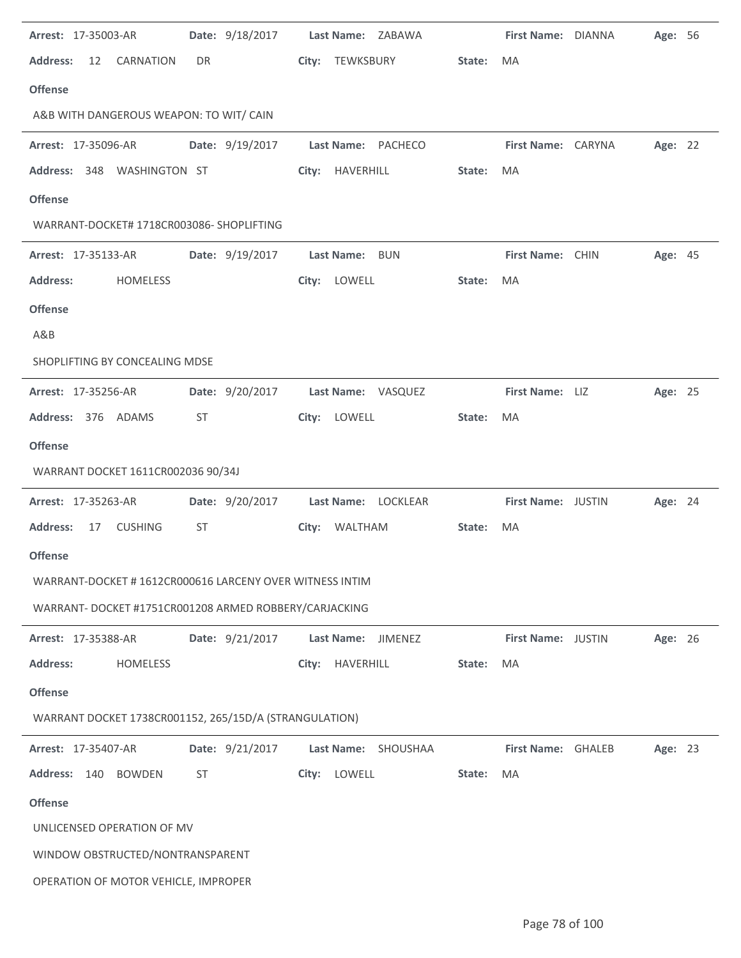| Arrest: 17-35003-AR                                     | Date: 9/18/2017 | Last Name: ZABAWA   |        | First Name: DIANNA | Age: 56 |  |
|---------------------------------------------------------|-----------------|---------------------|--------|--------------------|---------|--|
| <b>Address:</b><br>$12 \overline{ }$<br>CARNATION       | DR.             | City: TEWKSBURY     | State: | MA                 |         |  |
| <b>Offense</b>                                          |                 |                     |        |                    |         |  |
| A&B WITH DANGEROUS WEAPON: TO WIT/ CAIN                 |                 |                     |        |                    |         |  |
| Arrest: 17-35096-AR                                     | Date: 9/19/2017 | Last Name: PACHECO  |        | First Name: CARYNA | Age: 22 |  |
| Address: 348 WASHINGTON ST                              |                 | City: HAVERHILL     | State: | MA                 |         |  |
| <b>Offense</b>                                          |                 |                     |        |                    |         |  |
| WARRANT-DOCKET# 1718CR003086- SHOPLIFTING               |                 |                     |        |                    |         |  |
| <b>Arrest: 17-35133-AR</b>                              | Date: 9/19/2017 | Last Name: BUN      |        | First Name: CHIN   | Age: 45 |  |
| <b>Address:</b><br>HOMELESS                             |                 | City: LOWELL        | State: | MA                 |         |  |
| <b>Offense</b>                                          |                 |                     |        |                    |         |  |
| A&B                                                     |                 |                     |        |                    |         |  |
| SHOPLIFTING BY CONCEALING MDSE                          |                 |                     |        |                    |         |  |
| Arrest: 17-35256-AR                                     | Date: 9/20/2017 | Last Name: VASQUEZ  |        | First Name: LIZ    | Age: 25 |  |
| Address: 376 ADAMS                                      | ST              | LOWELL<br>City:     | State: | MA                 |         |  |
| <b>Offense</b>                                          |                 |                     |        |                    |         |  |
|                                                         |                 |                     |        |                    |         |  |
| WARRANT DOCKET 1611CR002036 90/34J                      |                 |                     |        |                    |         |  |
| Arrest: 17-35263-AR                                     | Date: 9/20/2017 | Last Name: LOCKLEAR |        | First Name: JUSTIN | Age: 24 |  |
| <b>Address:</b><br>17<br><b>CUSHING</b>                 | ST              | City: WALTHAM       | State: | MA                 |         |  |
| <b>Offense</b>                                          |                 |                     |        |                    |         |  |
| WARRANT-DOCKET #1612CR000616 LARCENY OVER WITNESS INTIM |                 |                     |        |                    |         |  |
| WARRANT- DOCKET #1751CR001208 ARMED ROBBERY/CARJACKING  |                 |                     |        |                    |         |  |
| Arrest: 17-35388-AR                                     | Date: 9/21/2017 | Last Name: JIMENEZ  |        | First Name: JUSTIN | Age: 26 |  |
| <b>Address:</b><br>HOMELESS                             |                 | HAVERHILL<br>City:  | State: | MA                 |         |  |
| <b>Offense</b>                                          |                 |                     |        |                    |         |  |
| WARRANT DOCKET 1738CR001152, 265/15D/A (STRANGULATION)  |                 |                     |        |                    |         |  |
| Arrest: 17-35407-AR                                     | Date: 9/21/2017 | Last Name: SHOUSHAA |        | First Name: GHALEB | Age: 23 |  |
| <b>Address:</b><br>140<br><b>BOWDEN</b>                 | ST              | LOWELL<br>City:     | State: | MA                 |         |  |
| <b>Offense</b>                                          |                 |                     |        |                    |         |  |
| UNLICENSED OPERATION OF MV                              |                 |                     |        |                    |         |  |
| WINDOW OBSTRUCTED/NONTRANSPARENT                        |                 |                     |        |                    |         |  |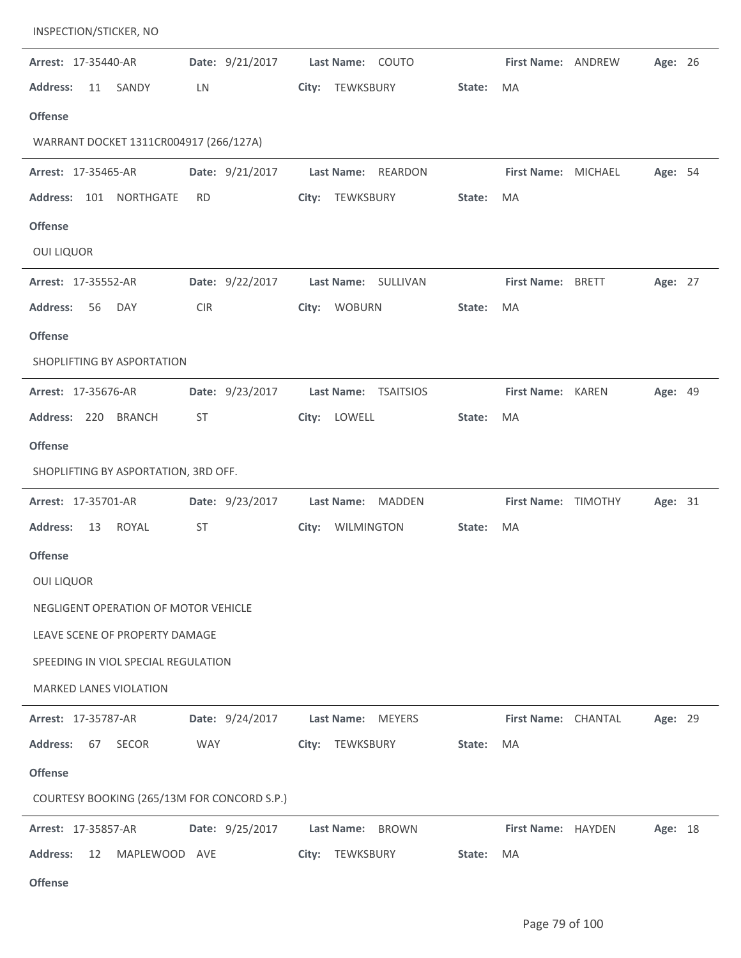| INSPECTION/STICKER, NO                      |                 |                                    |        |                     |         |  |
|---------------------------------------------|-----------------|------------------------------------|--------|---------------------|---------|--|
| Arrest: 17-35440-AR                         | Date: 9/21/2017 | Last Name: COUTO                   |        | First Name: ANDREW  | Age: 26 |  |
| <b>Address:</b><br>11<br>SANDY              | LN              | City: TEWKSBURY                    | State: | MA                  |         |  |
| <b>Offense</b>                              |                 |                                    |        |                     |         |  |
| WARRANT DOCKET 1311CR004917 (266/127A)      |                 |                                    |        |                     |         |  |
| Arrest: 17-35465-AR                         | Date: 9/21/2017 | <b>Last Name:</b><br>REARDON       |        | First Name: MICHAEL | Age: 54 |  |
| Address: 101 NORTHGATE                      | <b>RD</b>       | City: TEWKSBURY                    | State: | MA                  |         |  |
| <b>Offense</b>                              |                 |                                    |        |                     |         |  |
| <b>OUI LIQUOR</b>                           |                 |                                    |        |                     |         |  |
| Arrest: 17-35552-AR                         | Date: 9/22/2017 | Last Name: SULLIVAN                |        | First Name: BRETT   | Age: 27 |  |
| <b>Address:</b><br>56<br><b>DAY</b>         | <b>CIR</b>      | City: WOBURN                       | State: | MA                  |         |  |
| <b>Offense</b>                              |                 |                                    |        |                     |         |  |
| SHOPLIFTING BY ASPORTATION                  |                 |                                    |        |                     |         |  |
| Arrest: 17-35676-AR                         | Date: 9/23/2017 | Last Name: TSAITSIOS               |        | First Name: KAREN   | Age: 49 |  |
| Address: 220<br><b>BRANCH</b>               | <b>ST</b>       | LOWELL<br>City:                    | State: | MA                  |         |  |
| <b>Offense</b>                              |                 |                                    |        |                     |         |  |
| SHOPLIFTING BY ASPORTATION, 3RD OFF.        |                 |                                    |        |                     |         |  |
| Arrest: 17-35701-AR                         | Date: 9/23/2017 | <b>Last Name:</b><br><b>MADDEN</b> |        | First Name: TIMOTHY | Age: 31 |  |
| <b>Address:</b><br><b>ROYAL</b><br>13       | ST              | City:<br>WILMINGTON                | State: | MA                  |         |  |
| <b>Offense</b>                              |                 |                                    |        |                     |         |  |
| OUI LIQUOR                                  |                 |                                    |        |                     |         |  |
| NEGLIGENT OPERATION OF MOTOR VEHICLE        |                 |                                    |        |                     |         |  |
| LEAVE SCENE OF PROPERTY DAMAGE              |                 |                                    |        |                     |         |  |
| SPEEDING IN VIOL SPECIAL REGULATION         |                 |                                    |        |                     |         |  |
| MARKED LANES VIOLATION                      |                 |                                    |        |                     |         |  |
| Arrest: 17-35787-AR                         | Date: 9/24/2017 | Last Name: MEYERS                  |        | First Name: CHANTAL | Age: 29 |  |
| SECOR<br><b>Address:</b><br>67              | <b>WAY</b>      | City: TEWKSBURY                    | State: | MA                  |         |  |
| <b>Offense</b>                              |                 |                                    |        |                     |         |  |
| COURTESY BOOKING (265/13M FOR CONCORD S.P.) |                 |                                    |        |                     |         |  |
| Arrest: 17-35857-AR                         | Date: 9/25/2017 | Last Name: BROWN                   |        | First Name: HAYDEN  | Age: 18 |  |
| <b>Address:</b><br>12<br>MAPLEWOOD AVE      |                 | City: TEWKSBURY                    | State: | MA                  |         |  |
| <b>Offense</b>                              |                 |                                    |        |                     |         |  |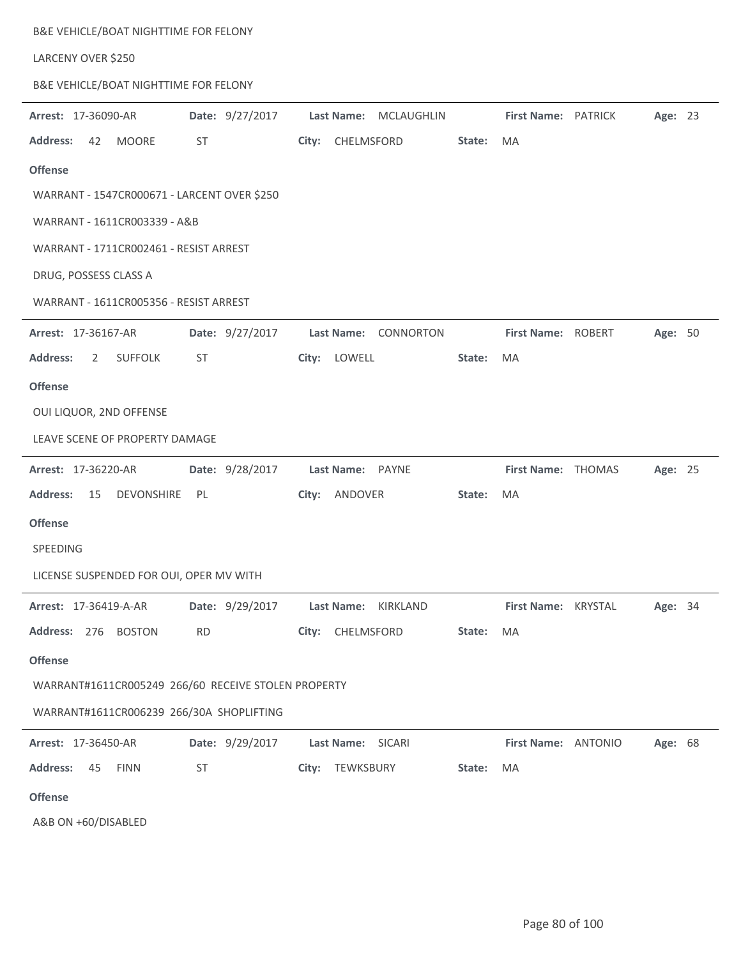| B&E VEHICLE/BOAT NIGHTTIME FOR FELONY               |                 |                       |                     |         |
|-----------------------------------------------------|-----------------|-----------------------|---------------------|---------|
| LARCENY OVER \$250                                  |                 |                       |                     |         |
| B&E VEHICLE/BOAT NIGHTTIME FOR FELONY               |                 |                       |                     |         |
| Arrest: 17-36090-AR                                 | Date: 9/27/2017 | Last Name: MCLAUGHLIN | First Name: PATRICK | Age: 23 |
| <b>Address:</b><br>42<br>MOORE                      | ST              | City: CHELMSFORD      | State:<br>MA        |         |
| <b>Offense</b>                                      |                 |                       |                     |         |
| WARRANT - 1547CR000671 - LARCENT OVER \$250         |                 |                       |                     |         |
| WARRANT - 1611CR003339 - A&B                        |                 |                       |                     |         |
| WARRANT - 1711CR002461 - RESIST ARREST              |                 |                       |                     |         |
| DRUG, POSSESS CLASS A                               |                 |                       |                     |         |
| WARRANT - 1611CR005356 - RESIST ARREST              |                 |                       |                     |         |
| Arrest: 17-36167-AR                                 | Date: 9/27/2017 | Last Name: CONNORTON  | First Name: ROBERT  | Age: 50 |
| <b>Address:</b><br><b>SUFFOLK</b><br>$\overline{2}$ | ST              | City: LOWELL          | State:<br>MA        |         |
| <b>Offense</b>                                      |                 |                       |                     |         |
| OUI LIQUOR, 2ND OFFENSE                             |                 |                       |                     |         |
| LEAVE SCENE OF PROPERTY DAMAGE                      |                 |                       |                     |         |
| Arrest: 17-36220-AR                                 | Date: 9/28/2017 | Last Name: PAYNE      | First Name: THOMAS  | Age: 25 |
| <b>Address:</b><br>15<br><b>DEVONSHIRE</b>          | PL              | City: ANDOVER         | State:<br><b>MA</b> |         |
| <b>Offense</b>                                      |                 |                       |                     |         |
| SPEEDING                                            |                 |                       |                     |         |
| LICENSE SUSPENDED FOR OUI, OPER MV WITH             |                 |                       |                     |         |
| Arrest: 17-36419-A-AR                               | Date: 9/29/2017 | Last Name: KIRKLAND   | First Name: KRYSTAL | Age: 34 |
| Address: 276 BOSTON                                 | <b>RD</b>       | CHELMSFORD<br>City:   | State:<br>MA        |         |
| <b>Offense</b>                                      |                 |                       |                     |         |
| WARRANT#1611CR005249 266/60 RECEIVE STOLEN PROPERTY |                 |                       |                     |         |
| WARRANT#1611CR006239 266/30A SHOPLIFTING            |                 |                       |                     |         |
| Arrest: 17-36450-AR                                 | Date: 9/29/2017 | Last Name: SICARI     | First Name: ANTONIO | Age: 68 |
| <b>Address:</b><br>45<br><b>FINN</b>                | ST              | City: TEWKSBURY       | MA<br>State:        |         |
| <b>Offense</b>                                      |                 |                       |                     |         |
| A&B ON +60/DISABLED                                 |                 |                       |                     |         |

Page 80 of 100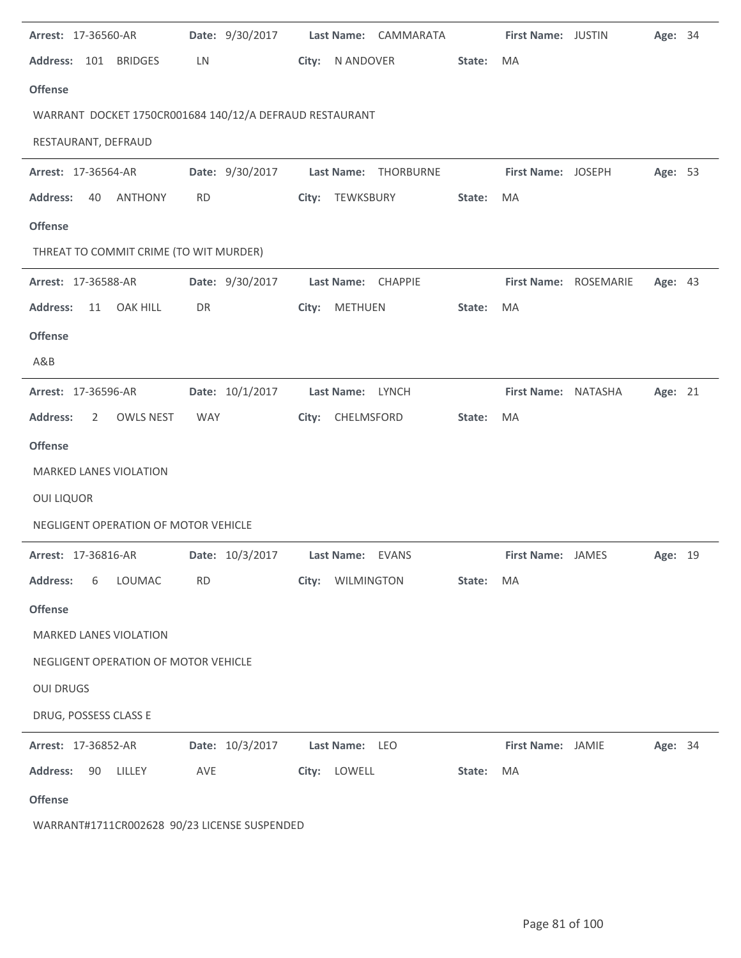| Arrest: 17-36560-AR                                     | Date: 9/30/2017 | Last Name: CAMMARATA | <b>First Name: JUSTIN</b> | Age: 34 |
|---------------------------------------------------------|-----------------|----------------------|---------------------------|---------|
| Address: 101 BRIDGES                                    | LN              | City: N ANDOVER      | State:<br>MA              |         |
| <b>Offense</b>                                          |                 |                      |                           |         |
| WARRANT DOCKET 1750CR001684 140/12/A DEFRAUD RESTAURANT |                 |                      |                           |         |
| RESTAURANT, DEFRAUD                                     |                 |                      |                           |         |
| Arrest: 17-36564-AR                                     | Date: 9/30/2017 | Last Name: THORBURNE | First Name: JOSEPH        | Age: 53 |
| <b>Address:</b><br>ANTHONY<br>40                        | <b>RD</b>       | City: TEWKSBURY      | State:<br>MA              |         |
| <b>Offense</b>                                          |                 |                      |                           |         |
| THREAT TO COMMIT CRIME (TO WIT MURDER)                  |                 |                      |                           |         |
| Arrest: 17-36588-AR                                     | Date: 9/30/2017 | Last Name: CHAPPIE   | First Name: ROSEMARIE     | Age: 43 |
| <b>Address:</b><br><b>OAK HILL</b><br>11                | DR              | City: METHUEN        | State:<br>MA              |         |
| <b>Offense</b>                                          |                 |                      |                           |         |
| A&B                                                     |                 |                      |                           |         |
| Arrest: 17-36596-AR                                     | Date: 10/1/2017 | Last Name: LYNCH     | First Name: NATASHA       | Age: 21 |
| <b>Address:</b><br>OWLS NEST<br>$\overline{2}$          | <b>WAY</b>      | City: CHELMSFORD     | MA<br>State:              |         |
| <b>Offense</b>                                          |                 |                      |                           |         |
| MARKED LANES VIOLATION                                  |                 |                      |                           |         |
| <b>OUI LIQUOR</b>                                       |                 |                      |                           |         |
| NEGLIGENT OPERATION OF MOTOR VEHICLE                    |                 |                      |                           |         |
| Arrest: 17-36816-AR                                     | Date: 10/3/2017 | Last Name: EVANS     | First Name: JAMES         | Age: 19 |
| <b>Address:</b><br>LOUMAC<br>6                          | <b>RD</b>       | City: WILMINGTON     | State: MA                 |         |
| <b>Offense</b>                                          |                 |                      |                           |         |
| <b>MARKED LANES VIOLATION</b>                           |                 |                      |                           |         |
| NEGLIGENT OPERATION OF MOTOR VEHICLE                    |                 |                      |                           |         |
| <b>OUI DRUGS</b>                                        |                 |                      |                           |         |
| DRUG, POSSESS CLASS E                                   |                 |                      |                           |         |
| Arrest: 17-36852-AR                                     | Date: 10/3/2017 | Last Name: LEO       | First Name: JAMIE         | Age: 34 |
| <b>Address:</b><br>90<br>LILLEY                         | AVE             | City: LOWELL         | State:<br>MA              |         |
| <b>Offense</b>                                          |                 |                      |                           |         |
|                                                         |                 |                      |                           |         |

WARRANT#1711CR002628 90/23 LICENSE SUSPENDED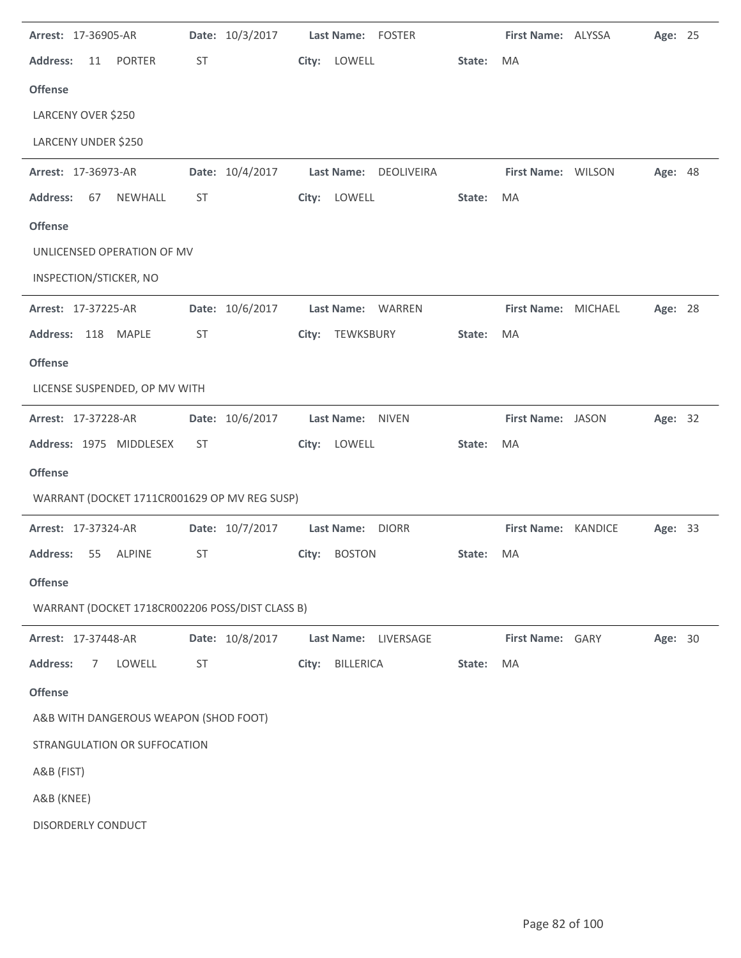| Arrest: 17-36905-AR                             | Date: 10/3/2017 | Last Name: FOSTER         |        | First Name: ALYSSA  | Age: 25 |  |
|-------------------------------------------------|-----------------|---------------------------|--------|---------------------|---------|--|
| <b>Address:</b><br><b>PORTER</b><br>11          | ST              | City:<br>LOWELL           | State: | MA                  |         |  |
| <b>Offense</b>                                  |                 |                           |        |                     |         |  |
| LARCENY OVER \$250                              |                 |                           |        |                     |         |  |
| LARCENY UNDER \$250                             |                 |                           |        |                     |         |  |
| Arrest: 17-36973-AR                             | Date: 10/4/2017 | Last Name: DEOLIVEIRA     |        | First Name: WILSON  | Age: 48 |  |
| <b>Address:</b><br>NEWHALL<br>67                | ST              | LOWELL<br>City:           | State: | MA                  |         |  |
| <b>Offense</b>                                  |                 |                           |        |                     |         |  |
| UNLICENSED OPERATION OF MV                      |                 |                           |        |                     |         |  |
| INSPECTION/STICKER, NO                          |                 |                           |        |                     |         |  |
| Arrest: 17-37225-AR                             | Date: 10/6/2017 | Last Name: WARREN         |        | First Name: MICHAEL | Age: 28 |  |
| Address: 118 MAPLE                              | <b>ST</b>       | TEWKSBURY<br>City:        | State: | MA                  |         |  |
| <b>Offense</b>                                  |                 |                           |        |                     |         |  |
| LICENSE SUSPENDED, OP MV WITH                   |                 |                           |        |                     |         |  |
| Arrest: 17-37228-AR                             | Date: 10/6/2017 | Last Name: NIVEN          |        | First Name: JASON   | Age: 32 |  |
| Address: 1975 MIDDLESEX                         | ST              | LOWELL<br>City:           | State: | MA                  |         |  |
| <b>Offense</b>                                  |                 |                           |        |                     |         |  |
| WARRANT (DOCKET 1711CR001629 OP MV REG SUSP)    |                 |                           |        |                     |         |  |
| Arrest: 17-37324-AR                             | Date: 10/7/2017 | Last Name: DIORR          |        | First Name: KANDICE | Age: 33 |  |
| <b>Address:</b><br>55<br><b>ALPINE</b>          | <b>ST</b>       | City: BOSTON              | State: | MA                  |         |  |
| <b>Offense</b>                                  |                 |                           |        |                     |         |  |
| WARRANT (DOCKET 1718CR002206 POSS/DIST CLASS B) |                 |                           |        |                     |         |  |
| Arrest: 17-37448-AR                             | Date: 10/8/2017 | Last Name:<br>LIVERSAGE   |        | First Name: GARY    | Age: 30 |  |
| <b>Address:</b><br>LOWELL<br>7                  | <b>ST</b>       | <b>BILLERICA</b><br>City: | State: | MA                  |         |  |
| <b>Offense</b>                                  |                 |                           |        |                     |         |  |
| A&B WITH DANGEROUS WEAPON (SHOD FOOT)           |                 |                           |        |                     |         |  |
| STRANGULATION OR SUFFOCATION                    |                 |                           |        |                     |         |  |
| A&B (FIST)                                      |                 |                           |        |                     |         |  |
| A&B (KNEE)                                      |                 |                           |        |                     |         |  |
| DISORDERLY CONDUCT                              |                 |                           |        |                     |         |  |
|                                                 |                 |                           |        |                     |         |  |

 $\ddot{\phantom{a}}$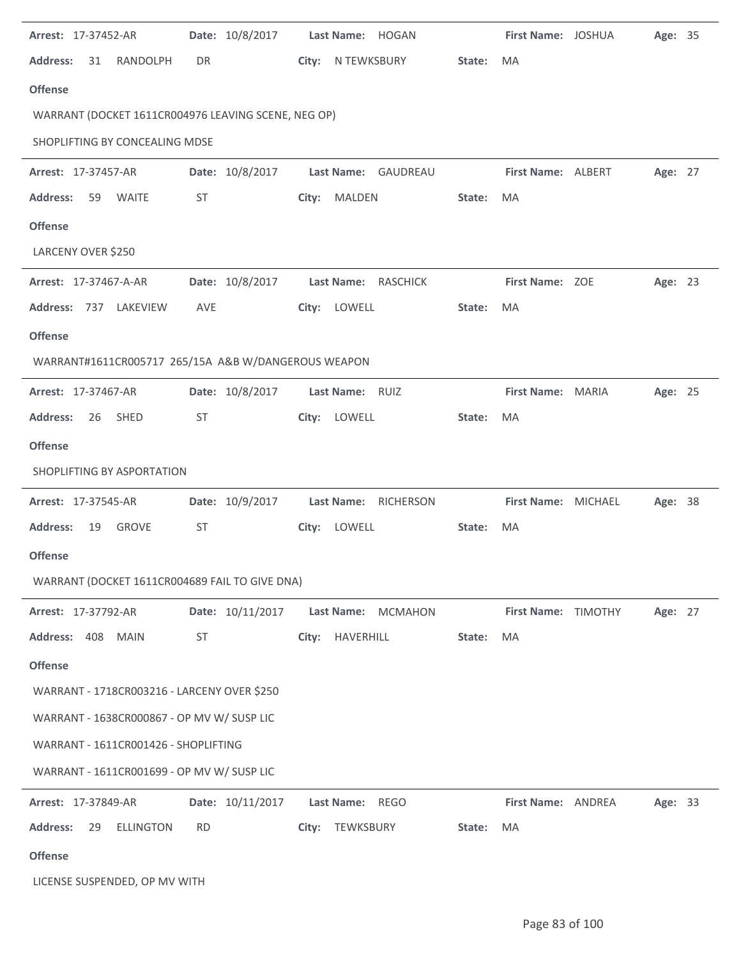| Arrest: 17-37452-AR                                 | Date: 10/8/2017  | Last Name: HOGAN             |        | First Name: JOSHUA  | Age: 35 |  |
|-----------------------------------------------------|------------------|------------------------------|--------|---------------------|---------|--|
| <b>Address:</b><br>RANDOLPH<br>31                   | DR               | N TEWKSBURY<br>City:         | State: | MA                  |         |  |
| <b>Offense</b>                                      |                  |                              |        |                     |         |  |
| WARRANT (DOCKET 1611CR004976 LEAVING SCENE, NEG OP) |                  |                              |        |                     |         |  |
| SHOPLIFTING BY CONCEALING MDSE                      |                  |                              |        |                     |         |  |
| Arrest: 17-37457-AR                                 | Date: 10/8/2017  | Last Name: GAUDREAU          |        | First Name: ALBERT  | Age: 27 |  |
| <b>Address:</b><br>59 WAITE                         | ST               | City:<br>MALDEN              | State: | MA                  |         |  |
| <b>Offense</b>                                      |                  |                              |        |                     |         |  |
| LARCENY OVER \$250                                  |                  |                              |        |                     |         |  |
| Arrest: 17-37467-A-AR                               | Date: 10/8/2017  | Last Name: RASCHICK          |        | First Name: ZOE     | Age: 23 |  |
| Address: 737 LAKEVIEW                               | AVE              | City: LOWELL                 | State: | MA                  |         |  |
| <b>Offense</b>                                      |                  |                              |        |                     |         |  |
| WARRANT#1611CR005717 265/15A A&B W/DANGEROUS WEAPON |                  |                              |        |                     |         |  |
| Arrest: 17-37467-AR                                 | Date: 10/8/2017  | Last Name: RUIZ              |        | First Name: MARIA   | Age: 25 |  |
| SHED<br><b>Address:</b><br>26                       | ST               | LOWELL<br>City:              | State: | MA                  |         |  |
| <b>Offense</b>                                      |                  |                              |        |                     |         |  |
| SHOPLIFTING BY ASPORTATION                          |                  |                              |        |                     |         |  |
| Arrest: 17-37545-AR                                 | Date: 10/9/2017  | Last Name:<br>RICHERSON      |        | First Name: MICHAEL | Age: 38 |  |
| <b>Address:</b><br>19<br><b>GROVE</b>               | ST               | City: LOWELL                 | State: | MA                  |         |  |
| <b>Offense</b>                                      |                  |                              |        |                     |         |  |
| WARRANT (DOCKET 1611CR004689 FAIL TO GIVE DNA)      |                  |                              |        |                     |         |  |
| Arrest: 17-37792-AR                                 | Date: 10/11/2017 | Last Name:<br><b>MCMAHON</b> |        | First Name: TIMOTHY | Age: 27 |  |
| Address: 408 MAIN                                   | <b>ST</b>        | HAVERHILL<br>City:           | State: | MA                  |         |  |
| <b>Offense</b>                                      |                  |                              |        |                     |         |  |
| WARRANT - 1718CR003216 - LARCENY OVER \$250         |                  |                              |        |                     |         |  |
| WARRANT - 1638CR000867 - OP MV W/ SUSP LIC          |                  |                              |        |                     |         |  |
| WARRANT - 1611CR001426 - SHOPLIFTING                |                  |                              |        |                     |         |  |
| WARRANT - 1611CR001699 - OP MV W/ SUSP LIC          |                  |                              |        |                     |         |  |
| Arrest: 17-37849-AR                                 | Date: 10/11/2017 | Last Name: REGO              |        | First Name: ANDREA  | Age: 33 |  |
| <b>Address:</b><br>29<br><b>ELLINGTON</b>           | <b>RD</b>        | City:<br>TEWKSBURY           | State: | MA                  |         |  |
| <b>Offense</b>                                      |                  |                              |        |                     |         |  |
| LICENSE SUSPENDED, OP MV WITH                       |                  |                              |        |                     |         |  |

l.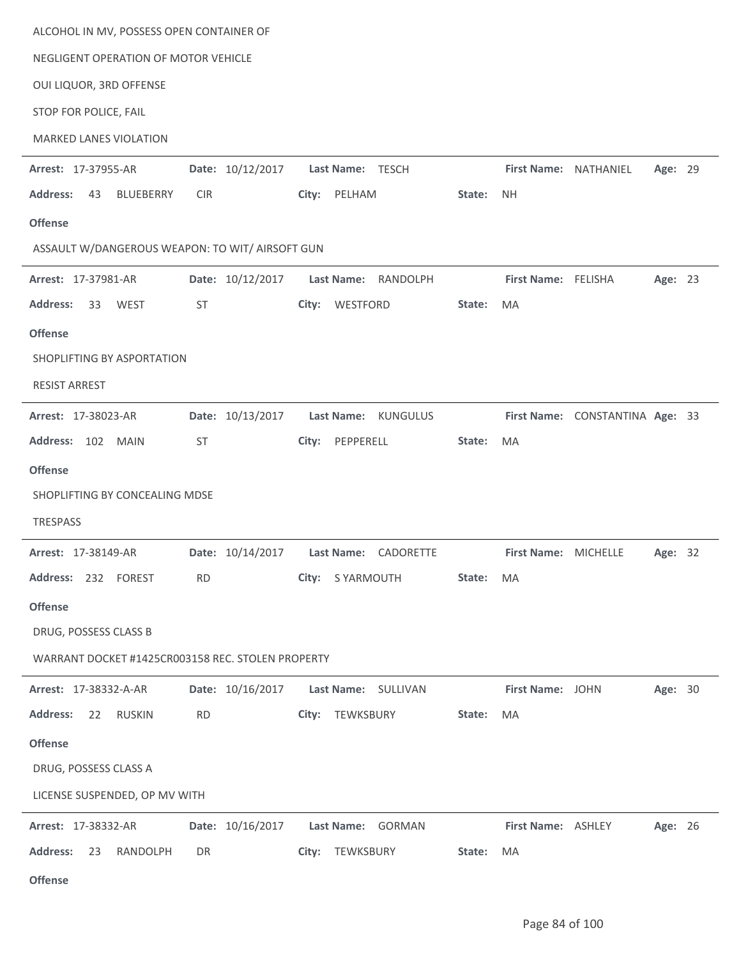| ALCOHOL IN MV, POSSESS OPEN CONTAINER OF                                                               |                                                    |
|--------------------------------------------------------------------------------------------------------|----------------------------------------------------|
| NEGLIGENT OPERATION OF MOTOR VEHICLE                                                                   |                                                    |
| OUI LIQUOR, 3RD OFFENSE                                                                                |                                                    |
| STOP FOR POLICE, FAIL                                                                                  |                                                    |
| MARKED LANES VIOLATION                                                                                 |                                                    |
| Date: 10/12/2017<br>Arrest: 17-37955-AR<br>Last Name: TESCH                                            | First Name: NATHANIEL<br>Age: 29                   |
| <b>Address:</b><br><b>BLUEBERRY</b><br><b>CIR</b><br>City: PELHAM<br>43                                | State:<br>NH.                                      |
| <b>Offense</b>                                                                                         |                                                    |
| ASSAULT W/DANGEROUS WEAPON: TO WIT/ AIRSOFT GUN                                                        |                                                    |
| Date: 10/12/2017<br><b>Last Name:</b><br>Arrest: 17-37981-AR                                           | First Name: FELISHA<br>RANDOLPH<br>Age: 23         |
| City: WESTFORD<br><b>Address:</b><br><b>WEST</b><br><b>ST</b><br>33                                    | State:<br><b>MA</b>                                |
| <b>Offense</b>                                                                                         |                                                    |
| SHOPLIFTING BY ASPORTATION                                                                             |                                                    |
| <b>RESIST ARREST</b>                                                                                   |                                                    |
| Date: 10/13/2017<br>Arrest: 17-38023-AR<br><b>Last Name:</b>                                           | <b>KUNGULUS</b><br>First Name: CONSTANTINA Age: 33 |
| Address: 102 MAIN<br><b>ST</b><br>PEPPERELL<br>City:                                                   | State:<br>MA                                       |
| <b>Offense</b>                                                                                         |                                                    |
| SHOPLIFTING BY CONCEALING MDSE                                                                         |                                                    |
| <b>TRESPASS</b>                                                                                        |                                                    |
| Date: 10/14/2017<br>Last Name: CADORETTE<br>Arrest: 17-38149-AR                                        | First Name: MICHELLE<br>Age: 32                    |
| Address: 232 FOREST<br><b>RD</b><br>City: SYARMOUTH                                                    | State: MA                                          |
| <b>Offense</b>                                                                                         |                                                    |
| DRUG, POSSESS CLASS B                                                                                  |                                                    |
| WARRANT DOCKET #1425CR003158 REC. STOLEN PROPERTY                                                      |                                                    |
|                                                                                                        |                                                    |
| Date: 10/16/2017<br>Arrest: 17-38332-A-AR<br>Last Name: SULLIVAN<br><b>Address:</b><br><b>RD</b><br>22 | First Name: JOHN<br>Age: 30<br>State:<br>MA        |
| TEWKSBURY<br><b>RUSKIN</b><br>City:                                                                    |                                                    |
| <b>Offense</b>                                                                                         |                                                    |
| DRUG, POSSESS CLASS A                                                                                  |                                                    |
| LICENSE SUSPENDED, OP MV WITH                                                                          |                                                    |
| Date: 10/16/2017<br>Last Name: GORMAN<br>Arrest: 17-38332-AR                                           | First Name: ASHLEY<br>Age: 26                      |
| <b>Address:</b><br>DR<br>City: TEWKSBURY<br>23<br>RANDOLPH                                             |                                                    |
| <b>Offense</b>                                                                                         | State:<br>MA                                       |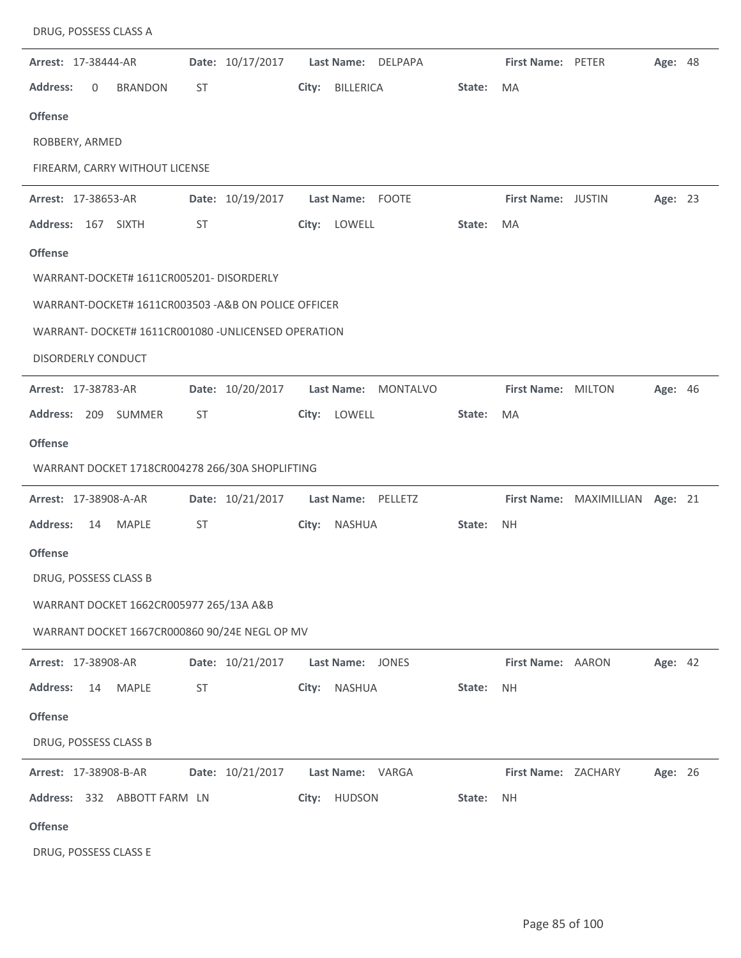| DRUG, POSSESS CLASS A                                |                  |                                      |        |                     |                                 |                |  |
|------------------------------------------------------|------------------|--------------------------------------|--------|---------------------|---------------------------------|----------------|--|
| Arrest: 17-38444-AR                                  | Date: 10/17/2017 | <b>Last Name:</b><br>DELPAPA         |        | First Name: PETER   |                                 | <b>Age: 48</b> |  |
| <b>Address:</b><br>0<br><b>BRANDON</b>               | ST               | <b>BILLERICA</b><br>City:            | State: | MA                  |                                 |                |  |
| <b>Offense</b>                                       |                  |                                      |        |                     |                                 |                |  |
| ROBBERY, ARMED                                       |                  |                                      |        |                     |                                 |                |  |
| FIREARM, CARRY WITHOUT LICENSE                       |                  |                                      |        |                     |                                 |                |  |
| Arrest: 17-38653-AR                                  | Date: 10/19/2017 | Last Name: FOOTE                     |        | First Name: JUSTIN  |                                 | Age: 23        |  |
| Address: 167 SIXTH                                   | ST               | City: LOWELL                         | State: | MA                  |                                 |                |  |
| <b>Offense</b>                                       |                  |                                      |        |                     |                                 |                |  |
| WARRANT-DOCKET# 1611CR005201- DISORDERLY             |                  |                                      |        |                     |                                 |                |  |
| WARRANT-DOCKET# 1611CR003503 - A&B ON POLICE OFFICER |                  |                                      |        |                     |                                 |                |  |
| WARRANT- DOCKET# 1611CR001080 - UNLICENSED OPERATION |                  |                                      |        |                     |                                 |                |  |
| <b>DISORDERLY CONDUCT</b>                            |                  |                                      |        |                     |                                 |                |  |
| Arrest: 17-38783-AR                                  | Date: 10/20/2017 | <b>Last Name:</b><br><b>MONTALVO</b> |        | First Name: MILTON  |                                 | Age: 46        |  |
| 209 SUMMER<br><b>Address:</b>                        | ST               | LOWELL<br>City:                      | State: | MA                  |                                 |                |  |
| <b>Offense</b>                                       |                  |                                      |        |                     |                                 |                |  |
| WARRANT DOCKET 1718CR004278 266/30A SHOPLIFTING      |                  |                                      |        |                     |                                 |                |  |
| Arrest: 17-38908-A-AR                                | Date: 10/21/2017 | <b>Last Name:</b><br>PELLETZ         |        |                     | First Name: MAXIMILLIAN Age: 21 |                |  |
| <b>Address:</b><br><b>MAPLE</b><br>14                | <b>ST</b>        | NASHUA<br>City:                      | State: | <b>NH</b>           |                                 |                |  |
| <b>Offense</b>                                       |                  |                                      |        |                     |                                 |                |  |
| DRUG, POSSESS CLASS B                                |                  |                                      |        |                     |                                 |                |  |
| WARRANT DOCKET 1662CR005977 265/13A A&B              |                  |                                      |        |                     |                                 |                |  |
| WARRANT DOCKET 1667CR000860 90/24E NEGL OP MV        |                  |                                      |        |                     |                                 |                |  |
| Arrest: 17-38908-AR                                  | Date: 10/21/2017 | Last Name: JONES                     |        | First Name: AARON   |                                 | Age: 42        |  |
| <b>Address:</b><br><b>MAPLE</b><br>14                | ST               | NASHUA<br>City:                      | State: | <b>NH</b>           |                                 |                |  |
| <b>Offense</b>                                       |                  |                                      |        |                     |                                 |                |  |
| DRUG, POSSESS CLASS B                                |                  |                                      |        |                     |                                 |                |  |
| Arrest: 17-38908-B-AR                                | Date: 10/21/2017 | Last Name: VARGA                     |        | First Name: ZACHARY |                                 | Age: 26        |  |
| Address: 332 ABBOTT FARM LN                          |                  | City: HUDSON                         | State: | <b>NH</b>           |                                 |                |  |
| <b>Offense</b>                                       |                  |                                      |        |                     |                                 |                |  |
| DRUG, POSSESS CLASS E                                |                  |                                      |        |                     |                                 |                |  |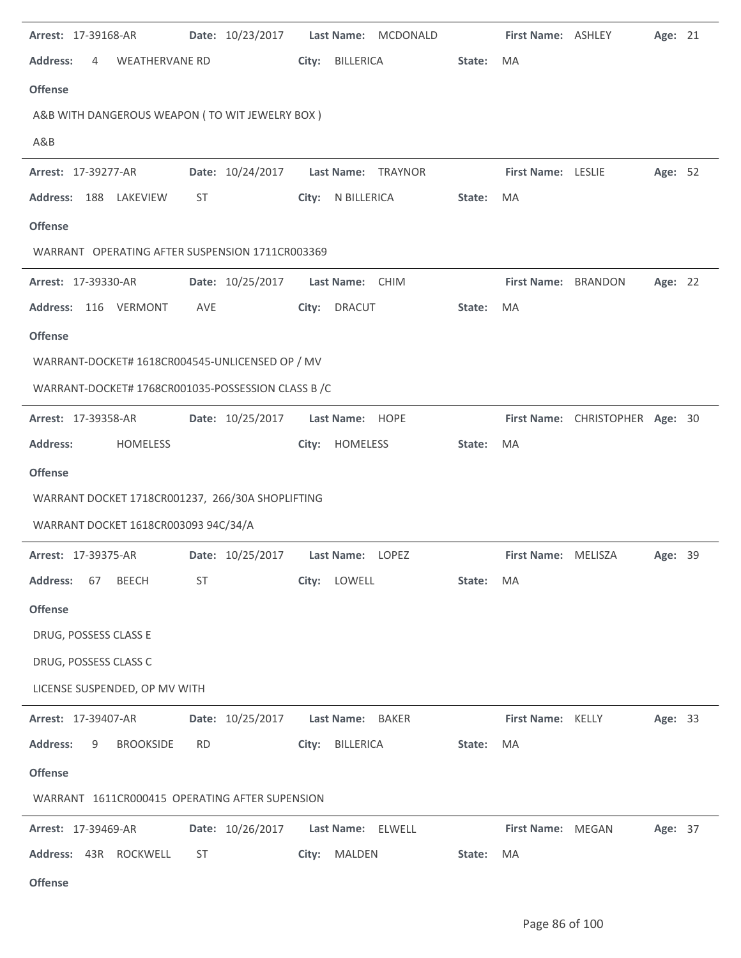| Arrest: 17-39168-AR                                | Date: 10/23/2017 | Last Name: MCDONALD       |        | First Name: ASHLEY  |                                 | Age: 21 |  |
|----------------------------------------------------|------------------|---------------------------|--------|---------------------|---------------------------------|---------|--|
| <b>Address:</b><br>4<br><b>WEATHERVANE RD</b>      |                  | City:<br><b>BILLERICA</b> | State: | <b>MA</b>           |                                 |         |  |
| <b>Offense</b>                                     |                  |                           |        |                     |                                 |         |  |
| A&B WITH DANGEROUS WEAPON (TO WIT JEWELRY BOX)     |                  |                           |        |                     |                                 |         |  |
| A&B                                                |                  |                           |        |                     |                                 |         |  |
| Arrest: 17-39277-AR                                | Date: 10/24/2017 | Last Name: TRAYNOR        |        | First Name: LESLIE  |                                 | Age: 52 |  |
| Address: 188 LAKEVIEW                              | ST               | City: N BILLERICA         | State: | MA                  |                                 |         |  |
| <b>Offense</b>                                     |                  |                           |        |                     |                                 |         |  |
| WARRANT OPERATING AFTER SUSPENSION 1711CR003369    |                  |                           |        |                     |                                 |         |  |
| Arrest: 17-39330-AR                                | Date: 10/25/2017 | Last Name: CHIM           |        | First Name: BRANDON |                                 | Age: 22 |  |
| Address: 116 VERMONT                               | AVE              | <b>DRACUT</b><br>City:    | State: | <b>MA</b>           |                                 |         |  |
| <b>Offense</b>                                     |                  |                           |        |                     |                                 |         |  |
| WARRANT-DOCKET# 1618CR004545-UNLICENSED OP / MV    |                  |                           |        |                     |                                 |         |  |
| WARRANT-DOCKET# 1768CR001035-POSSESSION CLASS B /C |                  |                           |        |                     |                                 |         |  |
| Arrest: 17-39358-AR                                | Date: 10/25/2017 | Last Name: HOPE           |        |                     | First Name: CHRISTOPHER Age: 30 |         |  |
| <b>Address:</b><br>HOMELESS                        |                  | HOMELESS<br>City:         | State: | MA                  |                                 |         |  |
| <b>Offense</b>                                     |                  |                           |        |                     |                                 |         |  |
| WARRANT DOCKET 1718CR001237, 266/30A SHOPLIFTING   |                  |                           |        |                     |                                 |         |  |
| WARRANT DOCKET 1618CR003093 94C/34/A               |                  |                           |        |                     |                                 |         |  |
| Arrest: 17-39375-AR                                | Date: 10/25/2017 | Last Name: LOPEZ          |        | First Name: MELISZA |                                 | Age: 39 |  |
| <b>Address:</b><br>67<br><b>BEECH</b>              | ST               | City: LOWELL              | State: | MA                  |                                 |         |  |
| <b>Offense</b>                                     |                  |                           |        |                     |                                 |         |  |
| DRUG, POSSESS CLASS E                              |                  |                           |        |                     |                                 |         |  |
| DRUG, POSSESS CLASS C                              |                  |                           |        |                     |                                 |         |  |
| LICENSE SUSPENDED, OP MV WITH                      |                  |                           |        |                     |                                 |         |  |
| Arrest: 17-39407-AR                                | Date: 10/25/2017 | Last Name: BAKER          |        | First Name: KELLY   |                                 | Age: 33 |  |
| <b>Address:</b><br><b>BROOKSIDE</b><br>9           | <b>RD</b>        | City: BILLERICA           | State: | MA                  |                                 |         |  |
| <b>Offense</b>                                     |                  |                           |        |                     |                                 |         |  |
| WARRANT 1611CR000415 OPERATING AFTER SUPENSION     |                  |                           |        |                     |                                 |         |  |
| Arrest: 17-39469-AR                                | Date: 10/26/2017 | Last Name: ELWELL         |        | First Name: MEGAN   |                                 | Age: 37 |  |
| Address: 43R ROCKWELL                              | ST               | City: MALDEN              | State: | MA                  |                                 |         |  |
| <b>Offense</b>                                     |                  |                           |        |                     |                                 |         |  |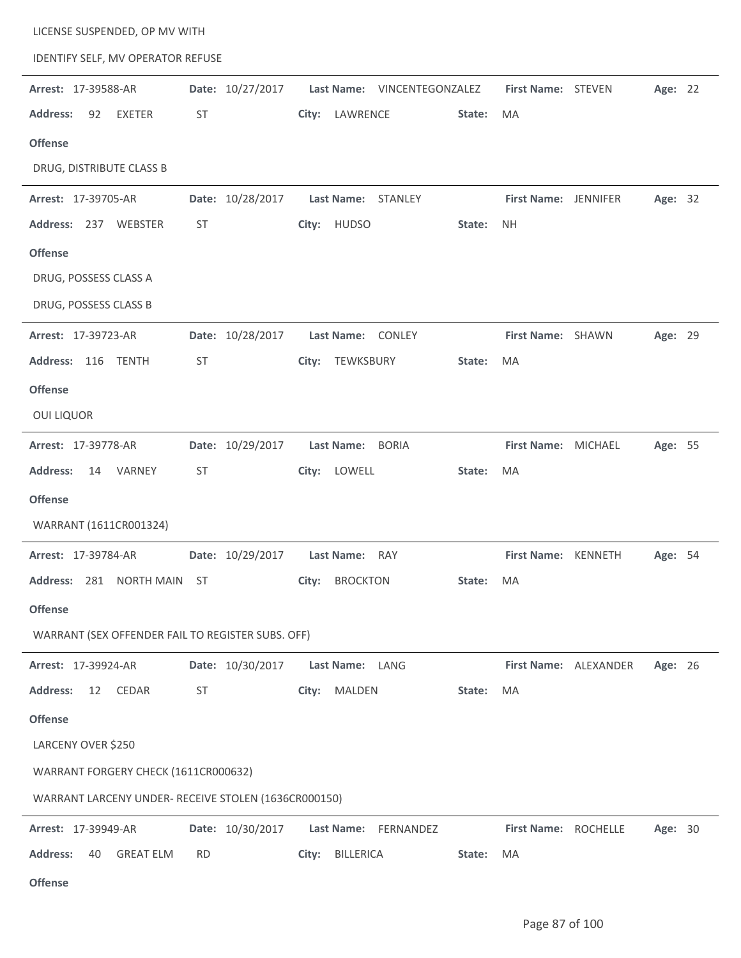| LICENSE SUSPENDED, OP MV WITH                        |           |                  |       |                  |                             |           |                      |                       |         |  |
|------------------------------------------------------|-----------|------------------|-------|------------------|-----------------------------|-----------|----------------------|-----------------------|---------|--|
| IDENTIFY SELF, MV OPERATOR REFUSE                    |           |                  |       |                  |                             |           |                      |                       |         |  |
| Arrest: 17-39588-AR                                  |           | Date: 10/27/2017 |       |                  | Last Name: VINCENTEGONZALEZ |           | First Name: STEVEN   |                       | Age: 22 |  |
| <b>Address:</b><br>92<br><b>EXETER</b>               | ST        |                  | City: | LAWRENCE         |                             | State:    | MA                   |                       |         |  |
| <b>Offense</b>                                       |           |                  |       |                  |                             |           |                      |                       |         |  |
| DRUG, DISTRIBUTE CLASS B                             |           |                  |       |                  |                             |           |                      |                       |         |  |
| Arrest: 17-39705-AR                                  |           | Date: 10/28/2017 |       |                  | Last Name: STANLEY          |           | First Name: JENNIFER |                       | Age: 32 |  |
| Address: 237 WEBSTER                                 | ST        |                  |       | City: HUDSO      |                             | State:    | <b>NH</b>            |                       |         |  |
| <b>Offense</b>                                       |           |                  |       |                  |                             |           |                      |                       |         |  |
| DRUG, POSSESS CLASS A                                |           |                  |       |                  |                             |           |                      |                       |         |  |
| DRUG, POSSESS CLASS B                                |           |                  |       |                  |                             |           |                      |                       |         |  |
| Arrest: 17-39723-AR                                  |           | Date: 10/28/2017 |       |                  | Last Name: CONLEY           |           | First Name: SHAWN    |                       | Age: 29 |  |
| Address: 116<br><b>TENTH</b>                         | ST        |                  | City: | TEWKSBURY        |                             | State:    | MA                   |                       |         |  |
| <b>Offense</b>                                       |           |                  |       |                  |                             |           |                      |                       |         |  |
| <b>OUI LIQUOR</b>                                    |           |                  |       |                  |                             |           |                      |                       |         |  |
| Arrest: 17-39778-AR                                  |           | Date: 10/29/2017 |       | Last Name: BORIA |                             |           | First Name: MICHAEL  |                       | Age: 55 |  |
| VARNEY<br><b>Address:</b><br>14                      | ST        |                  |       | City: LOWELL     |                             | State:    | MA                   |                       |         |  |
| <b>Offense</b>                                       |           |                  |       |                  |                             |           |                      |                       |         |  |
| WARRANT (1611CR001324)                               |           |                  |       |                  |                             |           |                      |                       |         |  |
| Arrest: 17-39784-AR                                  |           | Date: 10/29/2017 |       | Last Name: RAY   |                             |           | First Name: KENNETH  |                       | Age: 54 |  |
| Address: 281 NORTH MAIN ST                           |           |                  |       | City: BROCKTON   |                             | State: MA |                      |                       |         |  |
| <b>Offense</b>                                       |           |                  |       |                  |                             |           |                      |                       |         |  |
| WARRANT (SEX OFFENDER FAIL TO REGISTER SUBS. OFF)    |           |                  |       |                  |                             |           |                      |                       |         |  |
| Arrest: 17-39924-AR                                  |           | Date: 10/30/2017 |       | Last Name: LANG  |                             |           |                      | First Name: ALEXANDER | Age: 26 |  |
| <b>Address:</b><br>12<br>CEDAR                       | ST        |                  |       | City: MALDEN     |                             | State:    | MA                   |                       |         |  |
| <b>Offense</b>                                       |           |                  |       |                  |                             |           |                      |                       |         |  |
| LARCENY OVER \$250                                   |           |                  |       |                  |                             |           |                      |                       |         |  |
| WARRANT FORGERY CHECK (1611CR000632)                 |           |                  |       |                  |                             |           |                      |                       |         |  |
| WARRANT LARCENY UNDER- RECEIVE STOLEN (1636CR000150) |           |                  |       |                  |                             |           |                      |                       |         |  |
| Arrest: 17-39949-AR                                  |           | Date: 10/30/2017 |       |                  | Last Name: FERNANDEZ        |           | First Name: ROCHELLE |                       | Age: 30 |  |
| <b>Address:</b><br><b>GREAT ELM</b><br>40            | <b>RD</b> |                  |       | City: BILLERICA  |                             | State:    | MA                   |                       |         |  |
|                                                      |           |                  |       |                  |                             |           |                      |                       |         |  |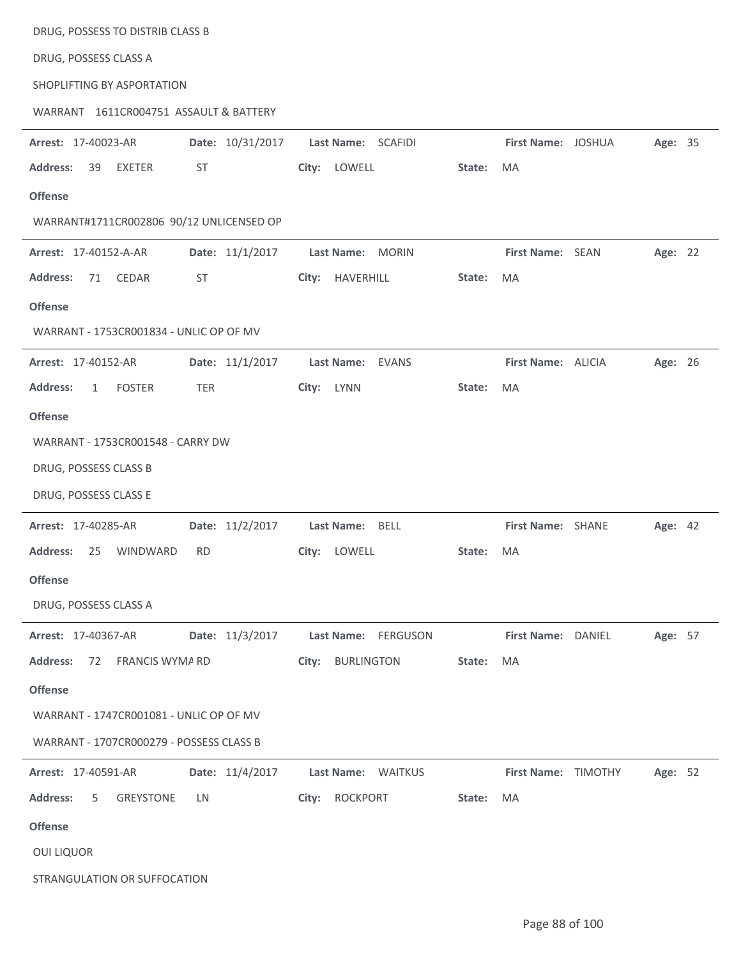| DRUG, POSSESS TO DISTRIB CLASS B                        |                                   |                                                 |
|---------------------------------------------------------|-----------------------------------|-------------------------------------------------|
| DRUG, POSSESS CLASS A                                   |                                   |                                                 |
| SHOPLIFTING BY ASPORTATION                              |                                   |                                                 |
| WARRANT 1611CR004751 ASSAULT & BATTERY                  |                                   |                                                 |
| Date: 10/31/2017<br>Arrest: 17-40023-AR                 | Last Name: SCAFIDI                | First Name: JOSHUA<br>Age: 35                   |
| EXETER<br>ST<br><b>Address:</b><br>39                   | City: LOWELL                      | State:<br>MA                                    |
| <b>Offense</b>                                          |                                   |                                                 |
| WARRANT#1711CR002806 90/12 UNLICENSED OP                |                                   |                                                 |
| Date: 11/1/2017<br>Arrest: 17-40152-A-AR                | Last Name:<br><b>MORIN</b>        | First Name: SEAN<br>Age: 22                     |
| <b>Address:</b><br>CEDAR<br><b>ST</b><br>71             | City: HAVERHILL                   | State:<br>MA                                    |
| <b>Offense</b>                                          |                                   |                                                 |
| WARRANT - 1753CR001834 - UNLIC OP OF MV                 |                                   |                                                 |
| Date: 11/1/2017<br>Arrest: 17-40152-AR                  | <b>Last Name:</b><br><b>EVANS</b> | First Name: ALICIA<br>Age: 26                   |
| <b>Address:</b><br><b>FOSTER</b><br>TER<br>$\mathbf{1}$ | City: LYNN                        | State:<br>MA                                    |
| <b>Offense</b>                                          |                                   |                                                 |
| WARRANT - 1753CR001548 - CARRY DW                       |                                   |                                                 |
| DRUG, POSSESS CLASS B                                   |                                   |                                                 |
| DRUG, POSSESS CLASS E                                   |                                   |                                                 |
| Date: 11/2/2017<br>Arrest: 17-40285-AR                  | Last Name: BELL                   | First Name: SHANE<br>Age: 42                    |
| <b>Address:</b><br>WINDWARD<br><b>RD</b><br>25          | City: LOWELL                      | State:<br>MA                                    |
| <b>Offense</b>                                          |                                   |                                                 |
| DRUG, POSSESS CLASS A                                   |                                   |                                                 |
| Date: 11/3/2017<br>Arrest: 17-40367-AR                  | Last Name:<br>FERGUSON            | First Name: DANIEL<br>Age: 57                   |
| FRANCIS WYMA RD<br><b>Address:</b><br>72                | City: BURLINGTON                  | MA<br>State:                                    |
| <b>Offense</b>                                          |                                   |                                                 |
| WARRANT - 1747CR001081 - UNLIC OP OF MV                 |                                   |                                                 |
| WARRANT - 1707CR000279 - POSSESS CLASS B                |                                   |                                                 |
| Date: 11/4/2017<br>Arrest: 17-40591-AR                  | Last Name: WAITKUS                | <b>First Name:</b><br><b>TIMOTHY</b><br>Age: 52 |
| <b>Address:</b><br><b>GREYSTONE</b><br>5<br>LN.         | City: ROCKPORT                    | State:<br>MA                                    |
| <b>Offense</b>                                          |                                   |                                                 |
| <b>OUI LIQUOR</b>                                       |                                   |                                                 |
| STRANGULATION OR SUFFOCATION                            |                                   |                                                 |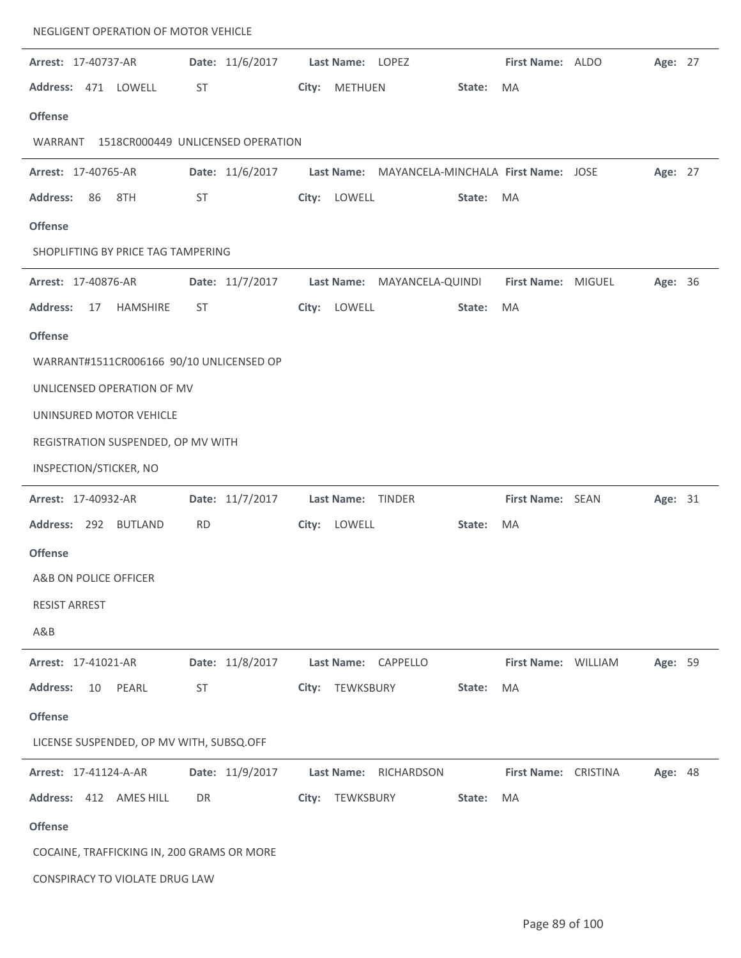| NEGLIGENT OPERATION OF MOTOR VEHICLE       |                                   |                                                |                      |         |
|--------------------------------------------|-----------------------------------|------------------------------------------------|----------------------|---------|
| Arrest: 17-40737-AR                        | Date: 11/6/2017                   | Last Name: LOPEZ                               | First Name: ALDO     | Age: 27 |
| Address: 471 LOWELL                        | ST                                | <b>METHUEN</b><br>City:                        | State:<br><b>MA</b>  |         |
| <b>Offense</b>                             |                                   |                                                |                      |         |
| WARRANT                                    | 1518CR000449 UNLICENSED OPERATION |                                                |                      |         |
| Arrest: 17-40765-AR                        | Date: 11/6/2017                   | Last Name: MAYANCELA-MINCHALA First Name: JOSE |                      | Age: 27 |
| <b>Address:</b><br>86<br>8TH               | ST                                | City: LOWELL                                   | State:<br>MA         |         |
| <b>Offense</b>                             |                                   |                                                |                      |         |
| SHOPLIFTING BY PRICE TAG TAMPERING         |                                   |                                                |                      |         |
| Arrest: 17-40876-AR                        | Date: 11/7/2017                   | Last Name: MAYANCELA-QUINDI                    | First Name: MIGUEL   | Age: 36 |
| <b>Address:</b><br><b>HAMSHIRE</b><br>17   | <b>ST</b>                         | City: LOWELL                                   | State:<br><b>MA</b>  |         |
| <b>Offense</b>                             |                                   |                                                |                      |         |
| WARRANT#1511CR006166 90/10 UNLICENSED OP   |                                   |                                                |                      |         |
| UNLICENSED OPERATION OF MV                 |                                   |                                                |                      |         |
| UNINSURED MOTOR VEHICLE                    |                                   |                                                |                      |         |
| REGISTRATION SUSPENDED, OP MV WITH         |                                   |                                                |                      |         |
| INSPECTION/STICKER, NO                     |                                   |                                                |                      |         |
| Arrest: 17-40932-AR                        | Date: 11/7/2017                   | Last Name:<br>TINDER                           | First Name: SEAN     | Age: 31 |
| Address: 292 BUTLAND                       | <b>RD</b>                         | City: LOWELL                                   | State:<br>MA         |         |
| <b>Offense</b>                             |                                   |                                                |                      |         |
| A&B ON POLICE OFFICER                      |                                   |                                                |                      |         |
| <b>RESIST ARREST</b>                       |                                   |                                                |                      |         |
| A&B                                        |                                   |                                                |                      |         |
| Arrest: 17-41021-AR                        | Date: 11/8/2017                   | Last Name: CAPPELLO                            | First Name: WILLIAM  | Age: 59 |
| <b>Address:</b><br>PEARL<br>10             | ST                                | TEWKSBURY<br>City:                             | State:<br>MA         |         |
| <b>Offense</b>                             |                                   |                                                |                      |         |
| LICENSE SUSPENDED, OP MV WITH, SUBSQ.OFF   |                                   |                                                |                      |         |
| Arrest: 17-41124-A-AR                      | Date: 11/9/2017                   | Last Name:<br>RICHARDSON                       | First Name: CRISTINA | Age: 48 |
| Address: 412 AMES HILL                     | DR                                | TEWKSBURY<br>City:                             | MA<br>State:         |         |
| <b>Offense</b>                             |                                   |                                                |                      |         |
| COCAINE, TRAFFICKING IN, 200 GRAMS OR MORE |                                   |                                                |                      |         |
| CONSPIRACY TO VIOLATE DRUG LAW             |                                   |                                                |                      |         |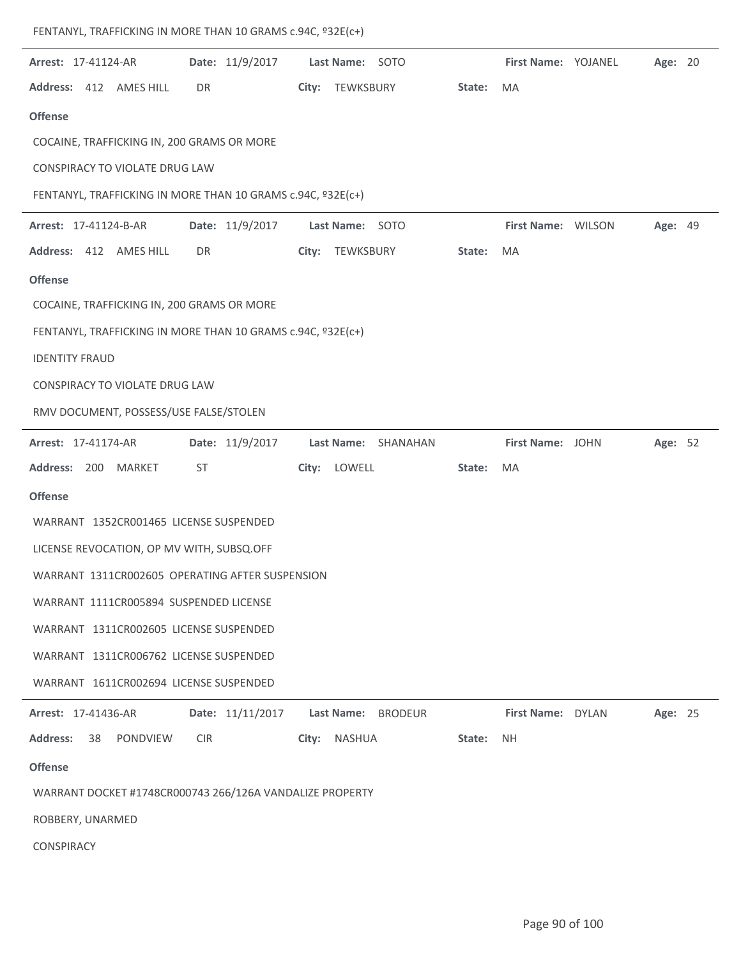| <b>Arrest: 17-41124-AR</b>                                  |                  | Date: 11/9/2017    Last Name: SOTO |        | <b>First Name: YOJANEL</b> | Age: 20 |
|-------------------------------------------------------------|------------------|------------------------------------|--------|----------------------------|---------|
| Address: 412 AMES HILL                                      | DR               | City: TEWKSBURY                    | State: | MA                         |         |
| <b>Offense</b>                                              |                  |                                    |        |                            |         |
| COCAINE, TRAFFICKING IN, 200 GRAMS OR MORE                  |                  |                                    |        |                            |         |
| CONSPIRACY TO VIOLATE DRUG LAW                              |                  |                                    |        |                            |         |
| FENTANYL, TRAFFICKING IN MORE THAN 10 GRAMS c.94C, º32E(c+) |                  |                                    |        |                            |         |
| Arrest: 17-41124-B-AR                                       | Date: 11/9/2017  | Last Name: SOTO                    |        | First Name: WILSON         | Age: 49 |
| Address: 412 AMES HILL                                      | DR               | City: TEWKSBURY                    | State: | MA                         |         |
| <b>Offense</b>                                              |                  |                                    |        |                            |         |
| COCAINE, TRAFFICKING IN, 200 GRAMS OR MORE                  |                  |                                    |        |                            |         |
| FENTANYL, TRAFFICKING IN MORE THAN 10 GRAMS c.94C, º32E(c+) |                  |                                    |        |                            |         |
| <b>IDENTITY FRAUD</b>                                       |                  |                                    |        |                            |         |
| CONSPIRACY TO VIOLATE DRUG LAW                              |                  |                                    |        |                            |         |
| RMV DOCUMENT, POSSESS/USE FALSE/STOLEN                      |                  |                                    |        |                            |         |
| Arrest: 17-41174-AR                                         | Date: 11/9/2017  | Last Name: SHANAHAN                |        | First Name: JOHN           | Age: 52 |
| Address: 200 MARKET                                         | ST               | City: LOWELL                       | State: | MA                         |         |
| <b>Offense</b>                                              |                  |                                    |        |                            |         |
| WARRANT 1352CR001465 LICENSE SUSPENDED                      |                  |                                    |        |                            |         |
| LICENSE REVOCATION, OP MV WITH, SUBSQ.OFF                   |                  |                                    |        |                            |         |
| WARRANT 1311CR002605 OPERATING AFTER SUSPENSION             |                  |                                    |        |                            |         |
| WARRANT 1111CR005894 SUSPENDED LICENSE                      |                  |                                    |        |                            |         |
| WARRANT 1311CR002605 LICENSE SUSPENDED                      |                  |                                    |        |                            |         |
| WARRANT 1311CR006762 LICENSE SUSPENDED                      |                  |                                    |        |                            |         |
| WARRANT 1611CR002694 LICENSE SUSPENDED                      |                  |                                    |        |                            |         |
| Arrest: 17-41436-AR                                         | Date: 11/11/2017 | Last Name: BRODEUR                 |        | First Name: DYLAN          | Age: 25 |
| <b>Address:</b><br>38<br>PONDVIEW                           | <b>CIR</b>       | <b>NASHUA</b><br>City:             | State: | <b>NH</b>                  |         |
| <b>Offense</b>                                              |                  |                                    |        |                            |         |
| WARRANT DOCKET #1748CR000743 266/126A VANDALIZE PROPERTY    |                  |                                    |        |                            |         |
| ROBBERY, UNARMED                                            |                  |                                    |        |                            |         |
| CONSPIRACY                                                  |                  |                                    |        |                            |         |

FENTANYL, TRAFFICKING IN MORE THAN 10 GRAMS c.94C, º32E(c+)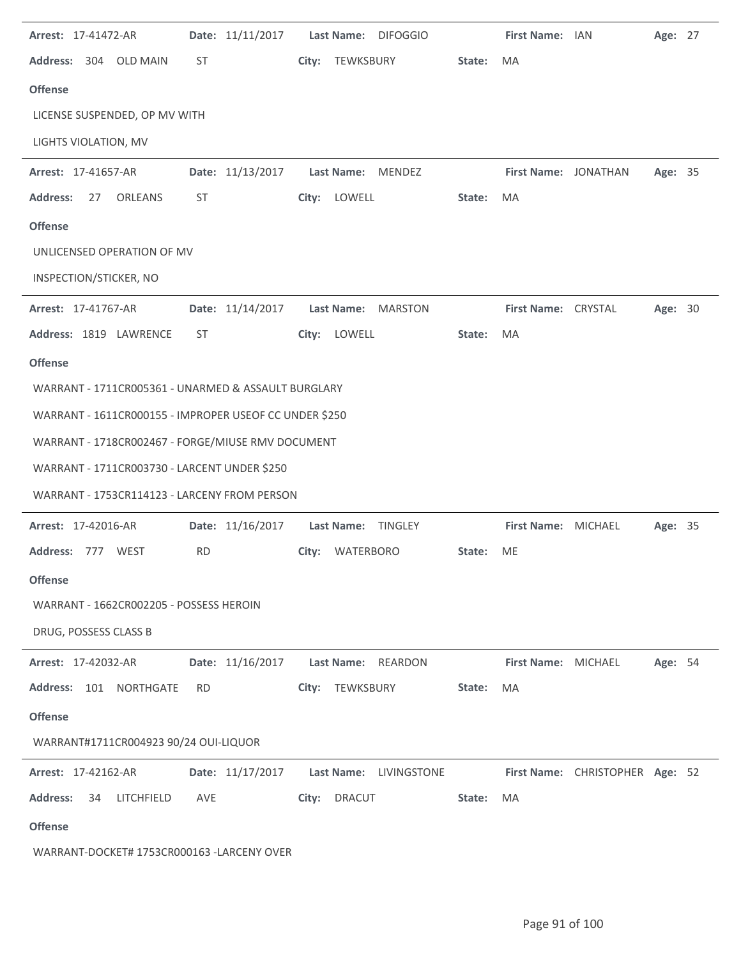| Arrest: 17-41472-AR                                    |           | Date: 11/11/2017 |       |                   | Last Name: DIFOGGIO    |        | First Name: IAN      |                                 | Age: 27        |  |
|--------------------------------------------------------|-----------|------------------|-------|-------------------|------------------------|--------|----------------------|---------------------------------|----------------|--|
| Address: 304 OLD MAIN                                  | <b>ST</b> |                  |       | City: TEWKSBURY   |                        | State: | MA                   |                                 |                |  |
| <b>Offense</b>                                         |           |                  |       |                   |                        |        |                      |                                 |                |  |
| LICENSE SUSPENDED, OP MV WITH                          |           |                  |       |                   |                        |        |                      |                                 |                |  |
| LIGHTS VIOLATION, MV                                   |           |                  |       |                   |                        |        |                      |                                 |                |  |
| Arrest: 17-41657-AR                                    |           | Date: 11/13/2017 |       | <b>Last Name:</b> | <b>MENDEZ</b>          |        | First Name: JONATHAN |                                 | Age: 35        |  |
| <b>Address:</b><br><b>ORLEANS</b><br>27                | ST        |                  |       | City: LOWELL      |                        | State: | MA                   |                                 |                |  |
| <b>Offense</b>                                         |           |                  |       |                   |                        |        |                      |                                 |                |  |
| UNLICENSED OPERATION OF MV                             |           |                  |       |                   |                        |        |                      |                                 |                |  |
| INSPECTION/STICKER, NO                                 |           |                  |       |                   |                        |        |                      |                                 |                |  |
| Arrest: 17-41767-AR                                    |           | Date: 11/14/2017 |       | <b>Last Name:</b> | MARSTON                |        | First Name: CRYSTAL  |                                 | Age: 30        |  |
| Address: 1819 LAWRENCE                                 | <b>ST</b> |                  | City: | LOWELL            |                        | State: | MA                   |                                 |                |  |
| <b>Offense</b>                                         |           |                  |       |                   |                        |        |                      |                                 |                |  |
| WARRANT - 1711CR005361 - UNARMED & ASSAULT BURGLARY    |           |                  |       |                   |                        |        |                      |                                 |                |  |
| WARRANT - 1611CR000155 - IMPROPER USEOF CC UNDER \$250 |           |                  |       |                   |                        |        |                      |                                 |                |  |
| WARRANT - 1718CR002467 - FORGE/MIUSE RMV DOCUMENT      |           |                  |       |                   |                        |        |                      |                                 |                |  |
| WARRANT - 1711CR003730 - LARCENT UNDER \$250           |           |                  |       |                   |                        |        |                      |                                 |                |  |
| WARRANT - 1753CR114123 - LARCENY FROM PERSON           |           |                  |       |                   |                        |        |                      |                                 |                |  |
| Arrest: 17-42016-AR                                    |           | Date: 11/16/2017 |       |                   | Last Name: TINGLEY     |        | First Name: MICHAEL  |                                 | <b>Age: 35</b> |  |
| Address: 777 WEST                                      | <b>RD</b> |                  |       | City: WATERBORO   |                        | State: | ME                   |                                 |                |  |
| <b>Offense</b>                                         |           |                  |       |                   |                        |        |                      |                                 |                |  |
| WARRANT - 1662CR002205 - POSSESS HEROIN                |           |                  |       |                   |                        |        |                      |                                 |                |  |
| DRUG, POSSESS CLASS B                                  |           |                  |       |                   |                        |        |                      |                                 |                |  |
| Arrest: 17-42032-AR                                    |           | Date: 11/16/2017 |       |                   | Last Name: REARDON     |        | First Name: MICHAEL  |                                 | Age: 54        |  |
| Address: 101 NORTHGATE                                 | <b>RD</b> |                  | City: | TEWKSBURY         |                        | State: | MA                   |                                 |                |  |
| <b>Offense</b>                                         |           |                  |       |                   |                        |        |                      |                                 |                |  |
| WARRANT#1711CR004923 90/24 OUI-LIQUOR                  |           |                  |       |                   |                        |        |                      |                                 |                |  |
| Arrest: 17-42162-AR                                    |           | Date: 11/17/2017 |       |                   | Last Name: LIVINGSTONE |        |                      | First Name: CHRISTOPHER Age: 52 |                |  |
| <b>Address:</b><br>LITCHFIELD<br>34                    | AVE       |                  | City: | <b>DRACUT</b>     |                        | State: | MA                   |                                 |                |  |
| <b>Offense</b>                                         |           |                  |       |                   |                        |        |                      |                                 |                |  |
| WARRANT-DOCKET# 1753CR000163 -LARCENY OVER             |           |                  |       |                   |                        |        |                      |                                 |                |  |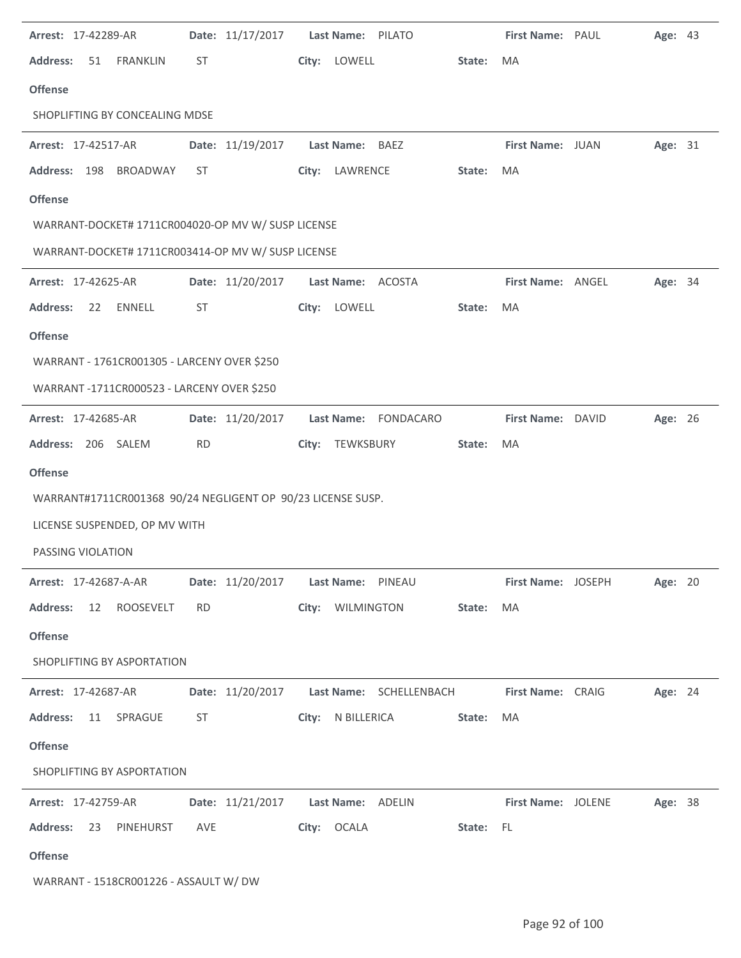| Arrest: 17-42289-AR                                          |           | Date: 11/17/2017                                                                                                                                                                                                               | Last Name: PILATO                           |           | First Name: PAUL          |                           | Age: 43 |  |
|--------------------------------------------------------------|-----------|--------------------------------------------------------------------------------------------------------------------------------------------------------------------------------------------------------------------------------|---------------------------------------------|-----------|---------------------------|---------------------------|---------|--|
| <b>Address:</b><br>51<br><b>FRANKLIN</b>                     | ST        |                                                                                                                                                                                                                                | City: LOWELL                                | State:    | <b>MA</b>                 |                           |         |  |
| <b>Offense</b>                                               |           |                                                                                                                                                                                                                                |                                             |           |                           |                           |         |  |
| SHOPLIFTING BY CONCEALING MDSE                               |           |                                                                                                                                                                                                                                |                                             |           |                           |                           |         |  |
| Arrest: 17-42517-AR                                          |           | Date: 11/19/2017                                                                                                                                                                                                               | Last Name: BAEZ                             |           | First Name: JUAN          |                           | Age: 31 |  |
| Address: 198 BROADWAY                                        | ST        |                                                                                                                                                                                                                                | City: LAWRENCE                              | State:    | MA                        |                           |         |  |
| <b>Offense</b>                                               |           |                                                                                                                                                                                                                                |                                             |           |                           |                           |         |  |
| WARRANT-DOCKET# 1711CR004020-OP MV W/ SUSP LICENSE           |           |                                                                                                                                                                                                                                |                                             |           |                           |                           |         |  |
| WARRANT-DOCKET# 1711CR003414-OP MV W/ SUSP LICENSE           |           |                                                                                                                                                                                                                                |                                             |           |                           |                           |         |  |
| Arrest: 17-42625-AR                                          |           | Date: 11/20/2017                                                                                                                                                                                                               | Last Name: ACOSTA                           |           | First Name: ANGEL         |                           | Age: 34 |  |
| <b>Address:</b><br><b>ENNELL</b><br>22                       | ST        |                                                                                                                                                                                                                                | City: LOWELL                                | State:    | <b>MA</b>                 |                           |         |  |
| <b>Offense</b>                                               |           |                                                                                                                                                                                                                                |                                             |           |                           |                           |         |  |
| WARRANT - 1761CR001305 - LARCENY OVER \$250                  |           |                                                                                                                                                                                                                                |                                             |           |                           |                           |         |  |
| WARRANT-1711CR000523 - LARCENY OVER \$250                    |           |                                                                                                                                                                                                                                |                                             |           |                           |                           |         |  |
| Arrest: 17-42685-AR                                          |           | Date: 11/20/2017                                                                                                                                                                                                               | Last Name: FONDACARO                        |           | First Name: DAVID         |                           | Age: 26 |  |
| Address: 206 SALEM                                           | <b>RD</b> |                                                                                                                                                                                                                                | City: TEWKSBURY                             | State:    | MA                        |                           |         |  |
| <b>Offense</b>                                               |           |                                                                                                                                                                                                                                |                                             |           |                           |                           |         |  |
| WARRANT#1711CR001368 90/24 NEGLIGENT OP 90/23 LICENSE SUSP.  |           |                                                                                                                                                                                                                                |                                             |           |                           |                           |         |  |
| LICENSE SUSPENDED, OP MV WITH                                |           |                                                                                                                                                                                                                                |                                             |           |                           |                           |         |  |
| PASSING VIOLATION                                            |           |                                                                                                                                                                                                                                |                                             |           |                           |                           |         |  |
| Arrest: 17-42687-A-AR   Date: 11/20/2017   Last Name: PINEAU |           |                                                                                                                                                                                                                                |                                             |           |                           | <b>First Name: JOSEPH</b> | Age: 20 |  |
| Address: 12 ROOSEVELT                                        | <b>RD</b> |                                                                                                                                                                                                                                | City: WILMINGTON                            | State:    | MA                        |                           |         |  |
| <b>Offense</b>                                               |           |                                                                                                                                                                                                                                |                                             |           |                           |                           |         |  |
| SHOPLIFTING BY ASPORTATION                                   |           |                                                                                                                                                                                                                                |                                             |           |                           |                           |         |  |
| <b>Arrest: 17-42687-AR</b>                                   |           |                                                                                                                                                                                                                                | Date: 11/20/2017    Last Name: SCHELLENBACH |           | First Name: CRAIG         |                           | Age: 24 |  |
| <b>Address:</b><br>11 SPRAGUE                                |           | ST and the state of the state of the state of the state of the state of the state of the state of the state of the state of the state of the state of the state of the state of the state of the state of the state of the sta | City: N BILLERICA                           | State:    | MA                        |                           |         |  |
| <b>Offense</b>                                               |           |                                                                                                                                                                                                                                |                                             |           |                           |                           |         |  |
| SHOPLIFTING BY ASPORTATION                                   |           |                                                                                                                                                                                                                                |                                             |           |                           |                           |         |  |
| <b>Arrest: 17-42759-AR</b>                                   |           |                                                                                                                                                                                                                                | Date: 11/21/2017    Last Name: ADELIN       |           | <b>First Name: JOLENE</b> |                           | Age: 38 |  |
| Address: 23 PINEHURST                                        | AVE       |                                                                                                                                                                                                                                | City: OCALA                                 | State: FL |                           |                           |         |  |
| <b>Offense</b>                                               |           |                                                                                                                                                                                                                                |                                             |           |                           |                           |         |  |
| WARRANT - 1518CR001226 - ASSAULT W/ DW                       |           |                                                                                                                                                                                                                                |                                             |           |                           |                           |         |  |

l.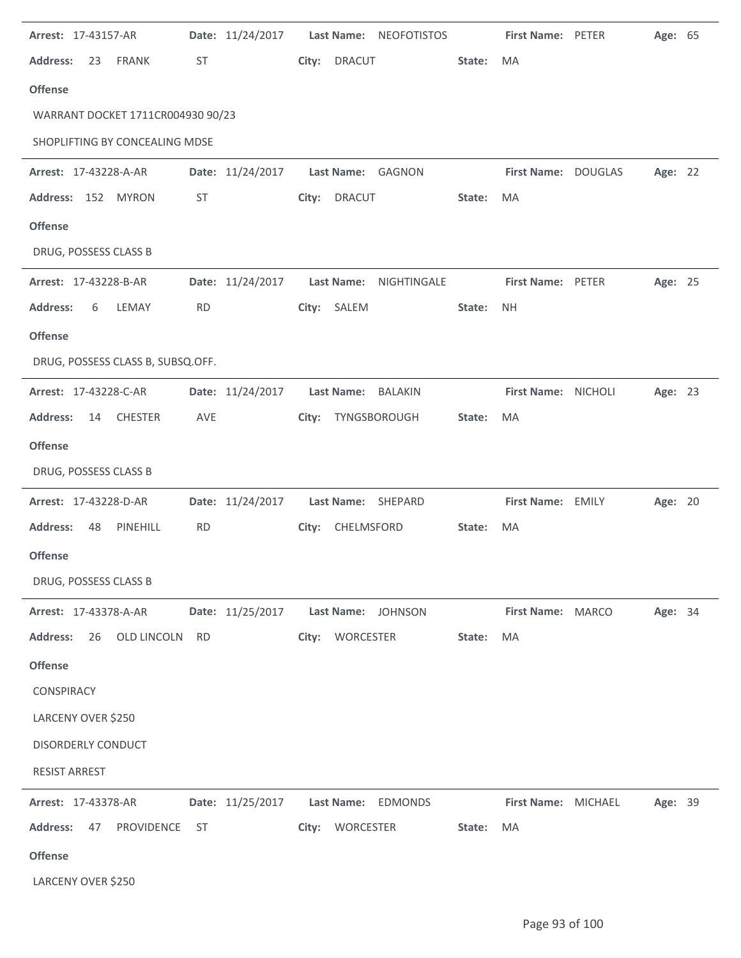| Arrest: 17-43157-AR                     |           | Date: 11/24/2017 |       |                   | Last Name: NEOFOTISTOS |        | First Name: PETER   | Age: 65 |  |
|-----------------------------------------|-----------|------------------|-------|-------------------|------------------------|--------|---------------------|---------|--|
| <b>Address:</b><br><b>FRANK</b><br>23   | ST        |                  | City: | <b>DRACUT</b>     |                        | State: | MA                  |         |  |
| <b>Offense</b>                          |           |                  |       |                   |                        |        |                     |         |  |
| WARRANT DOCKET 1711CR004930 90/23       |           |                  |       |                   |                        |        |                     |         |  |
| SHOPLIFTING BY CONCEALING MDSE          |           |                  |       |                   |                        |        |                     |         |  |
| Arrest: 17-43228-A-AR                   |           | Date: 11/24/2017 |       |                   | Last Name: GAGNON      |        | First Name: DOUGLAS | Age: 22 |  |
| Address: 152 MYRON                      | ST        |                  | City: | <b>DRACUT</b>     |                        | State: | MA                  |         |  |
| <b>Offense</b>                          |           |                  |       |                   |                        |        |                     |         |  |
| DRUG, POSSESS CLASS B                   |           |                  |       |                   |                        |        |                     |         |  |
| Arrest: 17-43228-B-AR                   |           | Date: 11/24/2017 |       | <b>Last Name:</b> | NIGHTINGALE            |        | First Name: PETER   | Age: 25 |  |
| <b>Address:</b><br>6<br>LEMAY           | <b>RD</b> |                  | City: | SALEM             |                        | State: | <b>NH</b>           |         |  |
| <b>Offense</b>                          |           |                  |       |                   |                        |        |                     |         |  |
| DRUG, POSSESS CLASS B, SUBSQ.OFF.       |           |                  |       |                   |                        |        |                     |         |  |
| Arrest: 17-43228-C-AR                   |           | Date: 11/24/2017 |       | <b>Last Name:</b> | BALAKIN                |        | First Name: NICHOLI | Age: 23 |  |
| <b>Address:</b><br><b>CHESTER</b><br>14 | AVE       |                  | City: |                   | TYNGSBOROUGH           | State: | MA                  |         |  |
| <b>Offense</b>                          |           |                  |       |                   |                        |        |                     |         |  |
| DRUG, POSSESS CLASS B                   |           |                  |       |                   |                        |        |                     |         |  |
| Arrest: 17-43228-D-AR                   |           | Date: 11/24/2017 |       |                   | Last Name: SHEPARD     |        | First Name: EMILY   | Age: 20 |  |
| <b>Address:</b><br>PINEHILL<br>48       | <b>RD</b> |                  | City: | CHELMSFORD        |                        | State: | MA                  |         |  |
| <b>Offense</b>                          |           |                  |       |                   |                        |        |                     |         |  |
| DRUG, POSSESS CLASS B                   |           |                  |       |                   |                        |        |                     |         |  |
| Arrest: 17-43378-A-AR                   |           | Date: 11/25/2017 |       |                   | Last Name: JOHNSON     |        | First Name: MARCO   | Age: 34 |  |
| OLD LINCOLN<br><b>Address:</b><br>26    | <b>RD</b> |                  |       | City: WORCESTER   |                        | State: | MA                  |         |  |
| <b>Offense</b>                          |           |                  |       |                   |                        |        |                     |         |  |
| CONSPIRACY                              |           |                  |       |                   |                        |        |                     |         |  |
| LARCENY OVER \$250                      |           |                  |       |                   |                        |        |                     |         |  |
| DISORDERLY CONDUCT                      |           |                  |       |                   |                        |        |                     |         |  |
| <b>RESIST ARREST</b>                    |           |                  |       |                   |                        |        |                     |         |  |
| Arrest: 17-43378-AR                     |           | Date: 11/25/2017 |       |                   | Last Name: EDMONDS     |        | First Name: MICHAEL | Age: 39 |  |
| PROVIDENCE<br><b>Address:</b><br>47     | <b>ST</b> |                  |       | City: WORCESTER   |                        | State: | MA                  |         |  |
| <b>Offense</b>                          |           |                  |       |                   |                        |        |                     |         |  |
| LARCENY OVER \$250                      |           |                  |       |                   |                        |        |                     |         |  |

l.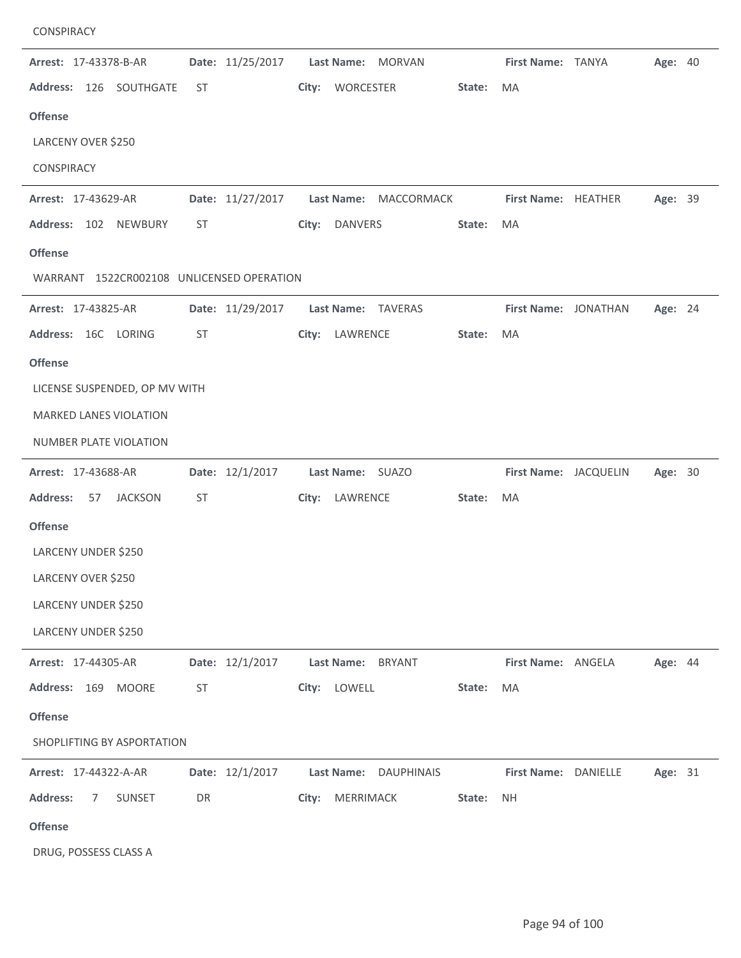| CONSPIRACY                                |    |                  |       |                                        |        |                       |         |  |
|-------------------------------------------|----|------------------|-------|----------------------------------------|--------|-----------------------|---------|--|
| Arrest: 17-43378-B-AR                     |    | Date: 11/25/2017 |       | Last Name: MORVAN                      |        | First Name: TANYA     | Age: 40 |  |
| Address: 126 SOUTHGATE                    | ST |                  | City: | WORCESTER                              | State: | MA                    |         |  |
| <b>Offense</b>                            |    |                  |       |                                        |        |                       |         |  |
| LARCENY OVER \$250                        |    |                  |       |                                        |        |                       |         |  |
| CONSPIRACY                                |    |                  |       |                                        |        |                       |         |  |
| Arrest: 17-43629-AR                       |    | Date: 11/27/2017 |       | Last Name: MACCORMACK                  |        | First Name: HEATHER   | Age: 39 |  |
| Address: 102 NEWBURY                      | ST |                  | City: | DANVERS                                | State: | MA                    |         |  |
| <b>Offense</b>                            |    |                  |       |                                        |        |                       |         |  |
| WARRANT 1522CR002108 UNLICENSED OPERATION |    |                  |       |                                        |        |                       |         |  |
| Arrest: 17-43825-AR                       |    | Date: 11/29/2017 |       | Last Name: TAVERAS                     |        | First Name: JONATHAN  | Age: 24 |  |
| Address: 16C LORING                       | ST |                  |       | City: LAWRENCE                         | State: | <b>MA</b>             |         |  |
| <b>Offense</b>                            |    |                  |       |                                        |        |                       |         |  |
| LICENSE SUSPENDED, OP MV WITH             |    |                  |       |                                        |        |                       |         |  |
| <b>MARKED LANES VIOLATION</b>             |    |                  |       |                                        |        |                       |         |  |
| NUMBER PLATE VIOLATION                    |    |                  |       |                                        |        |                       |         |  |
| Arrest: 17-43688-AR                       |    | Date: 12/1/2017  |       | Last Name: SUAZO                       |        | First Name: JACQUELIN | Age: 30 |  |
| <b>Address:</b><br>57<br><b>JACKSON</b>   | ST |                  |       | City: LAWRENCE                         | State: | MA                    |         |  |
| <b>Offense</b>                            |    |                  |       |                                        |        |                       |         |  |
| LARCENY UNDER \$250                       |    |                  |       |                                        |        |                       |         |  |
| LARCENY OVER \$250                        |    |                  |       |                                        |        |                       |         |  |
| LARCENY UNDER \$250                       |    |                  |       |                                        |        |                       |         |  |
| LARCENY UNDER \$250                       |    |                  |       |                                        |        |                       |         |  |
| Arrest: 17-44305-AR                       |    | Date: 12/1/2017  |       | <b>Last Name:</b><br><b>BRYANT</b>     |        | First Name: ANGELA    | Age: 44 |  |
| Address: 169 MOORE                        | ST |                  |       | City: LOWELL                           | State: | MA                    |         |  |
| <b>Offense</b>                            |    |                  |       |                                        |        |                       |         |  |
| SHOPLIFTING BY ASPORTATION                |    |                  |       |                                        |        |                       |         |  |
| Arrest: 17-44322-A-AR                     |    | Date: 12/1/2017  |       | <b>Last Name:</b><br><b>DAUPHINAIS</b> |        | First Name: DANIELLE  | Age: 31 |  |
| <b>Address:</b><br>SUNSET<br>7            | DR |                  |       | City: MERRIMACK                        | State: | <b>NH</b>             |         |  |
| <b>Offense</b>                            |    |                  |       |                                        |        |                       |         |  |
| DRUG, POSSESS CLASS A                     |    |                  |       |                                        |        |                       |         |  |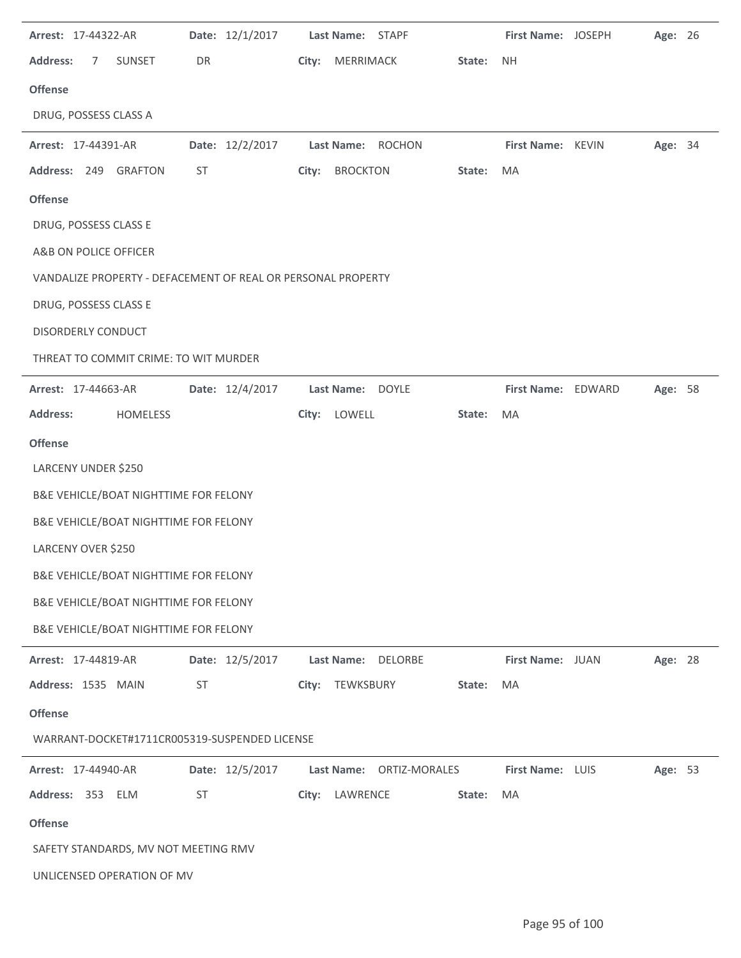| Arrest: 17-44322-AR                                          | Date: 12/1/2017 | Last Name: STAPF         |        | First Name: JOSEPH | Age: 26 |  |
|--------------------------------------------------------------|-----------------|--------------------------|--------|--------------------|---------|--|
| <b>Address:</b><br>$\overline{7}$<br><b>SUNSET</b>           | DR              | City: MERRIMACK          | State: | <b>NH</b>          |         |  |
| <b>Offense</b>                                               |                 |                          |        |                    |         |  |
| DRUG, POSSESS CLASS A                                        |                 |                          |        |                    |         |  |
| Arrest: 17-44391-AR                                          | Date: 12/2/2017 | Last Name: ROCHON        |        | First Name: KEVIN  | Age: 34 |  |
| Address: 249 GRAFTON                                         | ST              | <b>BROCKTON</b><br>City: | State: | MA                 |         |  |
| <b>Offense</b>                                               |                 |                          |        |                    |         |  |
| DRUG, POSSESS CLASS E                                        |                 |                          |        |                    |         |  |
| A&B ON POLICE OFFICER                                        |                 |                          |        |                    |         |  |
| VANDALIZE PROPERTY - DEFACEMENT OF REAL OR PERSONAL PROPERTY |                 |                          |        |                    |         |  |
| DRUG, POSSESS CLASS E                                        |                 |                          |        |                    |         |  |
| DISORDERLY CONDUCT                                           |                 |                          |        |                    |         |  |
| THREAT TO COMMIT CRIME: TO WIT MURDER                        |                 |                          |        |                    |         |  |
| <b>Arrest: 17-44663-AR</b>                                   | Date: 12/4/2017 | Last Name: DOYLE         |        | First Name: EDWARD | Age: 58 |  |
| <b>Address:</b><br>HOMELESS                                  |                 | City: LOWELL             | State: | MA                 |         |  |
| <b>Offense</b>                                               |                 |                          |        |                    |         |  |
| LARCENY UNDER \$250                                          |                 |                          |        |                    |         |  |
| B&E VEHICLE/BOAT NIGHTTIME FOR FELONY                        |                 |                          |        |                    |         |  |
| B&E VEHICLE/BOAT NIGHTTIME FOR FELONY                        |                 |                          |        |                    |         |  |
| LARCENY OVER \$250                                           |                 |                          |        |                    |         |  |
| B&E VEHICLE/BOAT NIGHTTIME FOR FELONY                        |                 |                          |        |                    |         |  |
| B&E VEHICLE/BOAT NIGHTTIME FOR FELONY                        |                 |                          |        |                    |         |  |
| B&E VEHICLE/BOAT NIGHTTIME FOR FELONY                        |                 |                          |        |                    |         |  |
| Arrest: 17-44819-AR                                          | Date: 12/5/2017 | Last Name: DELORBE       |        | First Name: JUAN   | Age: 28 |  |
| Address: 1535 MAIN                                           | ST              | City: TEWKSBURY          | State: | MA                 |         |  |
| <b>Offense</b>                                               |                 |                          |        |                    |         |  |
| WARRANT-DOCKET#1711CR005319-SUSPENDED LICENSE                |                 |                          |        |                    |         |  |
| Arrest: 17-44940-AR                                          | Date: 12/5/2017 | Last Name: ORTIZ-MORALES |        | First Name: LUIS   | Age: 53 |  |
| Address: 353 ELM                                             | ST              | City: LAWRENCE           | State: | MA                 |         |  |
| <b>Offense</b>                                               |                 |                          |        |                    |         |  |
| SAFETY STANDARDS, MV NOT MEETING RMV                         |                 |                          |        |                    |         |  |
| UNLICENSED OPERATION OF MV                                   |                 |                          |        |                    |         |  |
|                                                              |                 |                          |        |                    |         |  |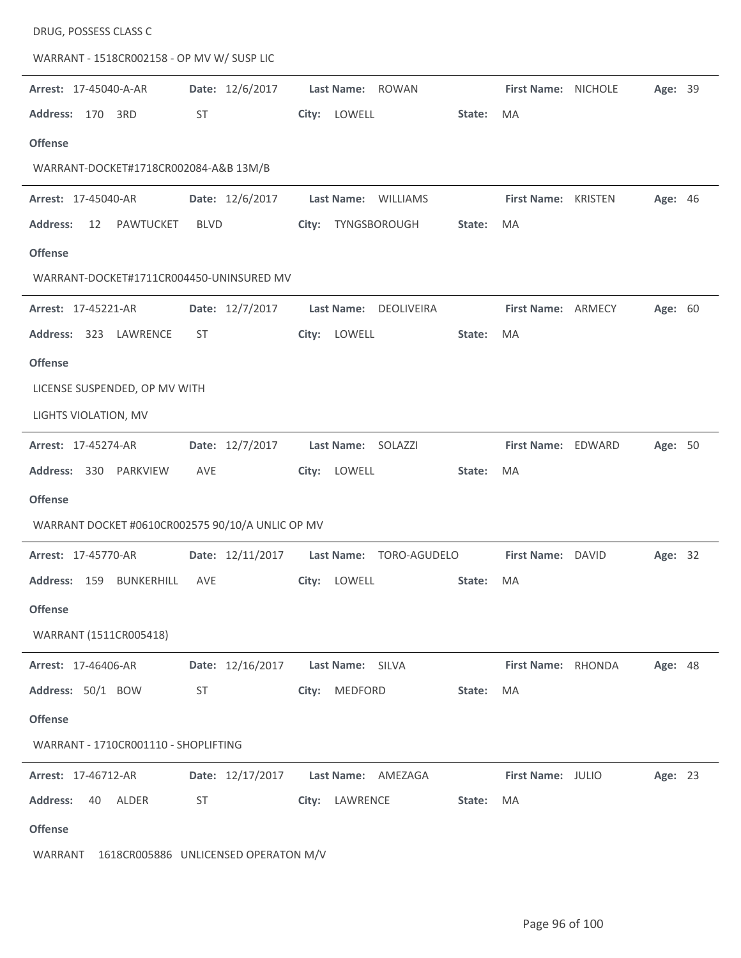| DRUG, POSSESS CLASS C                            |                  |                       |              |                     |                |  |
|--------------------------------------------------|------------------|-----------------------|--------------|---------------------|----------------|--|
| WARRANT - 1518CR002158 - OP MV W/ SUSP LIC       |                  |                       |              |                     |                |  |
| Arrest: 17-45040-A-AR                            | Date: 12/6/2017  | Last Name: ROWAN      |              | First Name: NICHOLE | Age: 39        |  |
| Address: 170<br>3RD                              | <b>ST</b>        | LOWELL<br>City:       | State:       | <b>MA</b>           |                |  |
| <b>Offense</b>                                   |                  |                       |              |                     |                |  |
| WARRANT-DOCKET#1718CR002084-A&B 13M/B            |                  |                       |              |                     |                |  |
| Arrest: 17-45040-AR                              | Date: 12/6/2017  | Last Name: WILLIAMS   |              | First Name: KRISTEN | Age: 46        |  |
| PAWTUCKET<br><b>Address:</b><br>12               | <b>BLVD</b>      | City: TYNGSBOROUGH    | State:       | MA                  |                |  |
| <b>Offense</b>                                   |                  |                       |              |                     |                |  |
| WARRANT-DOCKET#1711CR004450-UNINSURED MV         |                  |                       |              |                     |                |  |
| Arrest: 17-45221-AR                              | Date: 12/7/2017  | Last Name: DEOLIVEIRA |              | First Name: ARMECY  | Age: 60        |  |
| Address: 323 LAWRENCE                            | <b>ST</b>        | LOWELL<br>City:       | State:       | MA                  |                |  |
| <b>Offense</b>                                   |                  |                       |              |                     |                |  |
| LICENSE SUSPENDED, OP MV WITH                    |                  |                       |              |                     |                |  |
| LIGHTS VIOLATION, MV                             |                  |                       |              |                     |                |  |
| Arrest: 17-45274-AR                              | Date: 12/7/2017  | Last Name: SOLAZZI    |              | First Name: EDWARD  | Age: 50        |  |
| Address: 330 PARKVIEW                            | AVE              | City: LOWELL          | State:       | MA                  |                |  |
| <b>Offense</b>                                   |                  |                       |              |                     |                |  |
| WARRANT DOCKET #0610CR002575 90/10/A UNLIC OP MV |                  |                       |              |                     |                |  |
| Arrest: 17-45770-AR                              | Date: 12/11/2017 | Last Name:            | TORO-AGUDELO | First Name: DAVID   | Age: 32        |  |
| Address: 159 BUNKERHILL                          | AVE              | City: LOWELL          | State: MA    |                     |                |  |
| <b>Offense</b>                                   |                  |                       |              |                     |                |  |
| WARRANT (1511CR005418)                           |                  |                       |              |                     |                |  |
| Arrest: 17-46406-AR                              | Date: 12/16/2017 | Last Name: SILVA      |              | First Name: RHONDA  | <b>Age: 48</b> |  |
| Address: 50/1 BOW                                | ST               | City: MEDFORD         | State:       | MA                  |                |  |
| <b>Offense</b>                                   |                  |                       |              |                     |                |  |
| WARRANT - 1710CR001110 - SHOPLIFTING             |                  |                       |              |                     |                |  |
| <b>Arrest: 17-46712-AR</b>                       | Date: 12/17/2017 | Last Name: AMEZAGA    |              | First Name: JULIO   | Age: 23        |  |
| <b>Address:</b><br>40<br>ALDER                   | ST               | City: LAWRENCE        | State:       | MA                  |                |  |
| <b>Offense</b>                                   |                  |                       |              |                     |                |  |
| WARRANT<br>1618CR005886 UNLICENSED OPERATON M/V  |                  |                       |              |                     |                |  |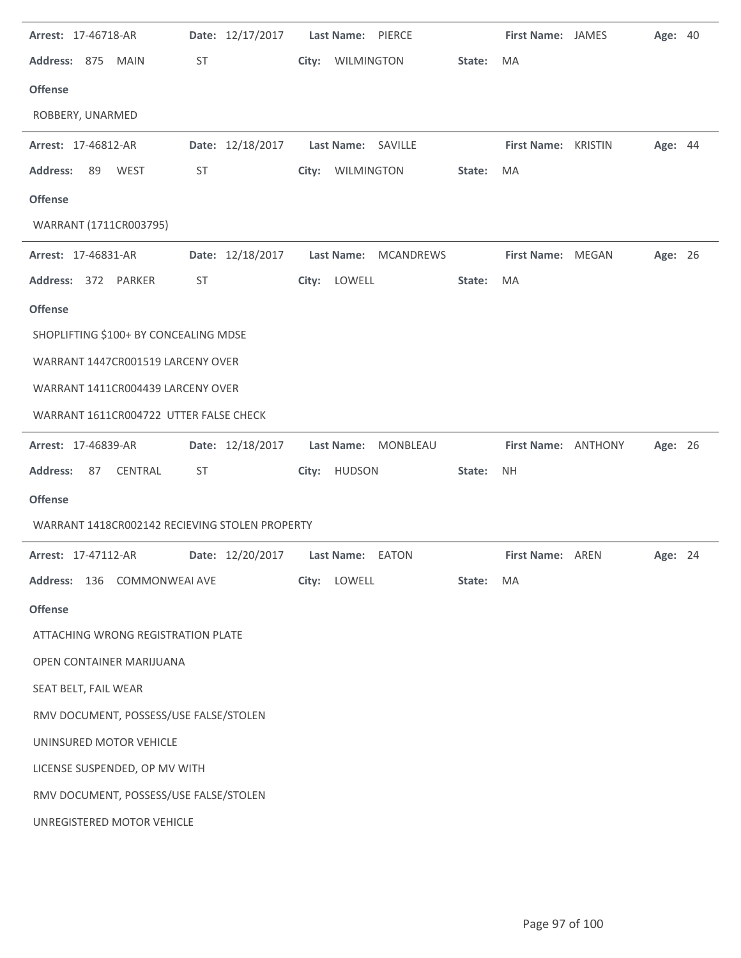| Arrest: 17-46718-AR                            |           |                  |       | Date: 12/17/2017    Last Name: PIERCE |           | First Name: JAMES   | <b>Age: 40</b> |  |
|------------------------------------------------|-----------|------------------|-------|---------------------------------------|-----------|---------------------|----------------|--|
| Address: 875 MAIN                              | <b>ST</b> |                  |       | City: WILMINGTON                      | State:    | MA                  |                |  |
| <b>Offense</b>                                 |           |                  |       |                                       |           |                     |                |  |
| ROBBERY, UNARMED                               |           |                  |       |                                       |           |                     |                |  |
| Arrest: 17-46812-AR                            |           | Date: 12/18/2017 |       | Last Name: SAVILLE                    |           | First Name: KRISTIN | Age: 44        |  |
| <b>Address:</b><br>89<br><b>WEST</b>           | <b>ST</b> |                  | City: | WILMINGTON                            | State:    | MA                  |                |  |
| <b>Offense</b>                                 |           |                  |       |                                       |           |                     |                |  |
| WARRANT (1711CR003795)                         |           |                  |       |                                       |           |                     |                |  |
| Arrest: 17-46831-AR                            |           | Date: 12/18/2017 |       | Last Name: MCANDREWS                  |           | First Name: MEGAN   | Age: 26        |  |
| Address: 372 PARKER                            | <b>ST</b> |                  |       | City: LOWELL                          | State:    | MA                  |                |  |
| <b>Offense</b>                                 |           |                  |       |                                       |           |                     |                |  |
| SHOPLIFTING \$100+ BY CONCEALING MDSE          |           |                  |       |                                       |           |                     |                |  |
| WARRANT 1447CR001519 LARCENY OVER              |           |                  |       |                                       |           |                     |                |  |
| WARRANT 1411CR004439 LARCENY OVER              |           |                  |       |                                       |           |                     |                |  |
| WARRANT 1611CR004722 UTTER FALSE CHECK         |           |                  |       |                                       |           |                     |                |  |
| Arrest: 17-46839-AR                            |           | Date: 12/18/2017 |       | Last Name: MONBLEAU                   |           | First Name: ANTHONY | Age: 26        |  |
|                                                |           |                  |       |                                       |           |                     |                |  |
| <b>Address:</b><br>CENTRAL<br>87               | ST        |                  |       | City: HUDSON                          | State:    | <b>NH</b>           |                |  |
| <b>Offense</b>                                 |           |                  |       |                                       |           |                     |                |  |
| WARRANT 1418CR002142 RECIEVING STOLEN PROPERTY |           |                  |       |                                       |           |                     |                |  |
| Arrest: 17-47112-AR                            |           | Date: 12/20/2017 |       | Last Name: EATON                      |           | First Name: AREN    | Age: 24        |  |
| Address: 136 COMMONWEAI AVE                    |           |                  |       | City: LOWELL                          | State: MA |                     |                |  |
| <b>Offense</b>                                 |           |                  |       |                                       |           |                     |                |  |
| ATTACHING WRONG REGISTRATION PLATE             |           |                  |       |                                       |           |                     |                |  |
| OPEN CONTAINER MARIJUANA                       |           |                  |       |                                       |           |                     |                |  |
| SEAT BELT, FAIL WEAR                           |           |                  |       |                                       |           |                     |                |  |
| RMV DOCUMENT, POSSESS/USE FALSE/STOLEN         |           |                  |       |                                       |           |                     |                |  |
| UNINSURED MOTOR VEHICLE                        |           |                  |       |                                       |           |                     |                |  |
| LICENSE SUSPENDED, OP MV WITH                  |           |                  |       |                                       |           |                     |                |  |
| RMV DOCUMENT, POSSESS/USE FALSE/STOLEN         |           |                  |       |                                       |           |                     |                |  |
| UNREGISTERED MOTOR VEHICLE                     |           |                  |       |                                       |           |                     |                |  |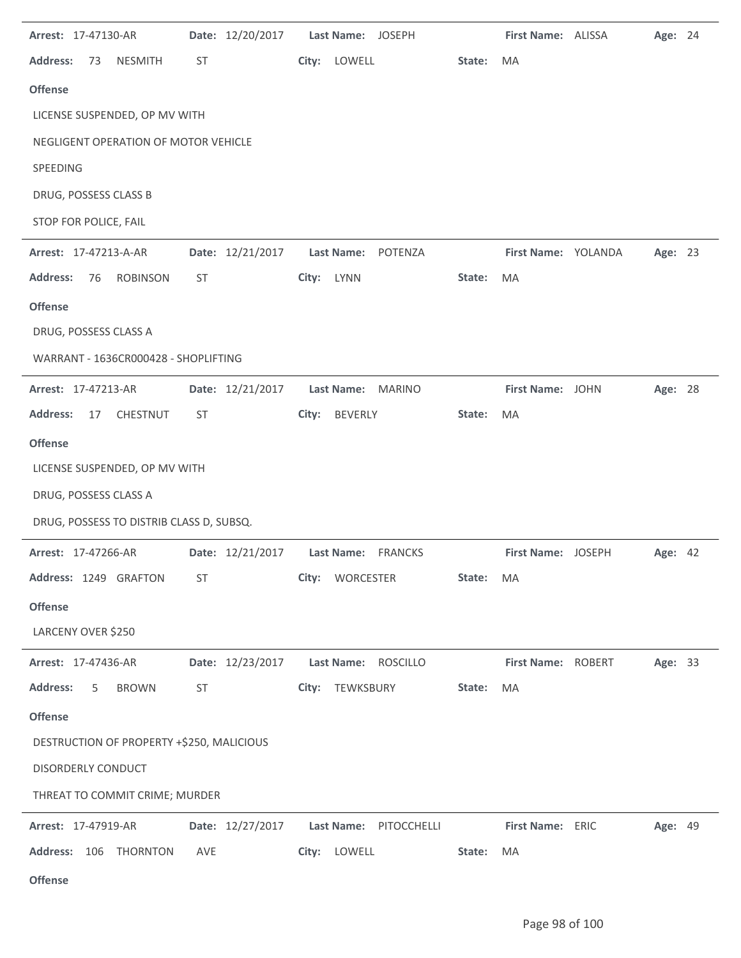| Arrest: 17-47130-AR                       |           | Date: 12/20/2017 | Last Name: JOSEPH      |                 | First Name: ALISSA  | Age: 24        |  |
|-------------------------------------------|-----------|------------------|------------------------|-----------------|---------------------|----------------|--|
| <b>Address:</b><br><b>NESMITH</b><br>73   | ST        |                  | City: LOWELL           | State:          | <b>MA</b>           |                |  |
| <b>Offense</b>                            |           |                  |                        |                 |                     |                |  |
| LICENSE SUSPENDED, OP MV WITH             |           |                  |                        |                 |                     |                |  |
| NEGLIGENT OPERATION OF MOTOR VEHICLE      |           |                  |                        |                 |                     |                |  |
| SPEEDING                                  |           |                  |                        |                 |                     |                |  |
| DRUG, POSSESS CLASS B                     |           |                  |                        |                 |                     |                |  |
| STOP FOR POLICE, FAIL                     |           |                  |                        |                 |                     |                |  |
| Arrest: 17-47213-A-AR                     |           | Date: 12/21/2017 | Last Name: POTENZA     |                 | First Name: YOLANDA | Age: 23        |  |
| <b>Address:</b><br><b>ROBINSON</b><br>76  | <b>ST</b> |                  | City: LYNN             | State:          | MA                  |                |  |
| <b>Offense</b>                            |           |                  |                        |                 |                     |                |  |
| DRUG, POSSESS CLASS A                     |           |                  |                        |                 |                     |                |  |
| WARRANT - 1636CR000428 - SHOPLIFTING      |           |                  |                        |                 |                     |                |  |
| Arrest: 17-47213-AR                       |           | Date: 12/21/2017 | Last Name: MARINO      |                 | First Name: JOHN    | Age: 28        |  |
| <b>Address:</b><br>CHESTNUT<br>17         | ST        |                  | BEVERLY<br>City:       | State:          | <b>MA</b>           |                |  |
| <b>Offense</b>                            |           |                  |                        |                 |                     |                |  |
| LICENSE SUSPENDED, OP MV WITH             |           |                  |                        |                 |                     |                |  |
| DRUG, POSSESS CLASS A                     |           |                  |                        |                 |                     |                |  |
| DRUG, POSSESS TO DISTRIB CLASS D, SUBSQ.  |           |                  |                        |                 |                     |                |  |
| Arrest: 17-47266-AR                       |           | Date: 12/21/2017 | Last Name: FRANCKS     |                 | First Name: JOSEPH  | <b>Age: 42</b> |  |
| Address: 1249 GRAFTON                     | <b>ST</b> |                  | City: WORCESTER        | State:          | MA                  |                |  |
| <b>Offense</b>                            |           |                  |                        |                 |                     |                |  |
| LARCENY OVER \$250                        |           |                  |                        |                 |                     |                |  |
| Arrest: 17-47436-AR                       |           | Date: 12/23/2017 | <b>Last Name:</b>      | <b>ROSCILLO</b> | First Name: ROBERT  | Age: 33        |  |
| <b>Address:</b><br><b>BROWN</b><br>5      | ST        |                  | City: TEWKSBURY        | State:          | MA                  |                |  |
| <b>Offense</b>                            |           |                  |                        |                 |                     |                |  |
| DESTRUCTION OF PROPERTY +\$250, MALICIOUS |           |                  |                        |                 |                     |                |  |
| DISORDERLY CONDUCT                        |           |                  |                        |                 |                     |                |  |
| THREAT TO COMMIT CRIME; MURDER            |           |                  |                        |                 |                     |                |  |
| Arrest: 17-47919-AR                       |           | Date: 12/27/2017 | Last Name: PITOCCHELLI |                 | First Name: ERIC    | Age: 49        |  |
| Address: 106 THORNTON                     |           |                  |                        |                 |                     |                |  |
|                                           | AVE       |                  | City: LOWELL           | State:          | MA                  |                |  |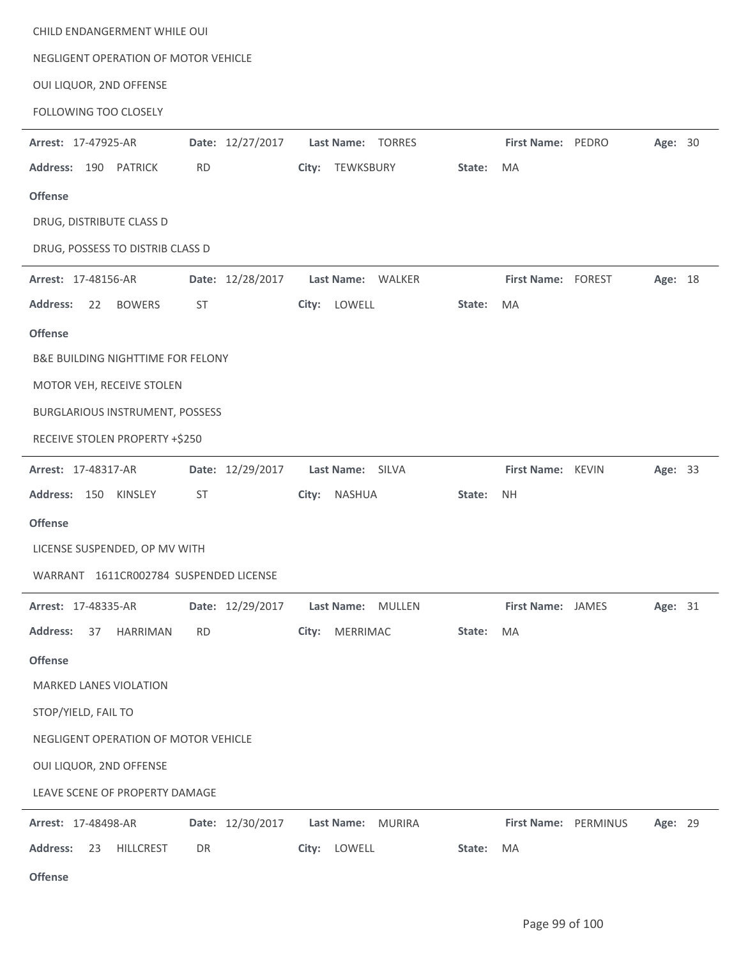| CHILD ENDANGERMENT WHILE OUI              |                  |                    |        |                      |         |  |
|-------------------------------------------|------------------|--------------------|--------|----------------------|---------|--|
| NEGLIGENT OPERATION OF MOTOR VEHICLE      |                  |                    |        |                      |         |  |
| OUI LIQUOR, 2ND OFFENSE                   |                  |                    |        |                      |         |  |
| FOLLOWING TOO CLOSELY                     |                  |                    |        |                      |         |  |
| Arrest: 17-47925-AR                       | Date: 12/27/2017 | Last Name: TORRES  |        | First Name: PEDRO    | Age: 30 |  |
| <b>Address:</b><br>190 PATRICK            | <b>RD</b>        | TEWKSBURY<br>City: | State: | <b>MA</b>            |         |  |
| <b>Offense</b>                            |                  |                    |        |                      |         |  |
| DRUG, DISTRIBUTE CLASS D                  |                  |                    |        |                      |         |  |
| DRUG, POSSESS TO DISTRIB CLASS D          |                  |                    |        |                      |         |  |
| Arrest: 17-48156-AR                       | Date: 12/28/2017 | Last Name: WALKER  |        | First Name: FOREST   | Age: 18 |  |
| <b>Address:</b><br>22<br><b>BOWERS</b>    | <b>ST</b>        | City: LOWELL       | State: | MA                   |         |  |
| <b>Offense</b>                            |                  |                    |        |                      |         |  |
| B&E BUILDING NIGHTTIME FOR FELONY         |                  |                    |        |                      |         |  |
| MOTOR VEH, RECEIVE STOLEN                 |                  |                    |        |                      |         |  |
| BURGLARIOUS INSTRUMENT, POSSESS           |                  |                    |        |                      |         |  |
| RECEIVE STOLEN PROPERTY +\$250            |                  |                    |        |                      |         |  |
| Arrest: 17-48317-AR                       | Date: 12/29/2017 | Last Name: SILVA   |        | First Name: KEVIN    | Age: 33 |  |
| Address: 150 KINSLEY                      | ST               | NASHUA<br>City:    | State: | <b>NH</b>            |         |  |
| <b>Offense</b>                            |                  |                    |        |                      |         |  |
| LICENSE SUSPENDED, OP MV WITH             |                  |                    |        |                      |         |  |
| WARRANT 1611CR002784 SUSPENDED LICENSE    |                  |                    |        |                      |         |  |
| Arrest: 17-48335-AR                       | Date: 12/29/2017 | Last Name: MULLEN  |        | First Name: JAMES    | Age: 31 |  |
| <b>Address:</b><br>HARRIMAN<br>37         | <b>RD</b>        | MERRIMAC<br>City:  | State: | MA                   |         |  |
| <b>Offense</b>                            |                  |                    |        |                      |         |  |
| <b>MARKED LANES VIOLATION</b>             |                  |                    |        |                      |         |  |
| STOP/YIELD, FAIL TO                       |                  |                    |        |                      |         |  |
| NEGLIGENT OPERATION OF MOTOR VEHICLE      |                  |                    |        |                      |         |  |
| OUI LIQUOR, 2ND OFFENSE                   |                  |                    |        |                      |         |  |
| LEAVE SCENE OF PROPERTY DAMAGE            |                  |                    |        |                      |         |  |
| Arrest: 17-48498-AR                       | Date: 12/30/2017 | Last Name: MURIRA  |        | First Name: PERMINUS | Age: 29 |  |
| <b>Address:</b><br>23<br><b>HILLCREST</b> | DR               | City: LOWELL       | State: | MA                   |         |  |